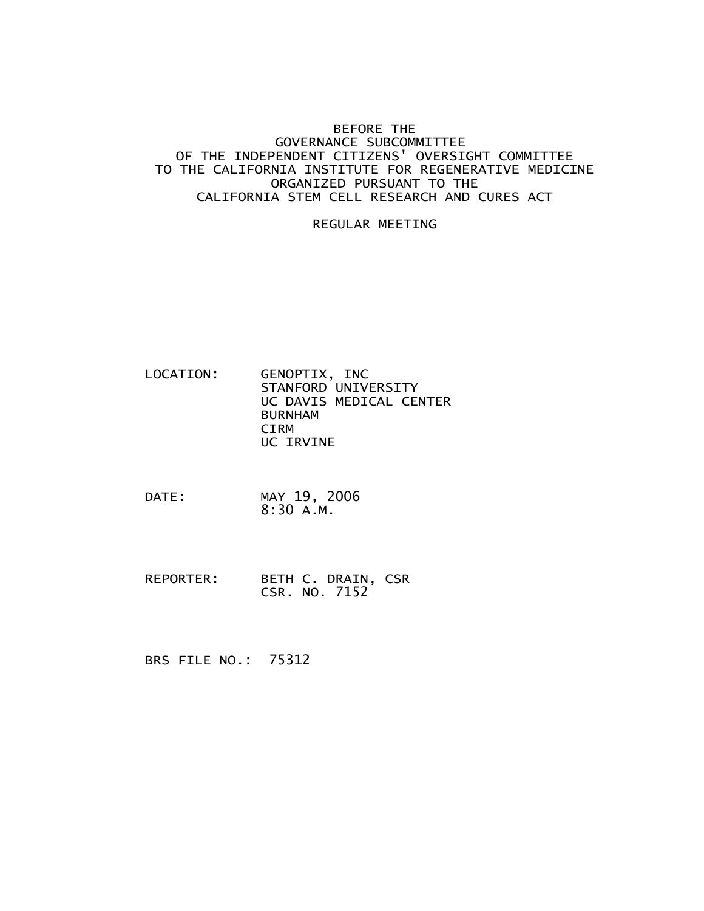## BEFORE THE GOVERNANCE SUBCOMMITTEE OF THE INDEPENDENT CITIZENS' OVERSIGHT COMMITTEE TO THE CALIFORNIA INSTITUTE FOR REGENERATIVE MEDICINE ORGANIZED PURSUANT TO THE CALIFORNIA STEM CELL RESEARCH AND CURES ACT

## REGULAR MEETING

- LOCATION: GENOPTIX, INC STANFORD UNIVERSITY UC DAVIS MEDICAL CENTER BURNHAM CIRM UC IRVINE
- DATE: MAY 19, 2006 8:30 A.M.
- REPORTER: BETH C. DRAIN, CSR CSR. NO. 7152

BRS FILE NO.: 75312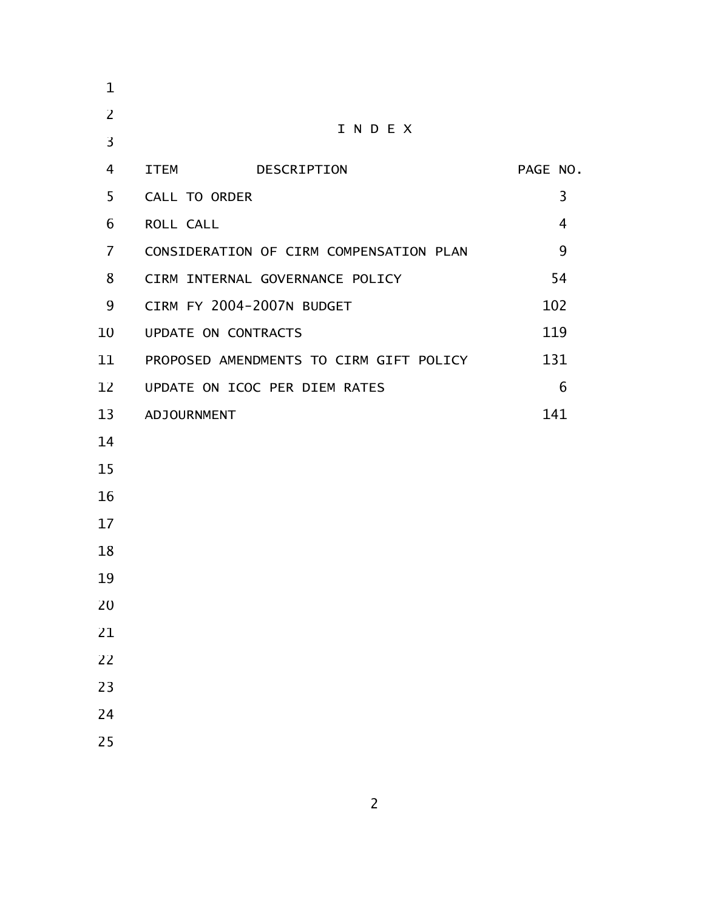| $\mathbf 1$    |                                         |          |
|----------------|-----------------------------------------|----------|
| $\overline{2}$ | INDEX                                   |          |
| 3              |                                         |          |
| 4              | <b>ITEM</b><br>DESCRIPTION              | PAGE NO. |
| 5              | CALL TO ORDER                           | 3        |
| 6              | ROLL CALL                               | 4        |
| $\overline{7}$ | CONSIDERATION OF CIRM COMPENSATION PLAN | 9        |
| 8              | CIRM INTERNAL GOVERNANCE POLICY         | 54       |
| 9              | CIRM FY 2004-2007N BUDGET               | 102      |
| 10             | UPDATE ON CONTRACTS                     | 119      |
| 11             | PROPOSED AMENDMENTS TO CIRM GIFT POLICY | 131      |
| 12             | UPDATE ON ICOC PER DIEM RATES           | 6        |
| 13             | ADJOURNMENT                             | 141      |
| 14             |                                         |          |
| 15             |                                         |          |
| 16             |                                         |          |
| 17             |                                         |          |
| 18             |                                         |          |
| 19             |                                         |          |
| 20             |                                         |          |
| 21             |                                         |          |
| 22             |                                         |          |
| 23             |                                         |          |
| 24             |                                         |          |
| 25             |                                         |          |
|                |                                         |          |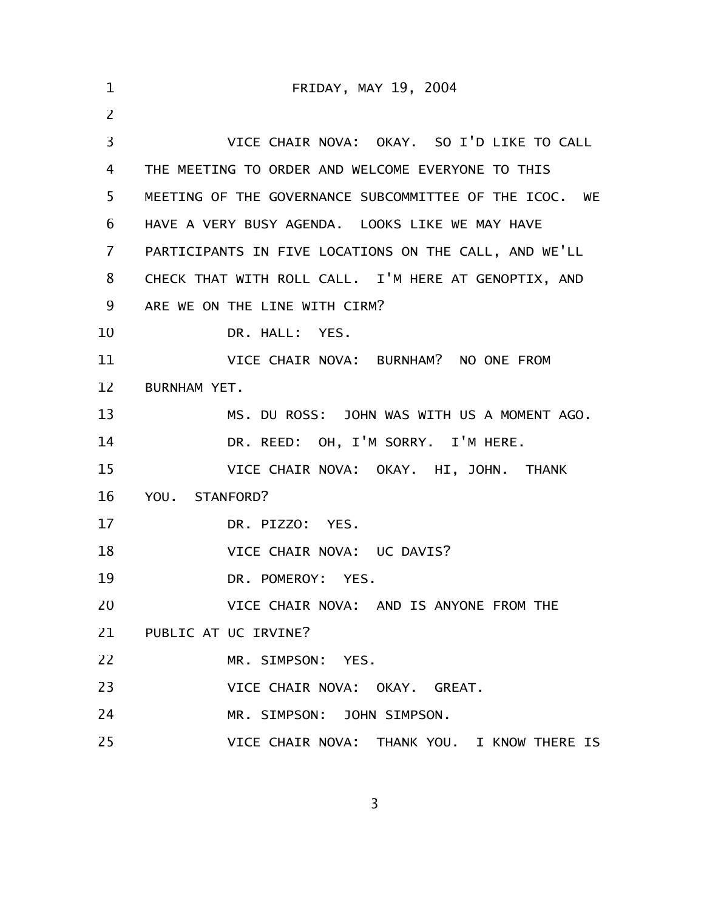| $\mathbf 1$ | FRIDAY, MAY 19, 2004                                   |  |  |
|-------------|--------------------------------------------------------|--|--|
| 2           |                                                        |  |  |
| 3           | VICE CHAIR NOVA: OKAY. SO I'D LIKE TO CALL             |  |  |
| 4           | THE MEETING TO ORDER AND WELCOME EVERYONE TO THIS      |  |  |
| 5           | MEETING OF THE GOVERNANCE SUBCOMMITTEE OF THE ICOC. WE |  |  |
| 6           | HAVE A VERY BUSY AGENDA. LOOKS LIKE WE MAY HAVE        |  |  |
| 7           | PARTICIPANTS IN FIVE LOCATIONS ON THE CALL, AND WE'LL  |  |  |
| 8           | CHECK THAT WITH ROLL CALL. I'M HERE AT GENOPTIX, AND   |  |  |
| 9           | ARE WE ON THE LINE WITH CIRM?                          |  |  |
| 10          | DR. HALL: YES.                                         |  |  |
| 11          | VICE CHAIR NOVA: BURNHAM? NO ONE FROM                  |  |  |
| 12          | BURNHAM YET.                                           |  |  |
| 13          | MS. DU ROSS: JOHN WAS WITH US A MOMENT AGO.            |  |  |
| 14          | DR. REED: OH, I'M SORRY. I'M HERE.                     |  |  |
| 15          | VICE CHAIR NOVA: OKAY. HI, JOHN. THANK                 |  |  |
| 16          | YOU. STANFORD?                                         |  |  |
| 17          | DR. PIZZO: YES.                                        |  |  |
| 18          | VICE CHAIR NOVA: UC DAVIS?                             |  |  |
| 19          | DR. POMEROY: YES.                                      |  |  |
| 20          | VICE CHAIR NOVA: AND IS ANYONE FROM THE                |  |  |
|             | 21 PUBLIC AT UC IRVINE?                                |  |  |
| 22          | MR. SIMPSON: YES.                                      |  |  |
| 23          | VICE CHAIR NOVA: OKAY, GREAT,                          |  |  |
| 24          | MR. SIMPSON: JOHN SIMPSON.                             |  |  |
| 25          | VICE CHAIR NOVA: THANK YOU. I KNOW THERE IS            |  |  |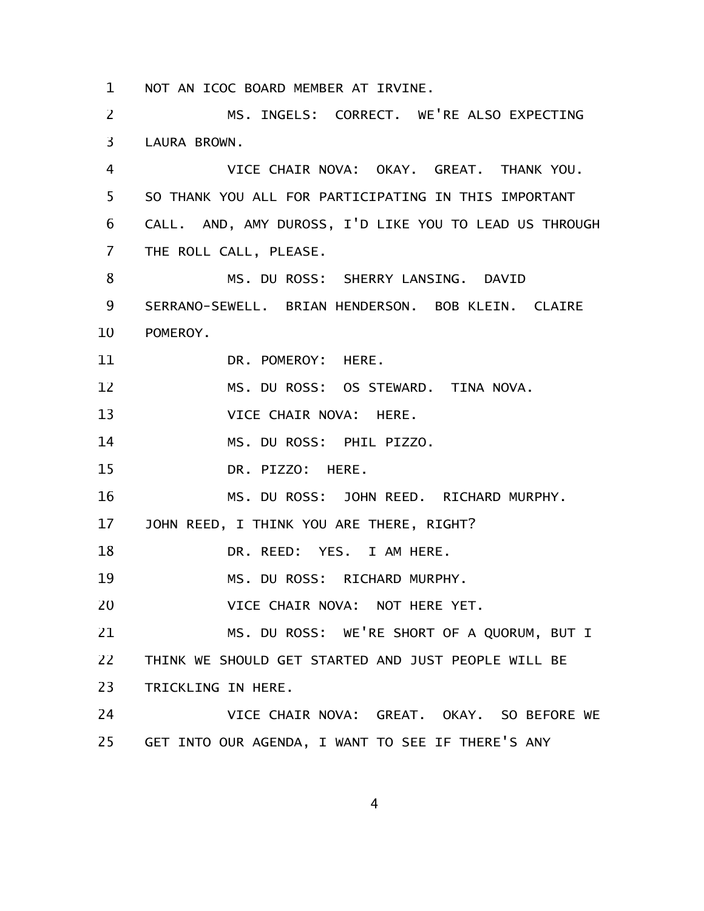NOT AN ICOC BOARD MEMBER AT IRVINE. 1

MS. INGELS: CORRECT. WE'RE ALSO EXPECTING LAURA BROWN. 2 3

VICE CHAIR NOVA: OKAY. GREAT. THANK YOU. SO THANK YOU ALL FOR PARTICIPATING IN THIS IMPORTANT CALL. AND, AMY DUROSS, I'D LIKE YOU TO LEAD US THROUGH THE ROLL CALL, PLEASE. 4 5 6 7

MS. DU ROSS: SHERRY LANSING. DAVID SERRANO-SEWELL. BRIAN HENDERSON. BOB KLEIN. CLAIRE POMEROY. DR. POMEROY: HERE. MS. DU ROSS: OS STEWARD. TINA NOVA. VICE CHAIR NOVA: HERE. MS. DU ROSS: PHIL PIZZO. 8 9 10 11 12 13 14

DR. PIZZO: HERE. 15

MS. DU ROSS: JOHN REED. RICHARD MURPHY. 16

JOHN REED, I THINK YOU ARE THERE, RIGHT? 17

DR. REED: YES. I AM HERE. 18

MS. DU ROSS: RICHARD MURPHY. 19

VICE CHAIR NOVA: NOT HERE YET. 20

MS. DU ROSS: WE'RE SHORT OF A QUORUM, BUT I THINK WE SHOULD GET STARTED AND JUST PEOPLE WILL BE TRICKLING IN HERE. 21 22 23

VICE CHAIR NOVA: GREAT. OKAY. SO BEFORE WE GET INTO OUR AGENDA, I WANT TO SEE IF THERE'S ANY 24 25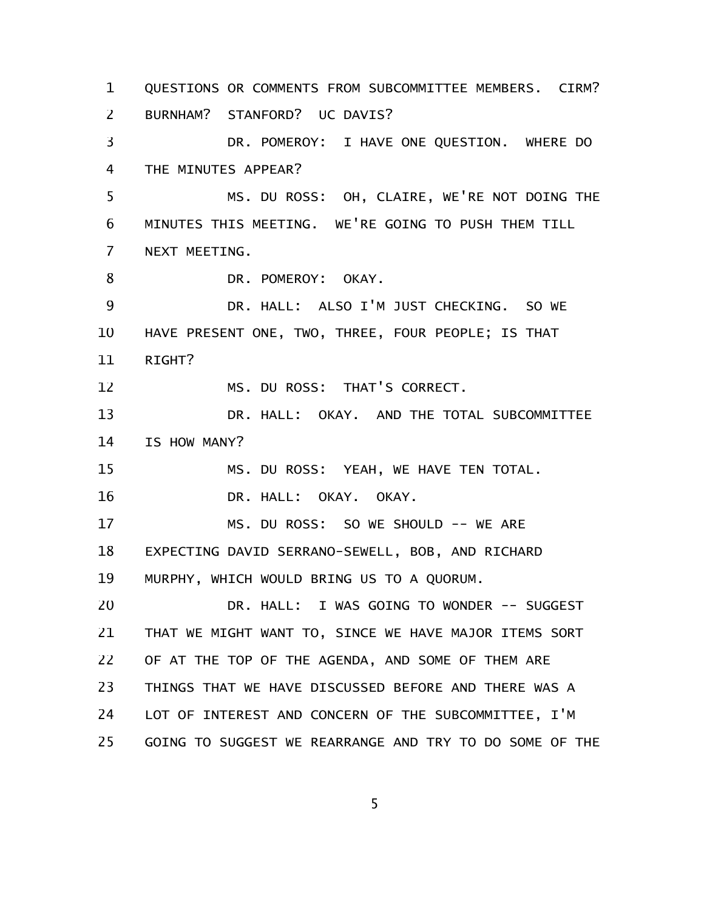QUESTIONS OR COMMENTS FROM SUBCOMMITTEE MEMBERS. CIRM? BURNHAM? STANFORD? UC DAVIS? DR. POMEROY: I HAVE ONE QUESTION. WHERE DO THE MINUTES APPEAR? MS. DU ROSS: OH, CLAIRE, WE'RE NOT DOING THE MINUTES THIS MEETING. WE'RE GOING TO PUSH THEM TILL NEXT MEETING. DR. POMEROY: OKAY. DR. HALL: ALSO I'M JUST CHECKING. SO WE HAVE PRESENT ONE, TWO, THREE, FOUR PEOPLE; IS THAT RIGHT? MS. DU ROSS: THAT'S CORRECT. DR. HALL: OKAY. AND THE TOTAL SUBCOMMITTEE IS HOW MANY? MS. DU ROSS: YEAH, WE HAVE TEN TOTAL. DR. HALL: OKAY. OKAY. MS. DU ROSS: SO WE SHOULD -- WE ARE EXPECTING DAVID SERRANO-SEWELL, BOB, AND RICHARD MURPHY, WHICH WOULD BRING US TO A QUORUM. DR. HALL: I WAS GOING TO WONDER -- SUGGEST THAT WE MIGHT WANT TO, SINCE WE HAVE MAJOR ITEMS SORT OF AT THE TOP OF THE AGENDA, AND SOME OF THEM ARE THINGS THAT WE HAVE DISCUSSED BEFORE AND THERE WAS A LOT OF INTEREST AND CONCERN OF THE SUBCOMMITTEE, I'M GOING TO SUGGEST WE REARRANGE AND TRY TO DO SOME OF THE 1 2 3 4 5 6 7 8 9 10 11 12 13 14 15 16 17 18 19 20 21 22 23 24 25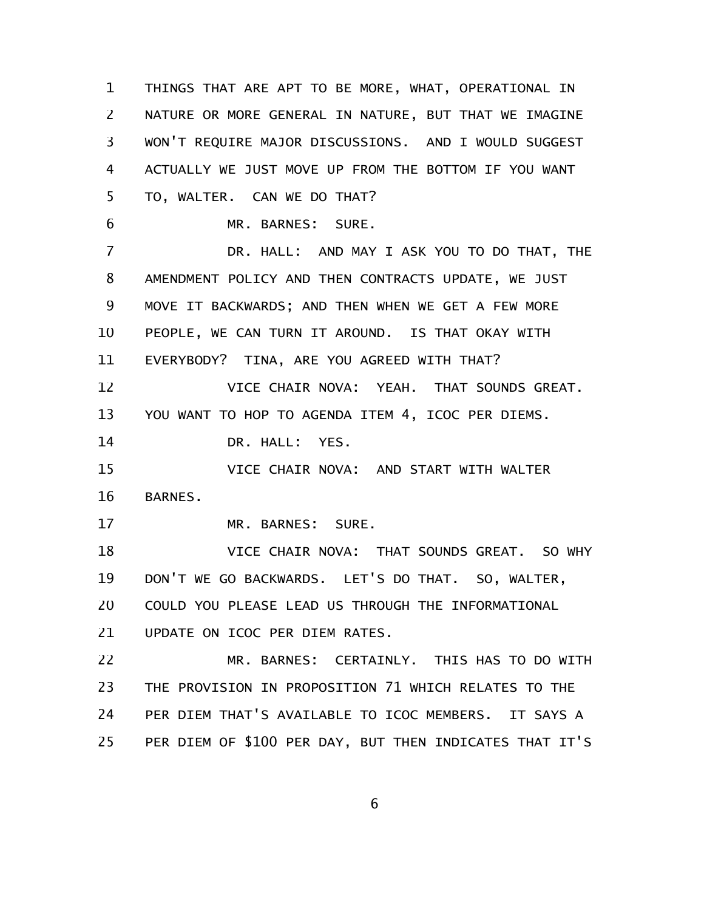THINGS THAT ARE APT TO BE MORE, WHAT, OPERATIONAL IN NATURE OR MORE GENERAL IN NATURE, BUT THAT WE IMAGINE WON'T REQUIRE MAJOR DISCUSSIONS. AND I WOULD SUGGEST ACTUALLY WE JUST MOVE UP FROM THE BOTTOM IF YOU WANT TO, WALTER. CAN WE DO THAT? MR. BARNES: SURE. DR. HALL: AND MAY I ASK YOU TO DO THAT, THE AMENDMENT POLICY AND THEN CONTRACTS UPDATE, WE JUST MOVE IT BACKWARDS; AND THEN WHEN WE GET A FEW MORE PEOPLE, WE CAN TURN IT AROUND. IS THAT OKAY WITH EVERYBODY? TINA, ARE YOU AGREED WITH THAT? VICE CHAIR NOVA: YEAH. THAT SOUNDS GREAT. YOU WANT TO HOP TO AGENDA ITEM 4, ICOC PER DIEMS. DR. HALL: YES. VICE CHAIR NOVA: AND START WITH WALTER BARNES. MR. BARNES: SURE. VICE CHAIR NOVA: THAT SOUNDS GREAT. SO WHY DON'T WE GO BACKWARDS. LET'S DO THAT. SO, WALTER, COULD YOU PLEASE LEAD US THROUGH THE INFORMATIONAL UPDATE ON ICOC PER DIEM RATES. MR. BARNES: CERTAINLY. THIS HAS TO DO WITH THE PROVISION IN PROPOSITION 71 WHICH RELATES TO THE PER DIEM THAT'S AVAILABLE TO ICOC MEMBERS. IT SAYS A PER DIEM OF \$100 PER DAY, BUT THEN INDICATES THAT IT'S 1 2 3 4 5 6 7 8 9 10 11 12 13 14 15 16 17 18 19 20 21 22 23 24 25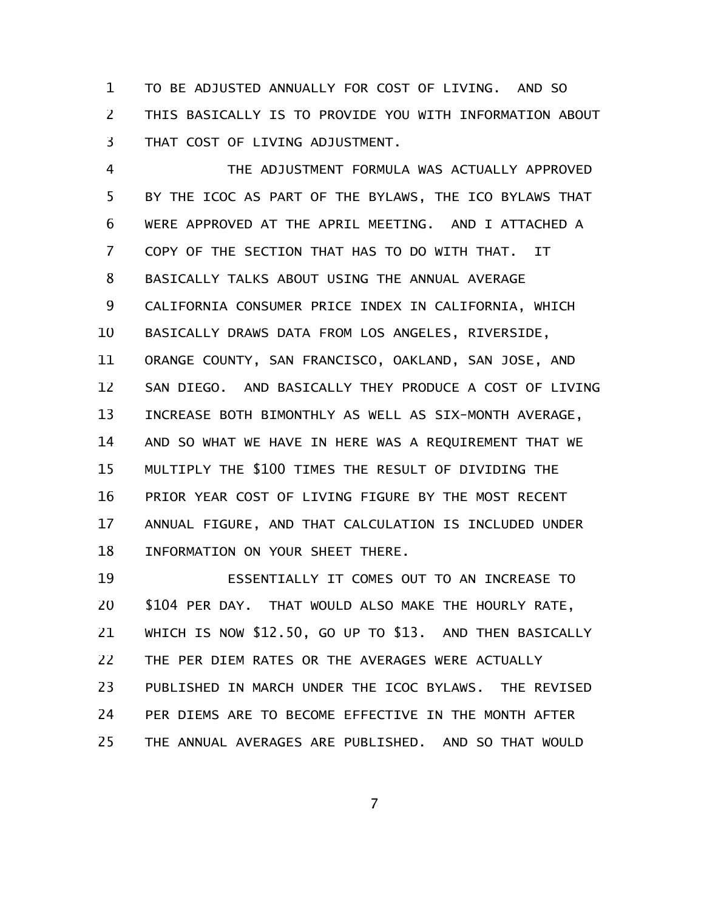TO BE ADJUSTED ANNUALLY FOR COST OF LIVING. AND SO THIS BASICALLY IS TO PROVIDE YOU WITH INFORMATION ABOUT THAT COST OF LIVING ADJUSTMENT. 1 2 3

THE ADJUSTMENT FORMULA WAS ACTUALLY APPROVED BY THE ICOC AS PART OF THE BYLAWS, THE ICO BYLAWS THAT WERE APPROVED AT THE APRIL MEETING. AND I ATTACHED A COPY OF THE SECTION THAT HAS TO DO WITH THAT. IT BASICALLY TALKS ABOUT USING THE ANNUAL AVERAGE CALIFORNIA CONSUMER PRICE INDEX IN CALIFORNIA, WHICH BASICALLY DRAWS DATA FROM LOS ANGELES, RIVERSIDE, ORANGE COUNTY, SAN FRANCISCO, OAKLAND, SAN JOSE, AND SAN DIEGO. AND BASICALLY THEY PRODUCE A COST OF LIVING INCREASE BOTH BIMONTHLY AS WELL AS SIX-MONTH AVERAGE, AND SO WHAT WE HAVE IN HERE WAS A REQUIREMENT THAT WE MULTIPLY THE \$100 TIMES THE RESULT OF DIVIDING THE PRIOR YEAR COST OF LIVING FIGURE BY THE MOST RECENT ANNUAL FIGURE, AND THAT CALCULATION IS INCLUDED UNDER INFORMATION ON YOUR SHEET THERE. 4 5 6 7 8 9 10 11 12 13 14 15 16 17 18

ESSENTIALLY IT COMES OUT TO AN INCREASE TO \$104 PER DAY. THAT WOULD ALSO MAKE THE HOURLY RATE, WHICH IS NOW \$12.50, GO UP TO \$13. AND THEN BASICALLY THE PER DIEM RATES OR THE AVERAGES WERE ACTUALLY PUBLISHED IN MARCH UNDER THE ICOC BYLAWS. THE REVISED PER DIEMS ARE TO BECOME EFFECTIVE IN THE MONTH AFTER THE ANNUAL AVERAGES ARE PUBLISHED. AND SO THAT WOULD 19 20 21 22 23 24 25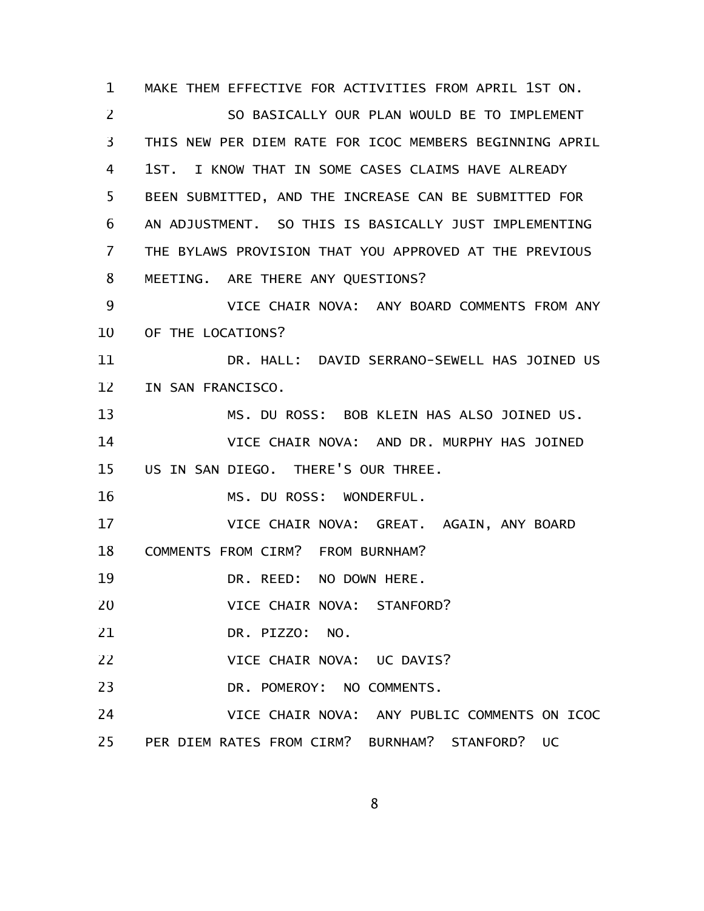MAKE THEM EFFECTIVE FOR ACTIVITIES FROM APRIL 1ST ON. SO BASICALLY OUR PLAN WOULD BE TO IMPLEMENT THIS NEW PER DIEM RATE FOR ICOC MEMBERS BEGINNING APRIL 1ST. I KNOW THAT IN SOME CASES CLAIMS HAVE ALREADY BEEN SUBMITTED, AND THE INCREASE CAN BE SUBMITTED FOR AN ADJUSTMENT. SO THIS IS BASICALLY JUST IMPLEMENTING THE BYLAWS PROVISION THAT YOU APPROVED AT THE PREVIOUS MEETING. ARE THERE ANY QUESTIONS? VICE CHAIR NOVA: ANY BOARD COMMENTS FROM ANY OF THE LOCATIONS? DR. HALL: DAVID SERRANO-SEWELL HAS JOINED US IN SAN FRANCISCO. MS. DU ROSS: BOB KLEIN HAS ALSO JOINED US. VICE CHAIR NOVA: AND DR. MURPHY HAS JOINED US IN SAN DIEGO. THERE'S OUR THREE. MS. DU ROSS: WONDERFUL. VICE CHAIR NOVA: GREAT. AGAIN, ANY BOARD COMMENTS FROM CIRM? FROM BURNHAM? DR. REED: NO DOWN HERE. VICE CHAIR NOVA: STANFORD? DR. PIZZO: NO. VICE CHAIR NOVA: UC DAVIS? DR. POMEROY: NO COMMENTS. VICE CHAIR NOVA: ANY PUBLIC COMMENTS ON ICOC 25 PER DIEM RATES FROM CIRM? BURNHAM? STANFORD? UC 1 2 3 4 5 6 7 8 9 10 11 12 13 14 15 16 17 18 19 20 21 22 23 24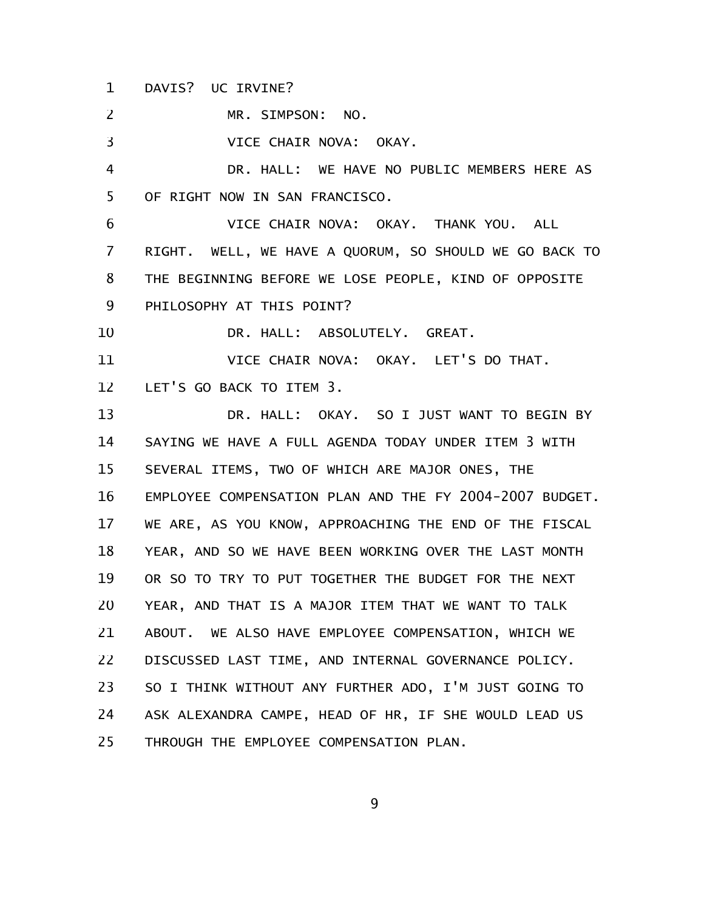DAVIS? UC IRVINE? 1

MR. SIMPSON: NO. 2

VICE CHAIR NOVA: OKAY. 3

DR. HALL: WE HAVE NO PUBLIC MEMBERS HERE AS OF RIGHT NOW IN SAN FRANCISCO. 4 5

VICE CHAIR NOVA: OKAY. THANK YOU. ALL RIGHT. WELL, WE HAVE A QUORUM, SO SHOULD WE GO BACK TO THE BEGINNING BEFORE WE LOSE PEOPLE, KIND OF OPPOSITE PHILOSOPHY AT THIS POINT? 6 7 8 9

DR. HALL: ABSOLUTELY. GREAT. 10

VICE CHAIR NOVA: OKAY. LET'S DO THAT. LET'S GO BACK TO ITEM 3. 11 12

DR. HALL: OKAY. SO I JUST WANT TO BEGIN BY SAYING WE HAVE A FULL AGENDA TODAY UNDER ITEM 3 WITH SEVERAL ITEMS, TWO OF WHICH ARE MAJOR ONES, THE EMPLOYEE COMPENSATION PLAN AND THE FY 2004-2007 BUDGET. WE ARE, AS YOU KNOW, APPROACHING THE END OF THE FISCAL YEAR, AND SO WE HAVE BEEN WORKING OVER THE LAST MONTH OR SO TO TRY TO PUT TOGETHER THE BUDGET FOR THE NEXT YEAR, AND THAT IS A MAJOR ITEM THAT WE WANT TO TALK ABOUT. WE ALSO HAVE EMPLOYEE COMPENSATION, WHICH WE DISCUSSED LAST TIME, AND INTERNAL GOVERNANCE POLICY. SO I THINK WITHOUT ANY FURTHER ADO, I'M JUST GOING TO ASK ALEXANDRA CAMPE, HEAD OF HR, IF SHE WOULD LEAD US THROUGH THE EMPLOYEE COMPENSATION PLAN. 13 14 15 16 17 18 19 20 21 22 23 24 25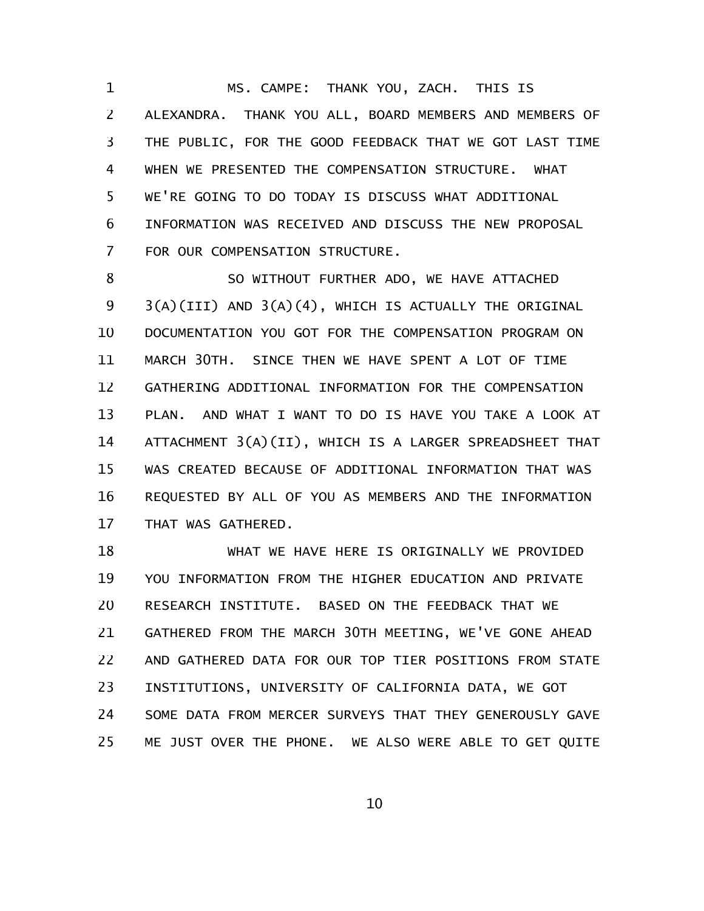MS. CAMPE: THANK YOU, ZACH. THIS IS ALEXANDRA. THANK YOU ALL, BOARD MEMBERS AND MEMBERS OF THE PUBLIC, FOR THE GOOD FEEDBACK THAT WE GOT LAST TIME WHEN WE PRESENTED THE COMPENSATION STRUCTURE. WHAT WE'RE GOING TO DO TODAY IS DISCUSS WHAT ADDITIONAL INFORMATION WAS RECEIVED AND DISCUSS THE NEW PROPOSAL FOR OUR COMPENSATION STRUCTURE. 1 2 3 4 5 6 7

SO WITHOUT FURTHER ADO, WE HAVE ATTACHED 3(A)(III) AND 3(A)(4), WHICH IS ACTUALLY THE ORIGINAL DOCUMENTATION YOU GOT FOR THE COMPENSATION PROGRAM ON MARCH 30TH. SINCE THEN WE HAVE SPENT A LOT OF TIME GATHERING ADDITIONAL INFORMATION FOR THE COMPENSATION PLAN. AND WHAT I WANT TO DO IS HAVE YOU TAKE A LOOK AT ATTACHMENT 3(A)(II), WHICH IS A LARGER SPREADSHEET THAT WAS CREATED BECAUSE OF ADDITIONAL INFORMATION THAT WAS REQUESTED BY ALL OF YOU AS MEMBERS AND THE INFORMATION THAT WAS GATHERED. 8 9 10 11 12 13 14 15 16 17

WHAT WE HAVE HERE IS ORIGINALLY WE PROVIDED YOU INFORMATION FROM THE HIGHER EDUCATION AND PRIVATE RESEARCH INSTITUTE. BASED ON THE FEEDBACK THAT WE GATHERED FROM THE MARCH 30TH MEETING, WE'VE GONE AHEAD AND GATHERED DATA FOR OUR TOP TIER POSITIONS FROM STATE INSTITUTIONS, UNIVERSITY OF CALIFORNIA DATA, WE GOT SOME DATA FROM MERCER SURVEYS THAT THEY GENEROUSLY GAVE ME JUST OVER THE PHONE. WE ALSO WERE ABLE TO GET QUITE 18 19 20 21 22 23 24 25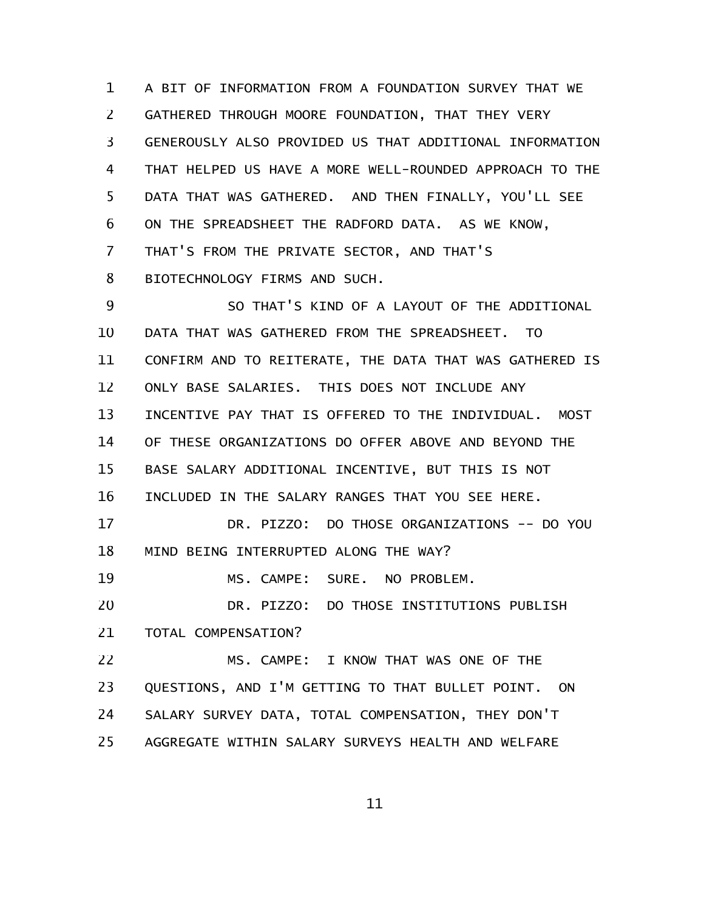A BIT OF INFORMATION FROM A FOUNDATION SURVEY THAT WE GATHERED THROUGH MOORE FOUNDATION, THAT THEY VERY GENEROUSLY ALSO PROVIDED US THAT ADDITIONAL INFORMATION THAT HELPED US HAVE A MORE WELL-ROUNDED APPROACH TO THE DATA THAT WAS GATHERED. AND THEN FINALLY, YOU'LL SEE ON THE SPREADSHEET THE RADFORD DATA. AS WE KNOW, THAT'S FROM THE PRIVATE SECTOR, AND THAT'S BIOTECHNOLOGY FIRMS AND SUCH. SO THAT'S KIND OF A LAYOUT OF THE ADDITIONAL DATA THAT WAS GATHERED FROM THE SPREADSHEET. TO CONFIRM AND TO REITERATE, THE DATA THAT WAS GATHERED IS ONLY BASE SALARIES. THIS DOES NOT INCLUDE ANY INCENTIVE PAY THAT IS OFFERED TO THE INDIVIDUAL. MOST OF THESE ORGANIZATIONS DO OFFER ABOVE AND BEYOND THE BASE SALARY ADDITIONAL INCENTIVE, BUT THIS IS NOT INCLUDED IN THE SALARY RANGES THAT YOU SEE HERE. DR. PIZZO: DO THOSE ORGANIZATIONS -- DO YOU MIND BEING INTERRUPTED ALONG THE WAY? MS. CAMPE: SURE. NO PROBLEM. DR. PIZZO: DO THOSE INSTITUTIONS PUBLISH TOTAL COMPENSATION? MS. CAMPE: I KNOW THAT WAS ONE OF THE QUESTIONS, AND I'M GETTING TO THAT BULLET POINT. ON SALARY SURVEY DATA, TOTAL COMPENSATION, THEY DON'T AGGREGATE WITHIN SALARY SURVEYS HEALTH AND WELFARE 1 2 3 4 5 6 7 8 9 10 11 12 13 14 15 16 17 18 19 20 21 22 23 24 25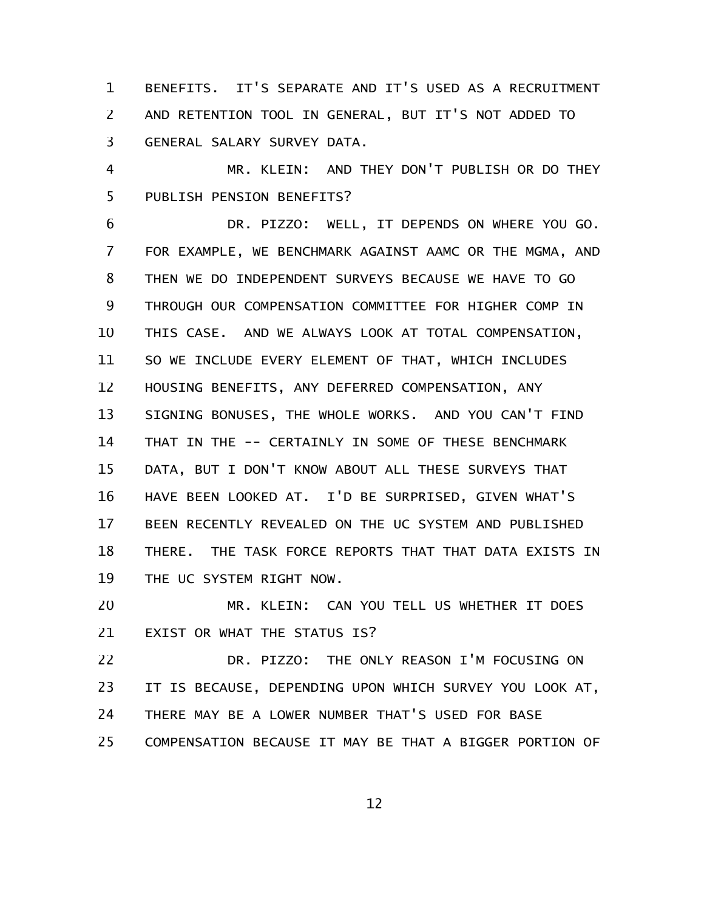BENEFITS. IT'S SEPARATE AND IT'S USED AS A RECRUITMENT AND RETENTION TOOL IN GENERAL, BUT IT'S NOT ADDED TO GENERAL SALARY SURVEY DATA. 1 2 3

MR. KLEIN: AND THEY DON'T PUBLISH OR DO THEY PUBLISH PENSION BENEFITS? 4 5

DR. PIZZO: WELL, IT DEPENDS ON WHERE YOU GO. FOR EXAMPLE, WE BENCHMARK AGAINST AAMC OR THE MGMA, AND THEN WE DO INDEPENDENT SURVEYS BECAUSE WE HAVE TO GO THROUGH OUR COMPENSATION COMMITTEE FOR HIGHER COMP IN THIS CASE. AND WE ALWAYS LOOK AT TOTAL COMPENSATION, SO WE INCLUDE EVERY ELEMENT OF THAT, WHICH INCLUDES HOUSING BENEFITS, ANY DEFERRED COMPENSATION, ANY SIGNING BONUSES, THE WHOLE WORKS. AND YOU CAN'T FIND THAT IN THE -- CERTAINLY IN SOME OF THESE BENCHMARK DATA, BUT I DON'T KNOW ABOUT ALL THESE SURVEYS THAT HAVE BEEN LOOKED AT. I'D BE SURPRISED, GIVEN WHAT'S BEEN RECENTLY REVEALED ON THE UC SYSTEM AND PUBLISHED THERE. THE TASK FORCE REPORTS THAT THAT DATA EXISTS IN THE UC SYSTEM RIGHT NOW. 6 7 8 9 10 11 12 13 14 15 16 17 18 19

MR. KLEIN: CAN YOU TELL US WHETHER IT DOES EXIST OR WHAT THE STATUS IS? 20 21

DR. PIZZO: THE ONLY REASON I'M FOCUSING ON IT IS BECAUSE, DEPENDING UPON WHICH SURVEY YOU LOOK AT, THERE MAY BE A LOWER NUMBER THAT'S USED FOR BASE COMPENSATION BECAUSE IT MAY BE THAT A BIGGER PORTION OF 22 23 24 25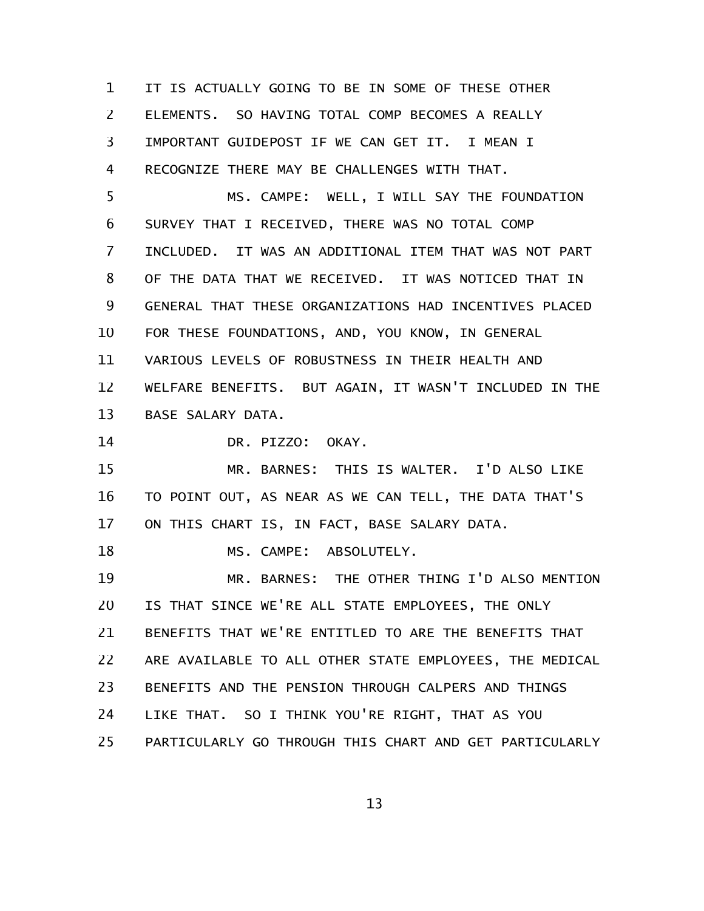IT IS ACTUALLY GOING TO BE IN SOME OF THESE OTHER ELEMENTS. SO HAVING TOTAL COMP BECOMES A REALLY IMPORTANT GUIDEPOST IF WE CAN GET IT. I MEAN I RECOGNIZE THERE MAY BE CHALLENGES WITH THAT. 1 2 3 4

MS. CAMPE: WELL, I WILL SAY THE FOUNDATION SURVEY THAT I RECEIVED, THERE WAS NO TOTAL COMP INCLUDED. IT WAS AN ADDITIONAL ITEM THAT WAS NOT PART OF THE DATA THAT WE RECEIVED. IT WAS NOTICED THAT IN GENERAL THAT THESE ORGANIZATIONS HAD INCENTIVES PLACED FOR THESE FOUNDATIONS, AND, YOU KNOW, IN GENERAL VARIOUS LEVELS OF ROBUSTNESS IN THEIR HEALTH AND WELFARE BENEFITS. BUT AGAIN, IT WASN'T INCLUDED IN THE BASE SALARY DATA. 5 6 7 8 9 10 11 12 13

DR. PIZZO: OKAY. 14

MR. BARNES: THIS IS WALTER. I'D ALSO LIKE TO POINT OUT, AS NEAR AS WE CAN TELL, THE DATA THAT'S ON THIS CHART IS, IN FACT, BASE SALARY DATA. 15 16 17

MS. CAMPE: ABSOLUTELY. 18

MR. BARNES: THE OTHER THING I'D ALSO MENTION IS THAT SINCE WE'RE ALL STATE EMPLOYEES, THE ONLY BENEFITS THAT WE'RE ENTITLED TO ARE THE BENEFITS THAT ARE AVAILABLE TO ALL OTHER STATE EMPLOYEES, THE MEDICAL BENEFITS AND THE PENSION THROUGH CALPERS AND THINGS LIKE THAT. SO I THINK YOU'RE RIGHT, THAT AS YOU PARTICULARLY GO THROUGH THIS CHART AND GET PARTICULARLY 19 20 21 22 23 24 25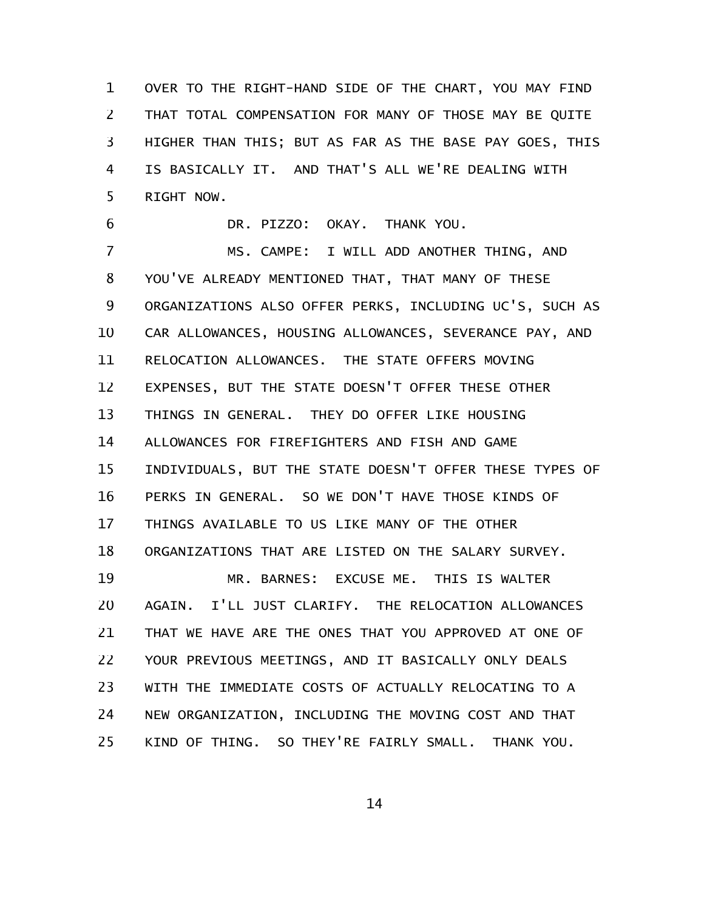OVER TO THE RIGHT-HAND SIDE OF THE CHART, YOU MAY FIND THAT TOTAL COMPENSATION FOR MANY OF THOSE MAY BE QUITE HIGHER THAN THIS; BUT AS FAR AS THE BASE PAY GOES, THIS IS BASICALLY IT. AND THAT'S ALL WE'RE DEALING WITH RIGHT NOW. 1 2 3 4 5

DR. PIZZO: OKAY. THANK YOU. 6

MS. CAMPE: I WILL ADD ANOTHER THING, AND YOU'VE ALREADY MENTIONED THAT, THAT MANY OF THESE ORGANIZATIONS ALSO OFFER PERKS, INCLUDING UC'S, SUCH AS CAR ALLOWANCES, HOUSING ALLOWANCES, SEVERANCE PAY, AND RELOCATION ALLOWANCES. THE STATE OFFERS MOVING EXPENSES, BUT THE STATE DOESN'T OFFER THESE OTHER THINGS IN GENERAL. THEY DO OFFER LIKE HOUSING ALLOWANCES FOR FIREFIGHTERS AND FISH AND GAME INDIVIDUALS, BUT THE STATE DOESN'T OFFER THESE TYPES OF PERKS IN GENERAL. SO WE DON'T HAVE THOSE KINDS OF THINGS AVAILABLE TO US LIKE MANY OF THE OTHER ORGANIZATIONS THAT ARE LISTED ON THE SALARY SURVEY. MR. BARNES: EXCUSE ME. THIS IS WALTER AGAIN. I'LL JUST CLARIFY. THE RELOCATION ALLOWANCES THAT WE HAVE ARE THE ONES THAT YOU APPROVED AT ONE OF YOUR PREVIOUS MEETINGS, AND IT BASICALLY ONLY DEALS WITH THE IMMEDIATE COSTS OF ACTUALLY RELOCATING TO A NEW ORGANIZATION, INCLUDING THE MOVING COST AND THAT 7 8 9 10 11 12 13 14 15 16 17 18 19 20 21 22 23 24

KIND OF THING. SO THEY'RE FAIRLY SMALL. THANK YOU. 25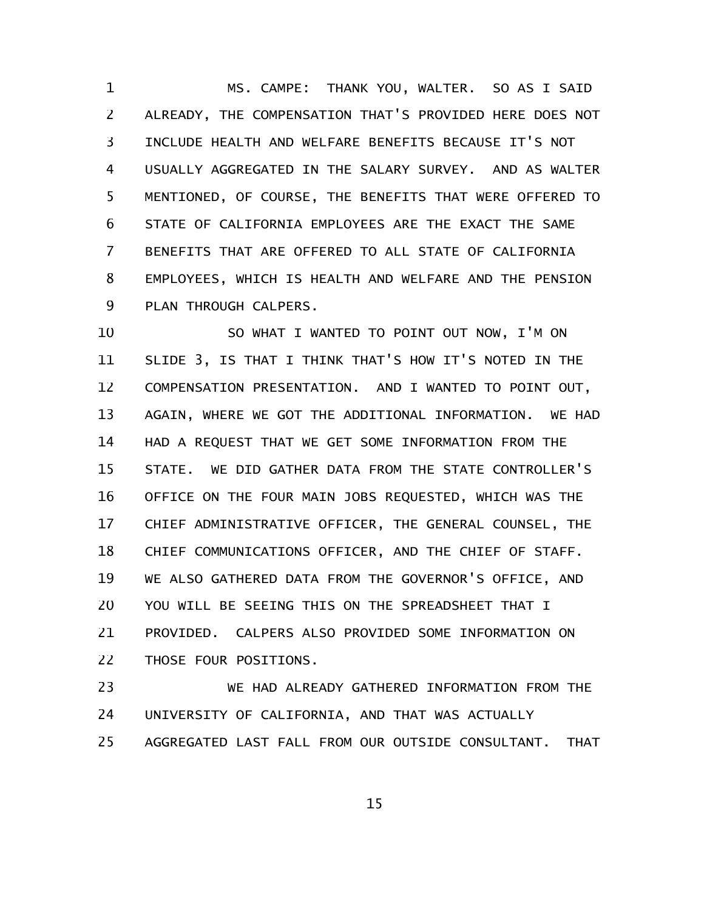MS. CAMPE: THANK YOU, WALTER. SO AS I SAID ALREADY, THE COMPENSATION THAT'S PROVIDED HERE DOES NOT INCLUDE HEALTH AND WELFARE BENEFITS BECAUSE IT'S NOT USUALLY AGGREGATED IN THE SALARY SURVEY. AND AS WALTER MENTIONED, OF COURSE, THE BENEFITS THAT WERE OFFERED TO STATE OF CALIFORNIA EMPLOYEES ARE THE EXACT THE SAME BENEFITS THAT ARE OFFERED TO ALL STATE OF CALIFORNIA EMPLOYEES, WHICH IS HEALTH AND WELFARE AND THE PENSION PLAN THROUGH CALPERS. 1 2 3 4 5 6 7 8 9

SO WHAT I WANTED TO POINT OUT NOW, I'M ON SLIDE 3, IS THAT I THINK THAT'S HOW IT'S NOTED IN THE COMPENSATION PRESENTATION. AND I WANTED TO POINT OUT, AGAIN, WHERE WE GOT THE ADDITIONAL INFORMATION. WE HAD HAD A REQUEST THAT WE GET SOME INFORMATION FROM THE STATE. WE DID GATHER DATA FROM THE STATE CONTROLLER'S OFFICE ON THE FOUR MAIN JOBS REQUESTED, WHICH WAS THE CHIEF ADMINISTRATIVE OFFICER, THE GENERAL COUNSEL, THE CHIEF COMMUNICATIONS OFFICER, AND THE CHIEF OF STAFF. WE ALSO GATHERED DATA FROM THE GOVERNOR'S OFFICE, AND YOU WILL BE SEEING THIS ON THE SPREADSHEET THAT I PROVIDED. CALPERS ALSO PROVIDED SOME INFORMATION ON THOSE FOUR POSITIONS. 10 11 12 13 14 15 16 17 18 19 20 21 22

WE HAD ALREADY GATHERED INFORMATION FROM THE UNIVERSITY OF CALIFORNIA, AND THAT WAS ACTUALLY AGGREGATED LAST FALL FROM OUR OUTSIDE CONSULTANT. THAT 23 24 25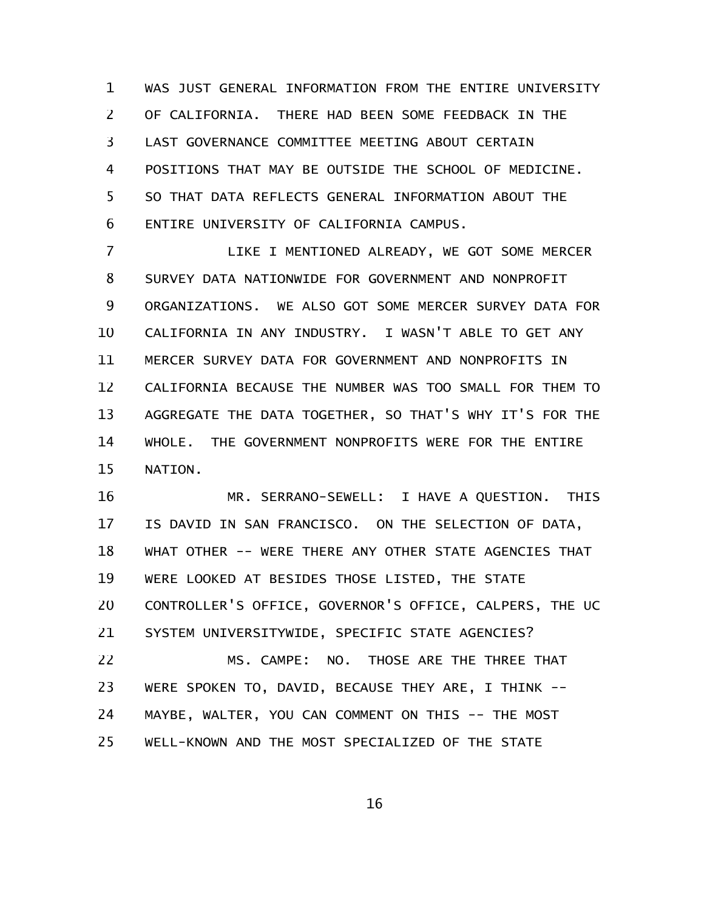WAS JUST GENERAL INFORMATION FROM THE ENTIRE UNIVERSITY OF CALIFORNIA. THERE HAD BEEN SOME FEEDBACK IN THE LAST GOVERNANCE COMMITTEE MEETING ABOUT CERTAIN POSITIONS THAT MAY BE OUTSIDE THE SCHOOL OF MEDICINE. SO THAT DATA REFLECTS GENERAL INFORMATION ABOUT THE ENTIRE UNIVERSITY OF CALIFORNIA CAMPUS. 1 2 3 4 5 6

LIKE I MENTIONED ALREADY, WE GOT SOME MERCER SURVEY DATA NATIONWIDE FOR GOVERNMENT AND NONPROFIT ORGANIZATIONS. WE ALSO GOT SOME MERCER SURVEY DATA FOR CALIFORNIA IN ANY INDUSTRY. I WASN'T ABLE TO GET ANY MERCER SURVEY DATA FOR GOVERNMENT AND NONPROFITS IN CALIFORNIA BECAUSE THE NUMBER WAS TOO SMALL FOR THEM TO AGGREGATE THE DATA TOGETHER, SO THAT'S WHY IT'S FOR THE WHOLE. THE GOVERNMENT NONPROFITS WERE FOR THE ENTIRE NATION. 7 8 9 10 11 12 13 14 15

MR. SERRANO-SEWELL: I HAVE A QUESTION. THIS IS DAVID IN SAN FRANCISCO. ON THE SELECTION OF DATA, WHAT OTHER -- WERE THERE ANY OTHER STATE AGENCIES THAT WERE LOOKED AT BESIDES THOSE LISTED, THE STATE CONTROLLER'S OFFICE, GOVERNOR'S OFFICE, CALPERS, THE UC SYSTEM UNIVERSITYWIDE, SPECIFIC STATE AGENCIES? MS. CAMPE: NO. THOSE ARE THE THREE THAT WERE SPOKEN TO, DAVID, BECAUSE THEY ARE, I THINK -- MAYBE, WALTER, YOU CAN COMMENT ON THIS -- THE MOST 16 17 18 19 20 21 22 23 24

WELL-KNOWN AND THE MOST SPECIALIZED OF THE STATE 25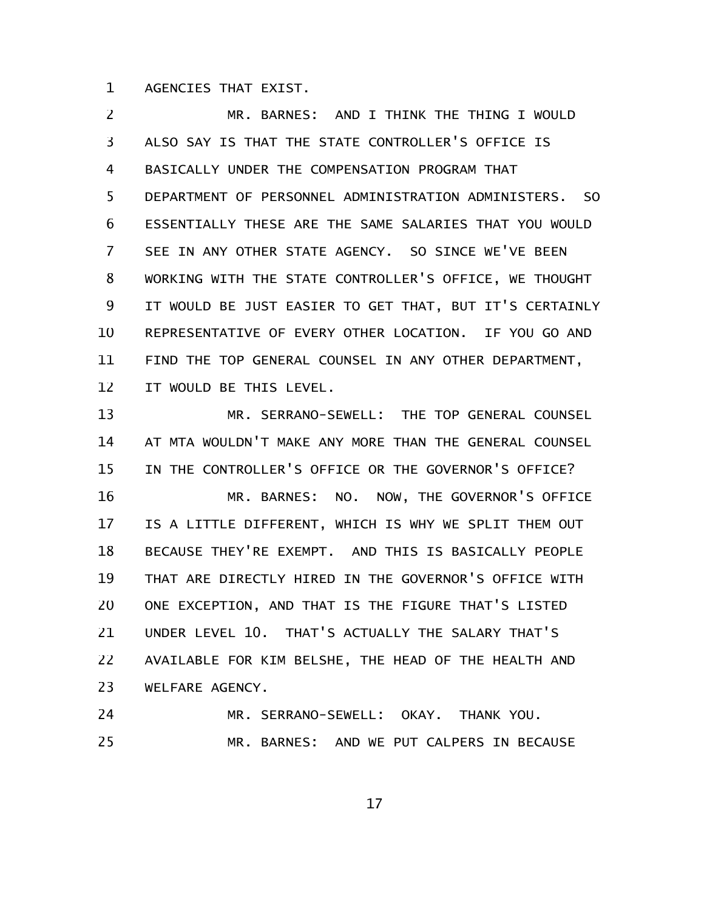AGENCIES THAT EXIST. 1

MR. BARNES: AND I THINK THE THING I WOULD ALSO SAY IS THAT THE STATE CONTROLLER'S OFFICE IS BASICALLY UNDER THE COMPENSATION PROGRAM THAT DEPARTMENT OF PERSONNEL ADMINISTRATION ADMINISTERS. SO ESSENTIALLY THESE ARE THE SAME SALARIES THAT YOU WOULD SEE IN ANY OTHER STATE AGENCY. SO SINCE WE'VE BEEN WORKING WITH THE STATE CONTROLLER'S OFFICE, WE THOUGHT IT WOULD BE JUST EASIER TO GET THAT, BUT IT'S CERTAINLY REPRESENTATIVE OF EVERY OTHER LOCATION. IF YOU GO AND FIND THE TOP GENERAL COUNSEL IN ANY OTHER DEPARTMENT, IT WOULD BE THIS LEVEL. 2 3 4 5 6 7 8 9 10 11 12

MR. SERRANO-SEWELL: THE TOP GENERAL COUNSEL AT MTA WOULDN'T MAKE ANY MORE THAN THE GENERAL COUNSEL IN THE CONTROLLER'S OFFICE OR THE GOVERNOR'S OFFICE? MR. BARNES: NO. NOW, THE GOVERNOR'S OFFICE IS A LITTLE DIFFERENT, WHICH IS WHY WE SPLIT THEM OUT BECAUSE THEY'RE EXEMPT. AND THIS IS BASICALLY PEOPLE THAT ARE DIRECTLY HIRED IN THE GOVERNOR'S OFFICE WITH ONE EXCEPTION, AND THAT IS THE FIGURE THAT'S LISTED UNDER LEVEL 10. THAT'S ACTUALLY THE SALARY THAT'S AVAILABLE FOR KIM BELSHE, THE HEAD OF THE HEALTH AND WELFARE AGENCY. 13 14 15 16 17 18 19 20 21 22 23

MR. SERRANO-SEWELL: OKAY. THANK YOU. MR. BARNES: AND WE PUT CALPERS IN BECAUSE 24 25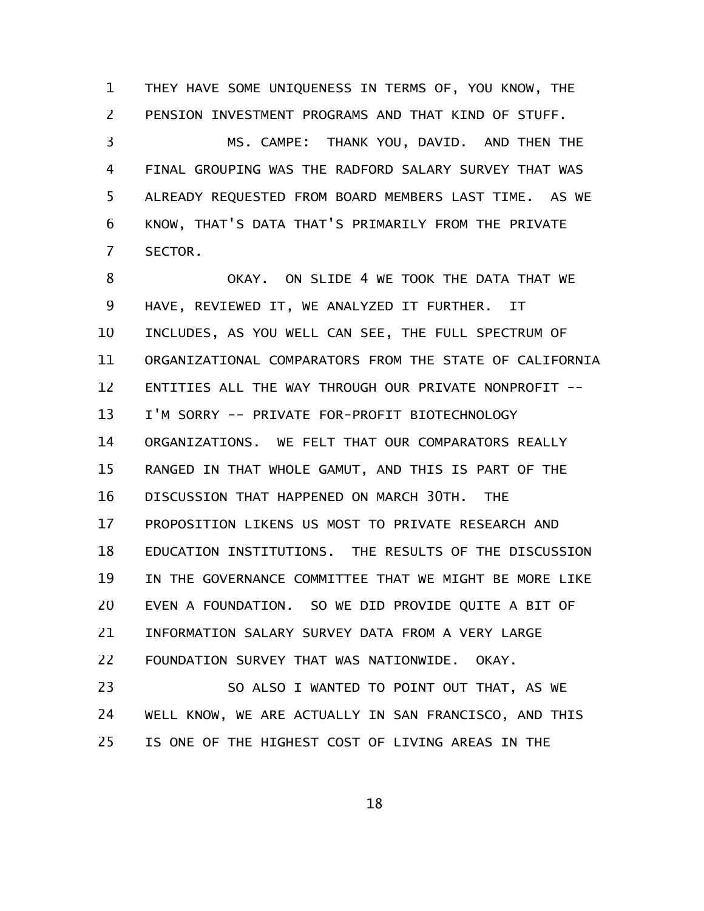THEY HAVE SOME UNIQUENESS IN TERMS OF, YOU KNOW, THE PENSION INVESTMENT PROGRAMS AND THAT KIND OF STUFF. 1 2

MS. CAMPE: THANK YOU, DAVID. AND THEN THE FINAL GROUPING WAS THE RADFORD SALARY SURVEY THAT WAS ALREADY REQUESTED FROM BOARD MEMBERS LAST TIME. AS WE KNOW, THAT'S DATA THAT'S PRIMARILY FROM THE PRIVATE SECTOR. 3 4 5 6 7

OKAY. ON SLIDE 4 WE TOOK THE DATA THAT WE HAVE, REVIEWED IT, WE ANALYZED IT FURTHER. IT INCLUDES, AS YOU WELL CAN SEE, THE FULL SPECTRUM OF ORGANIZATIONAL COMPARATORS FROM THE STATE OF CALIFORNIA ENTITIES ALL THE WAY THROUGH OUR PRIVATE NONPROFIT -- I'M SORRY -- PRIVATE FOR-PROFIT BIOTECHNOLOGY ORGANIZATIONS. WE FELT THAT OUR COMPARATORS REALLY RANGED IN THAT WHOLE GAMUT, AND THIS IS PART OF THE DISCUSSION THAT HAPPENED ON MARCH 30TH. THE PROPOSITION LIKENS US MOST TO PRIVATE RESEARCH AND EDUCATION INSTITUTIONS. THE RESULTS OF THE DISCUSSION IN THE GOVERNANCE COMMITTEE THAT WE MIGHT BE MORE LIKE EVEN A FOUNDATION. SO WE DID PROVIDE QUITE A BIT OF INFORMATION SALARY SURVEY DATA FROM A VERY LARGE FOUNDATION SURVEY THAT WAS NATIONWIDE. OKAY. SO ALSO I WANTED TO POINT OUT THAT, AS WE WELL KNOW, WE ARE ACTUALLY IN SAN FRANCISCO, AND THIS 8 9 10 11 12 13 14 15 16 17 18 19 20 21 22 23 24

IS ONE OF THE HIGHEST COST OF LIVING AREAS IN THE 25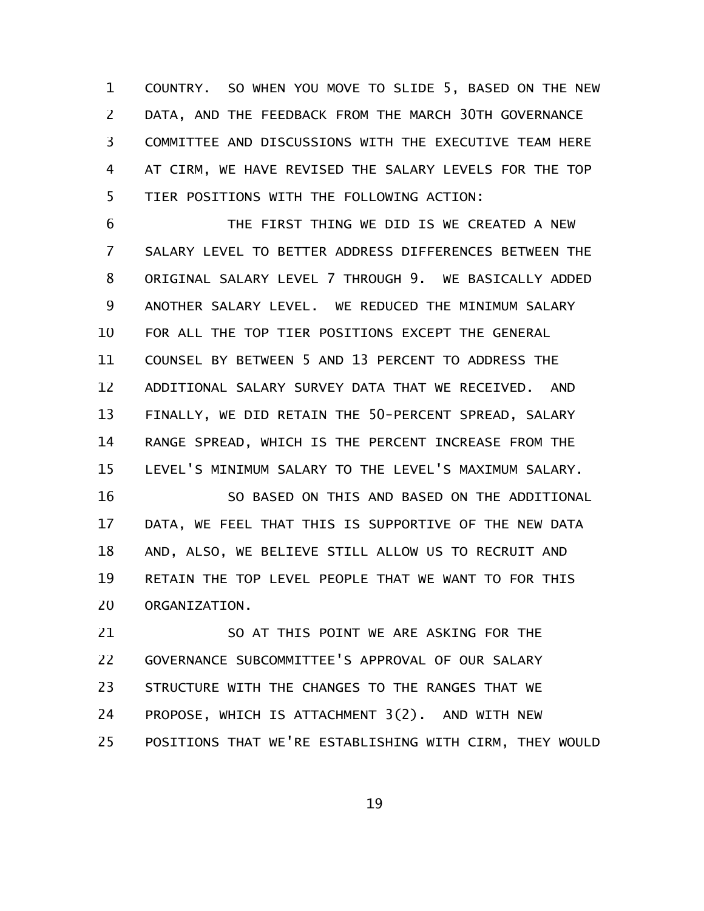COUNTRY. SO WHEN YOU MOVE TO SLIDE 5, BASED ON THE NEW DATA, AND THE FEEDBACK FROM THE MARCH 30TH GOVERNANCE COMMITTEE AND DISCUSSIONS WITH THE EXECUTIVE TEAM HERE AT CIRM, WE HAVE REVISED THE SALARY LEVELS FOR THE TOP TIER POSITIONS WITH THE FOLLOWING ACTION: 1 2 3 4 5

THE FIRST THING WE DID IS WE CREATED A NEW SALARY LEVEL TO BETTER ADDRESS DIFFERENCES BETWEEN THE ORIGINAL SALARY LEVEL 7 THROUGH 9. WE BASICALLY ADDED ANOTHER SALARY LEVEL. WE REDUCED THE MINIMUM SALARY FOR ALL THE TOP TIER POSITIONS EXCEPT THE GENERAL COUNSEL BY BETWEEN 5 AND 13 PERCENT TO ADDRESS THE ADDITIONAL SALARY SURVEY DATA THAT WE RECEIVED. AND FINALLY, WE DID RETAIN THE 50-PERCENT SPREAD, SALARY RANGE SPREAD, WHICH IS THE PERCENT INCREASE FROM THE LEVEL'S MINIMUM SALARY TO THE LEVEL'S MAXIMUM SALARY. 6 7 8 9 10 11 12 13 14 15

SO BASED ON THIS AND BASED ON THE ADDITIONAL DATA, WE FEEL THAT THIS IS SUPPORTIVE OF THE NEW DATA AND, ALSO, WE BELIEVE STILL ALLOW US TO RECRUIT AND RETAIN THE TOP LEVEL PEOPLE THAT WE WANT TO FOR THIS ORGANIZATION. 16 17 18 19 20

SO AT THIS POINT WE ARE ASKING FOR THE GOVERNANCE SUBCOMMITTEE'S APPROVAL OF OUR SALARY STRUCTURE WITH THE CHANGES TO THE RANGES THAT WE PROPOSE, WHICH IS ATTACHMENT 3(2). AND WITH NEW POSITIONS THAT WE'RE ESTABLISHING WITH CIRM, THEY WOULD 21 22 23 24 25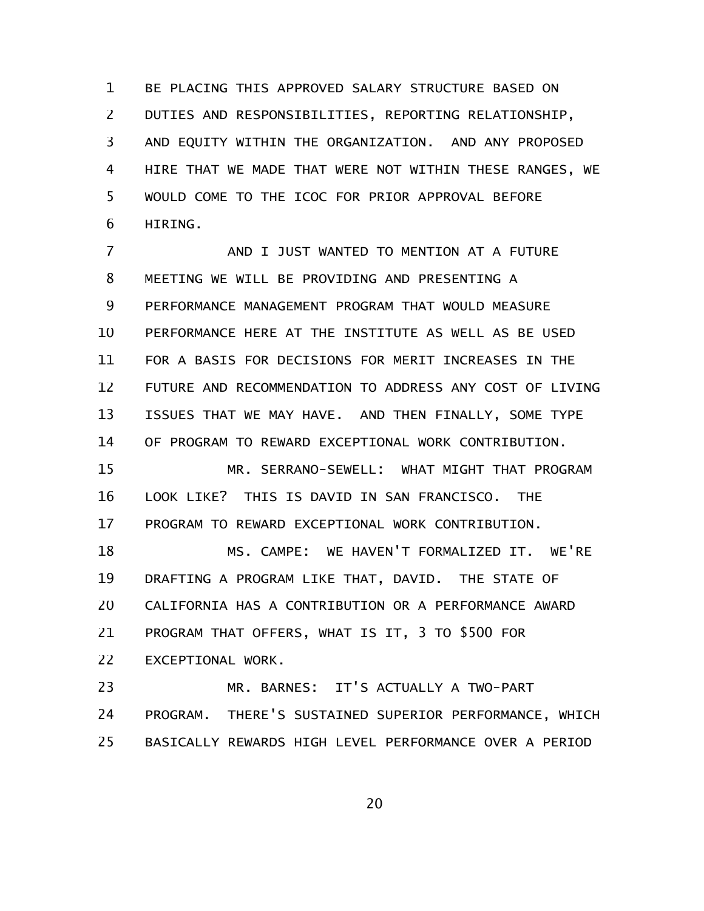BE PLACING THIS APPROVED SALARY STRUCTURE BASED ON DUTIES AND RESPONSIBILITIES, REPORTING RELATIONSHIP, AND EQUITY WITHIN THE ORGANIZATION. AND ANY PROPOSED HIRE THAT WE MADE THAT WERE NOT WITHIN THESE RANGES, WE WOULD COME TO THE ICOC FOR PRIOR APPROVAL BEFORE HIRING. 1 2 3 4 5 6

AND I JUST WANTED TO MENTION AT A FUTURE MEETING WE WILL BE PROVIDING AND PRESENTING A PERFORMANCE MANAGEMENT PROGRAM THAT WOULD MEASURE PERFORMANCE HERE AT THE INSTITUTE AS WELL AS BE USED FOR A BASIS FOR DECISIONS FOR MERIT INCREASES IN THE FUTURE AND RECOMMENDATION TO ADDRESS ANY COST OF LIVING ISSUES THAT WE MAY HAVE. AND THEN FINALLY, SOME TYPE OF PROGRAM TO REWARD EXCEPTIONAL WORK CONTRIBUTION. MR. SERRANO-SEWELL: WHAT MIGHT THAT PROGRAM LOOK LIKE? THIS IS DAVID IN SAN FRANCISCO. THE PROGRAM TO REWARD EXCEPTIONAL WORK CONTRIBUTION. MS. CAMPE: WE HAVEN'T FORMALIZED IT. WE'RE DRAFTING A PROGRAM LIKE THAT, DAVID. THE STATE OF CALIFORNIA HAS A CONTRIBUTION OR A PERFORMANCE AWARD PROGRAM THAT OFFERS, WHAT IS IT, 3 TO \$500 FOR EXCEPTIONAL WORK. MR. BARNES: IT'S ACTUALLY A TWO-PART 7 8 9 10 11 12 13 14 15 16 17 18 19 20 21 22 23

PROGRAM. THERE'S SUSTAINED SUPERIOR PERFORMANCE, WHICH BASICALLY REWARDS HIGH LEVEL PERFORMANCE OVER A PERIOD 24 25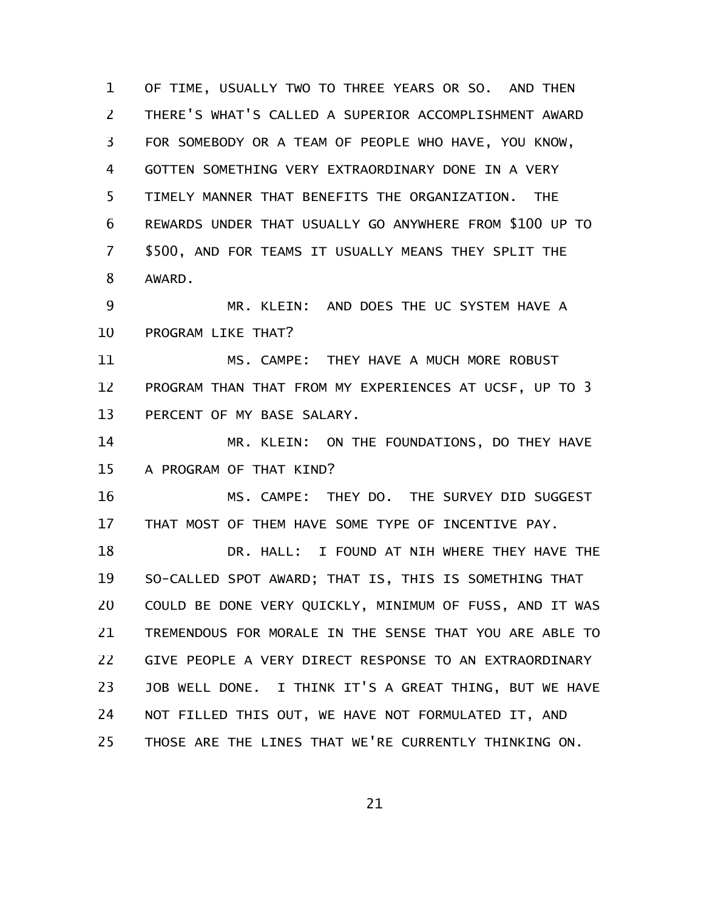OF TIME, USUALLY TWO TO THREE YEARS OR SO. AND THEN THERE'S WHAT'S CALLED A SUPERIOR ACCOMPLISHMENT AWARD FOR SOMEBODY OR A TEAM OF PEOPLE WHO HAVE, YOU KNOW, GOTTEN SOMETHING VERY EXTRAORDINARY DONE IN A VERY TIMELY MANNER THAT BENEFITS THE ORGANIZATION. THE REWARDS UNDER THAT USUALLY GO ANYWHERE FROM \$100 UP TO \$500, AND FOR TEAMS IT USUALLY MEANS THEY SPLIT THE AWARD. MR. KLEIN: AND DOES THE UC SYSTEM HAVE A PROGRAM LIKE THAT? MS. CAMPE: THEY HAVE A MUCH MORE ROBUST PROGRAM THAN THAT FROM MY EXPERIENCES AT UCSF, UP TO 3 PERCENT OF MY BASE SALARY. MR. KLEIN: ON THE FOUNDATIONS, DO THEY HAVE A PROGRAM OF THAT KIND? MS. CAMPE: THEY DO. THE SURVEY DID SUGGEST THAT MOST OF THEM HAVE SOME TYPE OF INCENTIVE PAY. DR. HALL: I FOUND AT NIH WHERE THEY HAVE THE SO-CALLED SPOT AWARD; THAT IS, THIS IS SOMETHING THAT COULD BE DONE VERY QUICKLY, MINIMUM OF FUSS, AND IT WAS TREMENDOUS FOR MORALE IN THE SENSE THAT YOU ARE ABLE TO GIVE PEOPLE A VERY DIRECT RESPONSE TO AN EXTRAORDINARY JOB WELL DONE. I THINK IT'S A GREAT THING, BUT WE HAVE NOT FILLED THIS OUT, WE HAVE NOT FORMULATED IT, AND THOSE ARE THE LINES THAT WE'RE CURRENTLY THINKING ON. 1 2 3 4 5 6 7 8 9 10 11 12 13 14 15 16 17 18 19 20 21 22 23 24 25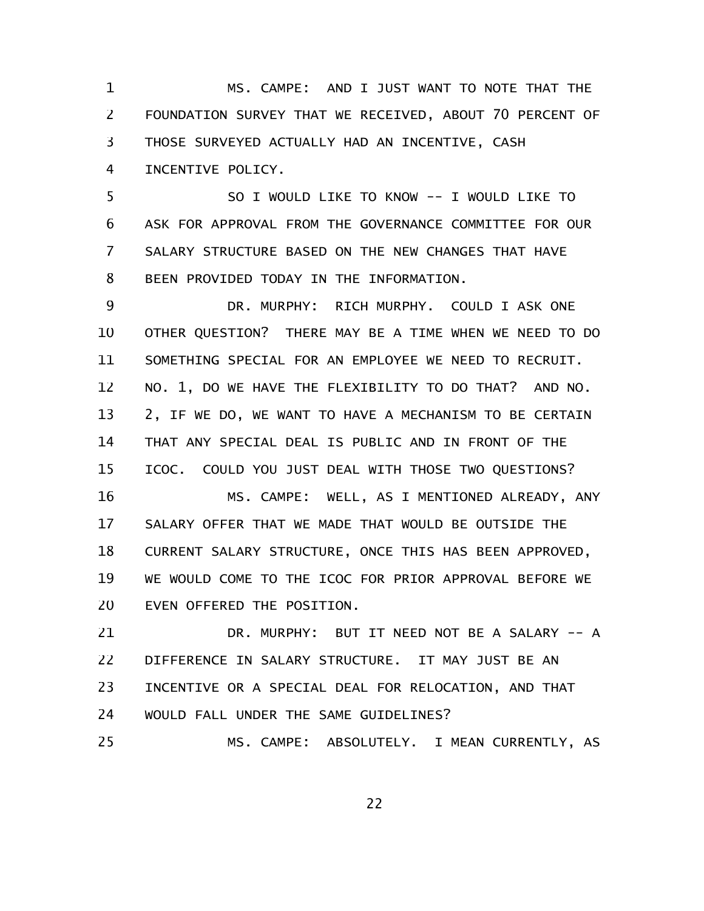MS. CAMPE: AND I JUST WANT TO NOTE THAT THE FOUNDATION SURVEY THAT WE RECEIVED, ABOUT 70 PERCENT OF THOSE SURVEYED ACTUALLY HAD AN INCENTIVE, CASH INCENTIVE POLICY. 1 2 3 4

SO I WOULD LIKE TO KNOW -- I WOULD LIKE TO ASK FOR APPROVAL FROM THE GOVERNANCE COMMITTEE FOR OUR SALARY STRUCTURE BASED ON THE NEW CHANGES THAT HAVE BEEN PROVIDED TODAY IN THE INFORMATION. 5 6 7 8

DR. MURPHY: RICH MURPHY. COULD I ASK ONE OTHER QUESTION? THERE MAY BE A TIME WHEN WE NEED TO DO SOMETHING SPECIAL FOR AN EMPLOYEE WE NEED TO RECRUIT. NO. 1, DO WE HAVE THE FLEXIBILITY TO DO THAT? AND NO. 2, IF WE DO, WE WANT TO HAVE A MECHANISM TO BE CERTAIN THAT ANY SPECIAL DEAL IS PUBLIC AND IN FRONT OF THE ICOC. COULD YOU JUST DEAL WITH THOSE TWO QUESTIONS? MS. CAMPE: WELL, AS I MENTIONED ALREADY, ANY 9 10 11 12 13 14 15 16

SALARY OFFER THAT WE MADE THAT WOULD BE OUTSIDE THE CURRENT SALARY STRUCTURE, ONCE THIS HAS BEEN APPROVED, WE WOULD COME TO THE ICOC FOR PRIOR APPROVAL BEFORE WE EVEN OFFERED THE POSITION. 17 18 19 20

DR. MURPHY: BUT IT NEED NOT BE A SALARY -- A DIFFERENCE IN SALARY STRUCTURE. IT MAY JUST BE AN INCENTIVE OR A SPECIAL DEAL FOR RELOCATION, AND THAT WOULD FALL UNDER THE SAME GUIDELINES? MS. CAMPE: ABSOLUTELY. I MEAN CURRENTLY, AS 21 22 23 24 25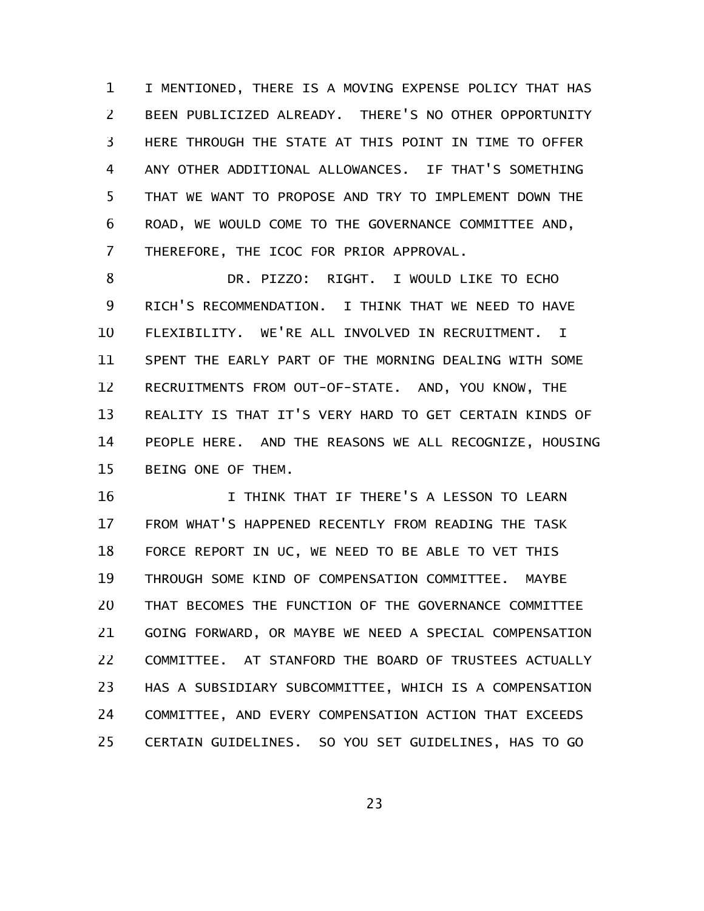I MENTIONED, THERE IS A MOVING EXPENSE POLICY THAT HAS BEEN PUBLICIZED ALREADY. THERE'S NO OTHER OPPORTUNITY HERE THROUGH THE STATE AT THIS POINT IN TIME TO OFFER ANY OTHER ADDITIONAL ALLOWANCES. IF THAT'S SOMETHING THAT WE WANT TO PROPOSE AND TRY TO IMPLEMENT DOWN THE ROAD, WE WOULD COME TO THE GOVERNANCE COMMITTEE AND, THEREFORE, THE ICOC FOR PRIOR APPROVAL. 1 2 3 4 5 6 7

DR. PIZZO: RIGHT. I WOULD LIKE TO ECHO RICH'S RECOMMENDATION. I THINK THAT WE NEED TO HAVE FLEXIBILITY. WE'RE ALL INVOLVED IN RECRUITMENT. I SPENT THE EARLY PART OF THE MORNING DEALING WITH SOME RECRUITMENTS FROM OUT-OF-STATE. AND, YOU KNOW, THE REALITY IS THAT IT'S VERY HARD TO GET CERTAIN KINDS OF PEOPLE HERE. AND THE REASONS WE ALL RECOGNIZE, HOUSING BEING ONE OF THEM. 8 9 10 11 12 13 14 15

I THINK THAT IF THERE'S A LESSON TO LEARN FROM WHAT'S HAPPENED RECENTLY FROM READING THE TASK FORCE REPORT IN UC, WE NEED TO BE ABLE TO VET THIS THROUGH SOME KIND OF COMPENSATION COMMITTEE. MAYBE THAT BECOMES THE FUNCTION OF THE GOVERNANCE COMMITTEE GOING FORWARD, OR MAYBE WE NEED A SPECIAL COMPENSATION COMMITTEE. AT STANFORD THE BOARD OF TRUSTEES ACTUALLY HAS A SUBSIDIARY SUBCOMMITTEE, WHICH IS A COMPENSATION COMMITTEE, AND EVERY COMPENSATION ACTION THAT EXCEEDS CERTAIN GUIDELINES. SO YOU SET GUIDELINES, HAS TO GO 16 17 18 19 20 21 22 23 24 25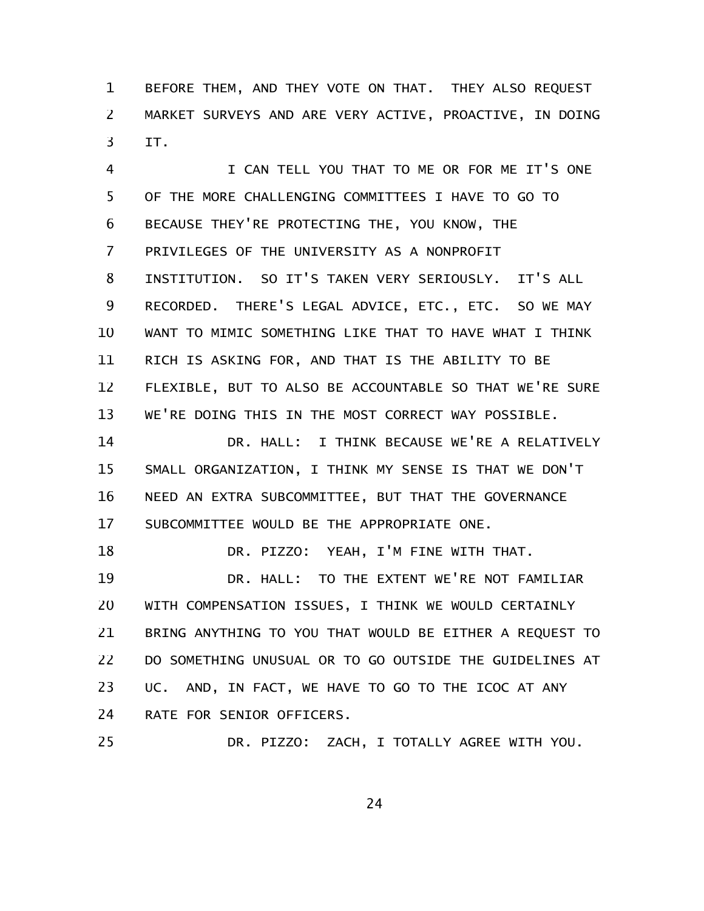BEFORE THEM, AND THEY VOTE ON THAT. THEY ALSO REQUEST MARKET SURVEYS AND ARE VERY ACTIVE, PROACTIVE, IN DOING IT. 1 2 3

I CAN TELL YOU THAT TO ME OR FOR ME IT'S ONE OF THE MORE CHALLENGING COMMITTEES I HAVE TO GO TO BECAUSE THEY'RE PROTECTING THE, YOU KNOW, THE PRIVILEGES OF THE UNIVERSITY AS A NONPROFIT INSTITUTION. SO IT'S TAKEN VERY SERIOUSLY. IT'S ALL RECORDED. THERE'S LEGAL ADVICE, ETC., ETC. SO WE MAY WANT TO MIMIC SOMETHING LIKE THAT TO HAVE WHAT I THINK RICH IS ASKING FOR, AND THAT IS THE ABILITY TO BE FLEXIBLE, BUT TO ALSO BE ACCOUNTABLE SO THAT WE'RE SURE WE'RE DOING THIS IN THE MOST CORRECT WAY POSSIBLE. 4 5 6 7 8 9 10 11 12 13

DR. HALL: I THINK BECAUSE WE'RE A RELATIVELY SMALL ORGANIZATION, I THINK MY SENSE IS THAT WE DON'T NEED AN EXTRA SUBCOMMITTEE, BUT THAT THE GOVERNANCE SUBCOMMITTEE WOULD BE THE APPROPRIATE ONE. 14 15 16 17

DR. PIZZO: YEAH, I'M FINE WITH THAT. DR. HALL: TO THE EXTENT WE'RE NOT FAMILIAR WITH COMPENSATION ISSUES, I THINK WE WOULD CERTAINLY BRING ANYTHING TO YOU THAT WOULD BE EITHER A REQUEST TO DO SOMETHING UNUSUAL OR TO GO OUTSIDE THE GUIDELINES AT UC. AND, IN FACT, WE HAVE TO GO TO THE ICOC AT ANY RATE FOR SENIOR OFFICERS. DR. PIZZO: ZACH, I TOTALLY AGREE WITH YOU. 18 19 20 21 22 23 24 25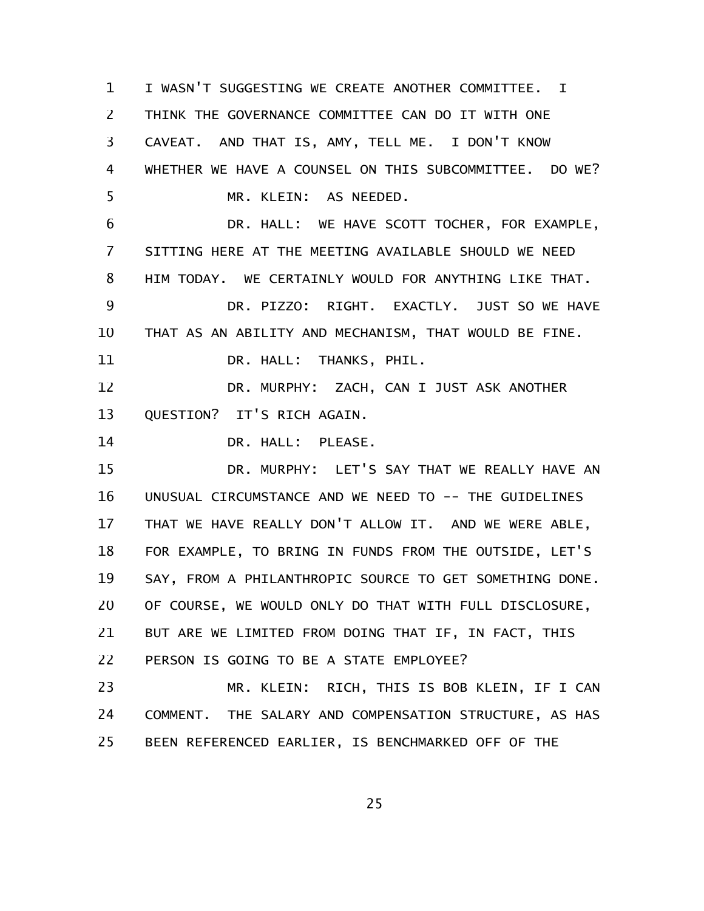I WASN'T SUGGESTING WE CREATE ANOTHER COMMITTEE. I THINK THE GOVERNANCE COMMITTEE CAN DO IT WITH ONE CAVEAT. AND THAT IS, AMY, TELL ME. I DON'T KNOW WHETHER WE HAVE A COUNSEL ON THIS SUBCOMMITTEE. DO WE? MR. KLEIN: AS NEEDED. DR. HALL: WE HAVE SCOTT TOCHER, FOR EXAMPLE, SITTING HERE AT THE MEETING AVAILABLE SHOULD WE NEED HIM TODAY. WE CERTAINLY WOULD FOR ANYTHING LIKE THAT. DR. PIZZO: RIGHT. EXACTLY. JUST SO WE HAVE THAT AS AN ABILITY AND MECHANISM, THAT WOULD BE FINE. DR. HALL: THANKS, PHIL. DR. MURPHY: ZACH, CAN I JUST ASK ANOTHER QUESTION? IT'S RICH AGAIN. DR. HALL: PLEASE. DR. MURPHY: LET'S SAY THAT WE REALLY HAVE AN UNUSUAL CIRCUMSTANCE AND WE NEED TO -- THE GUIDELINES THAT WE HAVE REALLY DON'T ALLOW IT. AND WE WERE ABLE, FOR EXAMPLE, TO BRING IN FUNDS FROM THE OUTSIDE, LET'S SAY, FROM A PHILANTHROPIC SOURCE TO GET SOMETHING DONE. OF COURSE, WE WOULD ONLY DO THAT WITH FULL DISCLOSURE, BUT ARE WE LIMITED FROM DOING THAT IF, IN FACT, THIS PERSON IS GOING TO BE A STATE EMPLOYEE? MR. KLEIN: RICH, THIS IS BOB KLEIN, IF I CAN COMMENT. THE SALARY AND COMPENSATION STRUCTURE, AS HAS BEEN REFERENCED EARLIER, IS BENCHMARKED OFF OF THE 1 2 3 4 5 6 7 8 9 10 11 12 13 14 15 16 17 18 19 20 21 22 23 24 25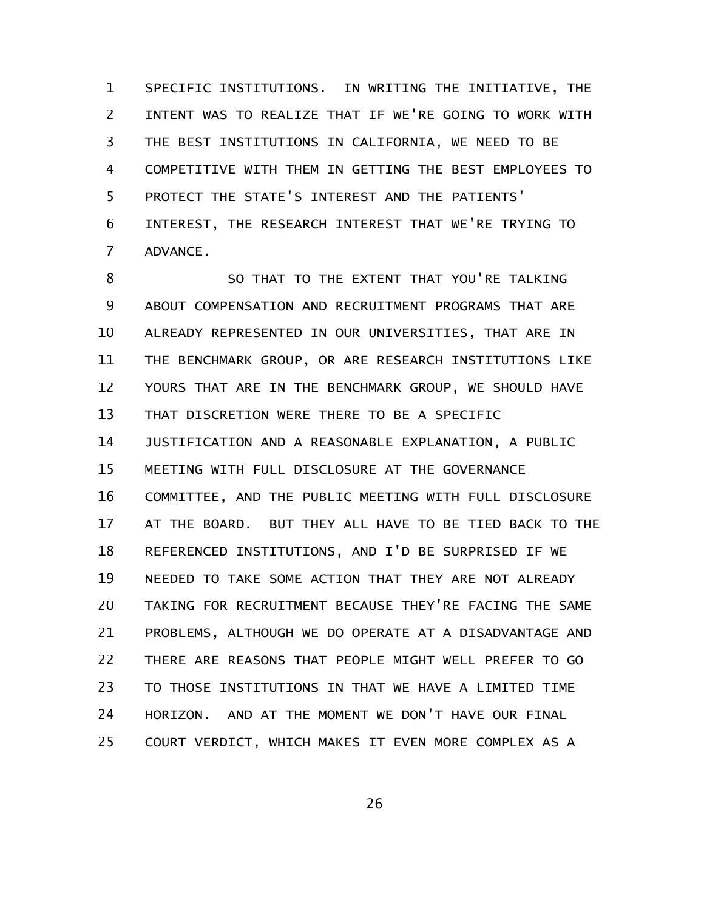SPECIFIC INSTITUTIONS. IN WRITING THE INITIATIVE, THE INTENT WAS TO REALIZE THAT IF WE'RE GOING TO WORK WITH THE BEST INSTITUTIONS IN CALIFORNIA, WE NEED TO BE COMPETITIVE WITH THEM IN GETTING THE BEST EMPLOYEES TO PROTECT THE STATE'S INTEREST AND THE PATIENTS' INTEREST, THE RESEARCH INTEREST THAT WE'RE TRYING TO ADVANCE. 1 2 3 4 5 6 7

SO THAT TO THE EXTENT THAT YOU'RE TALKING ABOUT COMPENSATION AND RECRUITMENT PROGRAMS THAT ARE ALREADY REPRESENTED IN OUR UNIVERSITIES, THAT ARE IN THE BENCHMARK GROUP, OR ARE RESEARCH INSTITUTIONS LIKE YOURS THAT ARE IN THE BENCHMARK GROUP, WE SHOULD HAVE THAT DISCRETION WERE THERE TO BE A SPECIFIC JUSTIFICATION AND A REASONABLE EXPLANATION, A PUBLIC MEETING WITH FULL DISCLOSURE AT THE GOVERNANCE COMMITTEE, AND THE PUBLIC MEETING WITH FULL DISCLOSURE AT THE BOARD. BUT THEY ALL HAVE TO BE TIED BACK TO THE REFERENCED INSTITUTIONS, AND I'D BE SURPRISED IF WE NEEDED TO TAKE SOME ACTION THAT THEY ARE NOT ALREADY TAKING FOR RECRUITMENT BECAUSE THEY'RE FACING THE SAME PROBLEMS, ALTHOUGH WE DO OPERATE AT A DISADVANTAGE AND THERE ARE REASONS THAT PEOPLE MIGHT WELL PREFER TO GO TO THOSE INSTITUTIONS IN THAT WE HAVE A LIMITED TIME HORIZON. AND AT THE MOMENT WE DON'T HAVE OUR FINAL COURT VERDICT, WHICH MAKES IT EVEN MORE COMPLEX AS A 8 9 10 11 12 13 14 15 16 17 18 19 20 21 22 23 24 25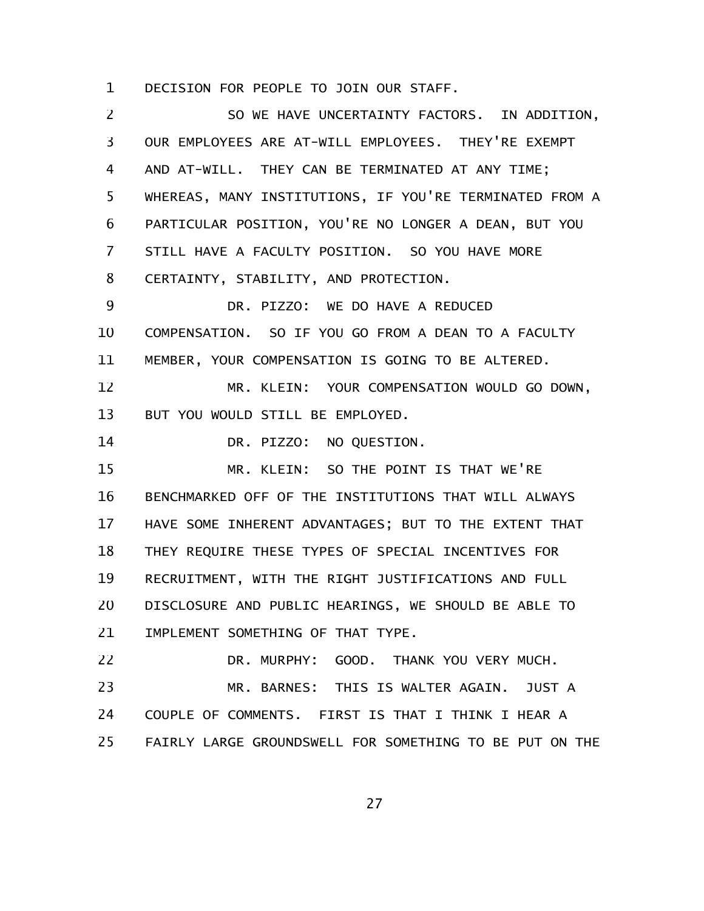DECISION FOR PEOPLE TO JOIN OUR STAFF. 1

SO WE HAVE UNCERTAINTY FACTORS. IN ADDITION, OUR EMPLOYEES ARE AT-WILL EMPLOYEES. THEY'RE EXEMPT AND AT-WILL. THEY CAN BE TERMINATED AT ANY TIME; WHEREAS, MANY INSTITUTIONS, IF YOU'RE TERMINATED FROM A PARTICULAR POSITION, YOU'RE NO LONGER A DEAN, BUT YOU STILL HAVE A FACULTY POSITION. SO YOU HAVE MORE CERTAINTY, STABILITY, AND PROTECTION. DR. PIZZO: WE DO HAVE A REDUCED COMPENSATION. SO IF YOU GO FROM A DEAN TO A FACULTY MEMBER, YOUR COMPENSATION IS GOING TO BE ALTERED. MR. KLEIN: YOUR COMPENSATION WOULD GO DOWN, BUT YOU WOULD STILL BE EMPLOYED. DR. PIZZO: NO QUESTION. MR. KLEIN: SO THE POINT IS THAT WE'RE BENCHMARKED OFF OF THE INSTITUTIONS THAT WILL ALWAYS HAVE SOME INHERENT ADVANTAGES; BUT TO THE EXTENT THAT THEY REQUIRE THESE TYPES OF SPECIAL INCENTIVES FOR RECRUITMENT, WITH THE RIGHT JUSTIFICATIONS AND FULL DISCLOSURE AND PUBLIC HEARINGS, WE SHOULD BE ABLE TO IMPLEMENT SOMETHING OF THAT TYPE. DR. MURPHY: GOOD. THANK YOU VERY MUCH. MR. BARNES: THIS IS WALTER AGAIN. JUST A COUPLE OF COMMENTS. FIRST IS THAT I THINK I HEAR A FAIRLY LARGE GROUNDSWELL FOR SOMETHING TO BE PUT ON THE 2 3 4 5 6 7 8 9 10 11 12 13 14 15 16 17 18 19 20 21 22 23 24 25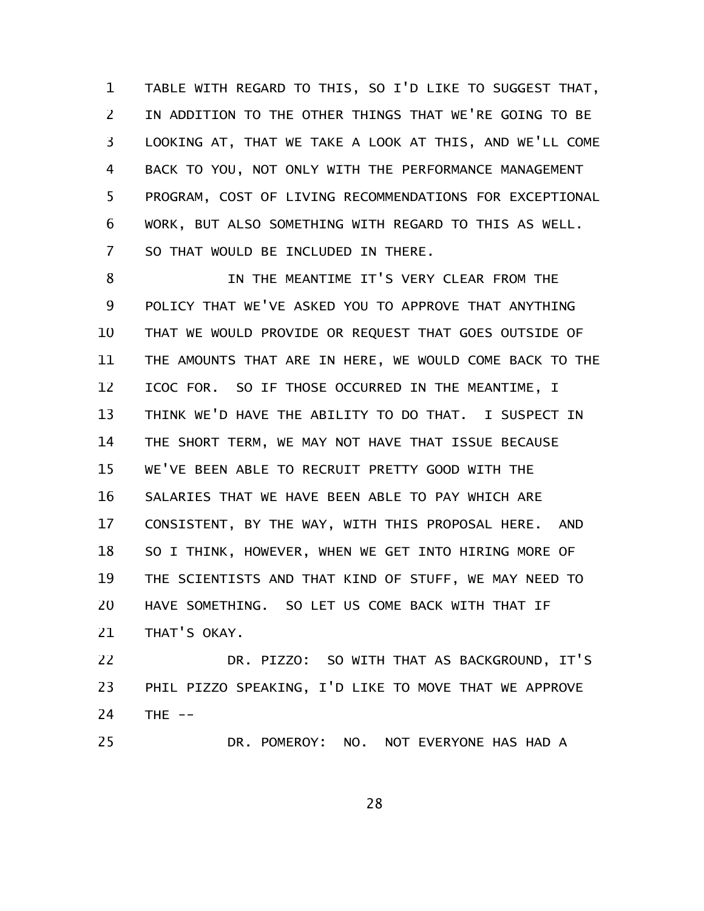TABLE WITH REGARD TO THIS, SO I'D LIKE TO SUGGEST THAT, IN ADDITION TO THE OTHER THINGS THAT WE'RE GOING TO BE LOOKING AT, THAT WE TAKE A LOOK AT THIS, AND WE'LL COME BACK TO YOU, NOT ONLY WITH THE PERFORMANCE MANAGEMENT PROGRAM, COST OF LIVING RECOMMENDATIONS FOR EXCEPTIONAL WORK, BUT ALSO SOMETHING WITH REGARD TO THIS AS WELL. SO THAT WOULD BE INCLUDED IN THERE. 1 2 3 4 5 6 7

IN THE MEANTIME IT'S VERY CLEAR FROM THE POLICY THAT WE'VE ASKED YOU TO APPROVE THAT ANYTHING THAT WE WOULD PROVIDE OR REQUEST THAT GOES OUTSIDE OF THE AMOUNTS THAT ARE IN HERE, WE WOULD COME BACK TO THE ICOC FOR. SO IF THOSE OCCURRED IN THE MEANTIME, I THINK WE'D HAVE THE ABILITY TO DO THAT. I SUSPECT IN THE SHORT TERM, WE MAY NOT HAVE THAT ISSUE BECAUSE WE'VE BEEN ABLE TO RECRUIT PRETTY GOOD WITH THE SALARIES THAT WE HAVE BEEN ABLE TO PAY WHICH ARE CONSISTENT, BY THE WAY, WITH THIS PROPOSAL HERE. AND SO I THINK, HOWEVER, WHEN WE GET INTO HIRING MORE OF THE SCIENTISTS AND THAT KIND OF STUFF, WE MAY NEED TO HAVE SOMETHING. SO LET US COME BACK WITH THAT IF THAT'S OKAY. 8 9 10 11 12 13 14 15 16 17 18 19 20 21

DR. PIZZO: SO WITH THAT AS BACKGROUND, IT'S PHIL PIZZO SPEAKING, I'D LIKE TO MOVE THAT WE APPROVE THE  $--$ 22 23 24

DR. POMEROY: NO. NOT EVERYONE HAS HAD A 25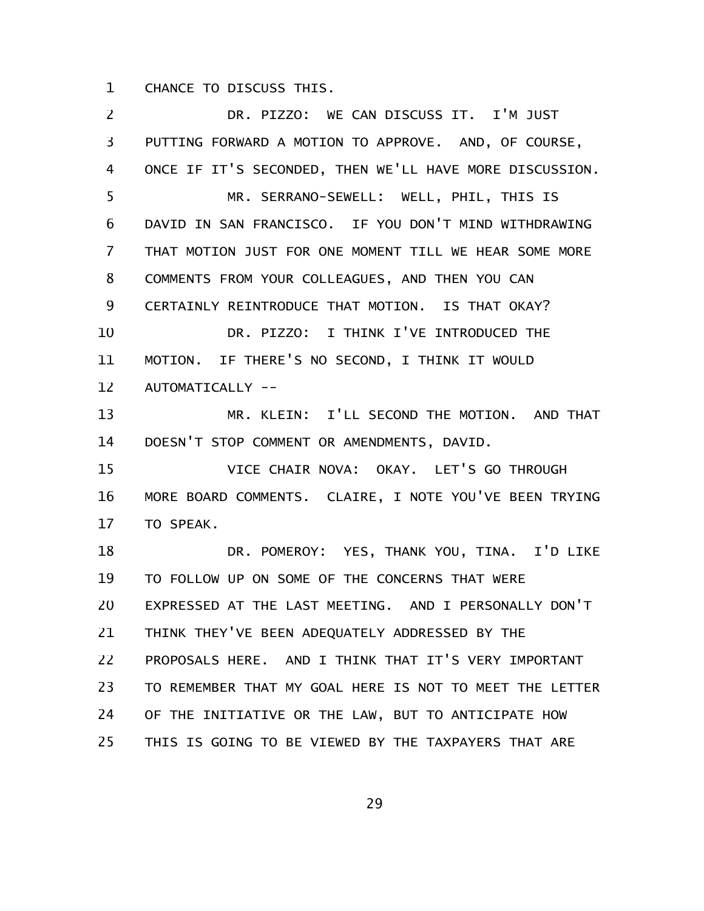CHANCE TO DISCUSS THIS. 1

DR. PIZZO: WE CAN DISCUSS IT. I'M JUST PUTTING FORWARD A MOTION TO APPROVE. AND, OF COURSE, ONCE IF IT'S SECONDED, THEN WE'LL HAVE MORE DISCUSSION. MR. SERRANO-SEWELL: WELL, PHIL, THIS IS DAVID IN SAN FRANCISCO. IF YOU DON'T MIND WITHDRAWING THAT MOTION JUST FOR ONE MOMENT TILL WE HEAR SOME MORE COMMENTS FROM YOUR COLLEAGUES, AND THEN YOU CAN CERTAINLY REINTRODUCE THAT MOTION. IS THAT OKAY? DR. PIZZO: I THINK I'VE INTRODUCED THE MOTION. IF THERE'S NO SECOND, I THINK IT WOULD AUTOMATICALLY -- MR. KLEIN: I'LL SECOND THE MOTION. AND THAT DOESN'T STOP COMMENT OR AMENDMENTS, DAVID. VICE CHAIR NOVA: OKAY. LET'S GO THROUGH MORE BOARD COMMENTS. CLAIRE, I NOTE YOU'VE BEEN TRYING TO SPEAK. DR. POMEROY: YES, THANK YOU, TINA. I'D LIKE TO FOLLOW UP ON SOME OF THE CONCERNS THAT WERE EXPRESSED AT THE LAST MEETING. AND I PERSONALLY DON'T THINK THEY'VE BEEN ADEQUATELY ADDRESSED BY THE PROPOSALS HERE. AND I THINK THAT IT'S VERY IMPORTANT TO REMEMBER THAT MY GOAL HERE IS NOT TO MEET THE LETTER OF THE INITIATIVE OR THE LAW, BUT TO ANTICIPATE HOW THIS IS GOING TO BE VIEWED BY THE TAXPAYERS THAT ARE 2 3 4 5 6 7 8 9 10 11 12 13 14 15 16 17 18 19 20 21 22 23 24 25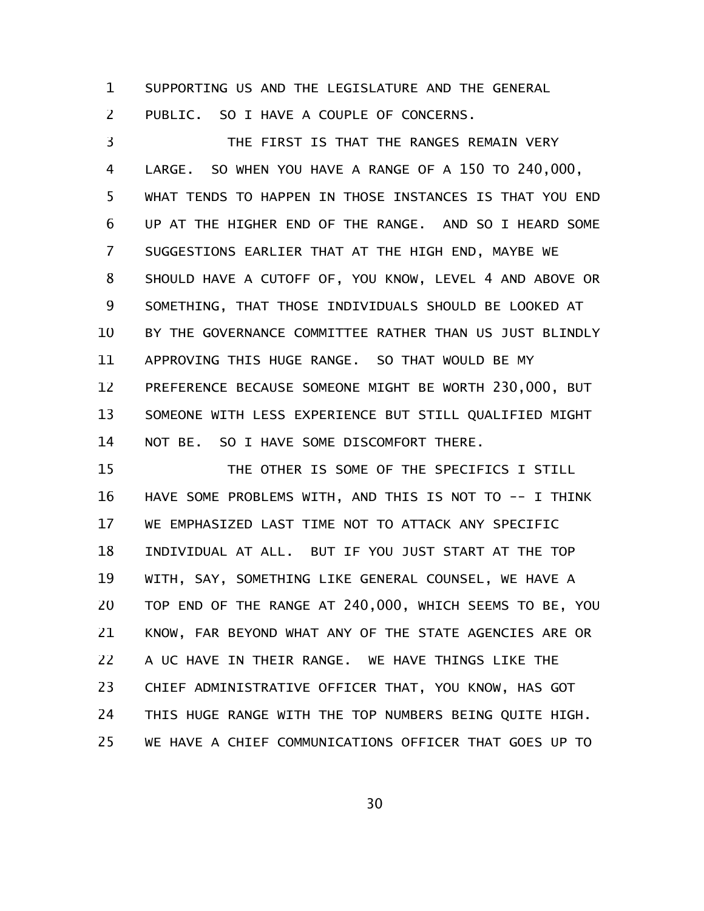SUPPORTING US AND THE LEGISLATURE AND THE GENERAL 1

PUBLIC. SO I HAVE A COUPLE OF CONCERNS. 2

THE FIRST IS THAT THE RANGES REMAIN VERY LARGE. SO WHEN YOU HAVE A RANGE OF A 150 TO 240,000, WHAT TENDS TO HAPPEN IN THOSE INSTANCES IS THAT YOU END UP AT THE HIGHER END OF THE RANGE. AND SO I HEARD SOME SUGGESTIONS EARLIER THAT AT THE HIGH END, MAYBE WE SHOULD HAVE A CUTOFF OF, YOU KNOW, LEVEL 4 AND ABOVE OR SOMETHING, THAT THOSE INDIVIDUALS SHOULD BE LOOKED AT BY THE GOVERNANCE COMMITTEE RATHER THAN US JUST BLINDLY APPROVING THIS HUGE RANGE. SO THAT WOULD BE MY PREFERENCE BECAUSE SOMEONE MIGHT BE WORTH 230,000, BUT SOMEONE WITH LESS EXPERIENCE BUT STILL QUALIFIED MIGHT NOT BE. SO I HAVE SOME DISCOMFORT THERE. 3 4 5 6 7 8 9 10 11 12 13 14

THE OTHER IS SOME OF THE SPECIFICS I STILL HAVE SOME PROBLEMS WITH, AND THIS IS NOT TO -- I THINK WE EMPHASIZED LAST TIME NOT TO ATTACK ANY SPECIFIC INDIVIDUAL AT ALL. BUT IF YOU JUST START AT THE TOP WITH, SAY, SOMETHING LIKE GENERAL COUNSEL, WE HAVE A TOP END OF THE RANGE AT 240,000, WHICH SEEMS TO BE, YOU KNOW, FAR BEYOND WHAT ANY OF THE STATE AGENCIES ARE OR A UC HAVE IN THEIR RANGE. WE HAVE THINGS LIKE THE CHIEF ADMINISTRATIVE OFFICER THAT, YOU KNOW, HAS GOT THIS HUGE RANGE WITH THE TOP NUMBERS BEING QUITE HIGH. WE HAVE A CHIEF COMMUNICATIONS OFFICER THAT GOES UP TO 15 16 17 18 19 20 21 22 23 24 25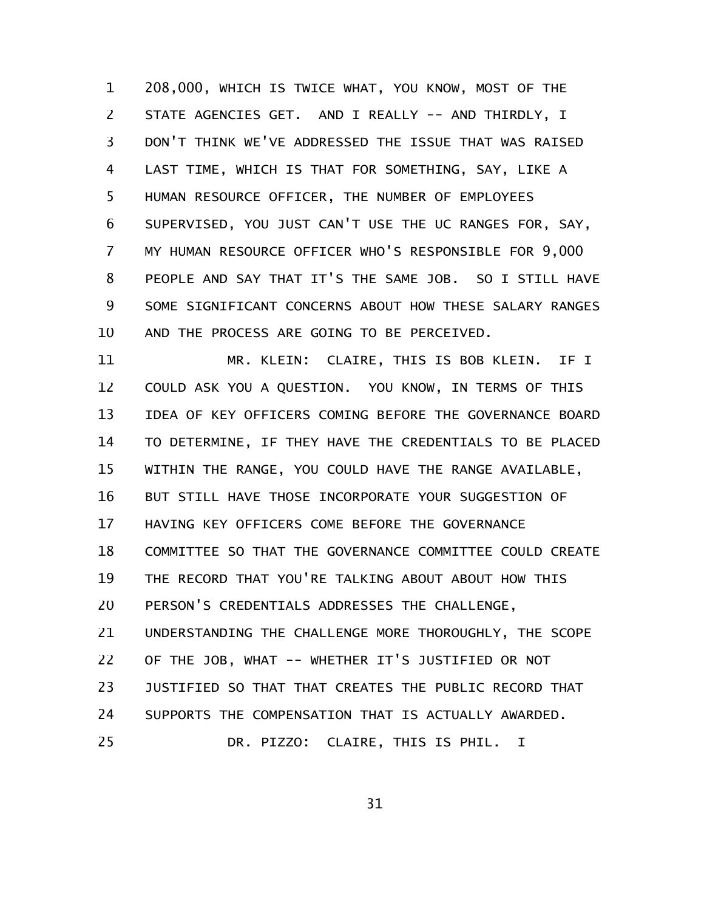208,000, WHICH IS TWICE WHAT, YOU KNOW, MOST OF THE STATE AGENCIES GET. AND I REALLY -- AND THIRDLY, I DON'T THINK WE'VE ADDRESSED THE ISSUE THAT WAS RAISED LAST TIME, WHICH IS THAT FOR SOMETHING, SAY, LIKE A HUMAN RESOURCE OFFICER, THE NUMBER OF EMPLOYEES SUPERVISED, YOU JUST CAN'T USE THE UC RANGES FOR, SAY, MY HUMAN RESOURCE OFFICER WHO'S RESPONSIBLE FOR 9,000 PEOPLE AND SAY THAT IT'S THE SAME JOB. SO I STILL HAVE SOME SIGNIFICANT CONCERNS ABOUT HOW THESE SALARY RANGES AND THE PROCESS ARE GOING TO BE PERCEIVED. 1 2 3 4 5 6 7 8 9 10

MR. KLEIN: CLAIRE, THIS IS BOB KLEIN. IF I COULD ASK YOU A QUESTION. YOU KNOW, IN TERMS OF THIS IDEA OF KEY OFFICERS COMING BEFORE THE GOVERNANCE BOARD TO DETERMINE, IF THEY HAVE THE CREDENTIALS TO BE PLACED WITHIN THE RANGE, YOU COULD HAVE THE RANGE AVAILABLE, BUT STILL HAVE THOSE INCORPORATE YOUR SUGGESTION OF HAVING KEY OFFICERS COME BEFORE THE GOVERNANCE COMMITTEE SO THAT THE GOVERNANCE COMMITTEE COULD CREATE THE RECORD THAT YOU'RE TALKING ABOUT ABOUT HOW THIS PERSON'S CREDENTIALS ADDRESSES THE CHALLENGE, UNDERSTANDING THE CHALLENGE MORE THOROUGHLY, THE SCOPE OF THE JOB, WHAT -- WHETHER IT'S JUSTIFIED OR NOT JUSTIFIED SO THAT THAT CREATES THE PUBLIC RECORD THAT SUPPORTS THE COMPENSATION THAT IS ACTUALLY AWARDED. DR. PIZZO: CLAIRE, THIS IS PHIL. I 11 12 13 14 15 16 17 18 19 20 21 22 23 24 25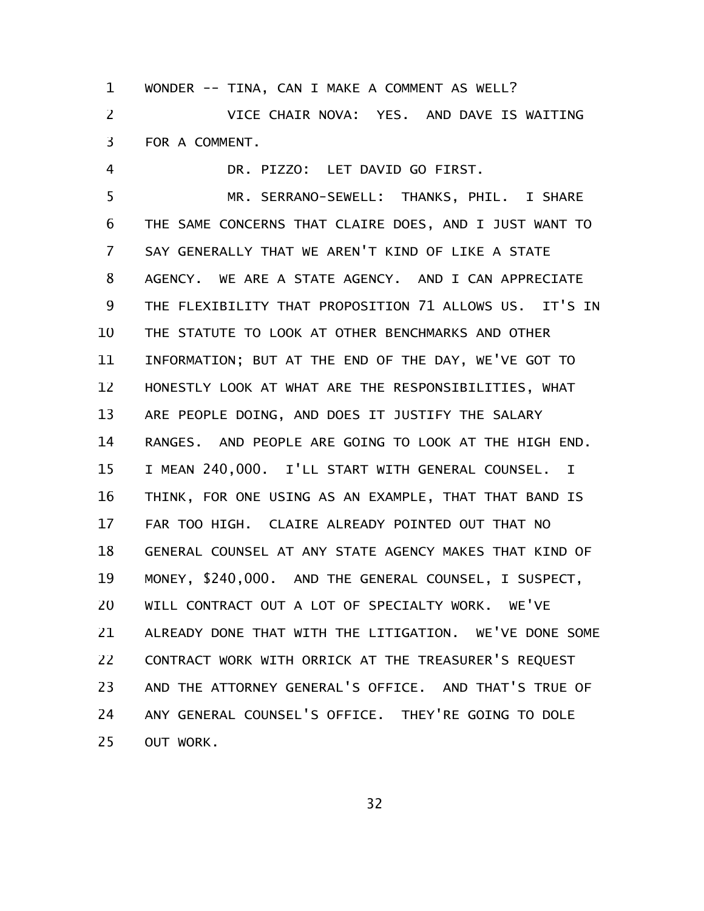WONDER -- TINA, CAN I MAKE A COMMENT AS WELL? VICE CHAIR NOVA: YES. AND DAVE IS WAITING FOR A COMMENT. 1 2 3

DR. PIZZO: LET DAVID GO FIRST. MR. SERRANO-SEWELL: THANKS, PHIL. I SHARE THE SAME CONCERNS THAT CLAIRE DOES, AND I JUST WANT TO SAY GENERALLY THAT WE AREN'T KIND OF LIKE A STATE AGENCY. WE ARE A STATE AGENCY. AND I CAN APPRECIATE THE FLEXIBILITY THAT PROPOSITION 71 ALLOWS US. IT'S IN THE STATUTE TO LOOK AT OTHER BENCHMARKS AND OTHER INFORMATION; BUT AT THE END OF THE DAY, WE'VE GOT TO HONESTLY LOOK AT WHAT ARE THE RESPONSIBILITIES, WHAT ARE PEOPLE DOING, AND DOES IT JUSTIFY THE SALARY RANGES. AND PEOPLE ARE GOING TO LOOK AT THE HIGH END. I MEAN 240,000. I'LL START WITH GENERAL COUNSEL. I THINK, FOR ONE USING AS AN EXAMPLE, THAT THAT BAND IS FAR TOO HIGH. CLAIRE ALREADY POINTED OUT THAT NO GENERAL COUNSEL AT ANY STATE AGENCY MAKES THAT KIND OF MONEY, \$240,000. AND THE GENERAL COUNSEL, I SUSPECT, WILL CONTRACT OUT A LOT OF SPECIALTY WORK. WE'VE ALREADY DONE THAT WITH THE LITIGATION. WE'VE DONE SOME CONTRACT WORK WITH ORRICK AT THE TREASURER'S REQUEST AND THE ATTORNEY GENERAL'S OFFICE. AND THAT'S TRUE OF ANY GENERAL COUNSEL'S OFFICE. THEY'RE GOING TO DOLE OUT WORK. 4 5 6 7 8 9 10 11 12 13 14 15 16 17 18 19 20 21 22 23 24 25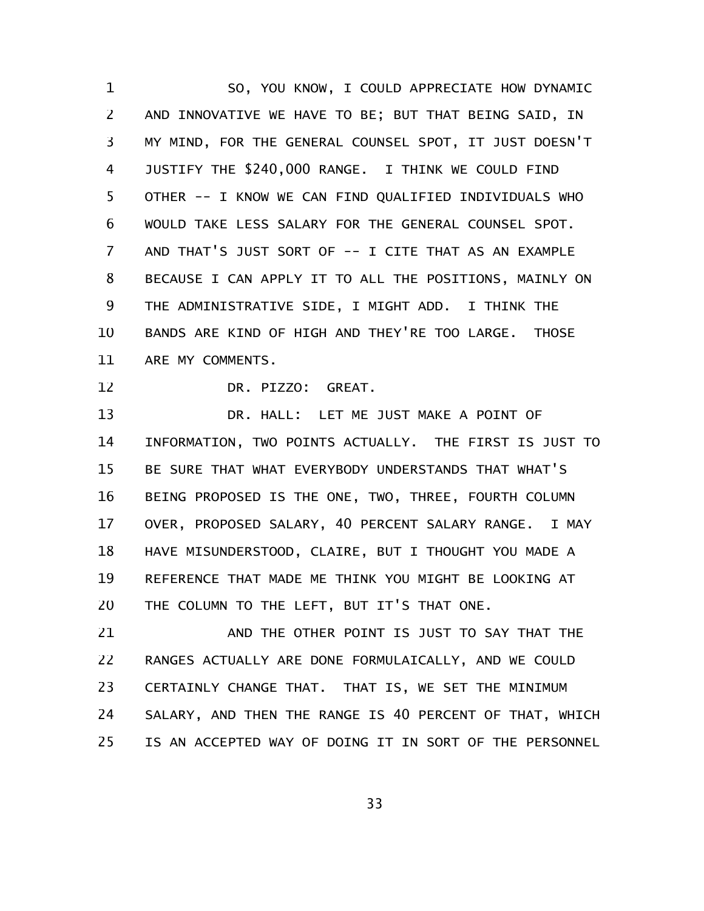SO, YOU KNOW, I COULD APPRECIATE HOW DYNAMIC AND INNOVATIVE WE HAVE TO BE; BUT THAT BEING SAID, IN MY MIND, FOR THE GENERAL COUNSEL SPOT, IT JUST DOESN'T JUSTIFY THE \$240,000 RANGE. I THINK WE COULD FIND OTHER -- I KNOW WE CAN FIND QUALIFIED INDIVIDUALS WHO WOULD TAKE LESS SALARY FOR THE GENERAL COUNSEL SPOT. AND THAT'S JUST SORT OF -- I CITE THAT AS AN EXAMPLE BECAUSE I CAN APPLY IT TO ALL THE POSITIONS, MAINLY ON THE ADMINISTRATIVE SIDE, I MIGHT ADD. I THINK THE BANDS ARE KIND OF HIGH AND THEY'RE TOO LARGE. THOSE ARE MY COMMENTS. 1 2 3 4 5 6 7 8 9 10 11

12

DR. PIZZO: GREAT.

DR. HALL: LET ME JUST MAKE A POINT OF INFORMATION, TWO POINTS ACTUALLY. THE FIRST IS JUST TO BE SURE THAT WHAT EVERYBODY UNDERSTANDS THAT WHAT'S BEING PROPOSED IS THE ONE, TWO, THREE, FOURTH COLUMN OVER, PROPOSED SALARY, 40 PERCENT SALARY RANGE. I MAY HAVE MISUNDERSTOOD, CLAIRE, BUT I THOUGHT YOU MADE A REFERENCE THAT MADE ME THINK YOU MIGHT BE LOOKING AT THE COLUMN TO THE LEFT, BUT IT'S THAT ONE. 13 14 15 16 17 18 19 20

AND THE OTHER POINT IS JUST TO SAY THAT THE RANGES ACTUALLY ARE DONE FORMULAICALLY, AND WE COULD CERTAINLY CHANGE THAT. THAT IS, WE SET THE MINIMUM SALARY, AND THEN THE RANGE IS 40 PERCENT OF THAT, WHICH IS AN ACCEPTED WAY OF DOING IT IN SORT OF THE PERSONNEL 21 22 23 24 25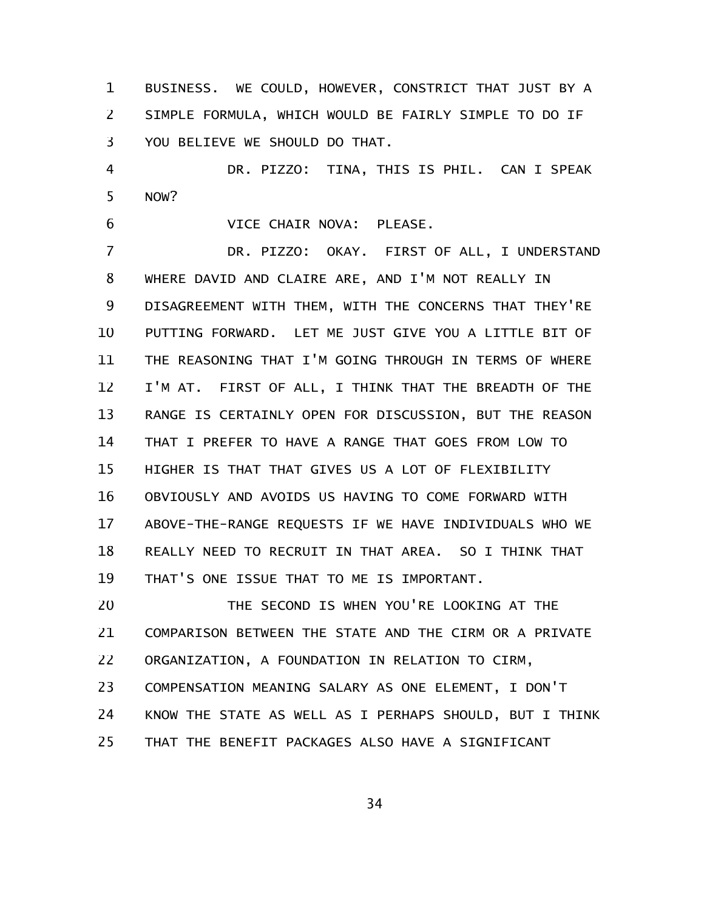BUSINESS. WE COULD, HOWEVER, CONSTRICT THAT JUST BY A SIMPLE FORMULA, WHICH WOULD BE FAIRLY SIMPLE TO DO IF YOU BELIEVE WE SHOULD DO THAT. 1 2 3

DR. PIZZO: TINA, THIS IS PHIL. CAN I SPEAK NOW? 4 5

VICE CHAIR NOVA: PLEASE. 6

DR. PIZZO: OKAY. FIRST OF ALL, I UNDERSTAND WHERE DAVID AND CLAIRE ARE, AND I'M NOT REALLY IN DISAGREEMENT WITH THEM, WITH THE CONCERNS THAT THEY'RE PUTTING FORWARD. LET ME JUST GIVE YOU A LITTLE BIT OF THE REASONING THAT I'M GOING THROUGH IN TERMS OF WHERE I'M AT. FIRST OF ALL, I THINK THAT THE BREADTH OF THE RANGE IS CERTAINLY OPEN FOR DISCUSSION, BUT THE REASON THAT I PREFER TO HAVE A RANGE THAT GOES FROM LOW TO HIGHER IS THAT THAT GIVES US A LOT OF FLEXIBILITY OBVIOUSLY AND AVOIDS US HAVING TO COME FORWARD WITH ABOVE-THE-RANGE REQUESTS IF WE HAVE INDIVIDUALS WHO WE REALLY NEED TO RECRUIT IN THAT AREA. SO I THINK THAT THAT'S ONE ISSUE THAT TO ME IS IMPORTANT. 7 8 9 10 11 12 13 14 15 16 17 18 19

THE SECOND IS WHEN YOU'RE LOOKING AT THE COMPARISON BETWEEN THE STATE AND THE CIRM OR A PRIVATE ORGANIZATION, A FOUNDATION IN RELATION TO CIRM, COMPENSATION MEANING SALARY AS ONE ELEMENT, I DON'T KNOW THE STATE AS WELL AS I PERHAPS SHOULD, BUT I THINK THAT THE BENEFIT PACKAGES ALSO HAVE A SIGNIFICANT 20 21 22 23 24 25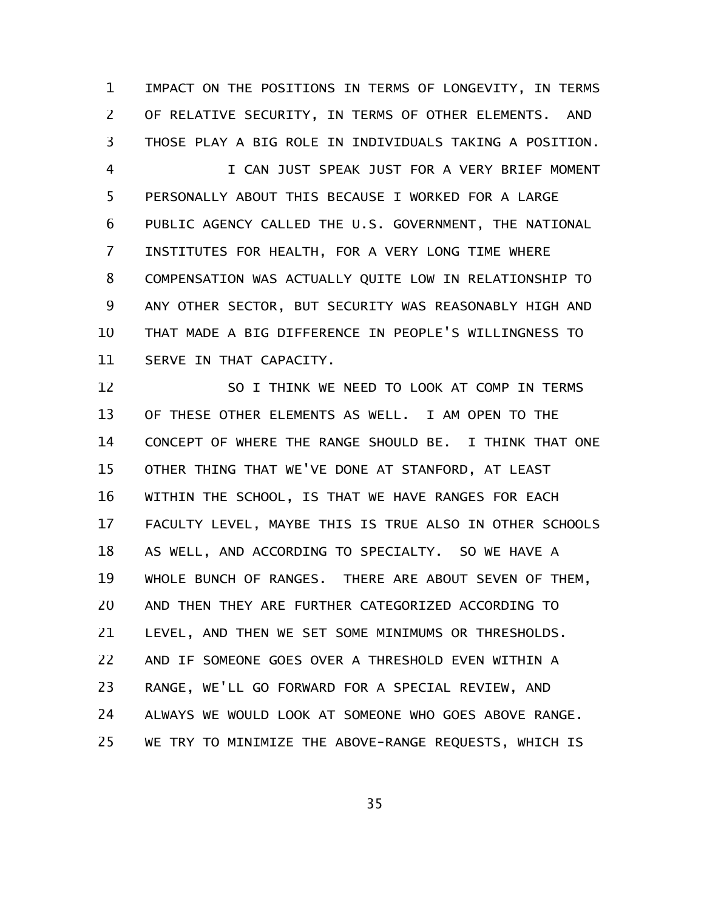IMPACT ON THE POSITIONS IN TERMS OF LONGEVITY, IN TERMS OF RELATIVE SECURITY, IN TERMS OF OTHER ELEMENTS. AND THOSE PLAY A BIG ROLE IN INDIVIDUALS TAKING A POSITION. 1 2 3

I CAN JUST SPEAK JUST FOR A VERY BRIEF MOMENT PERSONALLY ABOUT THIS BECAUSE I WORKED FOR A LARGE PUBLIC AGENCY CALLED THE U.S. GOVERNMENT, THE NATIONAL INSTITUTES FOR HEALTH, FOR A VERY LONG TIME WHERE COMPENSATION WAS ACTUALLY QUITE LOW IN RELATIONSHIP TO ANY OTHER SECTOR, BUT SECURITY WAS REASONABLY HIGH AND THAT MADE A BIG DIFFERENCE IN PEOPLE'S WILLINGNESS TO SERVE IN THAT CAPACITY. 4 5 6 7 8 9 10 11

SO I THINK WE NEED TO LOOK AT COMP IN TERMS OF THESE OTHER ELEMENTS AS WELL. I AM OPEN TO THE CONCEPT OF WHERE THE RANGE SHOULD BE. I THINK THAT ONE OTHER THING THAT WE'VE DONE AT STANFORD, AT LEAST WITHIN THE SCHOOL, IS THAT WE HAVE RANGES FOR EACH FACULTY LEVEL, MAYBE THIS IS TRUE ALSO IN OTHER SCHOOLS AS WELL, AND ACCORDING TO SPECIALTY. SO WE HAVE A WHOLE BUNCH OF RANGES. THERE ARE ABOUT SEVEN OF THEM, AND THEN THEY ARE FURTHER CATEGORIZED ACCORDING TO LEVEL, AND THEN WE SET SOME MINIMUMS OR THRESHOLDS. AND IF SOMEONE GOES OVER A THRESHOLD EVEN WITHIN A RANGE, WE'LL GO FORWARD FOR A SPECIAL REVIEW, AND ALWAYS WE WOULD LOOK AT SOMEONE WHO GOES ABOVE RANGE. WE TRY TO MINIMIZE THE ABOVE-RANGE REQUESTS, WHICH IS 12 13 14 15 16 17 18 19 20 21 22 23 24 25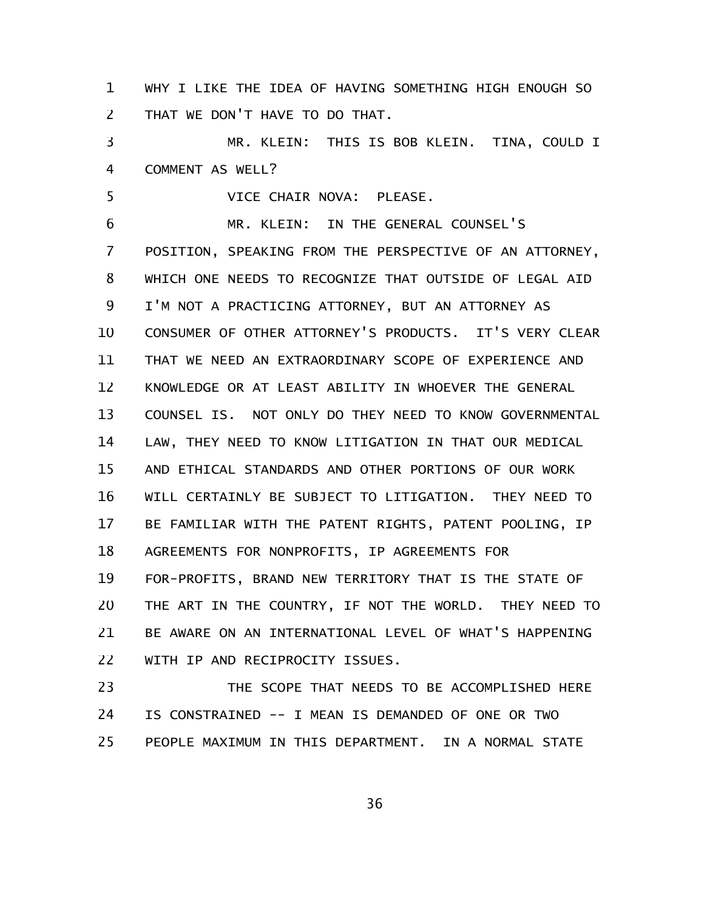WHY I LIKE THE IDEA OF HAVING SOMETHING HIGH ENOUGH SO THAT WE DON'T HAVE TO DO THAT. 1 2

MR. KLEIN: THIS IS BOB KLEIN. TINA, COULD I COMMENT AS WELL? 3 4

VICE CHAIR NOVA: PLEASE. 5

MR. KLEIN: IN THE GENERAL COUNSEL'S POSITION, SPEAKING FROM THE PERSPECTIVE OF AN ATTORNEY, WHICH ONE NEEDS TO RECOGNIZE THAT OUTSIDE OF LEGAL AID I'M NOT A PRACTICING ATTORNEY, BUT AN ATTORNEY AS CONSUMER OF OTHER ATTORNEY'S PRODUCTS. IT'S VERY CLEAR THAT WE NEED AN EXTRAORDINARY SCOPE OF EXPERIENCE AND KNOWLEDGE OR AT LEAST ABILITY IN WHOEVER THE GENERAL COUNSEL IS. NOT ONLY DO THEY NEED TO KNOW GOVERNMENTAL LAW, THEY NEED TO KNOW LITIGATION IN THAT OUR MEDICAL AND ETHICAL STANDARDS AND OTHER PORTIONS OF OUR WORK WILL CERTAINLY BE SUBJECT TO LITIGATION. THEY NEED TO BE FAMILIAR WITH THE PATENT RIGHTS, PATENT POOLING, IP AGREEMENTS FOR NONPROFITS, IP AGREEMENTS FOR FOR-PROFITS, BRAND NEW TERRITORY THAT IS THE STATE OF THE ART IN THE COUNTRY, IF NOT THE WORLD. THEY NEED TO BE AWARE ON AN INTERNATIONAL LEVEL OF WHAT'S HAPPENING WITH IP AND RECIPROCITY ISSUES. 6 7 8 9 10 11 12 13 14 15 16 17 18 19 20 21 22

THE SCOPE THAT NEEDS TO BE ACCOMPLISHED HERE IS CONSTRAINED -- I MEAN IS DEMANDED OF ONE OR TWO PEOPLE MAXIMUM IN THIS DEPARTMENT. IN A NORMAL STATE 23 24 25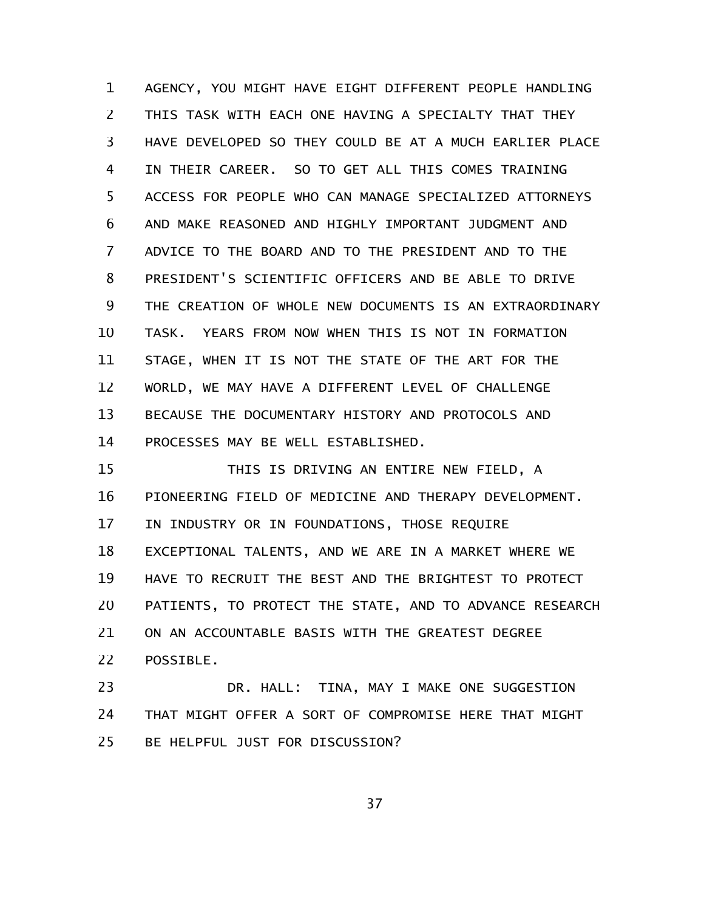AGENCY, YOU MIGHT HAVE EIGHT DIFFERENT PEOPLE HANDLING THIS TASK WITH EACH ONE HAVING A SPECIALTY THAT THEY HAVE DEVELOPED SO THEY COULD BE AT A MUCH EARLIER PLACE IN THEIR CAREER. SO TO GET ALL THIS COMES TRAINING ACCESS FOR PEOPLE WHO CAN MANAGE SPECIALIZED ATTORNEYS AND MAKE REASONED AND HIGHLY IMPORTANT JUDGMENT AND ADVICE TO THE BOARD AND TO THE PRESIDENT AND TO THE PRESIDENT'S SCIENTIFIC OFFICERS AND BE ABLE TO DRIVE THE CREATION OF WHOLE NEW DOCUMENTS IS AN EXTRAORDINARY TASK. YEARS FROM NOW WHEN THIS IS NOT IN FORMATION STAGE, WHEN IT IS NOT THE STATE OF THE ART FOR THE WORLD, WE MAY HAVE A DIFFERENT LEVEL OF CHALLENGE BECAUSE THE DOCUMENTARY HISTORY AND PROTOCOLS AND PROCESSES MAY BE WELL ESTABLISHED. 1 2 3 4 5 6 7 8 9 10 11 12 13 14

THIS IS DRIVING AN ENTIRE NEW FIELD, A PIONEERING FIELD OF MEDICINE AND THERAPY DEVELOPMENT. IN INDUSTRY OR IN FOUNDATIONS, THOSE REQUIRE EXCEPTIONAL TALENTS, AND WE ARE IN A MARKET WHERE WE HAVE TO RECRUIT THE BEST AND THE BRIGHTEST TO PROTECT PATIENTS, TO PROTECT THE STATE, AND TO ADVANCE RESEARCH ON AN ACCOUNTABLE BASIS WITH THE GREATEST DEGREE POSSIBLE. 15 16 17 18 19 20 21 22

DR. HALL: TINA, MAY I MAKE ONE SUGGESTION THAT MIGHT OFFER A SORT OF COMPROMISE HERE THAT MIGHT BE HELPFUL JUST FOR DISCUSSION? 23 24 25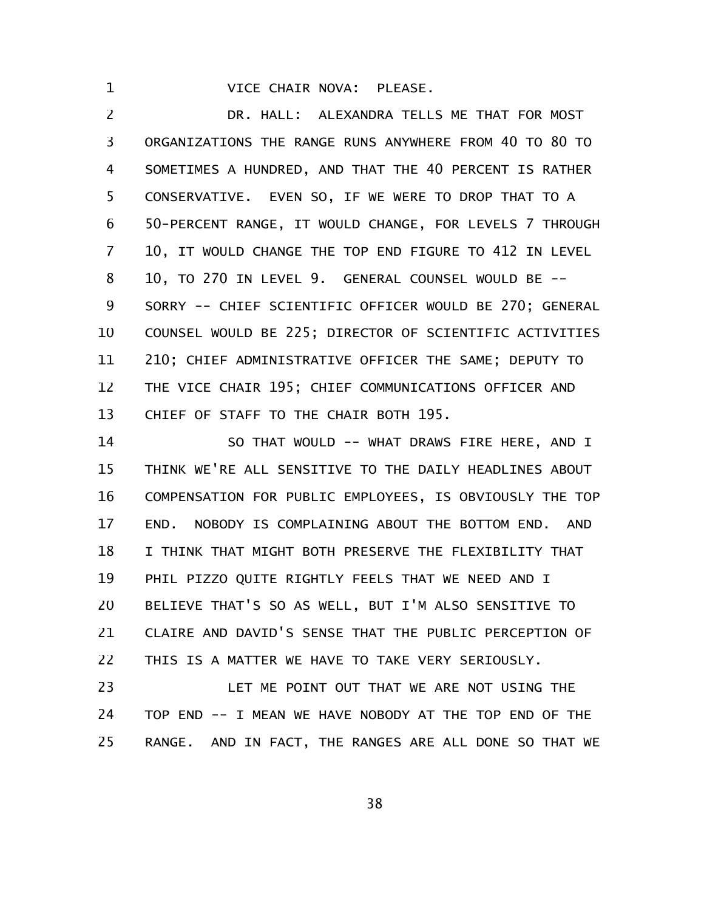VICE CHAIR NOVA: PLEASE.

1

DR. HALL: ALEXANDRA TELLS ME THAT FOR MOST ORGANIZATIONS THE RANGE RUNS ANYWHERE FROM 40 TO 80 TO SOMETIMES A HUNDRED, AND THAT THE 40 PERCENT IS RATHER CONSERVATIVE. EVEN SO, IF WE WERE TO DROP THAT TO A 50-PERCENT RANGE, IT WOULD CHANGE, FOR LEVELS 7 THROUGH 10, IT WOULD CHANGE THE TOP END FIGURE TO 412 IN LEVEL 10, TO 270 IN LEVEL 9. GENERAL COUNSEL WOULD BE -- SORRY -- CHIEF SCIENTIFIC OFFICER WOULD BE 270; GENERAL COUNSEL WOULD BE 225; DIRECTOR OF SCIENTIFIC ACTIVITIES 210; CHIEF ADMINISTRATIVE OFFICER THE SAME; DEPUTY TO THE VICE CHAIR 195; CHIEF COMMUNICATIONS OFFICER AND CHIEF OF STAFF TO THE CHAIR BOTH 195. 2 3 4 5 6 7 8 9 10 11 12 13

SO THAT WOULD -- WHAT DRAWS FIRE HERE, AND I THINK WE'RE ALL SENSITIVE TO THE DAILY HEADLINES ABOUT COMPENSATION FOR PUBLIC EMPLOYEES, IS OBVIOUSLY THE TOP END. NOBODY IS COMPLAINING ABOUT THE BOTTOM END. AND I THINK THAT MIGHT BOTH PRESERVE THE FLEXIBILITY THAT PHIL PIZZO QUITE RIGHTLY FEELS THAT WE NEED AND I BELIEVE THAT'S SO AS WELL, BUT I'M ALSO SENSITIVE TO CLAIRE AND DAVID'S SENSE THAT THE PUBLIC PERCEPTION OF THIS IS A MATTER WE HAVE TO TAKE VERY SERIOUSLY. 14 15 16 17 18 19 20 21 22

LET ME POINT OUT THAT WE ARE NOT USING THE TOP END -- I MEAN WE HAVE NOBODY AT THE TOP END OF THE RANGE. AND IN FACT, THE RANGES ARE ALL DONE SO THAT WE 23 24 25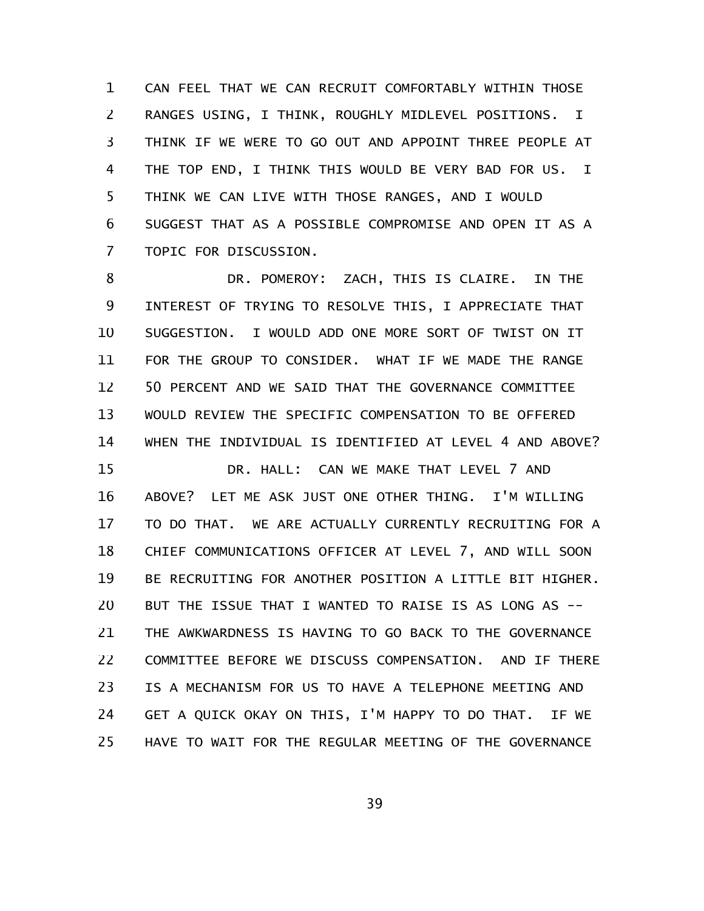CAN FEEL THAT WE CAN RECRUIT COMFORTABLY WITHIN THOSE RANGES USING, I THINK, ROUGHLY MIDLEVEL POSITIONS. I THINK IF WE WERE TO GO OUT AND APPOINT THREE PEOPLE AT THE TOP END, I THINK THIS WOULD BE VERY BAD FOR US. I THINK WE CAN LIVE WITH THOSE RANGES, AND I WOULD SUGGEST THAT AS A POSSIBLE COMPROMISE AND OPEN IT AS A TOPIC FOR DISCUSSION. 1 2 3 4 5 6 7

DR. POMEROY: ZACH, THIS IS CLAIRE. IN THE INTEREST OF TRYING TO RESOLVE THIS, I APPRECIATE THAT SUGGESTION. I WOULD ADD ONE MORE SORT OF TWIST ON IT FOR THE GROUP TO CONSIDER. WHAT IF WE MADE THE RANGE 50 PERCENT AND WE SAID THAT THE GOVERNANCE COMMITTEE WOULD REVIEW THE SPECIFIC COMPENSATION TO BE OFFERED WHEN THE INDIVIDUAL IS IDENTIFIED AT LEVEL 4 AND ABOVE? 8 9 10 11 12 13 14

DR. HALL: CAN WE MAKE THAT LEVEL 7 AND ABOVE? LET ME ASK JUST ONE OTHER THING. I'M WILLING TO DO THAT. WE ARE ACTUALLY CURRENTLY RECRUITING FOR A CHIEF COMMUNICATIONS OFFICER AT LEVEL 7, AND WILL SOON BE RECRUITING FOR ANOTHER POSITION A LITTLE BIT HIGHER. BUT THE ISSUE THAT I WANTED TO RAISE IS AS LONG AS -- THE AWKWARDNESS IS HAVING TO GO BACK TO THE GOVERNANCE COMMITTEE BEFORE WE DISCUSS COMPENSATION. AND IF THERE IS A MECHANISM FOR US TO HAVE A TELEPHONE MEETING AND GET A QUICK OKAY ON THIS, I'M HAPPY TO DO THAT. IF WE HAVE TO WAIT FOR THE REGULAR MEETING OF THE GOVERNANCE 15 16 17 18 19 20 21 22 23 24 25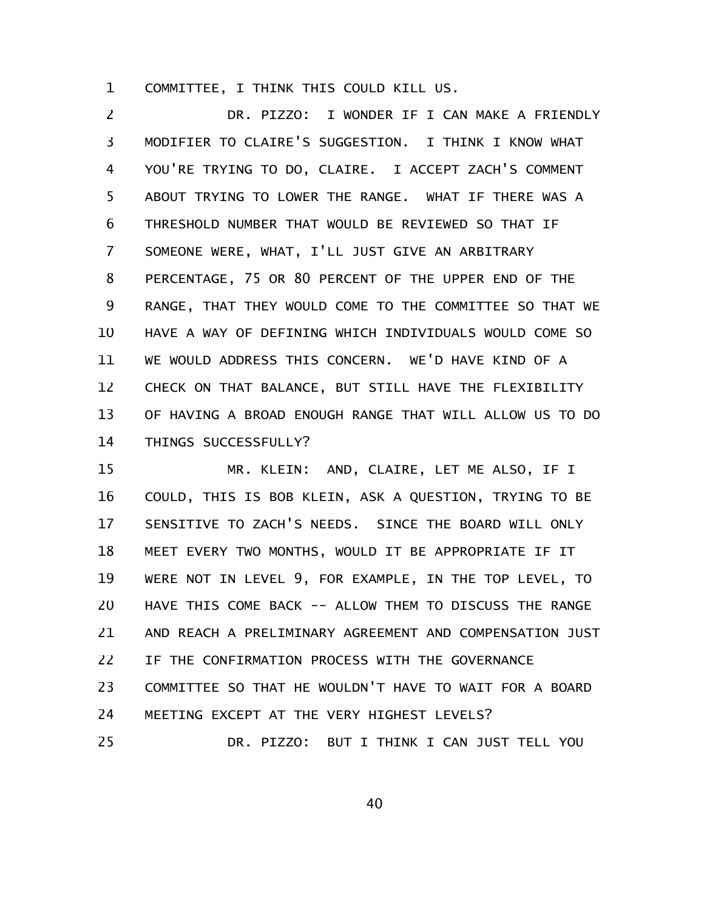COMMITTEE, I THINK THIS COULD KILL US. 1

DR. PIZZO: I WONDER IF I CAN MAKE A FRIENDLY MODIFIER TO CLAIRE'S SUGGESTION. I THINK I KNOW WHAT YOU'RE TRYING TO DO, CLAIRE. I ACCEPT ZACH'S COMMENT ABOUT TRYING TO LOWER THE RANGE. WHAT IF THERE WAS A THRESHOLD NUMBER THAT WOULD BE REVIEWED SO THAT IF SOMEONE WERE, WHAT, I'LL JUST GIVE AN ARBITRARY PERCENTAGE, 75 OR 80 PERCENT OF THE UPPER END OF THE RANGE, THAT THEY WOULD COME TO THE COMMITTEE SO THAT WE HAVE A WAY OF DEFINING WHICH INDIVIDUALS WOULD COME SO WE WOULD ADDRESS THIS CONCERN. WE'D HAVE KIND OF A CHECK ON THAT BALANCE, BUT STILL HAVE THE FLEXIBILITY OF HAVING A BROAD ENOUGH RANGE THAT WILL ALLOW US TO DO THINGS SUCCESSFULLY? 2 3 4 5 6 7 8 9 10 11 12 13 14

MR. KLEIN: AND, CLAIRE, LET ME ALSO, IF I COULD, THIS IS BOB KLEIN, ASK A QUESTION, TRYING TO BE SENSITIVE TO ZACH'S NEEDS. SINCE THE BOARD WILL ONLY MEET EVERY TWO MONTHS, WOULD IT BE APPROPRIATE IF IT WERE NOT IN LEVEL 9, FOR EXAMPLE, IN THE TOP LEVEL, TO HAVE THIS COME BACK -- ALLOW THEM TO DISCUSS THE RANGE AND REACH A PRELIMINARY AGREEMENT AND COMPENSATION JUST IF THE CONFIRMATION PROCESS WITH THE GOVERNANCE COMMITTEE SO THAT HE WOULDN'T HAVE TO WAIT FOR A BOARD MEETING EXCEPT AT THE VERY HIGHEST LEVELS? DR. PIZZO: BUT I THINK I CAN JUST TELL YOU 15 16 17 18 19 20 21 22 23 24 25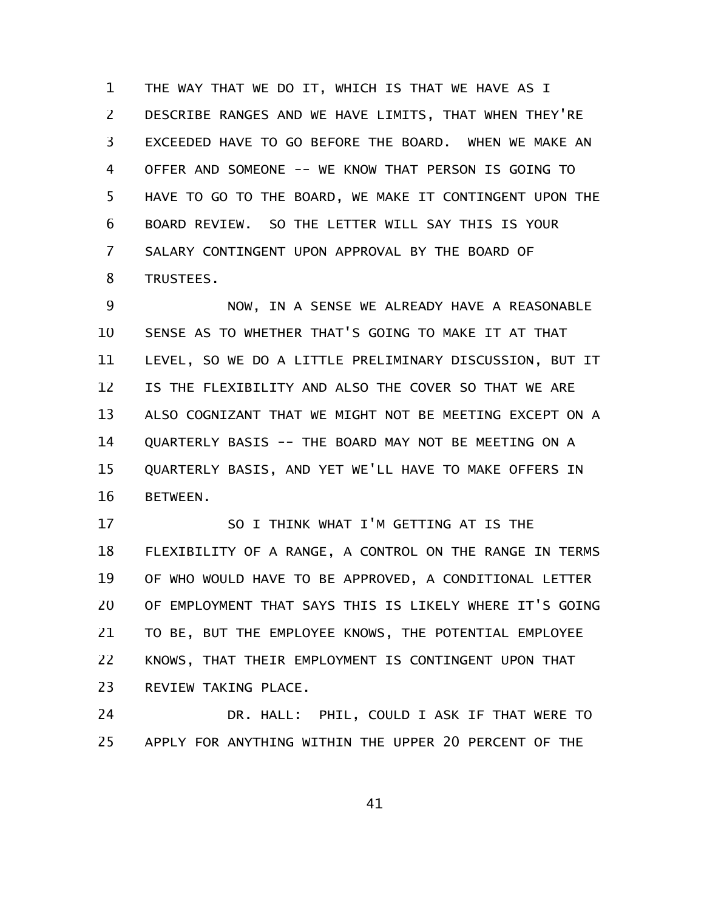THE WAY THAT WE DO IT, WHICH IS THAT WE HAVE AS I DESCRIBE RANGES AND WE HAVE LIMITS, THAT WHEN THEY'RE EXCEEDED HAVE TO GO BEFORE THE BOARD. WHEN WE MAKE AN OFFER AND SOMEONE -- WE KNOW THAT PERSON IS GOING TO HAVE TO GO TO THE BOARD, WE MAKE IT CONTINGENT UPON THE BOARD REVIEW. SO THE LETTER WILL SAY THIS IS YOUR SALARY CONTINGENT UPON APPROVAL BY THE BOARD OF TRUSTEES. 1 2 3 4 5 6 7 8

NOW, IN A SENSE WE ALREADY HAVE A REASONABLE SENSE AS TO WHETHER THAT'S GOING TO MAKE IT AT THAT LEVEL, SO WE DO A LITTLE PRELIMINARY DISCUSSION, BUT IT IS THE FLEXIBILITY AND ALSO THE COVER SO THAT WE ARE ALSO COGNIZANT THAT WE MIGHT NOT BE MEETING EXCEPT ON A QUARTERLY BASIS -- THE BOARD MAY NOT BE MEETING ON A QUARTERLY BASIS, AND YET WE'LL HAVE TO MAKE OFFERS IN BETWEEN. 9 10 11 12 13 14 15 16

SO I THINK WHAT I'M GETTING AT IS THE FLEXIBILITY OF A RANGE, A CONTROL ON THE RANGE IN TERMS OF WHO WOULD HAVE TO BE APPROVED, A CONDITIONAL LETTER OF EMPLOYMENT THAT SAYS THIS IS LIKELY WHERE IT'S GOING TO BE, BUT THE EMPLOYEE KNOWS, THE POTENTIAL EMPLOYEE KNOWS, THAT THEIR EMPLOYMENT IS CONTINGENT UPON THAT REVIEW TAKING PLACE. 17 18 19 20 21 22 23

DR. HALL: PHIL, COULD I ASK IF THAT WERE TO APPLY FOR ANYTHING WITHIN THE UPPER 20 PERCENT OF THE 24 25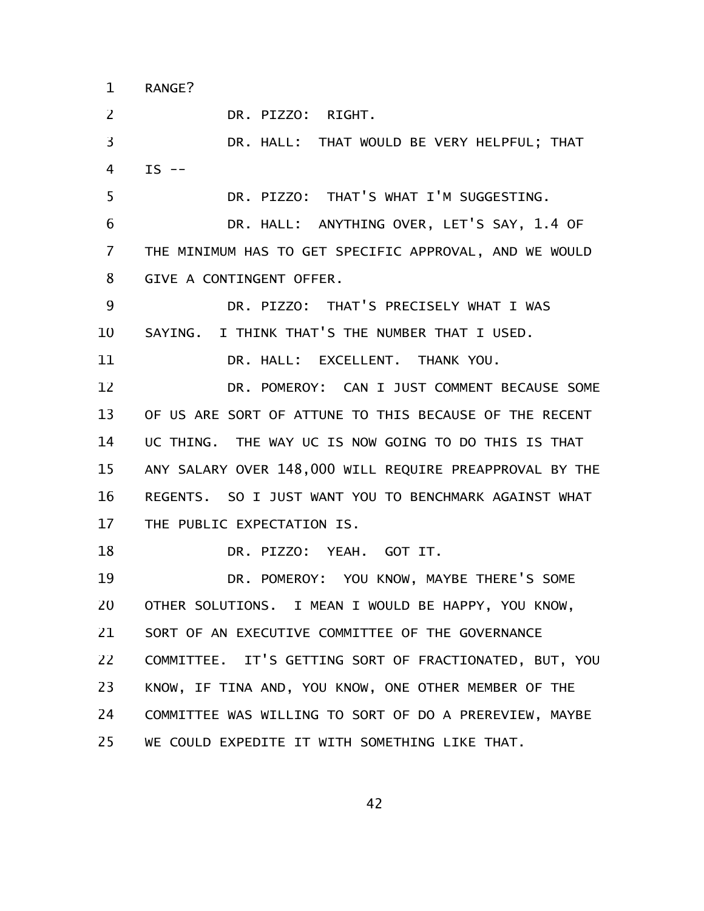RANGE? 1

DR. PIZZO: RIGHT. 2

DR. HALL: THAT WOULD BE VERY HELPFUL; THAT  $IS$  --3 4

DR. PIZZO: THAT'S WHAT I'M SUGGESTING. 5

DR. HALL: ANYTHING OVER, LET'S SAY, 1.4 OF THE MINIMUM HAS TO GET SPECIFIC APPROVAL, AND WE WOULD GIVE A CONTINGENT OFFER. 6 7 8

DR. PIZZO: THAT'S PRECISELY WHAT I WAS SAYING. I THINK THAT'S THE NUMBER THAT I USED. DR. HALL: EXCELLENT. THANK YOU. 9 10 11

DR. POMEROY: CAN I JUST COMMENT BECAUSE SOME OF US ARE SORT OF ATTUNE TO THIS BECAUSE OF THE RECENT UC THING. THE WAY UC IS NOW GOING TO DO THIS IS THAT ANY SALARY OVER 148,000 WILL REQUIRE PREAPPROVAL BY THE REGENTS. SO I JUST WANT YOU TO BENCHMARK AGAINST WHAT THE PUBLIC EXPECTATION IS. 12 13 14 15 16 17

DR. PIZZO: YEAH. GOT IT. 18

DR. POMEROY: YOU KNOW, MAYBE THERE'S SOME OTHER SOLUTIONS. I MEAN I WOULD BE HAPPY, YOU KNOW, SORT OF AN EXECUTIVE COMMITTEE OF THE GOVERNANCE COMMITTEE. IT'S GETTING SORT OF FRACTIONATED, BUT, YOU KNOW, IF TINA AND, YOU KNOW, ONE OTHER MEMBER OF THE COMMITTEE WAS WILLING TO SORT OF DO A PREREVIEW, MAYBE WE COULD EXPEDITE IT WITH SOMETHING LIKE THAT. 19 20 21 22 23 24 25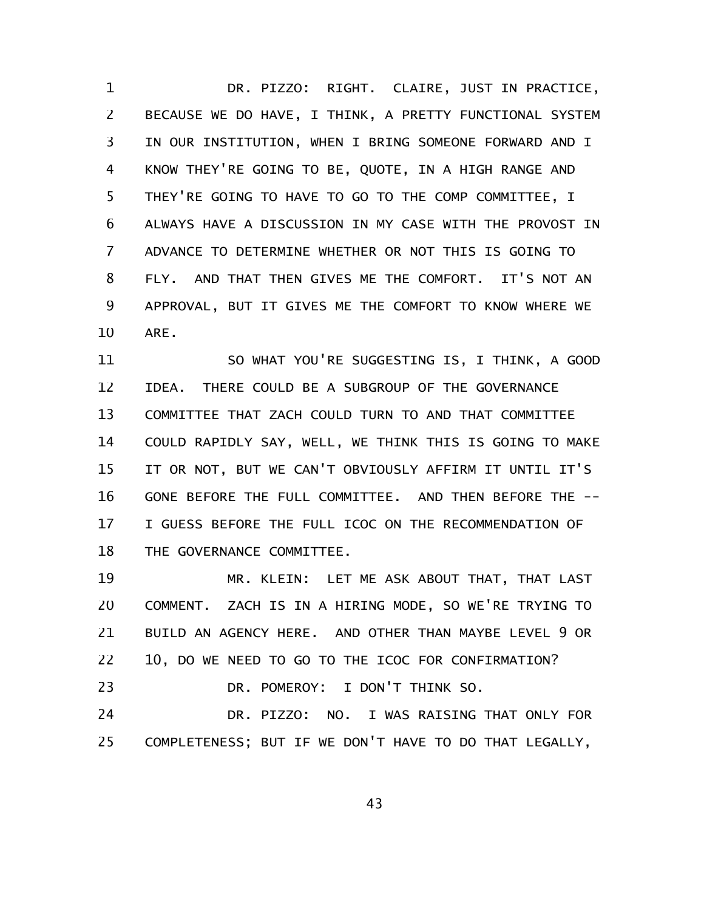DR. PIZZO: RIGHT. CLAIRE, JUST IN PRACTICE, BECAUSE WE DO HAVE, I THINK, A PRETTY FUNCTIONAL SYSTEM IN OUR INSTITUTION, WHEN I BRING SOMEONE FORWARD AND I KNOW THEY'RE GOING TO BE, QUOTE, IN A HIGH RANGE AND THEY'RE GOING TO HAVE TO GO TO THE COMP COMMITTEE, I ALWAYS HAVE A DISCUSSION IN MY CASE WITH THE PROVOST IN ADVANCE TO DETERMINE WHETHER OR NOT THIS IS GOING TO FLY. AND THAT THEN GIVES ME THE COMFORT. IT'S NOT AN APPROVAL, BUT IT GIVES ME THE COMFORT TO KNOW WHERE WE ARE. 1 2 3 4 5 6 7 8 9 10

SO WHAT YOU'RE SUGGESTING IS, I THINK, A GOOD IDEA. THERE COULD BE A SUBGROUP OF THE GOVERNANCE COMMITTEE THAT ZACH COULD TURN TO AND THAT COMMITTEE COULD RAPIDLY SAY, WELL, WE THINK THIS IS GOING TO MAKE IT OR NOT, BUT WE CAN'T OBVIOUSLY AFFIRM IT UNTIL IT'S GONE BEFORE THE FULL COMMITTEE. AND THEN BEFORE THE -- I GUESS BEFORE THE FULL ICOC ON THE RECOMMENDATION OF THE GOVERNANCE COMMITTEE. 11 12 13 14 15 16 17 18

MR. KLEIN: LET ME ASK ABOUT THAT, THAT LAST COMMENT. ZACH IS IN A HIRING MODE, SO WE'RE TRYING TO BUILD AN AGENCY HERE. AND OTHER THAN MAYBE LEVEL 9 OR 10, DO WE NEED TO GO TO THE ICOC FOR CONFIRMATION? DR. POMEROY: I DON'T THINK SO. DR. PIZZO: NO. I WAS RAISING THAT ONLY FOR COMPLETENESS; BUT IF WE DON'T HAVE TO DO THAT LEGALLY, 19 20 21 22 23 24 25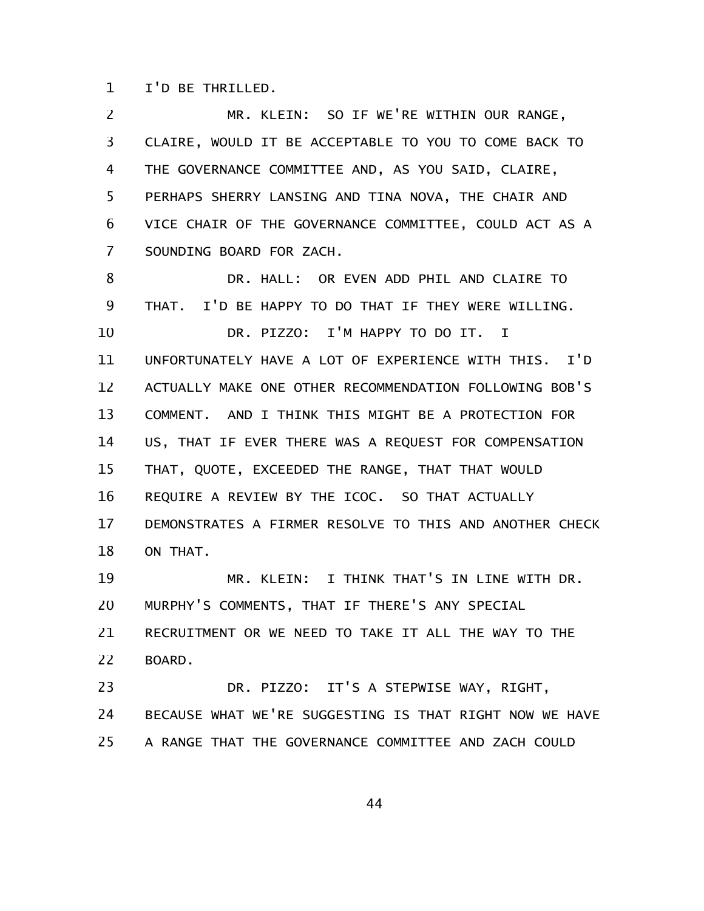I'D BE THRILLED. 1

MR. KLEIN: SO IF WE'RE WITHIN OUR RANGE, CLAIRE, WOULD IT BE ACCEPTABLE TO YOU TO COME BACK TO THE GOVERNANCE COMMITTEE AND, AS YOU SAID, CLAIRE, PERHAPS SHERRY LANSING AND TINA NOVA, THE CHAIR AND VICE CHAIR OF THE GOVERNANCE COMMITTEE, COULD ACT AS A SOUNDING BOARD FOR ZACH. DR. HALL: OR EVEN ADD PHIL AND CLAIRE TO THAT. I'D BE HAPPY TO DO THAT IF THEY WERE WILLING. DR. PIZZO: I'M HAPPY TO DO IT. I UNFORTUNATELY HAVE A LOT OF EXPERIENCE WITH THIS. I'D ACTUALLY MAKE ONE OTHER RECOMMENDATION FOLLOWING BOB'S COMMENT. AND I THINK THIS MIGHT BE A PROTECTION FOR US, THAT IF EVER THERE WAS A REQUEST FOR COMPENSATION THAT, QUOTE, EXCEEDED THE RANGE, THAT THAT WOULD REQUIRE A REVIEW BY THE ICOC. SO THAT ACTUALLY DEMONSTRATES A FIRMER RESOLVE TO THIS AND ANOTHER CHECK ON THAT. MR. KLEIN: I THINK THAT'S IN LINE WITH DR. MURPHY'S COMMENTS, THAT IF THERE'S ANY SPECIAL RECRUITMENT OR WE NEED TO TAKE IT ALL THE WAY TO THE BOARD. DR. PIZZO: IT'S A STEPWISE WAY, RIGHT, BECAUSE WHAT WE'RE SUGGESTING IS THAT RIGHT NOW WE HAVE 2 3 4 5 6 7 8 9 10 11 12 13 14 15 16 17 18 19 20 21 22 23 24

A RANGE THAT THE GOVERNANCE COMMITTEE AND ZACH COULD 25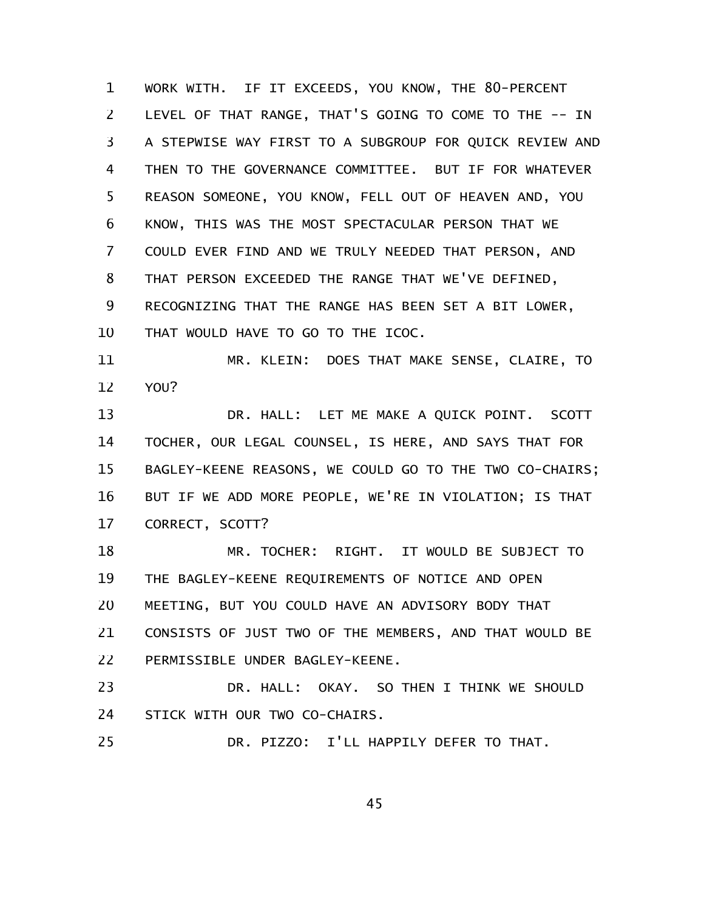WORK WITH. IF IT EXCEEDS, YOU KNOW, THE 80-PERCENT LEVEL OF THAT RANGE, THAT'S GOING TO COME TO THE -- IN A STEPWISE WAY FIRST TO A SUBGROUP FOR QUICK REVIEW AND THEN TO THE GOVERNANCE COMMITTEE. BUT IF FOR WHATEVER REASON SOMEONE, YOU KNOW, FELL OUT OF HEAVEN AND, YOU KNOW, THIS WAS THE MOST SPECTACULAR PERSON THAT WE COULD EVER FIND AND WE TRULY NEEDED THAT PERSON, AND THAT PERSON EXCEEDED THE RANGE THAT WE'VE DEFINED, RECOGNIZING THAT THE RANGE HAS BEEN SET A BIT LOWER, THAT WOULD HAVE TO GO TO THE ICOC. 1 2 3 4 5 6 7 8 9 10

MR. KLEIN: DOES THAT MAKE SENSE, CLAIRE, TO YOU? 11 12

DR. HALL: LET ME MAKE A QUICK POINT. SCOTT TOCHER, OUR LEGAL COUNSEL, IS HERE, AND SAYS THAT FOR BAGLEY-KEENE REASONS, WE COULD GO TO THE TWO CO-CHAIRS; BUT IF WE ADD MORE PEOPLE, WE'RE IN VIOLATION; IS THAT CORRECT, SCOTT? 13 14 15 16 17

MR. TOCHER: RIGHT. IT WOULD BE SUBJECT TO THE BAGLEY-KEENE REQUIREMENTS OF NOTICE AND OPEN MEETING, BUT YOU COULD HAVE AN ADVISORY BODY THAT CONSISTS OF JUST TWO OF THE MEMBERS, AND THAT WOULD BE PERMISSIBLE UNDER BAGLEY-KEENE. 18 19 20 21 22

DR. HALL: OKAY. SO THEN I THINK WE SHOULD STICK WITH OUR TWO CO-CHAIRS. 23 24

DR. PIZZO: I'LL HAPPILY DEFER TO THAT. 25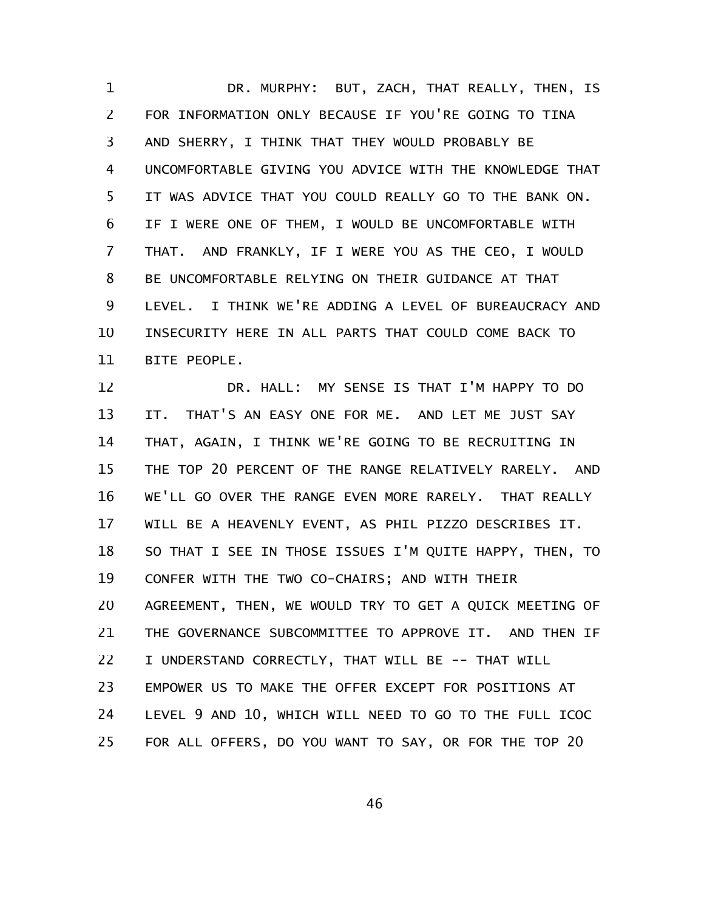DR. MURPHY: BUT, ZACH, THAT REALLY, THEN, IS FOR INFORMATION ONLY BECAUSE IF YOU'RE GOING TO TINA AND SHERRY, I THINK THAT THEY WOULD PROBABLY BE UNCOMFORTABLE GIVING YOU ADVICE WITH THE KNOWLEDGE THAT IT WAS ADVICE THAT YOU COULD REALLY GO TO THE BANK ON. IF I WERE ONE OF THEM, I WOULD BE UNCOMFORTABLE WITH THAT. AND FRANKLY, IF I WERE YOU AS THE CEO, I WOULD BE UNCOMFORTABLE RELYING ON THEIR GUIDANCE AT THAT LEVEL. I THINK WE'RE ADDING A LEVEL OF BUREAUCRACY AND INSECURITY HERE IN ALL PARTS THAT COULD COME BACK TO BITE PEOPLE. 1 2 3 4 5 6 7 8 9 10 11

DR. HALL: MY SENSE IS THAT I'M HAPPY TO DO IT. THAT'S AN EASY ONE FOR ME. AND LET ME JUST SAY THAT, AGAIN, I THINK WE'RE GOING TO BE RECRUITING IN THE TOP 20 PERCENT OF THE RANGE RELATIVELY RARELY. AND WE'LL GO OVER THE RANGE EVEN MORE RARELY. THAT REALLY WILL BE A HEAVENLY EVENT, AS PHIL PIZZO DESCRIBES IT. SO THAT I SEE IN THOSE ISSUES I'M QUITE HAPPY, THEN, TO CONFER WITH THE TWO CO-CHAIRS; AND WITH THEIR AGREEMENT, THEN, WE WOULD TRY TO GET A QUICK MEETING OF THE GOVERNANCE SUBCOMMITTEE TO APPROVE IT. AND THEN IF I UNDERSTAND CORRECTLY, THAT WILL BE -- THAT WILL EMPOWER US TO MAKE THE OFFER EXCEPT FOR POSITIONS AT LEVEL 9 AND 10, WHICH WILL NEED TO GO TO THE FULL ICOC FOR ALL OFFERS, DO YOU WANT TO SAY, OR FOR THE TOP 20 12 13 14 15 16 17 18 19 20 21 22 23 24 25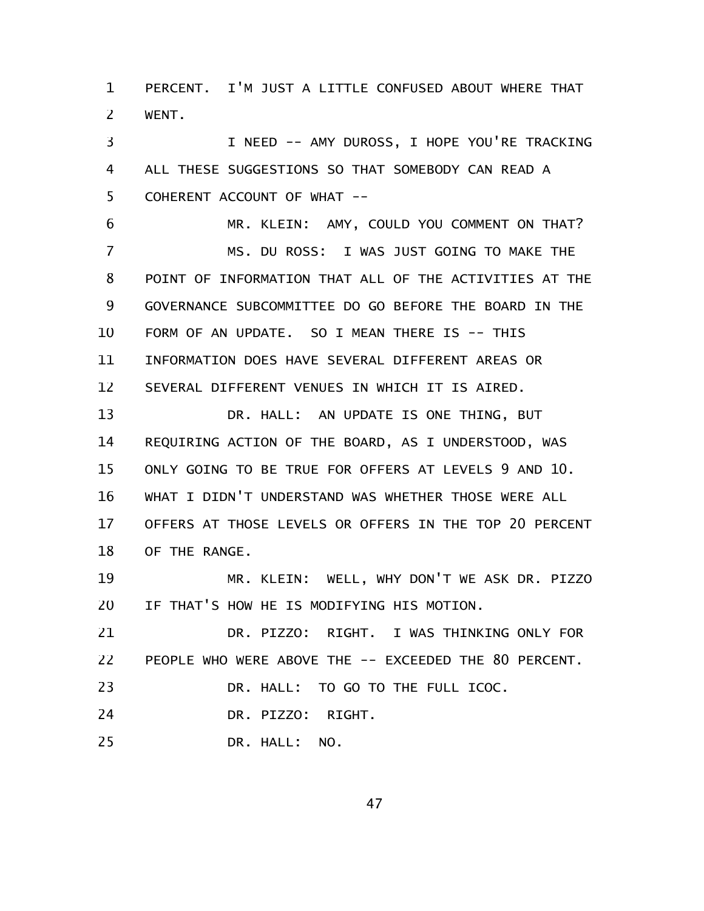PERCENT. I'M JUST A LITTLE CONFUSED ABOUT WHERE THAT WENT. 1 2

I NEED -- AMY DUROSS, I HOPE YOU'RE TRACKING ALL THESE SUGGESTIONS SO THAT SOMEBODY CAN READ A COHERENT ACCOUNT OF WHAT -- 3 4 5

MR. KLEIN: AMY, COULD YOU COMMENT ON THAT? MS. DU ROSS: I WAS JUST GOING TO MAKE THE POINT OF INFORMATION THAT ALL OF THE ACTIVITIES AT THE GOVERNANCE SUBCOMMITTEE DO GO BEFORE THE BOARD IN THE FORM OF AN UPDATE. SO I MEAN THERE IS -- THIS INFORMATION DOES HAVE SEVERAL DIFFERENT AREAS OR SEVERAL DIFFERENT VENUES IN WHICH IT IS AIRED. 6 7 8 9 10 11 12

DR. HALL: AN UPDATE IS ONE THING, BUT REQUIRING ACTION OF THE BOARD, AS I UNDERSTOOD, WAS ONLY GOING TO BE TRUE FOR OFFERS AT LEVELS 9 AND 10. WHAT I DIDN'T UNDERSTAND WAS WHETHER THOSE WERE ALL OFFERS AT THOSE LEVELS OR OFFERS IN THE TOP 20 PERCENT OF THE RANGE. 13 14 15 16 17 18

MR. KLEIN: WELL, WHY DON'T WE ASK DR. PIZZO IF THAT'S HOW HE IS MODIFYING HIS MOTION. 19 20

DR. PIZZO: RIGHT. I WAS THINKING ONLY FOR PEOPLE WHO WERE ABOVE THE -- EXCEEDED THE 80 PERCENT. 21 22

DR. HALL: TO GO TO THE FULL ICOC. 23

DR. PIZZO: RIGHT. 24

DR. HALL: NO. 25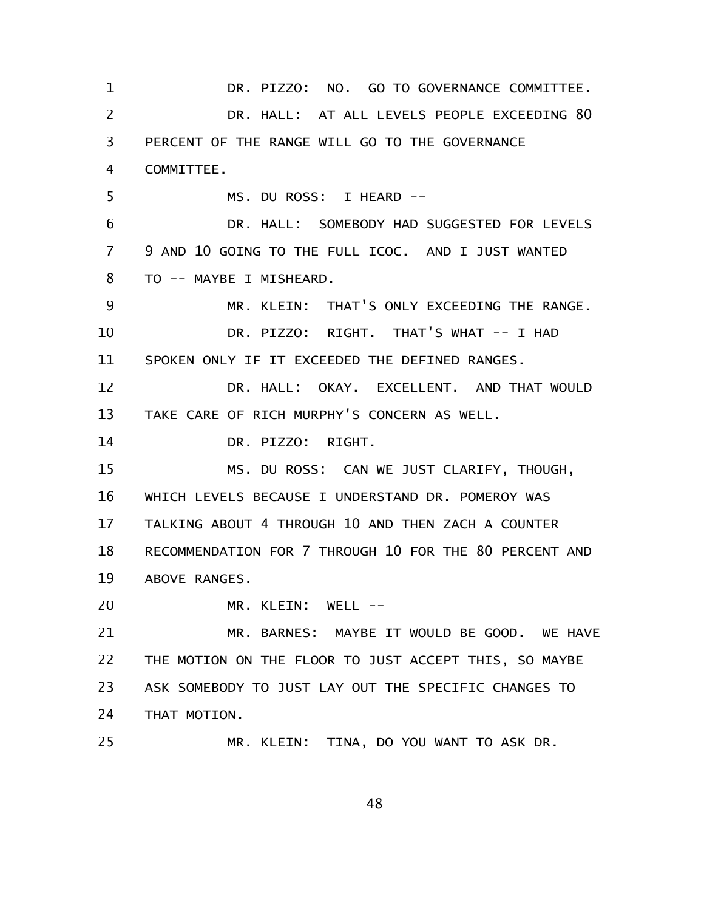DR. PIZZO: NO. GO TO GOVERNANCE COMMITTEE. DR. HALL: AT ALL LEVELS PEOPLE EXCEEDING 80 PERCENT OF THE RANGE WILL GO TO THE GOVERNANCE COMMITTEE. MS. DU ROSS: I HEARD -- DR. HALL: SOMEBODY HAD SUGGESTED FOR LEVELS 9 AND 10 GOING TO THE FULL ICOC. AND I JUST WANTED TO -- MAYBE I MISHEARD. MR. KLEIN: THAT'S ONLY EXCEEDING THE RANGE. DR. PIZZO: RIGHT. THAT'S WHAT -- I HAD SPOKEN ONLY IF IT EXCEEDED THE DEFINED RANGES. DR. HALL: OKAY. EXCELLENT. AND THAT WOULD TAKE CARE OF RICH MURPHY'S CONCERN AS WELL. DR. PIZZO: RIGHT. MS. DU ROSS: CAN WE JUST CLARIFY, THOUGH, WHICH LEVELS BECAUSE I UNDERSTAND DR. POMEROY WAS TALKING ABOUT 4 THROUGH 10 AND THEN ZACH A COUNTER RECOMMENDATION FOR 7 THROUGH 10 FOR THE 80 PERCENT AND ABOVE RANGES. MR. KLEIN: WELL --MR. BARNES: MAYBE IT WOULD BE GOOD. WE HAVE THE MOTION ON THE FLOOR TO JUST ACCEPT THIS, SO MAYBE ASK SOMEBODY TO JUST LAY OUT THE SPECIFIC CHANGES TO THAT MOTION. MR. KLEIN: TINA, DO YOU WANT TO ASK DR. 1 2 3 4 5 6 7 8 9 10 11 12 13 14 15 16 17 18 19 20 21 22 23 24 25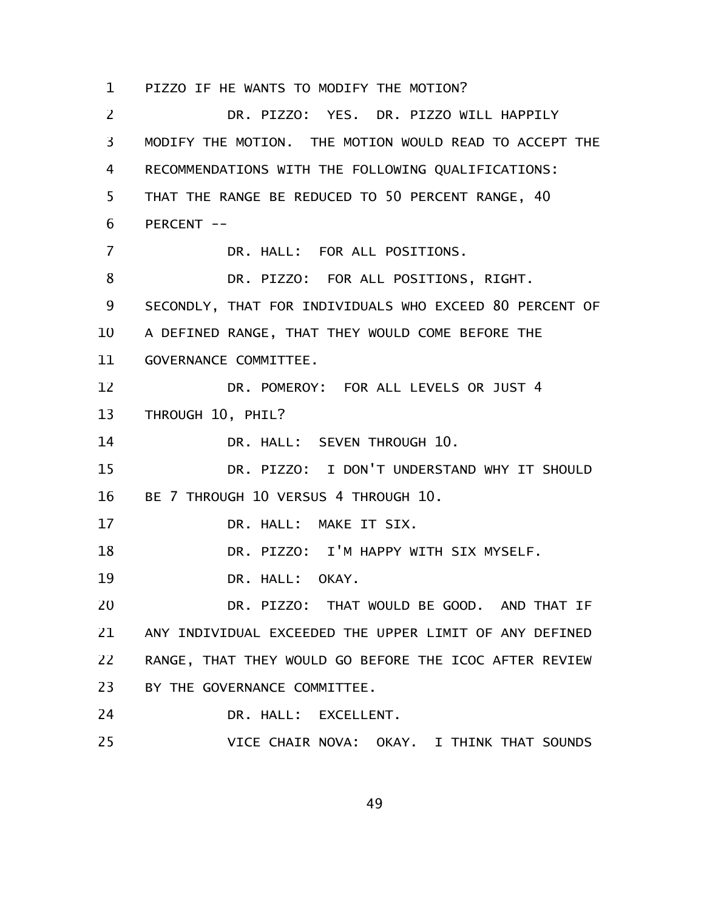PIZZO IF HE WANTS TO MODIFY THE MOTION? 1

DR. PIZZO: YES. DR. PIZZO WILL HAPPILY MODIFY THE MOTION. THE MOTION WOULD READ TO ACCEPT THE RECOMMENDATIONS WITH THE FOLLOWING QUALIFICATIONS: THAT THE RANGE BE REDUCED TO 50 PERCENT RANGE, 40 PERCENT --DR. HALL: FOR ALL POSITIONS. DR. PIZZO: FOR ALL POSITIONS, RIGHT. SECONDLY, THAT FOR INDIVIDUALS WHO EXCEED 80 PERCENT OF A DEFINED RANGE, THAT THEY WOULD COME BEFORE THE GOVERNANCE COMMITTEE. DR. POMEROY: FOR ALL LEVELS OR JUST 4 THROUGH 10, PHIL? DR. HALL: SEVEN THROUGH 10. DR. PIZZO: I DON'T UNDERSTAND WHY IT SHOULD BE 7 THROUGH 10 VERSUS 4 THROUGH 10. DR. HALL: MAKE IT SIX. DR. PIZZO: I'M HAPPY WITH SIX MYSELF. DR. HALL: OKAY. DR. PIZZO: THAT WOULD BE GOOD. AND THAT IF ANY INDIVIDUAL EXCEEDED THE UPPER LIMIT OF ANY DEFINED RANGE, THAT THEY WOULD GO BEFORE THE ICOC AFTER REVIEW BY THE GOVERNANCE COMMITTEE. DR. HALL: EXCELLENT. VICE CHAIR NOVA: OKAY. I THINK THAT SOUNDS 2 3 4 5 6 7 8 9 10 11 12 13 14 15 16 17 18 19 20 21 22 23 24 25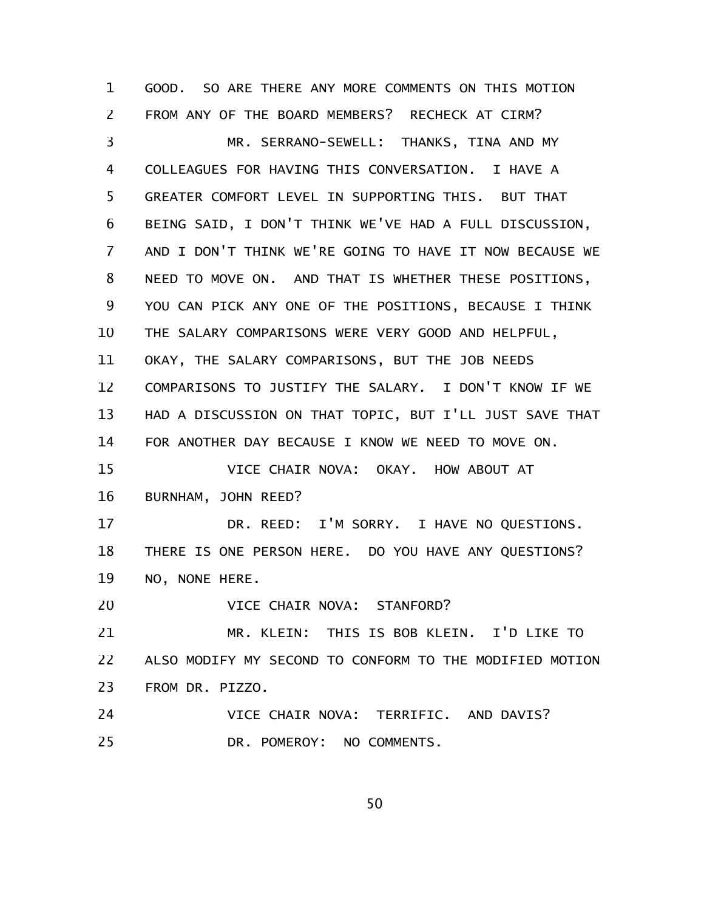GOOD. SO ARE THERE ANY MORE COMMENTS ON THIS MOTION FROM ANY OF THE BOARD MEMBERS? RECHECK AT CIRM? MR. SERRANO-SEWELL: THANKS, TINA AND MY COLLEAGUES FOR HAVING THIS CONVERSATION. I HAVE A GREATER COMFORT LEVEL IN SUPPORTING THIS. BUT THAT BEING SAID, I DON'T THINK WE'VE HAD A FULL DISCUSSION, AND I DON'T THINK WE'RE GOING TO HAVE IT NOW BECAUSE WE NEED TO MOVE ON. AND THAT IS WHETHER THESE POSITIONS, YOU CAN PICK ANY ONE OF THE POSITIONS, BECAUSE I THINK THE SALARY COMPARISONS WERE VERY GOOD AND HELPFUL, OKAY, THE SALARY COMPARISONS, BUT THE JOB NEEDS COMPARISONS TO JUSTIFY THE SALARY. I DON'T KNOW IF WE HAD A DISCUSSION ON THAT TOPIC, BUT I'LL JUST SAVE THAT FOR ANOTHER DAY BECAUSE I KNOW WE NEED TO MOVE ON. VICE CHAIR NOVA: OKAY. HOW ABOUT AT BURNHAM, JOHN REED? DR. REED: I'M SORRY. I HAVE NO QUESTIONS. THERE IS ONE PERSON HERE. DO YOU HAVE ANY QUESTIONS? NO, NONE HERE. VICE CHAIR NOVA: STANFORD? MR. KLEIN: THIS IS BOB KLEIN. I'D LIKE TO ALSO MODIFY MY SECOND TO CONFORM TO THE MODIFIED MOTION FROM DR. PIZZO. VICE CHAIR NOVA: TERRIFIC. AND DAVIS? DR. POMEROY: NO COMMENTS. 1 2 3 4 5 6 7 8 9 10 11 12 13 14 15 16 17 18 19 20 21 22 23 24 25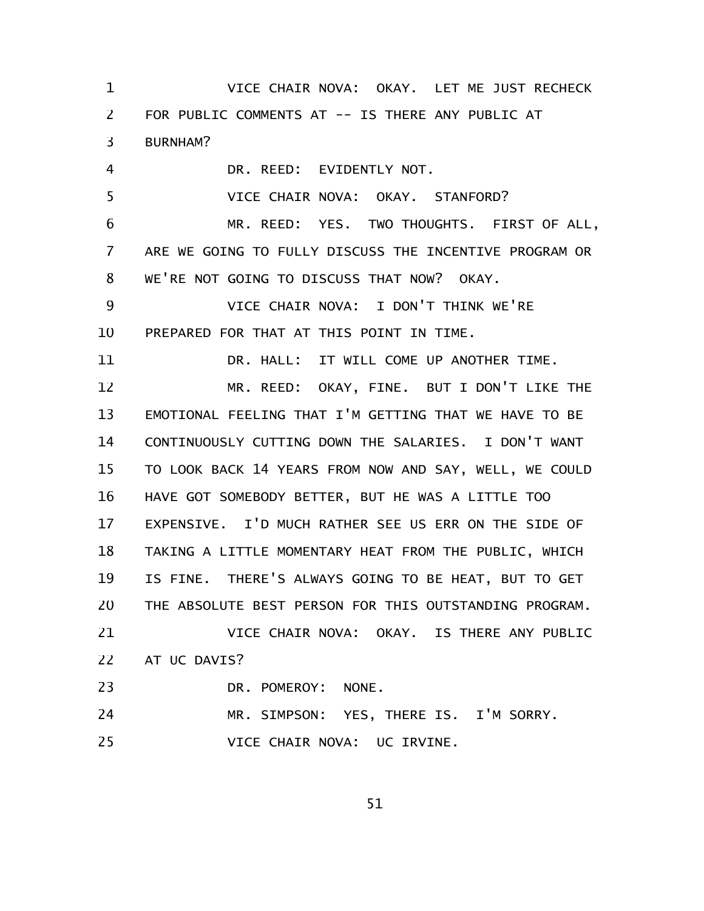VICE CHAIR NOVA: OKAY. LET ME JUST RECHECK FOR PUBLIC COMMENTS AT -- IS THERE ANY PUBLIC AT BURNHAM? DR. REED: EVIDENTLY NOT. VICE CHAIR NOVA: OKAY. STANFORD? MR. REED: YES. TWO THOUGHTS. FIRST OF ALL, ARE WE GOING TO FULLY DISCUSS THE INCENTIVE PROGRAM OR WE'RE NOT GOING TO DISCUSS THAT NOW? OKAY. VICE CHAIR NOVA: I DON'T THINK WE'RE PREPARED FOR THAT AT THIS POINT IN TIME. DR. HALL: IT WILL COME UP ANOTHER TIME. MR. REED: OKAY, FINE. BUT I DON'T LIKE THE EMOTIONAL FEELING THAT I'M GETTING THAT WE HAVE TO BE CONTINUOUSLY CUTTING DOWN THE SALARIES. I DON'T WANT TO LOOK BACK 14 YEARS FROM NOW AND SAY, WELL, WE COULD HAVE GOT SOMEBODY BETTER, BUT HE WAS A LITTLE TOO EXPENSIVE. I'D MUCH RATHER SEE US ERR ON THE SIDE OF TAKING A LITTLE MOMENTARY HEAT FROM THE PUBLIC, WHICH IS FINE. THERE'S ALWAYS GOING TO BE HEAT, BUT TO GET THE ABSOLUTE BEST PERSON FOR THIS OUTSTANDING PROGRAM. VICE CHAIR NOVA: OKAY. IS THERE ANY PUBLIC AT UC DAVIS? DR. POMEROY: NONE. MR. SIMPSON: YES, THERE IS. I'M SORRY. VICE CHAIR NOVA: UC IRVINE. 1 2 3 4 5 6 7 8 9 10 11 12 13 14 15 16 17 18 19 20 21 22 23 24 25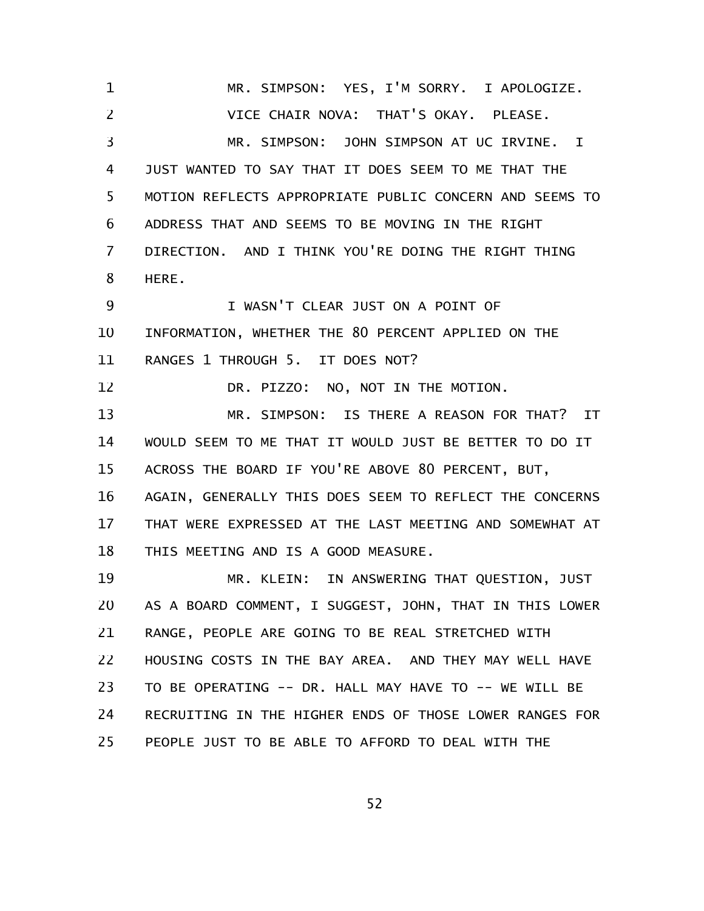MR. SIMPSON: YES, I'M SORRY. I APOLOGIZE. VICE CHAIR NOVA: THAT'S OKAY. PLEASE. MR. SIMPSON: JOHN SIMPSON AT UC IRVINE. I JUST WANTED TO SAY THAT IT DOES SEEM TO ME THAT THE MOTION REFLECTS APPROPRIATE PUBLIC CONCERN AND SEEMS TO ADDRESS THAT AND SEEMS TO BE MOVING IN THE RIGHT DIRECTION. AND I THINK YOU'RE DOING THE RIGHT THING HERE. I WASN'T CLEAR JUST ON A POINT OF INFORMATION, WHETHER THE 80 PERCENT APPLIED ON THE RANGES 1 THROUGH 5. IT DOES NOT? DR. PIZZO: NO, NOT IN THE MOTION. MR. SIMPSON: IS THERE A REASON FOR THAT? IT WOULD SEEM TO ME THAT IT WOULD JUST BE BETTER TO DO IT ACROSS THE BOARD IF YOU'RE ABOVE 80 PERCENT, BUT, AGAIN, GENERALLY THIS DOES SEEM TO REFLECT THE CONCERNS THAT WERE EXPRESSED AT THE LAST MEETING AND SOMEWHAT AT THIS MEETING AND IS A GOOD MEASURE. MR. KLEIN: IN ANSWERING THAT QUESTION, JUST AS A BOARD COMMENT, I SUGGEST, JOHN, THAT IN THIS LOWER RANGE, PEOPLE ARE GOING TO BE REAL STRETCHED WITH HOUSING COSTS IN THE BAY AREA. AND THEY MAY WELL HAVE TO BE OPERATING -- DR. HALL MAY HAVE TO -- WE WILL BE RECRUITING IN THE HIGHER ENDS OF THOSE LOWER RANGES FOR PEOPLE JUST TO BE ABLE TO AFFORD TO DEAL WITH THE 1 2 3 4 5 6 7 8 9 10 11 12 13 14 15 16 17 18 19 20 21 22 23 24 25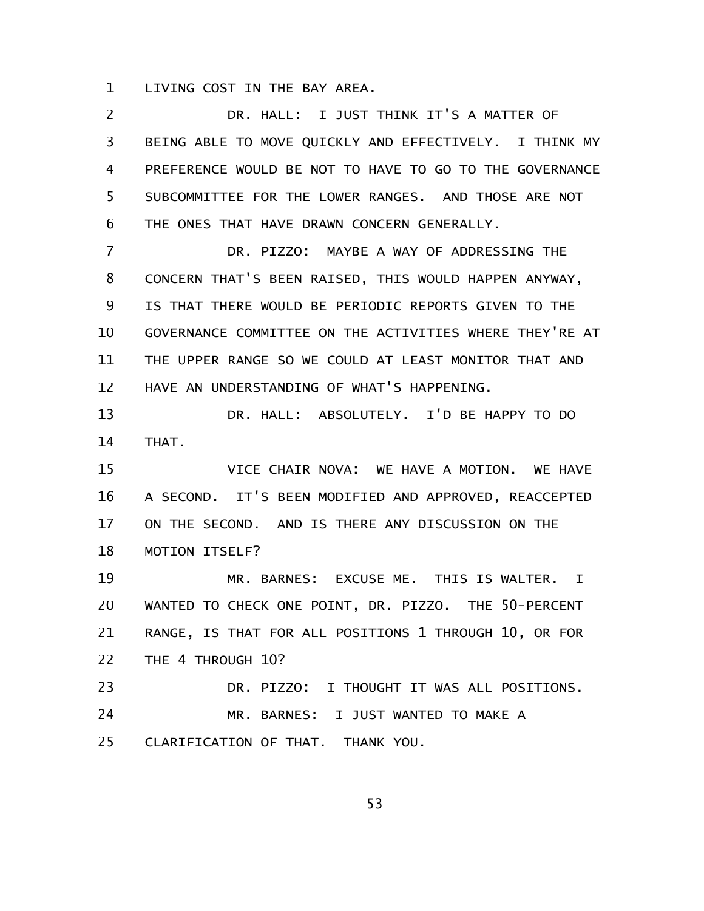LIVING COST IN THE BAY AREA. 1

DR. HALL: I JUST THINK IT'S A MATTER OF BEING ABLE TO MOVE QUICKLY AND EFFECTIVELY. I THINK MY PREFERENCE WOULD BE NOT TO HAVE TO GO TO THE GOVERNANCE SUBCOMMITTEE FOR THE LOWER RANGES. AND THOSE ARE NOT THE ONES THAT HAVE DRAWN CONCERN GENERALLY. 2 3 4 5 6

DR. PIZZO: MAYBE A WAY OF ADDRESSING THE CONCERN THAT'S BEEN RAISED, THIS WOULD HAPPEN ANYWAY, IS THAT THERE WOULD BE PERIODIC REPORTS GIVEN TO THE GOVERNANCE COMMITTEE ON THE ACTIVITIES WHERE THEY'RE AT THE UPPER RANGE SO WE COULD AT LEAST MONITOR THAT AND HAVE AN UNDERSTANDING OF WHAT'S HAPPENING. 7 8 9 10 11 12

DR. HALL: ABSOLUTELY. I'D BE HAPPY TO DO THAT. 13 14

VICE CHAIR NOVA: WE HAVE A MOTION. WE HAVE A SECOND. IT'S BEEN MODIFIED AND APPROVED, REACCEPTED ON THE SECOND. AND IS THERE ANY DISCUSSION ON THE MOTION ITSELF? 15 16 17 18

MR. BARNES: EXCUSE ME. THIS IS WALTER. I WANTED TO CHECK ONE POINT, DR. PIZZO. THE 50-PERCENT RANGE, IS THAT FOR ALL POSITIONS 1 THROUGH 10, OR FOR THE 4 THROUGH 10? 19 20 21 22

DR. PIZZO: I THOUGHT IT WAS ALL POSITIONS. MR. BARNES: I JUST WANTED TO MAKE A CLARIFICATION OF THAT. THANK YOU. 23 24 25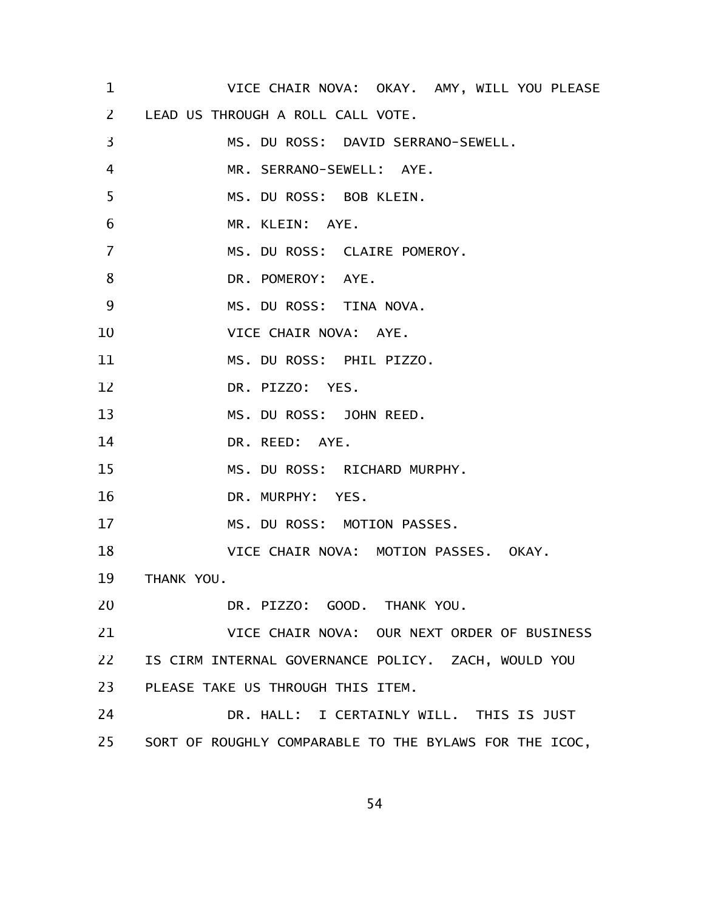VICE CHAIR NOVA: OKAY. AMY, WILL YOU PLEASE LEAD US THROUGH A ROLL CALL VOTE. MS. DU ROSS: DAVID SERRANO-SEWELL. MR. SERRANO-SEWELL: AYE. MS. DU ROSS: BOB KLEIN. MR. KLEIN: AYE. MS. DU ROSS: CLAIRE POMEROY. DR. POMEROY: AYE. MS. DU ROSS: TINA NOVA. VICE CHAIR NOVA: AYE. MS. DU ROSS: PHIL PIZZO. DR. PIZZO: YES. MS. DU ROSS: JOHN REED. DR. REED: AYE. MS. DU ROSS: RICHARD MURPHY. DR. MURPHY: YES. MS. DU ROSS: MOTION PASSES. VICE CHAIR NOVA: MOTION PASSES. OKAY. THANK YOU. DR. PIZZO: GOOD. THANK YOU. VICE CHAIR NOVA: OUR NEXT ORDER OF BUSINESS IS CIRM INTERNAL GOVERNANCE POLICY. ZACH, WOULD YOU PLEASE TAKE US THROUGH THIS ITEM. DR. HALL: I CERTAINLY WILL. THIS IS JUST SORT OF ROUGHLY COMPARABLE TO THE BYLAWS FOR THE ICOC, 1 2 3 4 5 6 7 8 9 10 11 12 13 14 15 16 17 18 19 20 21 22 23 24 25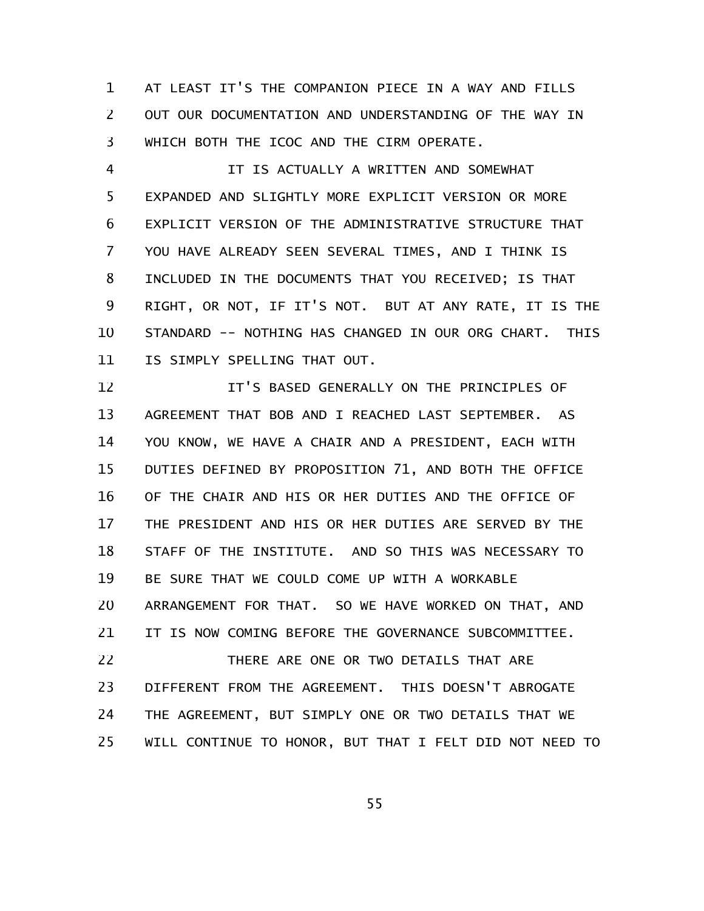AT LEAST IT'S THE COMPANION PIECE IN A WAY AND FILLS OUT OUR DOCUMENTATION AND UNDERSTANDING OF THE WAY IN WHICH BOTH THE ICOC AND THE CIRM OPERATE. 1 2 3

IT IS ACTUALLY A WRITTEN AND SOMEWHAT EXPANDED AND SLIGHTLY MORE EXPLICIT VERSION OR MORE EXPLICIT VERSION OF THE ADMINISTRATIVE STRUCTURE THAT YOU HAVE ALREADY SEEN SEVERAL TIMES, AND I THINK IS INCLUDED IN THE DOCUMENTS THAT YOU RECEIVED; IS THAT RIGHT, OR NOT, IF IT'S NOT. BUT AT ANY RATE, IT IS THE STANDARD -- NOTHING HAS CHANGED IN OUR ORG CHART. THIS IS SIMPLY SPELLING THAT OUT. 4 5 6 7 8 9 10 11

IT'S BASED GENERALLY ON THE PRINCIPLES OF AGREEMENT THAT BOB AND I REACHED LAST SEPTEMBER. AS YOU KNOW, WE HAVE A CHAIR AND A PRESIDENT, EACH WITH DUTIES DEFINED BY PROPOSITION 71, AND BOTH THE OFFICE OF THE CHAIR AND HIS OR HER DUTIES AND THE OFFICE OF THE PRESIDENT AND HIS OR HER DUTIES ARE SERVED BY THE STAFF OF THE INSTITUTE. AND SO THIS WAS NECESSARY TO BE SURE THAT WE COULD COME UP WITH A WORKABLE ARRANGEMENT FOR THAT. SO WE HAVE WORKED ON THAT, AND IT IS NOW COMING BEFORE THE GOVERNANCE SUBCOMMITTEE. THERE ARE ONE OR TWO DETAILS THAT ARE DIFFERENT FROM THE AGREEMENT. THIS DOESN'T ABROGATE 12 13 14 15 16 17 18 19 20 21 22 23

WILL CONTINUE TO HONOR, BUT THAT I FELT DID NOT NEED TO 25

24

THE AGREEMENT, BUT SIMPLY ONE OR TWO DETAILS THAT WE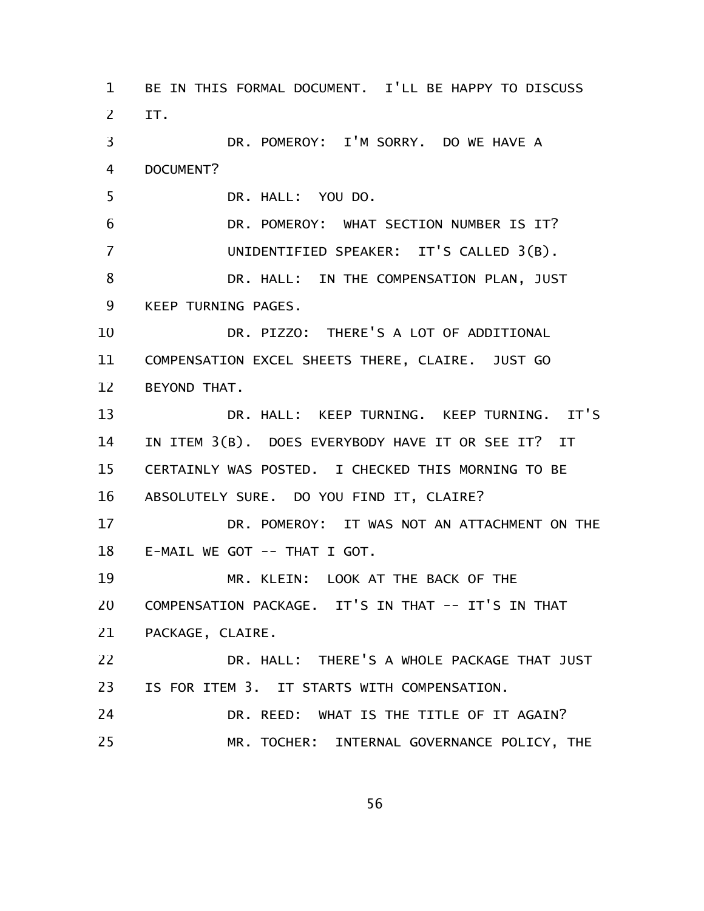BE IN THIS FORMAL DOCUMENT. I'LL BE HAPPY TO DISCUSS IT. DR. POMEROY: I'M SORRY. DO WE HAVE A DOCUMENT? DR. HALL: YOU DO. DR. POMEROY: WHAT SECTION NUMBER IS IT? UNIDENTIFIED SPEAKER: IT'S CALLED 3(B). DR. HALL: IN THE COMPENSATION PLAN, JUST KEEP TURNING PAGES. DR. PIZZO: THERE'S A LOT OF ADDITIONAL COMPENSATION EXCEL SHEETS THERE, CLAIRE. JUST GO BEYOND THAT. DR. HALL: KEEP TURNING. KEEP TURNING. IT'S IN ITEM 3(B). DOES EVERYBODY HAVE IT OR SEE IT? IT CERTAINLY WAS POSTED. I CHECKED THIS MORNING TO BE ABSOLUTELY SURE. DO YOU FIND IT, CLAIRE? DR. POMEROY: IT WAS NOT AN ATTACHMENT ON THE E-MAIL WE GOT -- THAT I GOT. MR. KLEIN: LOOK AT THE BACK OF THE COMPENSATION PACKAGE. IT'S IN THAT -- IT'S IN THAT PACKAGE, CLAIRE. DR. HALL: THERE'S A WHOLE PACKAGE THAT JUST IS FOR ITEM 3. IT STARTS WITH COMPENSATION. DR. REED: WHAT IS THE TITLE OF IT AGAIN? MR. TOCHER: INTERNAL GOVERNANCE POLICY, THE 1 2 3 4 5 6 7 8 9 10 11 12 13 14 15 16 17 18 19 20 21 22 23 24 25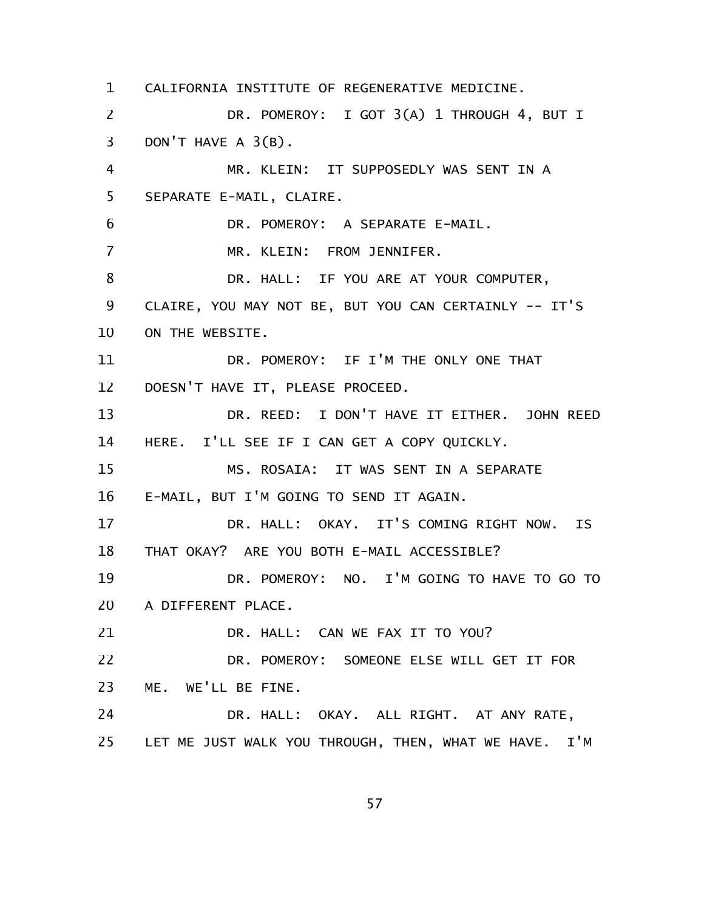CALIFORNIA INSTITUTE OF REGENERATIVE MEDICINE. DR. POMEROY: I GOT 3(A) 1 THROUGH 4, BUT I DON'T HAVE A 3(B). MR. KLEIN: IT SUPPOSEDLY WAS SENT IN A SEPARATE E-MAIL, CLAIRE. DR. POMEROY: A SEPARATE E-MAIL. MR. KLEIN: FROM JENNIFER. DR. HALL: IF YOU ARE AT YOUR COMPUTER, CLAIRE, YOU MAY NOT BE, BUT YOU CAN CERTAINLY -- IT'S ON THE WEBSITE. DR. POMEROY: IF I'M THE ONLY ONE THAT DOESN'T HAVE IT, PLEASE PROCEED. DR. REED: I DON'T HAVE IT EITHER. JOHN REED HERE. I'LL SEE IF I CAN GET A COPY QUICKLY. MS. ROSAIA: IT WAS SENT IN A SEPARATE E-MAIL, BUT I'M GOING TO SEND IT AGAIN. DR. HALL: OKAY. IT'S COMING RIGHT NOW. IS THAT OKAY? ARE YOU BOTH E-MAIL ACCESSIBLE? DR. POMEROY: NO. I'M GOING TO HAVE TO GO TO A DIFFERENT PLACE. DR. HALL: CAN WE FAX IT TO YOU? DR. POMEROY: SOMEONE ELSE WILL GET IT FOR ME. WE'LL BE FINE. DR. HALL: OKAY. ALL RIGHT. AT ANY RATE, LET ME JUST WALK YOU THROUGH, THEN, WHAT WE HAVE. I'M 1 2 3 4 5 6 7 8 9 10 11 12 13 14 15 16 17 18 19 20 21 22 23 24 25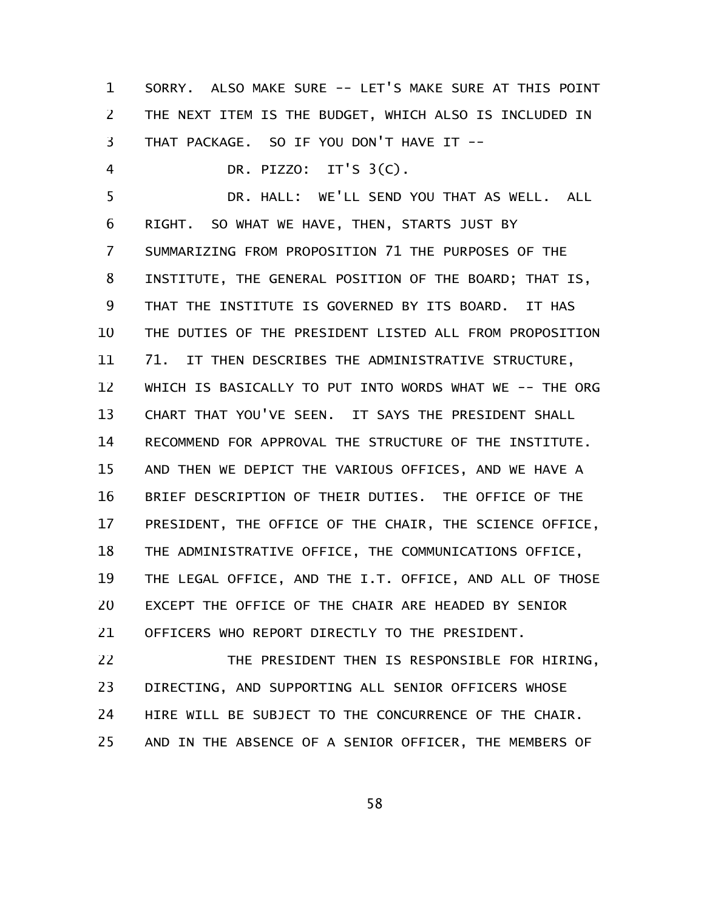SORRY. ALSO MAKE SURE -- LET'S MAKE SURE AT THIS POINT THE NEXT ITEM IS THE BUDGET, WHICH ALSO IS INCLUDED IN THAT PACKAGE. SO IF YOU DON'T HAVE IT -- 1 2 3

DR. PIZZO: IT'S 3(C). 4

DR. HALL: WE'LL SEND YOU THAT AS WELL. ALL RIGHT. SO WHAT WE HAVE, THEN, STARTS JUST BY SUMMARIZING FROM PROPOSITION 71 THE PURPOSES OF THE INSTITUTE, THE GENERAL POSITION OF THE BOARD; THAT IS, THAT THE INSTITUTE IS GOVERNED BY ITS BOARD. IT HAS THE DUTIES OF THE PRESIDENT LISTED ALL FROM PROPOSITION 71. IT THEN DESCRIBES THE ADMINISTRATIVE STRUCTURE, WHICH IS BASICALLY TO PUT INTO WORDS WHAT WE -- THE ORG CHART THAT YOU'VE SEEN. IT SAYS THE PRESIDENT SHALL RECOMMEND FOR APPROVAL THE STRUCTURE OF THE INSTITUTE. AND THEN WE DEPICT THE VARIOUS OFFICES, AND WE HAVE A BRIEF DESCRIPTION OF THEIR DUTIES. THE OFFICE OF THE PRESIDENT, THE OFFICE OF THE CHAIR, THE SCIENCE OFFICE, THE ADMINISTRATIVE OFFICE, THE COMMUNICATIONS OFFICE, THE LEGAL OFFICE, AND THE I.T. OFFICE, AND ALL OF THOSE EXCEPT THE OFFICE OF THE CHAIR ARE HEADED BY SENIOR OFFICERS WHO REPORT DIRECTLY TO THE PRESIDENT. 5 6 7 8 9 10 11 12 13 14 15 16 17 18 19 20 21

THE PRESIDENT THEN IS RESPONSIBLE FOR HIRING, DIRECTING, AND SUPPORTING ALL SENIOR OFFICERS WHOSE HIRE WILL BE SUBJECT TO THE CONCURRENCE OF THE CHAIR. AND IN THE ABSENCE OF A SENIOR OFFICER, THE MEMBERS OF 22 23 24 25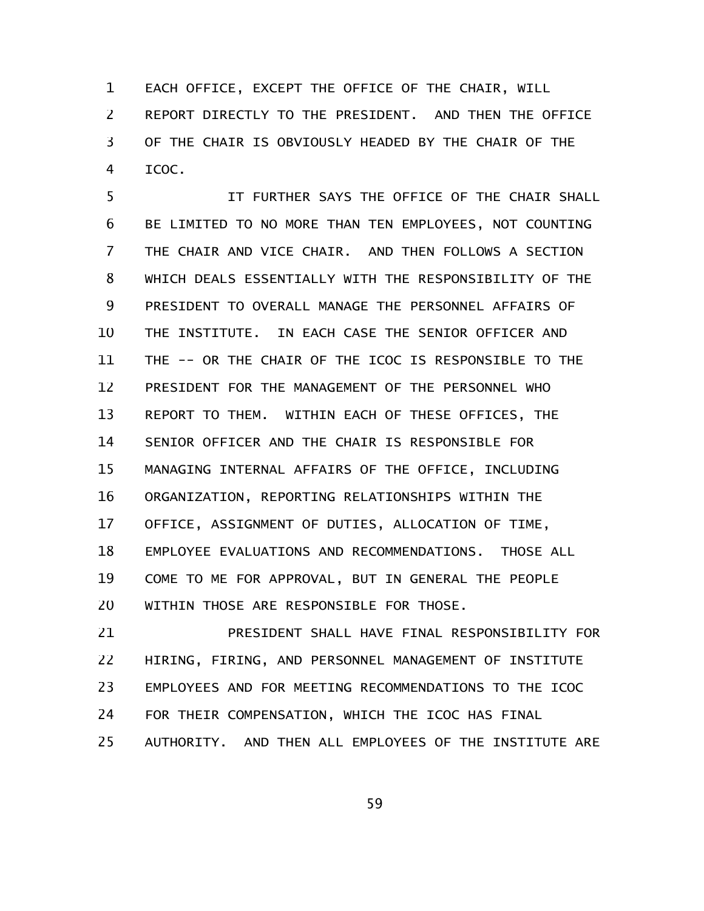EACH OFFICE, EXCEPT THE OFFICE OF THE CHAIR, WILL REPORT DIRECTLY TO THE PRESIDENT. AND THEN THE OFFICE OF THE CHAIR IS OBVIOUSLY HEADED BY THE CHAIR OF THE ICOC. 1 2 3 4

IT FURTHER SAYS THE OFFICE OF THE CHAIR SHALL BE LIMITED TO NO MORE THAN TEN EMPLOYEES, NOT COUNTING THE CHAIR AND VICE CHAIR. AND THEN FOLLOWS A SECTION WHICH DEALS ESSENTIALLY WITH THE RESPONSIBILITY OF THE PRESIDENT TO OVERALL MANAGE THE PERSONNEL AFFAIRS OF THE INSTITUTE. IN EACH CASE THE SENIOR OFFICER AND THE -- OR THE CHAIR OF THE ICOC IS RESPONSIBLE TO THE PRESIDENT FOR THE MANAGEMENT OF THE PERSONNEL WHO REPORT TO THEM. WITHIN EACH OF THESE OFFICES, THE SENIOR OFFICER AND THE CHAIR IS RESPONSIBLE FOR MANAGING INTERNAL AFFAIRS OF THE OFFICE, INCLUDING ORGANIZATION, REPORTING RELATIONSHIPS WITHIN THE OFFICE, ASSIGNMENT OF DUTIES, ALLOCATION OF TIME, EMPLOYEE EVALUATIONS AND RECOMMENDATIONS. THOSE ALL COME TO ME FOR APPROVAL, BUT IN GENERAL THE PEOPLE WITHIN THOSE ARE RESPONSIBLE FOR THOSE. 5 6 7 8 9 10 11 12 13 14 15 16 17 18 19 20

PRESIDENT SHALL HAVE FINAL RESPONSIBILITY FOR HIRING, FIRING, AND PERSONNEL MANAGEMENT OF INSTITUTE EMPLOYEES AND FOR MEETING RECOMMENDATIONS TO THE ICOC FOR THEIR COMPENSATION, WHICH THE ICOC HAS FINAL AUTHORITY. AND THEN ALL EMPLOYEES OF THE INSTITUTE ARE 21 22 23 24 25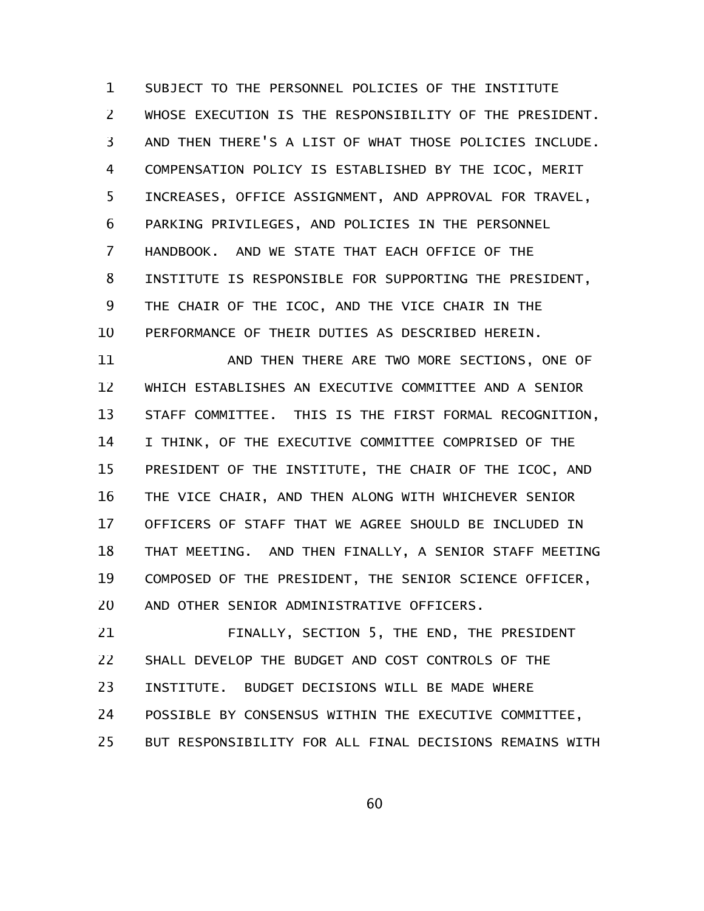SUBJECT TO THE PERSONNEL POLICIES OF THE INSTITUTE WHOSE EXECUTION IS THE RESPONSIBILITY OF THE PRESIDENT. AND THEN THERE'S A LIST OF WHAT THOSE POLICIES INCLUDE. COMPENSATION POLICY IS ESTABLISHED BY THE ICOC, MERIT INCREASES, OFFICE ASSIGNMENT, AND APPROVAL FOR TRAVEL, PARKING PRIVILEGES, AND POLICIES IN THE PERSONNEL HANDBOOK. AND WE STATE THAT EACH OFFICE OF THE INSTITUTE IS RESPONSIBLE FOR SUPPORTING THE PRESIDENT, THE CHAIR OF THE ICOC, AND THE VICE CHAIR IN THE PERFORMANCE OF THEIR DUTIES AS DESCRIBED HEREIN. 1 2 3 4 5 6 7 8 9 10

AND THEN THERE ARE TWO MORE SECTIONS, ONE OF WHICH ESTABLISHES AN EXECUTIVE COMMITTEE AND A SENIOR STAFF COMMITTEE. THIS IS THE FIRST FORMAL RECOGNITION, I THINK, OF THE EXECUTIVE COMMITTEE COMPRISED OF THE PRESIDENT OF THE INSTITUTE, THE CHAIR OF THE ICOC, AND THE VICE CHAIR, AND THEN ALONG WITH WHICHEVER SENIOR OFFICERS OF STAFF THAT WE AGREE SHOULD BE INCLUDED IN THAT MEETING. AND THEN FINALLY, A SENIOR STAFF MEETING COMPOSED OF THE PRESIDENT, THE SENIOR SCIENCE OFFICER, AND OTHER SENIOR ADMINISTRATIVE OFFICERS. 11 12 13 14 15 16 17 18 19 20

FINALLY, SECTION 5, THE END, THE PRESIDENT SHALL DEVELOP THE BUDGET AND COST CONTROLS OF THE INSTITUTE. BUDGET DECISIONS WILL BE MADE WHERE POSSIBLE BY CONSENSUS WITHIN THE EXECUTIVE COMMITTEE, BUT RESPONSIBILITY FOR ALL FINAL DECISIONS REMAINS WITH 21 22 23 24 25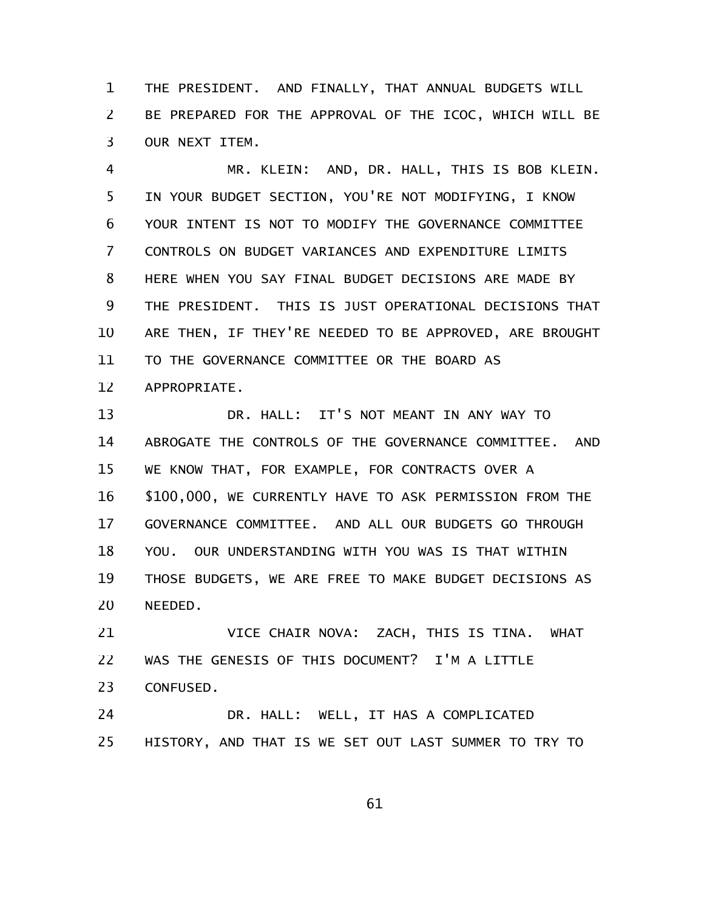THE PRESIDENT. AND FINALLY, THAT ANNUAL BUDGETS WILL BE PREPARED FOR THE APPROVAL OF THE ICOC, WHICH WILL BE OUR NEXT ITEM. 1 2 3

MR. KLEIN: AND, DR. HALL, THIS IS BOB KLEIN. IN YOUR BUDGET SECTION, YOU'RE NOT MODIFYING, I KNOW YOUR INTENT IS NOT TO MODIFY THE GOVERNANCE COMMITTEE CONTROLS ON BUDGET VARIANCES AND EXPENDITURE LIMITS HERE WHEN YOU SAY FINAL BUDGET DECISIONS ARE MADE BY THE PRESIDENT. THIS IS JUST OPERATIONAL DECISIONS THAT ARE THEN, IF THEY'RE NEEDED TO BE APPROVED, ARE BROUGHT TO THE GOVERNANCE COMMITTEE OR THE BOARD AS APPROPRIATE. 4 5 6 7 8 9 10 11 12

DR. HALL: IT'S NOT MEANT IN ANY WAY TO ABROGATE THE CONTROLS OF THE GOVERNANCE COMMITTEE. AND WE KNOW THAT, FOR EXAMPLE, FOR CONTRACTS OVER A \$100,000, WE CURRENTLY HAVE TO ASK PERMISSION FROM THE GOVERNANCE COMMITTEE. AND ALL OUR BUDGETS GO THROUGH YOU. OUR UNDERSTANDING WITH YOU WAS IS THAT WITHIN THOSE BUDGETS, WE ARE FREE TO MAKE BUDGET DECISIONS AS NEEDED. 13 14 15 16 17 18 19 20

VICE CHAIR NOVA: ZACH, THIS IS TINA. WHAT WAS THE GENESIS OF THIS DOCUMENT? I'M A LITTLE CONFUSED. 21 22 23

DR. HALL: WELL, IT HAS A COMPLICATED HISTORY, AND THAT IS WE SET OUT LAST SUMMER TO TRY TO 24 25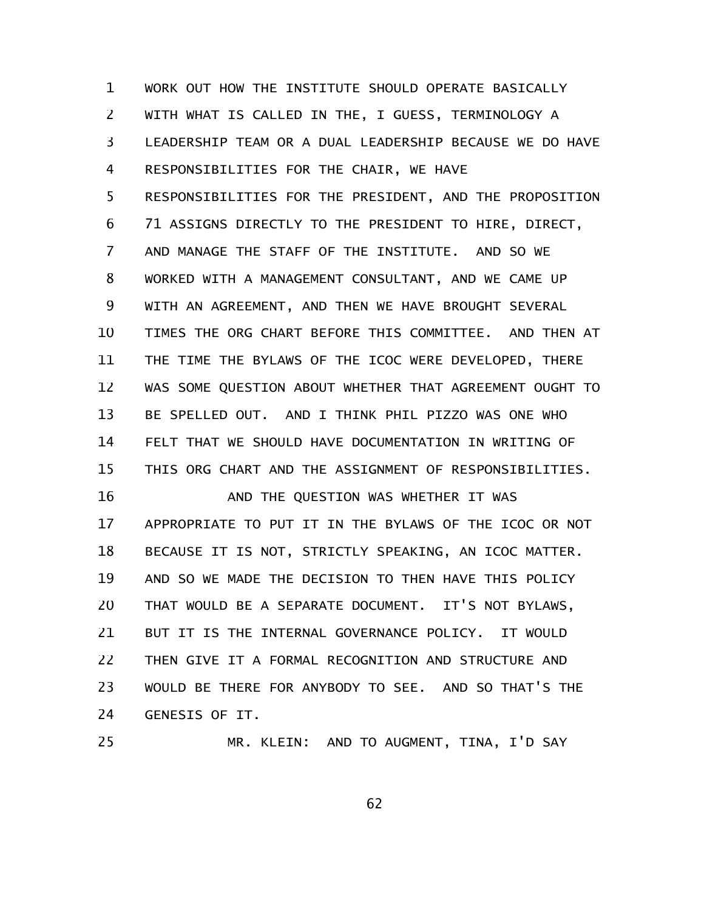WORK OUT HOW THE INSTITUTE SHOULD OPERATE BASICALLY WITH WHAT IS CALLED IN THE, I GUESS, TERMINOLOGY A LEADERSHIP TEAM OR A DUAL LEADERSHIP BECAUSE WE DO HAVE RESPONSIBILITIES FOR THE CHAIR, WE HAVE RESPONSIBILITIES FOR THE PRESIDENT, AND THE PROPOSITION 71 ASSIGNS DIRECTLY TO THE PRESIDENT TO HIRE, DIRECT, AND MANAGE THE STAFF OF THE INSTITUTE. AND SO WE WORKED WITH A MANAGEMENT CONSULTANT, AND WE CAME UP WITH AN AGREEMENT, AND THEN WE HAVE BROUGHT SEVERAL TIMES THE ORG CHART BEFORE THIS COMMITTEE. AND THEN AT THE TIME THE BYLAWS OF THE ICOC WERE DEVELOPED, THERE WAS SOME QUESTION ABOUT WHETHER THAT AGREEMENT OUGHT TO BE SPELLED OUT. AND I THINK PHIL PIZZO WAS ONE WHO FELT THAT WE SHOULD HAVE DOCUMENTATION IN WRITING OF THIS ORG CHART AND THE ASSIGNMENT OF RESPONSIBILITIES. AND THE QUESTION WAS WHETHER IT WAS APPROPRIATE TO PUT IT IN THE BYLAWS OF THE ICOC OR NOT BECAUSE IT IS NOT, STRICTLY SPEAKING, AN ICOC MATTER. AND SO WE MADE THE DECISION TO THEN HAVE THIS POLICY THAT WOULD BE A SEPARATE DOCUMENT. IT'S NOT BYLAWS, BUT IT IS THE INTERNAL GOVERNANCE POLICY. IT WOULD THEN GIVE IT A FORMAL RECOGNITION AND STRUCTURE AND WOULD BE THERE FOR ANYBODY TO SEE. AND SO THAT'S THE GENESIS OF IT. 1 2 3 4 5 6 7 8 9 10 11 12 13 14 15 16 17 18 19 20 21 22 23 24

25

MR. KLEIN: AND TO AUGMENT, TINA, I'D SAY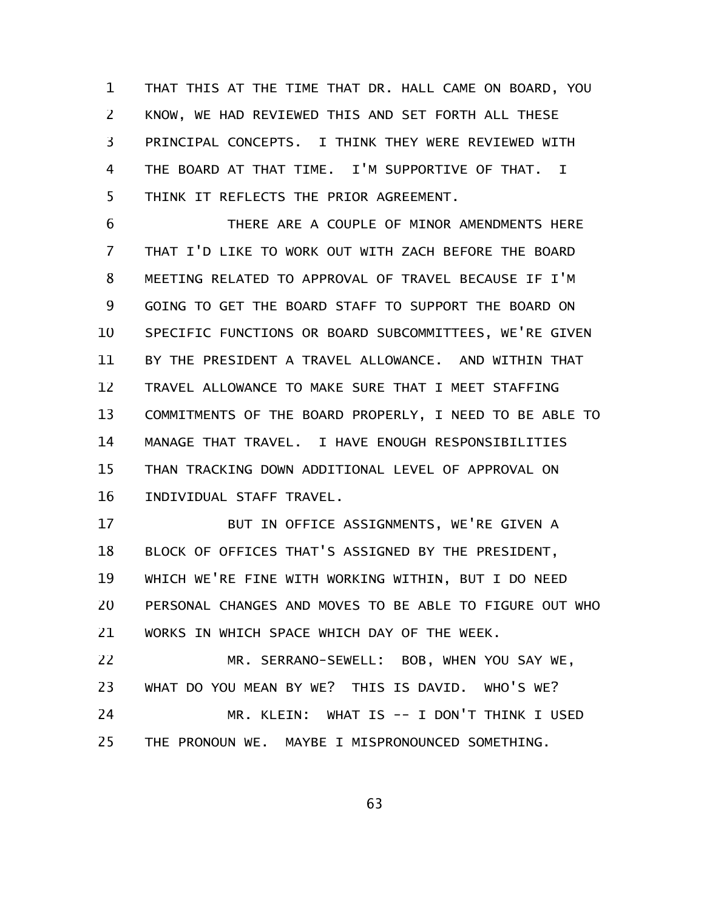THAT THIS AT THE TIME THAT DR. HALL CAME ON BOARD, YOU KNOW, WE HAD REVIEWED THIS AND SET FORTH ALL THESE PRINCIPAL CONCEPTS. I THINK THEY WERE REVIEWED WITH THE BOARD AT THAT TIME. I'M SUPPORTIVE OF THAT. I THINK IT REFLECTS THE PRIOR AGREEMENT. 1 2 3 4 5

THERE ARE A COUPLE OF MINOR AMENDMENTS HERE THAT I'D LIKE TO WORK OUT WITH ZACH BEFORE THE BOARD MEETING RELATED TO APPROVAL OF TRAVEL BECAUSE IF I'M GOING TO GET THE BOARD STAFF TO SUPPORT THE BOARD ON SPECIFIC FUNCTIONS OR BOARD SUBCOMMITTEES, WE'RE GIVEN BY THE PRESIDENT A TRAVEL ALLOWANCE. AND WITHIN THAT TRAVEL ALLOWANCE TO MAKE SURE THAT I MEET STAFFING COMMITMENTS OF THE BOARD PROPERLY, I NEED TO BE ABLE TO MANAGE THAT TRAVEL. I HAVE ENOUGH RESPONSIBILITIES THAN TRACKING DOWN ADDITIONAL LEVEL OF APPROVAL ON INDIVIDUAL STAFF TRAVEL. 6 7 8 9 10 11 12 13 14 15 16

BUT IN OFFICE ASSIGNMENTS, WE'RE GIVEN A BLOCK OF OFFICES THAT'S ASSIGNED BY THE PRESIDENT, WHICH WE'RE FINE WITH WORKING WITHIN, BUT I DO NEED PERSONAL CHANGES AND MOVES TO BE ABLE TO FIGURE OUT WHO WORKS IN WHICH SPACE WHICH DAY OF THE WEEK. 17 18 19 20 21

MR. SERRANO-SEWELL: BOB, WHEN YOU SAY WE, WHAT DO YOU MEAN BY WE? THIS IS DAVID. WHO'S WE? MR. KLEIN: WHAT IS -- I DON'T THINK I USED THE PRONOUN WE. MAYBE I MISPRONOUNCED SOMETHING. 22 23 24 25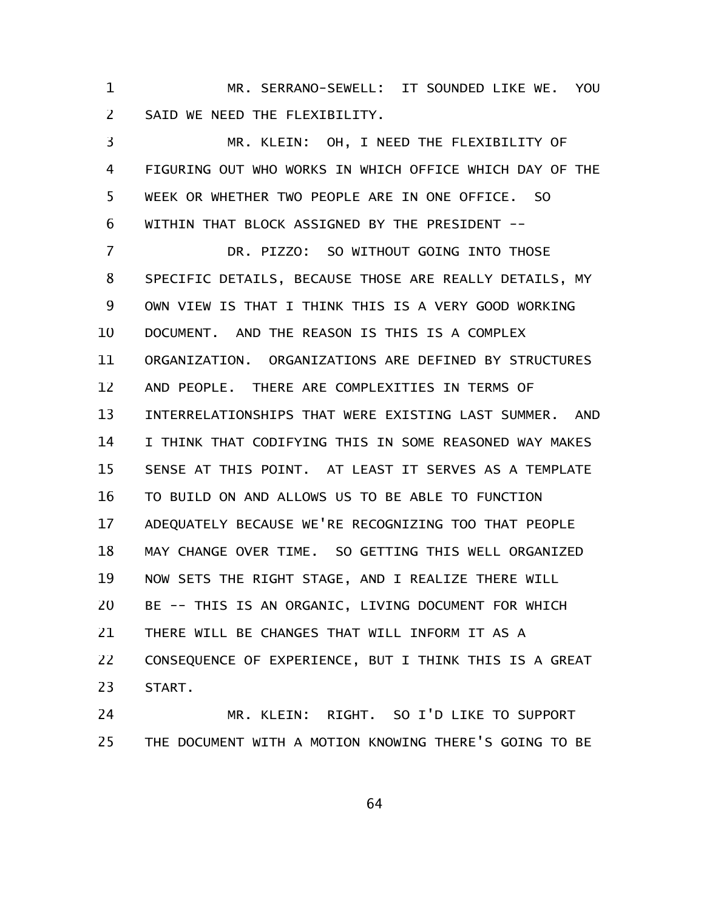MR. SERRANO-SEWELL: IT SOUNDED LIKE WE. YOU SAID WE NEED THE FLEXIBILITY. 1 2

MR. KLEIN: OH, I NEED THE FLEXIBILITY OF FIGURING OUT WHO WORKS IN WHICH OFFICE WHICH DAY OF THE WEEK OR WHETHER TWO PEOPLE ARE IN ONE OFFICE. SO WITHIN THAT BLOCK ASSIGNED BY THE PRESIDENT -- 3 4 5 6

DR. PIZZO: SO WITHOUT GOING INTO THOSE SPECIFIC DETAILS, BECAUSE THOSE ARE REALLY DETAILS, MY OWN VIEW IS THAT I THINK THIS IS A VERY GOOD WORKING DOCUMENT. AND THE REASON IS THIS IS A COMPLEX ORGANIZATION. ORGANIZATIONS ARE DEFINED BY STRUCTURES AND PEOPLE. THERE ARE COMPLEXITIES IN TERMS OF INTERRELATIONSHIPS THAT WERE EXISTING LAST SUMMER. AND I THINK THAT CODIFYING THIS IN SOME REASONED WAY MAKES SENSE AT THIS POINT. AT LEAST IT SERVES AS A TEMPLATE TO BUILD ON AND ALLOWS US TO BE ABLE TO FUNCTION ADEQUATELY BECAUSE WE'RE RECOGNIZING TOO THAT PEOPLE MAY CHANGE OVER TIME. SO GETTING THIS WELL ORGANIZED NOW SETS THE RIGHT STAGE, AND I REALIZE THERE WILL BE -- THIS IS AN ORGANIC, LIVING DOCUMENT FOR WHICH THERE WILL BE CHANGES THAT WILL INFORM IT AS A CONSEQUENCE OF EXPERIENCE, BUT I THINK THIS IS A GREAT START. 7 8 9 10 11 12 13 14 15 16 17 18 19 20 21 22 23

MR. KLEIN: RIGHT. SO I'D LIKE TO SUPPORT THE DOCUMENT WITH A MOTION KNOWING THERE'S GOING TO BE 24 25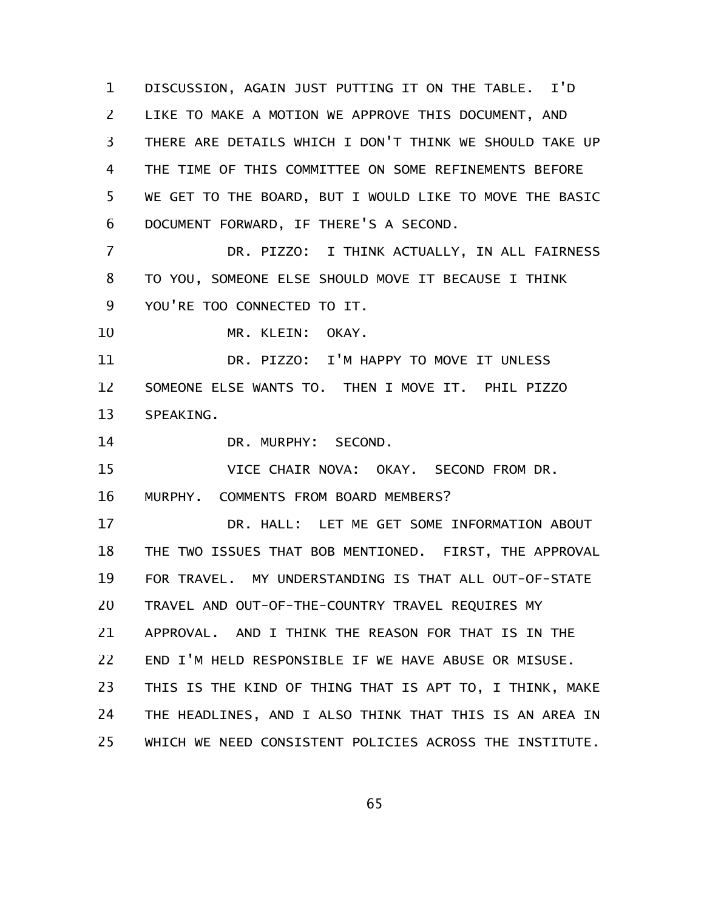DISCUSSION, AGAIN JUST PUTTING IT ON THE TABLE. I'D LIKE TO MAKE A MOTION WE APPROVE THIS DOCUMENT, AND THERE ARE DETAILS WHICH I DON'T THINK WE SHOULD TAKE UP THE TIME OF THIS COMMITTEE ON SOME REFINEMENTS BEFORE WE GET TO THE BOARD, BUT I WOULD LIKE TO MOVE THE BASIC DOCUMENT FORWARD, IF THERE'S A SECOND. 1 2 3 4 5 6

DR. PIZZO: I THINK ACTUALLY, IN ALL FAIRNESS TO YOU, SOMEONE ELSE SHOULD MOVE IT BECAUSE I THINK YOU'RE TOO CONNECTED TO IT. 7 8 9

MR. KLEIN: OKAY. 10

DR. PIZZO: I'M HAPPY TO MOVE IT UNLESS SOMEONE ELSE WANTS TO. THEN I MOVE IT. PHIL PIZZO SPEAKING. 11 12 13

DR. MURPHY: SECOND. 14

VICE CHAIR NOVA: OKAY. SECOND FROM DR. MURPHY. COMMENTS FROM BOARD MEMBERS? 15 16

DR. HALL: LET ME GET SOME INFORMATION ABOUT THE TWO ISSUES THAT BOB MENTIONED. FIRST, THE APPROVAL FOR TRAVEL. MY UNDERSTANDING IS THAT ALL OUT-OF-STATE TRAVEL AND OUT-OF-THE-COUNTRY TRAVEL REQUIRES MY APPROVAL. AND I THINK THE REASON FOR THAT IS IN THE END I'M HELD RESPONSIBLE IF WE HAVE ABUSE OR MISUSE. THIS IS THE KIND OF THING THAT IS APT TO, I THINK, MAKE THE HEADLINES, AND I ALSO THINK THAT THIS IS AN AREA IN WHICH WE NEED CONSISTENT POLICIES ACROSS THE INSTITUTE. 17 18 19 20 21 22 23 24 25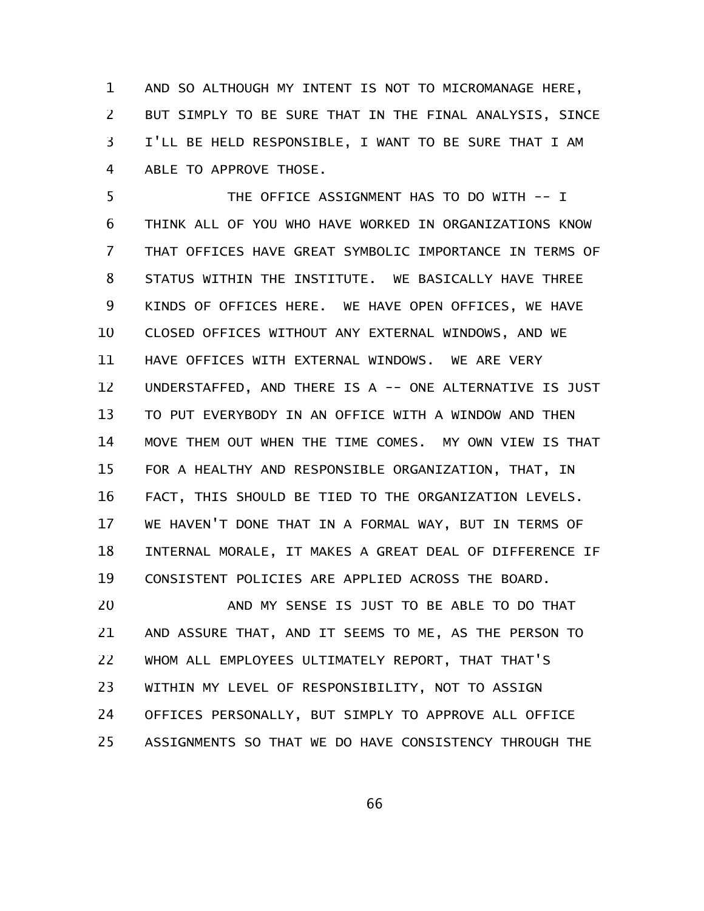AND SO ALTHOUGH MY INTENT IS NOT TO MICROMANAGE HERE, BUT SIMPLY TO BE SURE THAT IN THE FINAL ANALYSIS, SINCE I'LL BE HELD RESPONSIBLE, I WANT TO BE SURE THAT I AM ABLE TO APPROVE THOSE. 1 2 3 4

THE OFFICE ASSIGNMENT HAS TO DO WITH -- I THINK ALL OF YOU WHO HAVE WORKED IN ORGANIZATIONS KNOW THAT OFFICES HAVE GREAT SYMBOLIC IMPORTANCE IN TERMS OF STATUS WITHIN THE INSTITUTE. WE BASICALLY HAVE THREE KINDS OF OFFICES HERE. WE HAVE OPEN OFFICES, WE HAVE CLOSED OFFICES WITHOUT ANY EXTERNAL WINDOWS, AND WE HAVE OFFICES WITH EXTERNAL WINDOWS. WE ARE VERY UNDERSTAFFED, AND THERE IS A -- ONE ALTERNATIVE IS JUST TO PUT EVERYBODY IN AN OFFICE WITH A WINDOW AND THEN MOVE THEM OUT WHEN THE TIME COMES. MY OWN VIEW IS THAT FOR A HEALTHY AND RESPONSIBLE ORGANIZATION, THAT, IN FACT, THIS SHOULD BE TIED TO THE ORGANIZATION LEVELS. WE HAVEN'T DONE THAT IN A FORMAL WAY, BUT IN TERMS OF INTERNAL MORALE, IT MAKES A GREAT DEAL OF DIFFERENCE IF CONSISTENT POLICIES ARE APPLIED ACROSS THE BOARD. 5 6 7 8 9 10 11 12 13 14 15 16 17 18 19

AND MY SENSE IS JUST TO BE ABLE TO DO THAT AND ASSURE THAT, AND IT SEEMS TO ME, AS THE PERSON TO WHOM ALL EMPLOYEES ULTIMATELY REPORT, THAT THAT'S WITHIN MY LEVEL OF RESPONSIBILITY, NOT TO ASSIGN OFFICES PERSONALLY, BUT SIMPLY TO APPROVE ALL OFFICE ASSIGNMENTS SO THAT WE DO HAVE CONSISTENCY THROUGH THE 20 21 22 23 24 25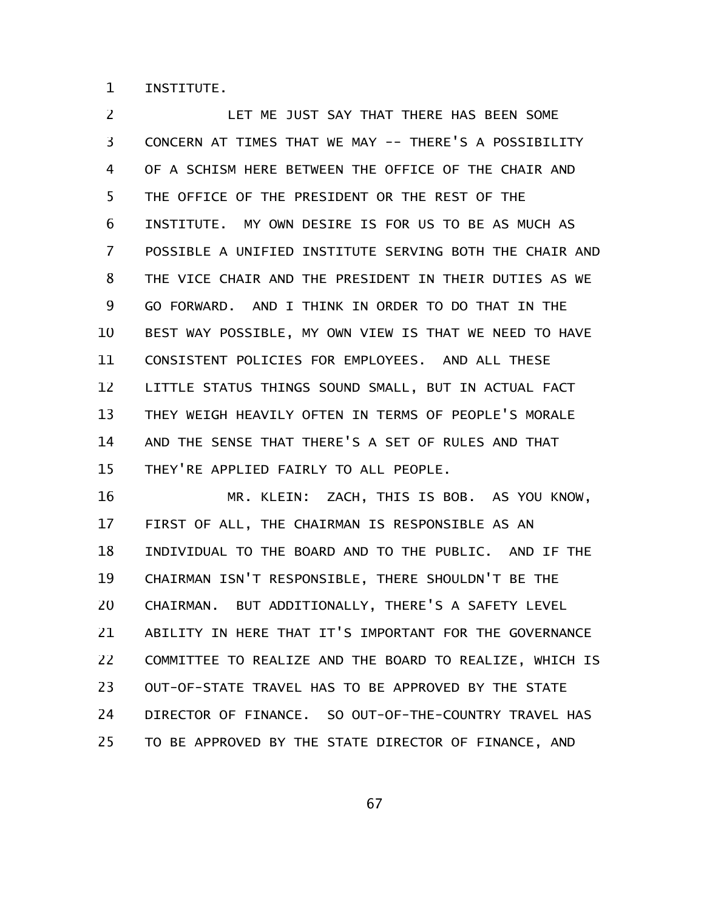INSTITUTE. 1

LET ME JUST SAY THAT THERE HAS BEEN SOME CONCERN AT TIMES THAT WE MAY -- THERE'S A POSSIBILITY OF A SCHISM HERE BETWEEN THE OFFICE OF THE CHAIR AND THE OFFICE OF THE PRESIDENT OR THE REST OF THE INSTITUTE. MY OWN DESIRE IS FOR US TO BE AS MUCH AS POSSIBLE A UNIFIED INSTITUTE SERVING BOTH THE CHAIR AND THE VICE CHAIR AND THE PRESIDENT IN THEIR DUTIES AS WE GO FORWARD. AND I THINK IN ORDER TO DO THAT IN THE BEST WAY POSSIBLE, MY OWN VIEW IS THAT WE NEED TO HAVE CONSISTENT POLICIES FOR EMPLOYEES. AND ALL THESE LITTLE STATUS THINGS SOUND SMALL, BUT IN ACTUAL FACT THEY WEIGH HEAVILY OFTEN IN TERMS OF PEOPLE'S MORALE AND THE SENSE THAT THERE'S A SET OF RULES AND THAT THEY'RE APPLIED FAIRLY TO ALL PEOPLE. 2 3 4 5 6 7 8 9 10 11 12 13 14 15

MR. KLEIN: ZACH, THIS IS BOB. AS YOU KNOW, FIRST OF ALL, THE CHAIRMAN IS RESPONSIBLE AS AN INDIVIDUAL TO THE BOARD AND TO THE PUBLIC. AND IF THE CHAIRMAN ISN'T RESPONSIBLE, THERE SHOULDN'T BE THE CHAIRMAN. BUT ADDITIONALLY, THERE'S A SAFETY LEVEL ABILITY IN HERE THAT IT'S IMPORTANT FOR THE GOVERNANCE COMMITTEE TO REALIZE AND THE BOARD TO REALIZE, WHICH IS OUT-OF-STATE TRAVEL HAS TO BE APPROVED BY THE STATE DIRECTOR OF FINANCE. SO OUT-OF-THE-COUNTRY TRAVEL HAS TO BE APPROVED BY THE STATE DIRECTOR OF FINANCE, AND 16 17 18 19 20 21 22 23 24 25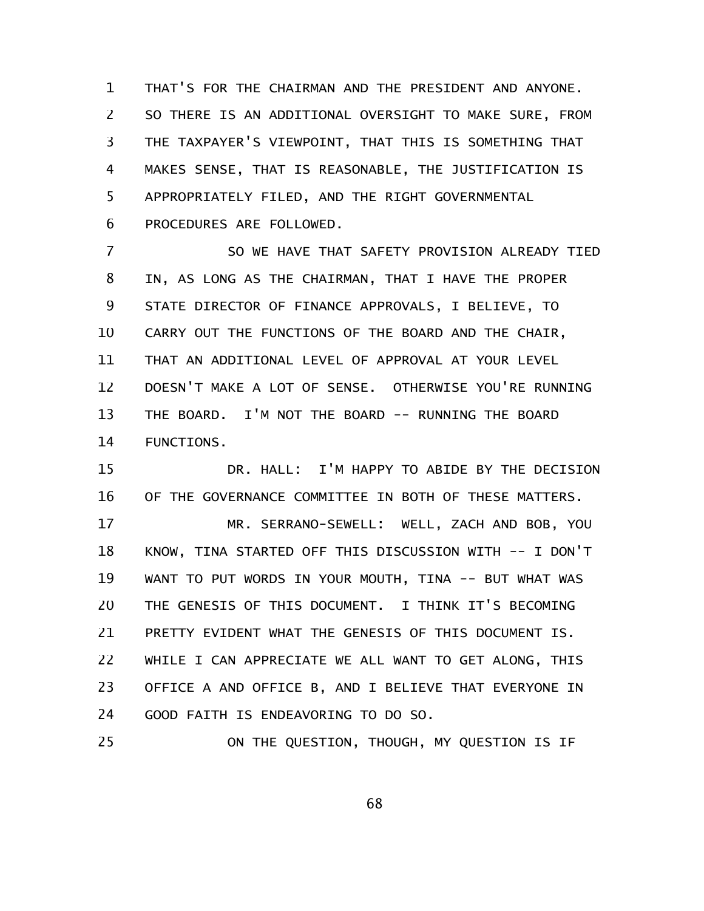THAT'S FOR THE CHAIRMAN AND THE PRESIDENT AND ANYONE. SO THERE IS AN ADDITIONAL OVERSIGHT TO MAKE SURE, FROM THE TAXPAYER'S VIEWPOINT, THAT THIS IS SOMETHING THAT MAKES SENSE, THAT IS REASONABLE, THE JUSTIFICATION IS APPROPRIATELY FILED, AND THE RIGHT GOVERNMENTAL PROCEDURES ARE FOLLOWED. 1 2 3 4 5 6

SO WE HAVE THAT SAFETY PROVISION ALREADY TIED IN, AS LONG AS THE CHAIRMAN, THAT I HAVE THE PROPER STATE DIRECTOR OF FINANCE APPROVALS, I BELIEVE, TO CARRY OUT THE FUNCTIONS OF THE BOARD AND THE CHAIR, THAT AN ADDITIONAL LEVEL OF APPROVAL AT YOUR LEVEL DOESN'T MAKE A LOT OF SENSE. OTHERWISE YOU'RE RUNNING THE BOARD. I'M NOT THE BOARD -- RUNNING THE BOARD FUNCTIONS. 7 8 9 10 11 12 13 14

DR. HALL: I'M HAPPY TO ABIDE BY THE DECISION OF THE GOVERNANCE COMMITTEE IN BOTH OF THESE MATTERS. 15 16

MR. SERRANO-SEWELL: WELL, ZACH AND BOB, YOU KNOW, TINA STARTED OFF THIS DISCUSSION WITH -- I DON'T WANT TO PUT WORDS IN YOUR MOUTH, TINA -- BUT WHAT WAS THE GENESIS OF THIS DOCUMENT. I THINK IT'S BECOMING PRETTY EVIDENT WHAT THE GENESIS OF THIS DOCUMENT IS. WHILE I CAN APPRECIATE WE ALL WANT TO GET ALONG, THIS OFFICE A AND OFFICE B, AND I BELIEVE THAT EVERYONE IN GOOD FAITH IS ENDEAVORING TO DO SO. 17 18 19 20 21 22 23 24

ON THE QUESTION, THOUGH, MY QUESTION IS IF 25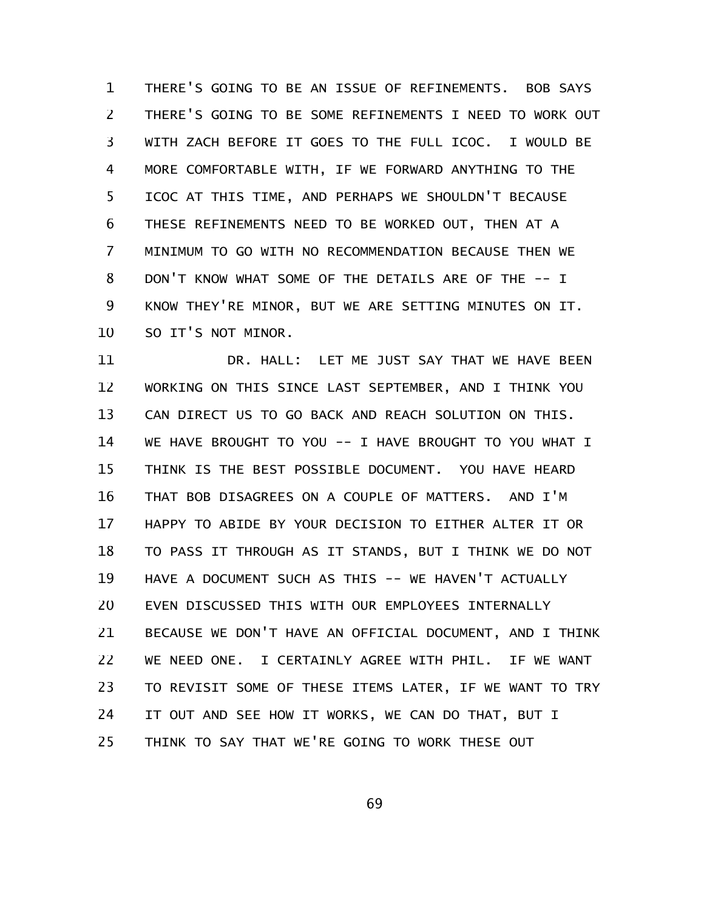THERE'S GOING TO BE AN ISSUE OF REFINEMENTS. BOB SAYS THERE'S GOING TO BE SOME REFINEMENTS I NEED TO WORK OUT WITH ZACH BEFORE IT GOES TO THE FULL ICOC. I WOULD BE MORE COMFORTABLE WITH, IF WE FORWARD ANYTHING TO THE ICOC AT THIS TIME, AND PERHAPS WE SHOULDN'T BECAUSE THESE REFINEMENTS NEED TO BE WORKED OUT, THEN AT A MINIMUM TO GO WITH NO RECOMMENDATION BECAUSE THEN WE DON'T KNOW WHAT SOME OF THE DETAILS ARE OF THE -- I KNOW THEY'RE MINOR, BUT WE ARE SETTING MINUTES ON IT. SO IT'S NOT MINOR. 1 2 3 4 5 6 7 8 9 10

DR. HALL: LET ME JUST SAY THAT WE HAVE BEEN WORKING ON THIS SINCE LAST SEPTEMBER, AND I THINK YOU CAN DIRECT US TO GO BACK AND REACH SOLUTION ON THIS. WE HAVE BROUGHT TO YOU -- I HAVE BROUGHT TO YOU WHAT I THINK IS THE BEST POSSIBLE DOCUMENT. YOU HAVE HEARD THAT BOB DISAGREES ON A COUPLE OF MATTERS. AND I'M HAPPY TO ABIDE BY YOUR DECISION TO EITHER ALTER IT OR TO PASS IT THROUGH AS IT STANDS, BUT I THINK WE DO NOT HAVE A DOCUMENT SUCH AS THIS -- WE HAVEN'T ACTUALLY EVEN DISCUSSED THIS WITH OUR EMPLOYEES INTERNALLY BECAUSE WE DON'T HAVE AN OFFICIAL DOCUMENT, AND I THINK WE NEED ONE. I CERTAINLY AGREE WITH PHIL. IF WE WANT TO REVISIT SOME OF THESE ITEMS LATER, IF WE WANT TO TRY IT OUT AND SEE HOW IT WORKS, WE CAN DO THAT, BUT I THINK TO SAY THAT WE'RE GOING TO WORK THESE OUT 11 12 13 14 15 16 17 18 19 20 21 22 23 24 25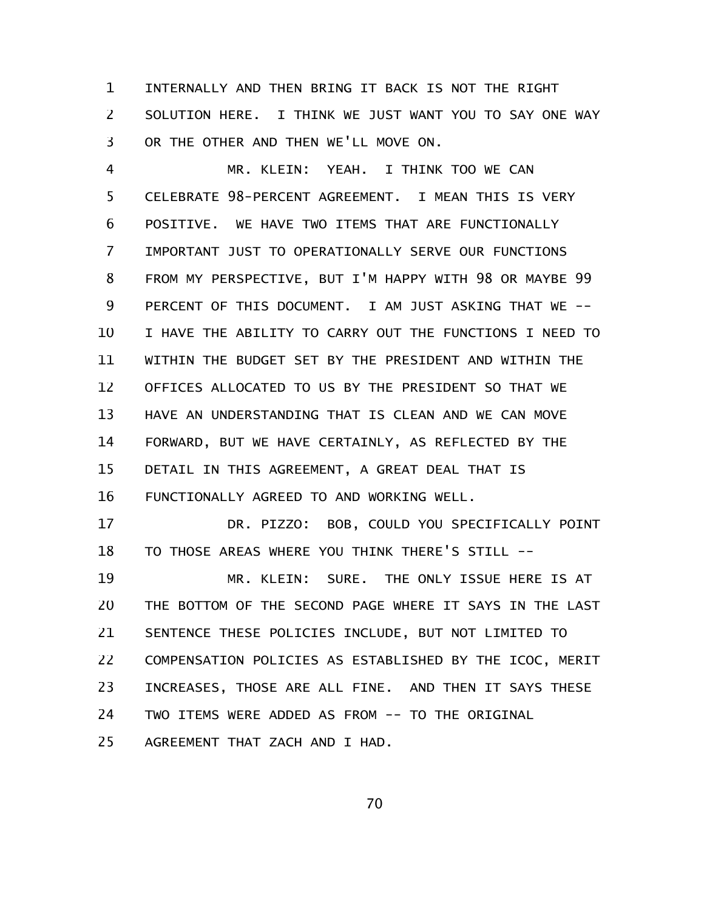INTERNALLY AND THEN BRING IT BACK IS NOT THE RIGHT SOLUTION HERE. I THINK WE JUST WANT YOU TO SAY ONE WAY OR THE OTHER AND THEN WE'LL MOVE ON. 1 2 3

MR. KLEIN: YEAH. I THINK TOO WE CAN CELEBRATE 98-PERCENT AGREEMENT. I MEAN THIS IS VERY POSITIVE. WE HAVE TWO ITEMS THAT ARE FUNCTIONALLY IMPORTANT JUST TO OPERATIONALLY SERVE OUR FUNCTIONS FROM MY PERSPECTIVE, BUT I'M HAPPY WITH 98 OR MAYBE 99 PERCENT OF THIS DOCUMENT. I AM JUST ASKING THAT WE -- I HAVE THE ABILITY TO CARRY OUT THE FUNCTIONS I NEED TO WITHIN THE BUDGET SET BY THE PRESIDENT AND WITHIN THE OFFICES ALLOCATED TO US BY THE PRESIDENT SO THAT WE HAVE AN UNDERSTANDING THAT IS CLEAN AND WE CAN MOVE FORWARD, BUT WE HAVE CERTAINLY, AS REFLECTED BY THE DETAIL IN THIS AGREEMENT, A GREAT DEAL THAT IS FUNCTIONALLY AGREED TO AND WORKING WELL. 4 5 6 7 8 9 10 11 12 13 14 15 16

DR. PIZZO: BOB, COULD YOU SPECIFICALLY POINT TO THOSE AREAS WHERE YOU THINK THERE'S STILL -- 17 18

MR. KLEIN: SURE. THE ONLY ISSUE HERE IS AT THE BOTTOM OF THE SECOND PAGE WHERE IT SAYS IN THE LAST SENTENCE THESE POLICIES INCLUDE, BUT NOT LIMITED TO COMPENSATION POLICIES AS ESTABLISHED BY THE ICOC, MERIT INCREASES, THOSE ARE ALL FINE. AND THEN IT SAYS THESE TWO ITEMS WERE ADDED AS FROM -- TO THE ORIGINAL AGREEMENT THAT ZACH AND I HAD. 19 20 21 22 23 24 25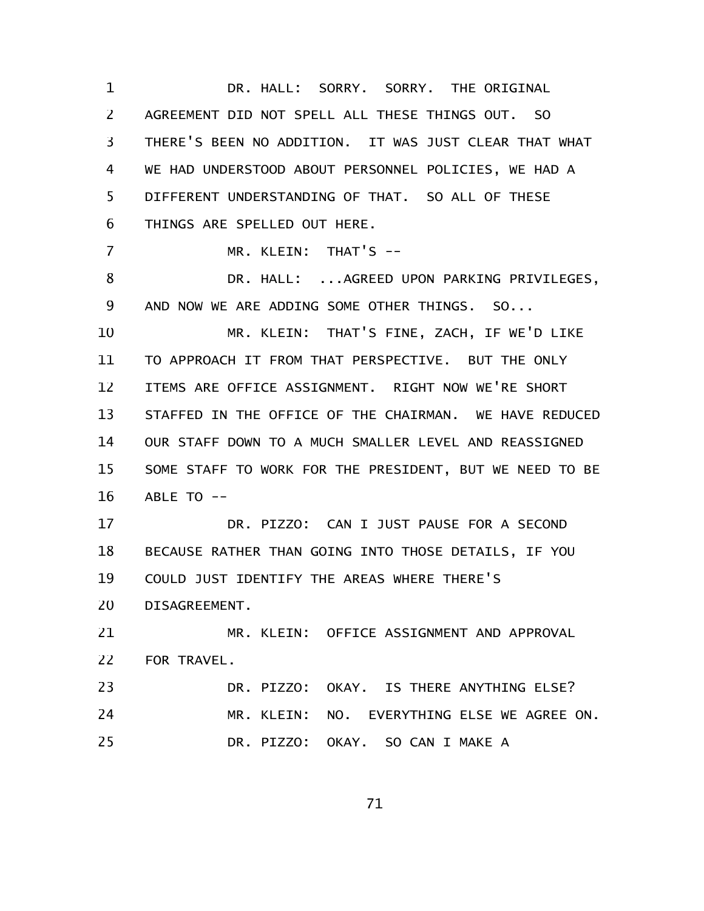DR. HALL: SORRY. SORRY. THE ORIGINAL AGREEMENT DID NOT SPELL ALL THESE THINGS OUT. SO THERE'S BEEN NO ADDITION. IT WAS JUST CLEAR THAT WHAT WE HAD UNDERSTOOD ABOUT PERSONNEL POLICIES, WE HAD A DIFFERENT UNDERSTANDING OF THAT. SO ALL OF THESE THINGS ARE SPELLED OUT HERE. MR. KLEIN: THAT'S -- DR. HALL: ...AGREED UPON PARKING PRIVILEGES, AND NOW WE ARE ADDING SOME OTHER THINGS. SO... MR. KLEIN: THAT'S FINE, ZACH, IF WE'D LIKE TO APPROACH IT FROM THAT PERSPECTIVE. BUT THE ONLY ITEMS ARE OFFICE ASSIGNMENT. RIGHT NOW WE'RE SHORT STAFFED IN THE OFFICE OF THE CHAIRMAN. WE HAVE REDUCED OUR STAFF DOWN TO A MUCH SMALLER LEVEL AND REASSIGNED SOME STAFF TO WORK FOR THE PRESIDENT, BUT WE NEED TO BE ABLE TO -- DR. PIZZO: CAN I JUST PAUSE FOR A SECOND BECAUSE RATHER THAN GOING INTO THOSE DETAILS, IF YOU COULD JUST IDENTIFY THE AREAS WHERE THERE'S DISAGREEMENT. MR. KLEIN: OFFICE ASSIGNMENT AND APPROVAL FOR TRAVEL. DR. PIZZO: OKAY. IS THERE ANYTHING ELSE? MR. KLEIN: NO. EVERYTHING ELSE WE AGREE ON. DR. PIZZO: OKAY. SO CAN I MAKE A 1 2 3 4 5 6 7 8 9 10 11 12 13 14 15 16 17 18 19 20 21 22 23 24 25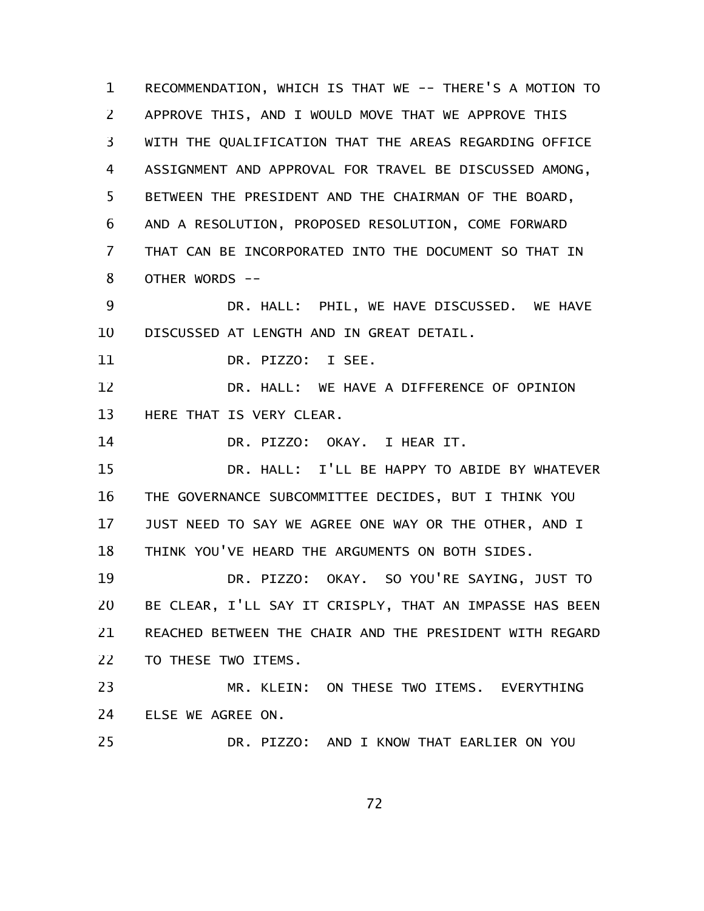RECOMMENDATION, WHICH IS THAT WE -- THERE'S A MOTION TO APPROVE THIS, AND I WOULD MOVE THAT WE APPROVE THIS WITH THE QUALIFICATION THAT THE AREAS REGARDING OFFICE ASSIGNMENT AND APPROVAL FOR TRAVEL BE DISCUSSED AMONG, BETWEEN THE PRESIDENT AND THE CHAIRMAN OF THE BOARD, AND A RESOLUTION, PROPOSED RESOLUTION, COME FORWARD THAT CAN BE INCORPORATED INTO THE DOCUMENT SO THAT IN OTHER WORDS -- DR. HALL: PHIL, WE HAVE DISCUSSED. WE HAVE DISCUSSED AT LENGTH AND IN GREAT DETAIL. DR. PIZZO: I SEE. DR. HALL: WE HAVE A DIFFERENCE OF OPINION HERE THAT IS VERY CLEAR. DR. PIZZO: OKAY. I HEAR IT. DR. HALL: I'LL BE HAPPY TO ABIDE BY WHATEVER THE GOVERNANCE SUBCOMMITTEE DECIDES, BUT I THINK YOU JUST NEED TO SAY WE AGREE ONE WAY OR THE OTHER, AND I THINK YOU'VE HEARD THE ARGUMENTS ON BOTH SIDES. DR. PIZZO: OKAY. SO YOU'RE SAYING, JUST TO BE CLEAR, I'LL SAY IT CRISPLY, THAT AN IMPASSE HAS BEEN REACHED BETWEEN THE CHAIR AND THE PRESIDENT WITH REGARD TO THESE TWO ITEMS. MR. KLEIN: ON THESE TWO ITEMS. EVERYTHING ELSE WE AGREE ON. DR. PIZZO: AND I KNOW THAT EARLIER ON YOU 1 2 3 4 5 6 7 8 9 10 11 12 13 14 15 16 17 18 19 20 21 22 23 24 25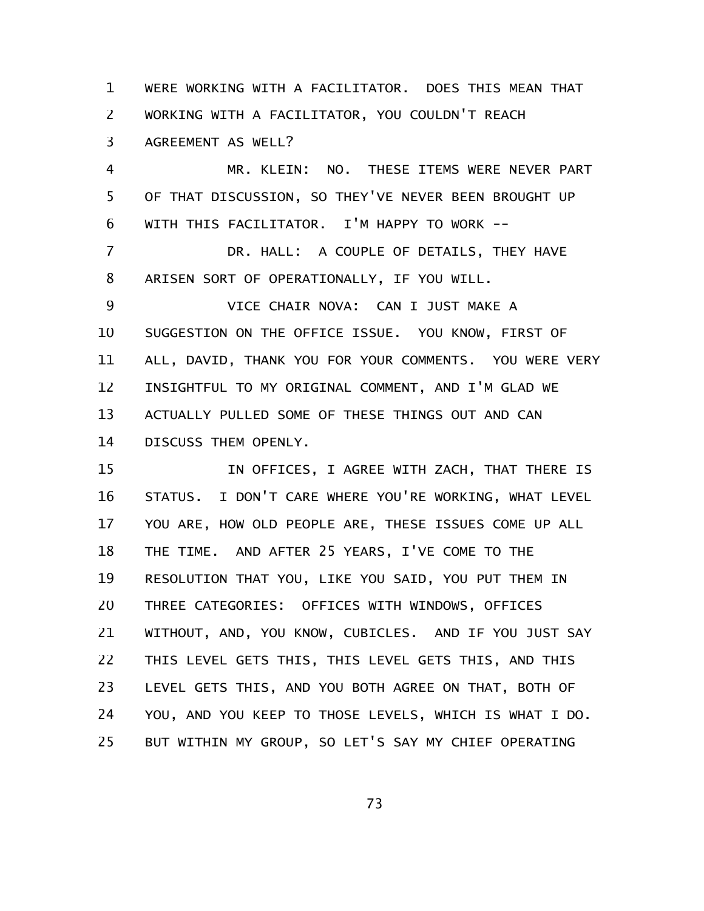WERE WORKING WITH A FACILITATOR. DOES THIS MEAN THAT WORKING WITH A FACILITATOR, YOU COULDN'T REACH AGREEMENT AS WELL? 1 2 3

MR. KLEIN: NO. THESE ITEMS WERE NEVER PART OF THAT DISCUSSION, SO THEY'VE NEVER BEEN BROUGHT UP WITH THIS FACILITATOR. I'M HAPPY TO WORK --4 5 6

DR. HALL: A COUPLE OF DETAILS, THEY HAVE ARISEN SORT OF OPERATIONALLY, IF YOU WILL. 7 8

VICE CHAIR NOVA: CAN I JUST MAKE A SUGGESTION ON THE OFFICE ISSUE. YOU KNOW, FIRST OF ALL, DAVID, THANK YOU FOR YOUR COMMENTS. YOU WERE VERY INSIGHTFUL TO MY ORIGINAL COMMENT, AND I'M GLAD WE ACTUALLY PULLED SOME OF THESE THINGS OUT AND CAN DISCUSS THEM OPENLY. 9 10 11 12 13 14

IN OFFICES, I AGREE WITH ZACH, THAT THERE IS STATUS. I DON'T CARE WHERE YOU'RE WORKING, WHAT LEVEL YOU ARE, HOW OLD PEOPLE ARE, THESE ISSUES COME UP ALL THE TIME. AND AFTER 25 YEARS, I'VE COME TO THE RESOLUTION THAT YOU, LIKE YOU SAID, YOU PUT THEM IN THREE CATEGORIES: OFFICES WITH WINDOWS, OFFICES WITHOUT, AND, YOU KNOW, CUBICLES. AND IF YOU JUST SAY THIS LEVEL GETS THIS, THIS LEVEL GETS THIS, AND THIS LEVEL GETS THIS, AND YOU BOTH AGREE ON THAT, BOTH OF YOU, AND YOU KEEP TO THOSE LEVELS, WHICH IS WHAT I DO. BUT WITHIN MY GROUP, SO LET'S SAY MY CHIEF OPERATING 15 16 17 18 19 20 21 22 23 24 25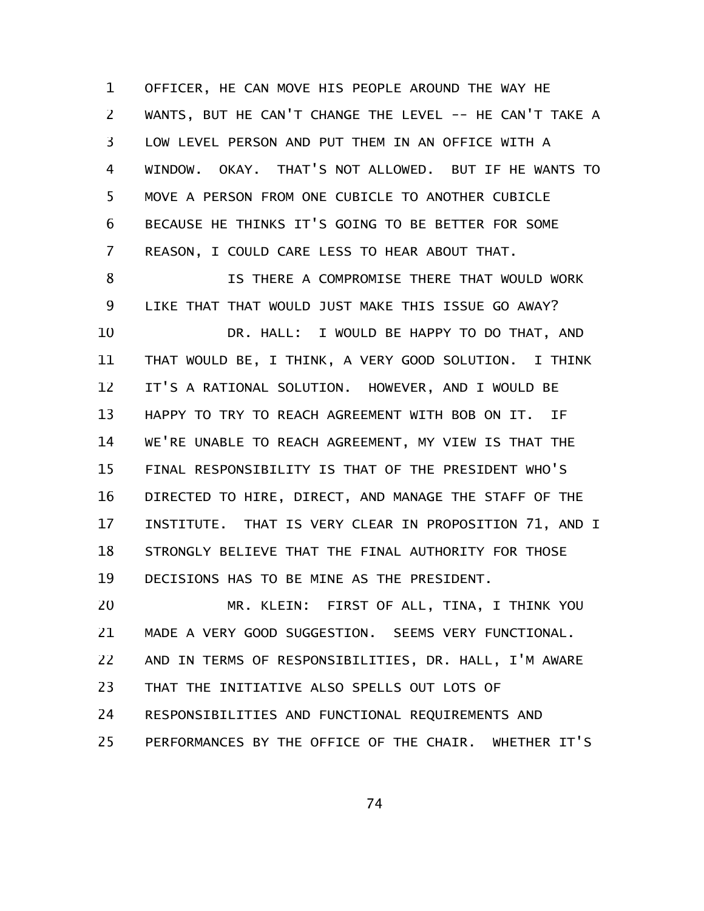OFFICER, HE CAN MOVE HIS PEOPLE AROUND THE WAY HE WANTS, BUT HE CAN'T CHANGE THE LEVEL -- HE CAN'T TAKE A LOW LEVEL PERSON AND PUT THEM IN AN OFFICE WITH A WINDOW. OKAY. THAT'S NOT ALLOWED. BUT IF HE WANTS TO MOVE A PERSON FROM ONE CUBICLE TO ANOTHER CUBICLE BECAUSE HE THINKS IT'S GOING TO BE BETTER FOR SOME REASON, I COULD CARE LESS TO HEAR ABOUT THAT. 1 2 3 4 5 6 7

IS THERE A COMPROMISE THERE THAT WOULD WORK LIKE THAT THAT WOULD JUST MAKE THIS ISSUE GO AWAY? DR. HALL: I WOULD BE HAPPY TO DO THAT, AND THAT WOULD BE, I THINK, A VERY GOOD SOLUTION. I THINK IT'S A RATIONAL SOLUTION. HOWEVER, AND I WOULD BE HAPPY TO TRY TO REACH AGREEMENT WITH BOB ON IT. IF WE'RE UNABLE TO REACH AGREEMENT, MY VIEW IS THAT THE FINAL RESPONSIBILITY IS THAT OF THE PRESIDENT WHO'S DIRECTED TO HIRE, DIRECT, AND MANAGE THE STAFF OF THE INSTITUTE. THAT IS VERY CLEAR IN PROPOSITION 71, AND I STRONGLY BELIEVE THAT THE FINAL AUTHORITY FOR THOSE DECISIONS HAS TO BE MINE AS THE PRESIDENT. 8 9 10 11 12 13 14 15 16 17 18 19

MR. KLEIN: FIRST OF ALL, TINA, I THINK YOU MADE A VERY GOOD SUGGESTION. SEEMS VERY FUNCTIONAL. AND IN TERMS OF RESPONSIBILITIES, DR. HALL, I'M AWARE THAT THE INITIATIVE ALSO SPELLS OUT LOTS OF RESPONSIBILITIES AND FUNCTIONAL REQUIREMENTS AND PERFORMANCES BY THE OFFICE OF THE CHAIR. WHETHER IT'S 20 21 22 23 24 25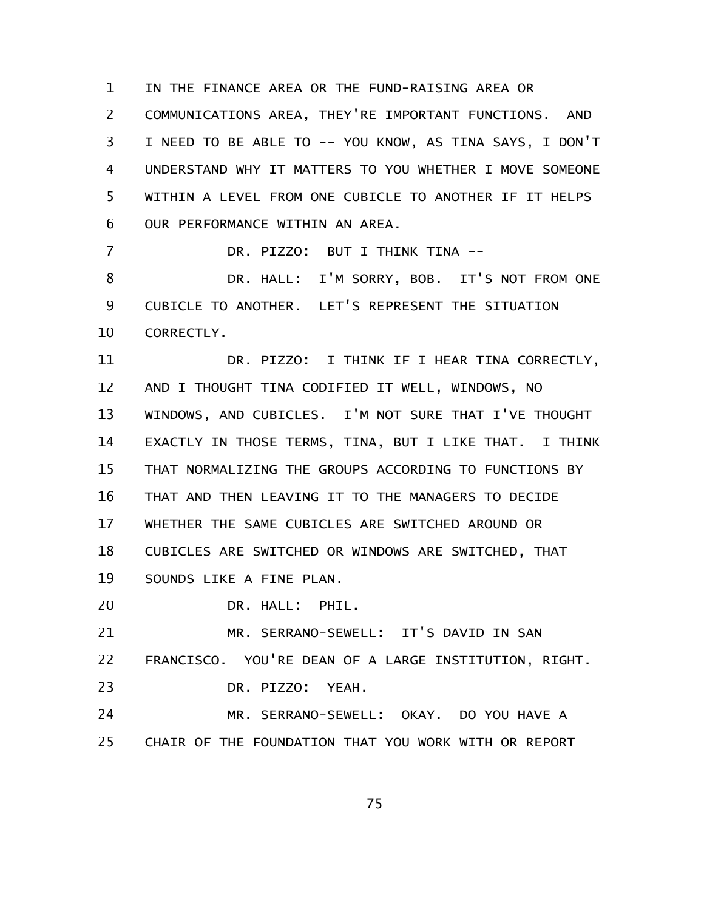IN THE FINANCE AREA OR THE FUND-RAISING AREA OR COMMUNICATIONS AREA, THEY'RE IMPORTANT FUNCTIONS. AND I NEED TO BE ABLE TO -- YOU KNOW, AS TINA SAYS, I DON'T UNDERSTAND WHY IT MATTERS TO YOU WHETHER I MOVE SOMEONE WITHIN A LEVEL FROM ONE CUBICLE TO ANOTHER IF IT HELPS OUR PERFORMANCE WITHIN AN AREA. DR. PIZZO: BUT I THINK TINA -- DR. HALL: I'M SORRY, BOB. IT'S NOT FROM ONE CUBICLE TO ANOTHER. LET'S REPRESENT THE SITUATION CORRECTLY. DR. PIZZO: I THINK IF I HEAR TINA CORRECTLY, AND I THOUGHT TINA CODIFIED IT WELL, WINDOWS, NO WINDOWS, AND CUBICLES. I'M NOT SURE THAT I'VE THOUGHT EXACTLY IN THOSE TERMS, TINA, BUT I LIKE THAT. I THINK THAT NORMALIZING THE GROUPS ACCORDING TO FUNCTIONS BY THAT AND THEN LEAVING IT TO THE MANAGERS TO DECIDE WHETHER THE SAME CUBICLES ARE SWITCHED AROUND OR CUBICLES ARE SWITCHED OR WINDOWS ARE SWITCHED, THAT SOUNDS LIKE A FINE PLAN. DR. HALL: PHIL. MR. SERRANO-SEWELL: IT'S DAVID IN SAN FRANCISCO. YOU'RE DEAN OF A LARGE INSTITUTION, RIGHT. DR. PIZZO: YEAH. MR. SERRANO-SEWELL: OKAY. DO YOU HAVE A 1 2 3 4 5 6 7 8 9 10 11 12 13 14 15 16 17 18 19 20 21 22 23 24

CHAIR OF THE FOUNDATION THAT YOU WORK WITH OR REPORT 25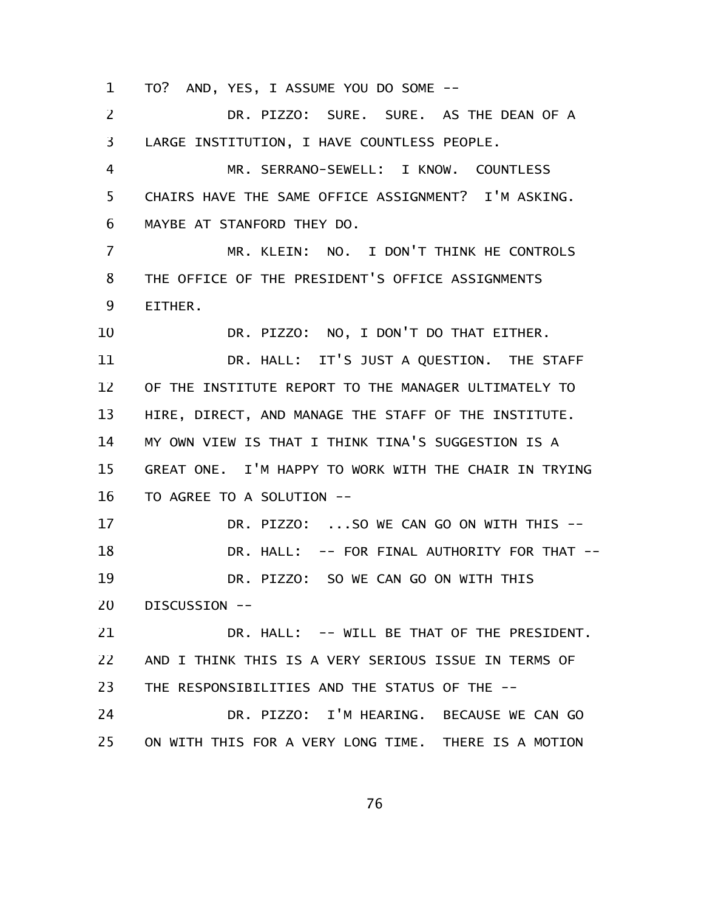TO? AND, YES, I ASSUME YOU DO SOME -- 1

DR. PIZZO: SURE. SURE. AS THE DEAN OF A LARGE INSTITUTION, I HAVE COUNTLESS PEOPLE. MR. SERRANO-SEWELL: I KNOW. COUNTLESS CHAIRS HAVE THE SAME OFFICE ASSIGNMENT? I'M ASKING. MAYBE AT STANFORD THEY DO. MR. KLEIN: NO. I DON'T THINK HE CONTROLS THE OFFICE OF THE PRESIDENT'S OFFICE ASSIGNMENTS EITHER. DR. PIZZO: NO, I DON'T DO THAT EITHER. DR. HALL: IT'S JUST A QUESTION. THE STAFF OF THE INSTITUTE REPORT TO THE MANAGER ULTIMATELY TO HIRE, DIRECT, AND MANAGE THE STAFF OF THE INSTITUTE. MY OWN VIEW IS THAT I THINK TINA'S SUGGESTION IS A GREAT ONE. I'M HAPPY TO WORK WITH THE CHAIR IN TRYING TO AGREE TO A SOLUTION -- DR. PIZZO: ...SO WE CAN GO ON WITH THIS --DR. HALL: -- FOR FINAL AUTHORITY FOR THAT --DR. PIZZO: SO WE CAN GO ON WITH THIS DISCUSSION -- DR. HALL: -- WILL BE THAT OF THE PRESIDENT. AND I THINK THIS IS A VERY SERIOUS ISSUE IN TERMS OF THE RESPONSIBILITIES AND THE STATUS OF THE -- DR. PIZZO: I'M HEARING. BECAUSE WE CAN GO ON WITH THIS FOR A VERY LONG TIME. THERE IS A MOTION 2 3 4 5 6 7 8 9 10 11 12 13 14 15 16 17 18 19 20 21 22 23 24 25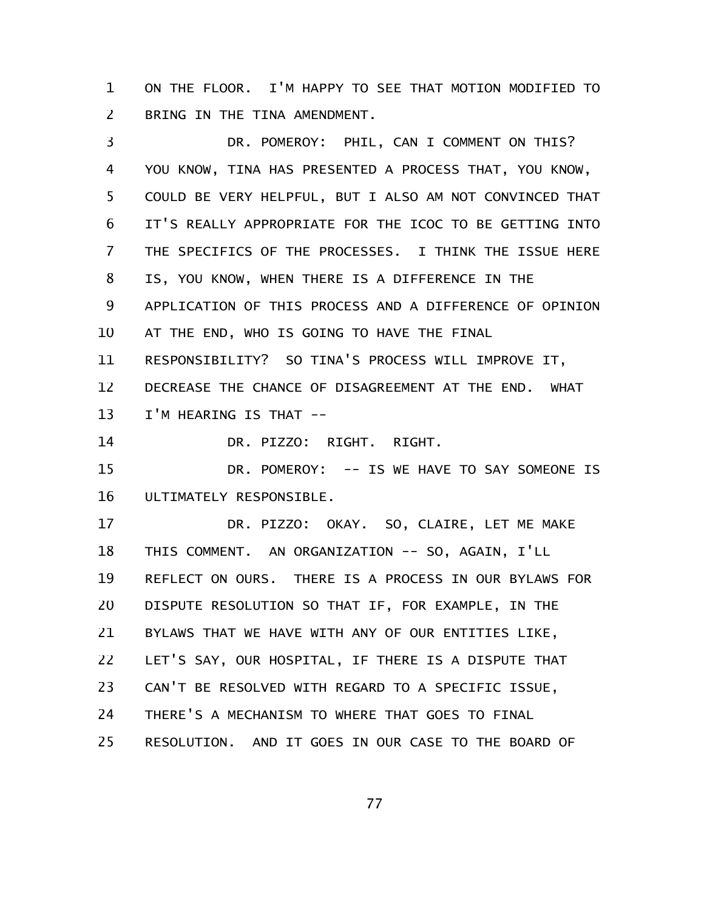ON THE FLOOR. I'M HAPPY TO SEE THAT MOTION MODIFIED TO BRING IN THE TINA AMENDMENT. 1 2

DR. POMEROY: PHIL, CAN I COMMENT ON THIS? YOU KNOW, TINA HAS PRESENTED A PROCESS THAT, YOU KNOW, COULD BE VERY HELPFUL, BUT I ALSO AM NOT CONVINCED THAT IT'S REALLY APPROPRIATE FOR THE ICOC TO BE GETTING INTO THE SPECIFICS OF THE PROCESSES. I THINK THE ISSUE HERE IS, YOU KNOW, WHEN THERE IS A DIFFERENCE IN THE APPLICATION OF THIS PROCESS AND A DIFFERENCE OF OPINION AT THE END, WHO IS GOING TO HAVE THE FINAL RESPONSIBILITY? SO TINA'S PROCESS WILL IMPROVE IT, DECREASE THE CHANCE OF DISAGREEMENT AT THE END. WHAT I'M HEARING IS THAT -- DR. PIZZO: RIGHT. RIGHT. DR. POMEROY: -- IS WE HAVE TO SAY SOMEONE IS ULTIMATELY RESPONSIBLE. DR. PIZZO: OKAY. SO, CLAIRE, LET ME MAKE THIS COMMENT. AN ORGANIZATION -- SO, AGAIN, I'LL REFLECT ON OURS. THERE IS A PROCESS IN OUR BYLAWS FOR DISPUTE RESOLUTION SO THAT IF, FOR EXAMPLE, IN THE BYLAWS THAT WE HAVE WITH ANY OF OUR ENTITIES LIKE, LET'S SAY, OUR HOSPITAL, IF THERE IS A DISPUTE THAT CAN'T BE RESOLVED WITH REGARD TO A SPECIFIC ISSUE, THERE'S A MECHANISM TO WHERE THAT GOES TO FINAL RESOLUTION. AND IT GOES IN OUR CASE TO THE BOARD OF 3 4 5 6 7 8 9 10 11 12 13 14 15 16 17 18 19 20 21 22 23 24 25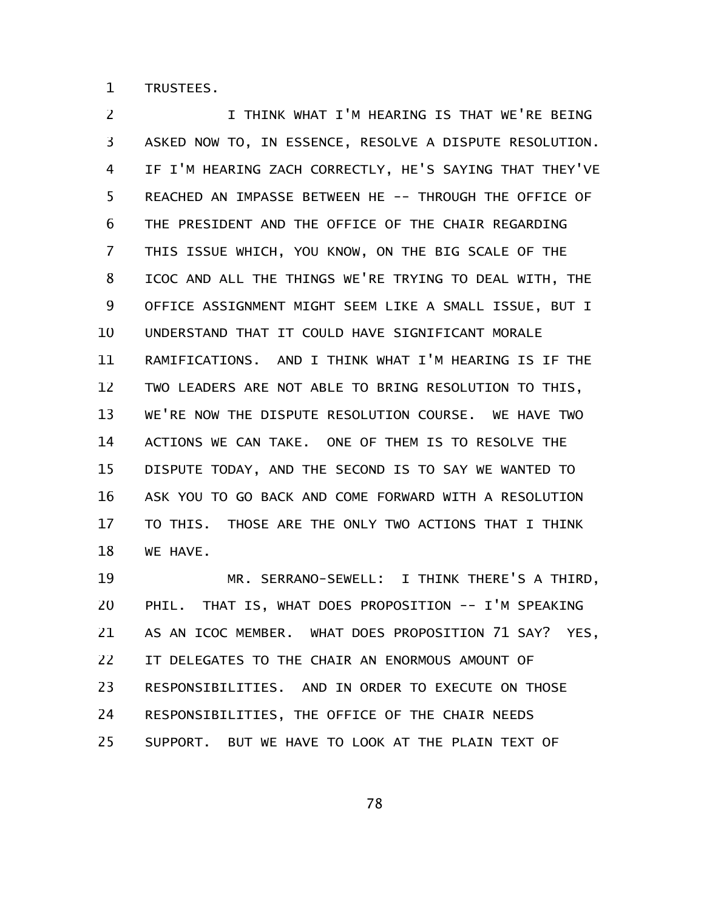TRUSTEES. 1

I THINK WHAT I'M HEARING IS THAT WE'RE BEING ASKED NOW TO, IN ESSENCE, RESOLVE A DISPUTE RESOLUTION. IF I'M HEARING ZACH CORRECTLY, HE'S SAYING THAT THEY'VE REACHED AN IMPASSE BETWEEN HE -- THROUGH THE OFFICE OF THE PRESIDENT AND THE OFFICE OF THE CHAIR REGARDING THIS ISSUE WHICH, YOU KNOW, ON THE BIG SCALE OF THE ICOC AND ALL THE THINGS WE'RE TRYING TO DEAL WITH, THE OFFICE ASSIGNMENT MIGHT SEEM LIKE A SMALL ISSUE, BUT I UNDERSTAND THAT IT COULD HAVE SIGNIFICANT MORALE RAMIFICATIONS. AND I THINK WHAT I'M HEARING IS IF THE TWO LEADERS ARE NOT ABLE TO BRING RESOLUTION TO THIS, WE'RE NOW THE DISPUTE RESOLUTION COURSE. WE HAVE TWO ACTIONS WE CAN TAKE. ONE OF THEM IS TO RESOLVE THE DISPUTE TODAY, AND THE SECOND IS TO SAY WE WANTED TO ASK YOU TO GO BACK AND COME FORWARD WITH A RESOLUTION TO THIS. THOSE ARE THE ONLY TWO ACTIONS THAT I THINK WE HAVE. 2 3 4 5 6 7 8 9 10 11 12 13 14 15 16 17 18

MR. SERRANO-SEWELL: I THINK THERE'S A THIRD, PHIL. THAT IS, WHAT DOES PROPOSITION -- I'M SPEAKING AS AN ICOC MEMBER. WHAT DOES PROPOSITION 71 SAY? YES, IT DELEGATES TO THE CHAIR AN ENORMOUS AMOUNT OF RESPONSIBILITIES. AND IN ORDER TO EXECUTE ON THOSE RESPONSIBILITIES, THE OFFICE OF THE CHAIR NEEDS SUPPORT. BUT WE HAVE TO LOOK AT THE PLAIN TEXT OF 19 20 21 22 23 24 25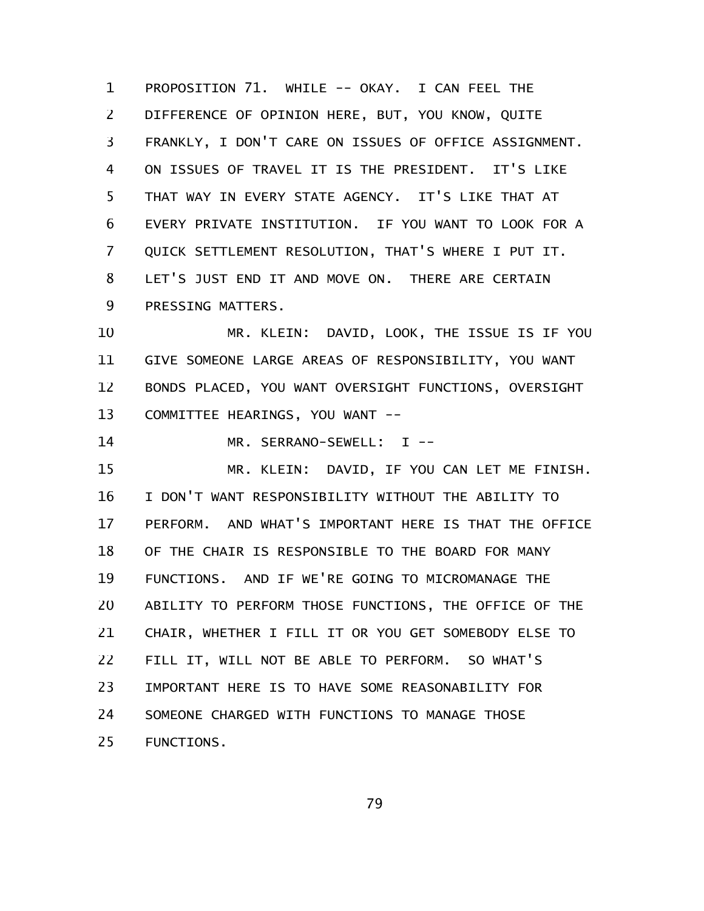PROPOSITION 71. WHILE -- OKAY. I CAN FEEL THE DIFFERENCE OF OPINION HERE, BUT, YOU KNOW, QUITE FRANKLY, I DON'T CARE ON ISSUES OF OFFICE ASSIGNMENT. ON ISSUES OF TRAVEL IT IS THE PRESIDENT. IT'S LIKE THAT WAY IN EVERY STATE AGENCY. IT'S LIKE THAT AT EVERY PRIVATE INSTITUTION. IF YOU WANT TO LOOK FOR A QUICK SETTLEMENT RESOLUTION, THAT'S WHERE I PUT IT. LET'S JUST END IT AND MOVE ON. THERE ARE CERTAIN PRESSING MATTERS. 1 2 3 4 5 6 7 8 9

MR. KLEIN: DAVID, LOOK, THE ISSUE IS IF YOU GIVE SOMEONE LARGE AREAS OF RESPONSIBILITY, YOU WANT BONDS PLACED, YOU WANT OVERSIGHT FUNCTIONS, OVERSIGHT COMMITTEE HEARINGS, YOU WANT -- 10 11 12 13

MR. SERRANO-SEWELL: I --14

MR. KLEIN: DAVID, IF YOU CAN LET ME FINISH. I DON'T WANT RESPONSIBILITY WITHOUT THE ABILITY TO PERFORM. AND WHAT'S IMPORTANT HERE IS THAT THE OFFICE OF THE CHAIR IS RESPONSIBLE TO THE BOARD FOR MANY FUNCTIONS. AND IF WE'RE GOING TO MICROMANAGE THE ABILITY TO PERFORM THOSE FUNCTIONS, THE OFFICE OF THE CHAIR, WHETHER I FILL IT OR YOU GET SOMEBODY ELSE TO FILL IT, WILL NOT BE ABLE TO PERFORM. SO WHAT'S IMPORTANT HERE IS TO HAVE SOME REASONABILITY FOR SOMEONE CHARGED WITH FUNCTIONS TO MANAGE THOSE FUNCTIONS. 15 16 17 18 19 20 21 22 23 24 25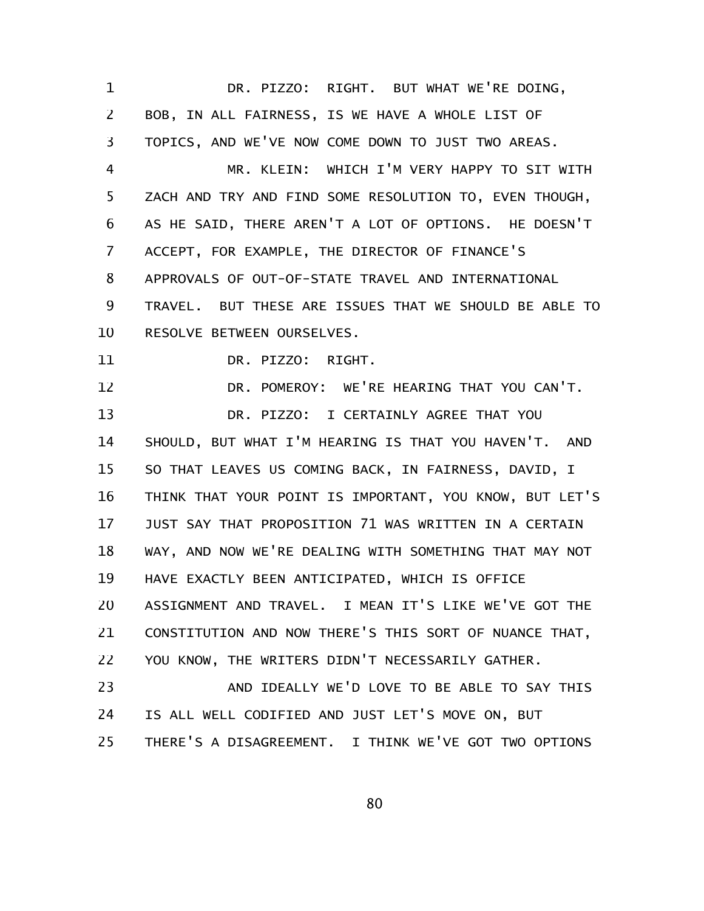DR. PIZZO: RIGHT. BUT WHAT WE'RE DOING, BOB, IN ALL FAIRNESS, IS WE HAVE A WHOLE LIST OF TOPICS, AND WE'VE NOW COME DOWN TO JUST TWO AREAS. MR. KLEIN: WHICH I'M VERY HAPPY TO SIT WITH ZACH AND TRY AND FIND SOME RESOLUTION TO, EVEN THOUGH, AS HE SAID, THERE AREN'T A LOT OF OPTIONS. HE DOESN'T ACCEPT, FOR EXAMPLE, THE DIRECTOR OF FINANCE'S APPROVALS OF OUT-OF-STATE TRAVEL AND INTERNATIONAL TRAVEL. BUT THESE ARE ISSUES THAT WE SHOULD BE ABLE TO RESOLVE BETWEEN OURSELVES. DR. PIZZO: RIGHT. DR. POMEROY: WE'RE HEARING THAT YOU CAN'T. DR. PIZZO: I CERTAINLY AGREE THAT YOU SHOULD, BUT WHAT I'M HEARING IS THAT YOU HAVEN'T. AND SO THAT LEAVES US COMING BACK, IN FAIRNESS, DAVID, I THINK THAT YOUR POINT IS IMPORTANT, YOU KNOW, BUT LET'S JUST SAY THAT PROPOSITION 71 WAS WRITTEN IN A CERTAIN WAY, AND NOW WE'RE DEALING WITH SOMETHING THAT MAY NOT HAVE EXACTLY BEEN ANTICIPATED, WHICH IS OFFICE ASSIGNMENT AND TRAVEL. I MEAN IT'S LIKE WE'VE GOT THE CONSTITUTION AND NOW THERE'S THIS SORT OF NUANCE THAT, YOU KNOW, THE WRITERS DIDN'T NECESSARILY GATHER. AND IDEALLY WE'D LOVE TO BE ABLE TO SAY THIS IS ALL WELL CODIFIED AND JUST LET'S MOVE ON, BUT THERE'S A DISAGREEMENT. I THINK WE'VE GOT TWO OPTIONS 1 2 3 4 5 6 7 8 9 10 11 12 13 14 15 16 17 18 19 20 21 22 23 24 25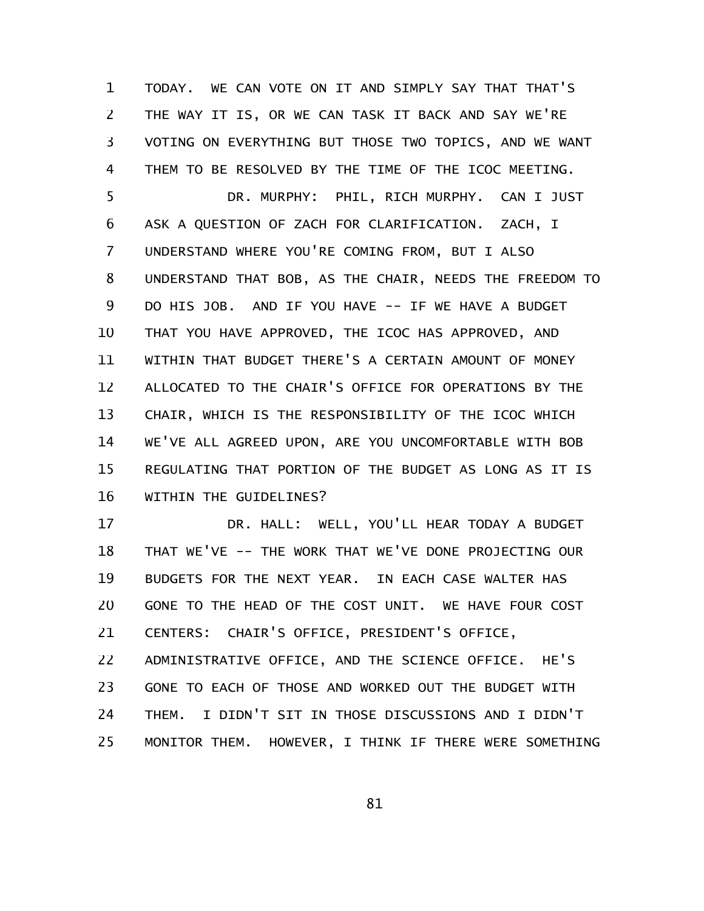TODAY. WE CAN VOTE ON IT AND SIMPLY SAY THAT THAT'S THE WAY IT IS, OR WE CAN TASK IT BACK AND SAY WE'RE VOTING ON EVERYTHING BUT THOSE TWO TOPICS, AND WE WANT THEM TO BE RESOLVED BY THE TIME OF THE ICOC MEETING. 1 2 3 4 5

DR. MURPHY: PHIL, RICH MURPHY. CAN I JUST ASK A QUESTION OF ZACH FOR CLARIFICATION. ZACH, I UNDERSTAND WHERE YOU'RE COMING FROM, BUT I ALSO UNDERSTAND THAT BOB, AS THE CHAIR, NEEDS THE FREEDOM TO DO HIS JOB. AND IF YOU HAVE -- IF WE HAVE A BUDGET THAT YOU HAVE APPROVED, THE ICOC HAS APPROVED, AND WITHIN THAT BUDGET THERE'S A CERTAIN AMOUNT OF MONEY ALLOCATED TO THE CHAIR'S OFFICE FOR OPERATIONS BY THE CHAIR, WHICH IS THE RESPONSIBILITY OF THE ICOC WHICH WE'VE ALL AGREED UPON, ARE YOU UNCOMFORTABLE WITH BOB REGULATING THAT PORTION OF THE BUDGET AS LONG AS IT IS WITHIN THE GUIDELINES? 6 7 8 9 10 11 12 13 14 15 16

DR. HALL: WELL, YOU'LL HEAR TODAY A BUDGET THAT WE'VE -- THE WORK THAT WE'VE DONE PROJECTING OUR BUDGETS FOR THE NEXT YEAR. IN EACH CASE WALTER HAS GONE TO THE HEAD OF THE COST UNIT. WE HAVE FOUR COST CENTERS: CHAIR'S OFFICE, PRESIDENT'S OFFICE, ADMINISTRATIVE OFFICE, AND THE SCIENCE OFFICE. HE'S GONE TO EACH OF THOSE AND WORKED OUT THE BUDGET WITH THEM. I DIDN'T SIT IN THOSE DISCUSSIONS AND I DIDN'T MONITOR THEM. HOWEVER, I THINK IF THERE WERE SOMETHING 17 18 19 20 21 22 23 24 25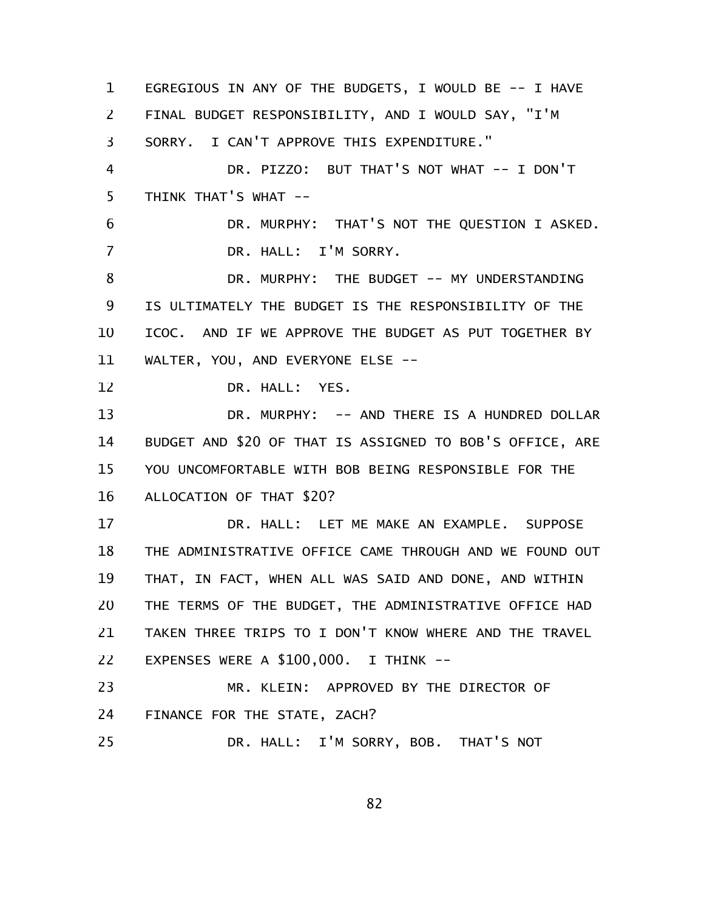EGREGIOUS IN ANY OF THE BUDGETS, I WOULD BE -- I HAVE FINAL BUDGET RESPONSIBILITY, AND I WOULD SAY, "I'M SORRY. I CAN'T APPROVE THIS EXPENDITURE." DR. PIZZO: BUT THAT'S NOT WHAT -- I DON'T THINK THAT'S WHAT -- DR. MURPHY: THAT'S NOT THE QUESTION I ASKED. DR. HALL: I'M SORRY. DR. MURPHY: THE BUDGET -- MY UNDERSTANDING IS ULTIMATELY THE BUDGET IS THE RESPONSIBILITY OF THE ICOC. AND IF WE APPROVE THE BUDGET AS PUT TOGETHER BY WALTER, YOU, AND EVERYONE ELSE -- DR. HALL: YES. DR. MURPHY: -- AND THERE IS A HUNDRED DOLLAR BUDGET AND \$20 OF THAT IS ASSIGNED TO BOB'S OFFICE, ARE YOU UNCOMFORTABLE WITH BOB BEING RESPONSIBLE FOR THE ALLOCATION OF THAT \$20? DR. HALL: LET ME MAKE AN EXAMPLE. SUPPOSE THE ADMINISTRATIVE OFFICE CAME THROUGH AND WE FOUND OUT THAT, IN FACT, WHEN ALL WAS SAID AND DONE, AND WITHIN THE TERMS OF THE BUDGET, THE ADMINISTRATIVE OFFICE HAD TAKEN THREE TRIPS TO I DON'T KNOW WHERE AND THE TRAVEL EXPENSES WERE A \$100,000. I THINK -- MR. KLEIN: APPROVED BY THE DIRECTOR OF FINANCE FOR THE STATE, ZACH? DR. HALL: I'M SORRY, BOB. THAT'S NOT 1 2 3 4 5 6 7 8 9 10 11 12 13 14 15 16 17 18 19 20 21 22 23 24 25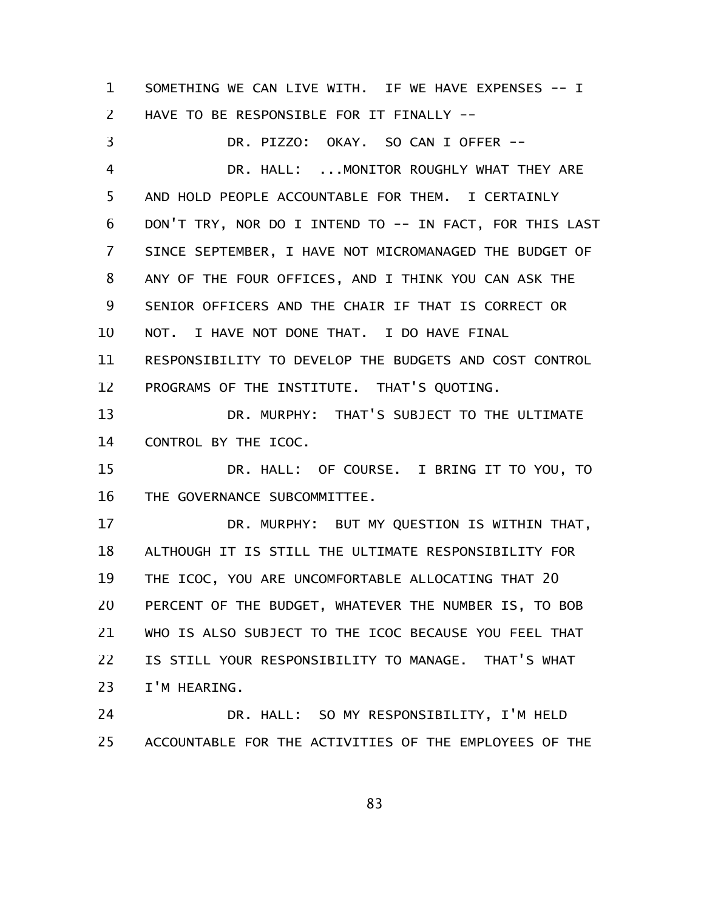SOMETHING WE CAN LIVE WITH. IF WE HAVE EXPENSES -- I HAVE TO BE RESPONSIBLE FOR IT FINALLY -- 1 2

DR. PIZZO: OKAY. SO CAN I OFFER -- DR. HALL: ... MONITOR ROUGHLY WHAT THEY ARE AND HOLD PEOPLE ACCOUNTABLE FOR THEM. I CERTAINLY DON'T TRY, NOR DO I INTEND TO -- IN FACT, FOR THIS LAST SINCE SEPTEMBER, I HAVE NOT MICROMANAGED THE BUDGET OF ANY OF THE FOUR OFFICES, AND I THINK YOU CAN ASK THE SENIOR OFFICERS AND THE CHAIR IF THAT IS CORRECT OR NOT. I HAVE NOT DONE THAT. I DO HAVE FINAL RESPONSIBILITY TO DEVELOP THE BUDGETS AND COST CONTROL PROGRAMS OF THE INSTITUTE. THAT'S QUOTING. DR. MURPHY: THAT'S SUBJECT TO THE ULTIMATE CONTROL BY THE ICOC. DR. HALL: OF COURSE. I BRING IT TO YOU, TO THE GOVERNANCE SUBCOMMITTEE. DR. MURPHY: BUT MY QUESTION IS WITHIN THAT, ALTHOUGH IT IS STILL THE ULTIMATE RESPONSIBILITY FOR THE ICOC, YOU ARE UNCOMFORTABLE ALLOCATING THAT 20 PERCENT OF THE BUDGET, WHATEVER THE NUMBER IS, TO BOB WHO IS ALSO SUBJECT TO THE ICOC BECAUSE YOU FEEL THAT IS STILL YOUR RESPONSIBILITY TO MANAGE. THAT'S WHAT I'M HEARING. 3 4 5 6 7 8 9 10 11 12 13 14 15 16 17 18 19 20 21 22 23

DR. HALL: SO MY RESPONSIBILITY, I'M HELD ACCOUNTABLE FOR THE ACTIVITIES OF THE EMPLOYEES OF THE 24 25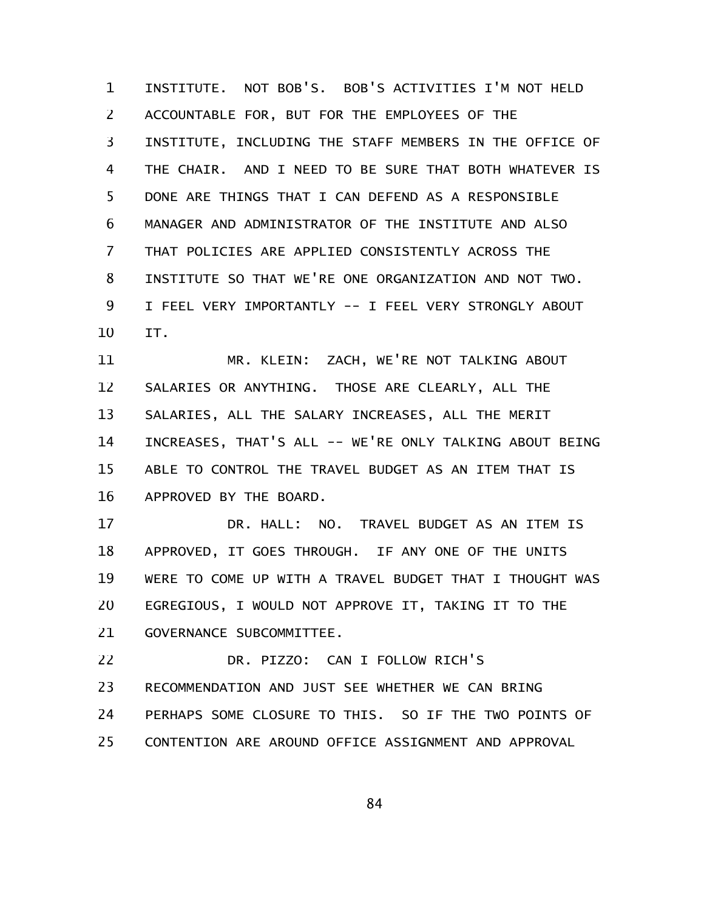INSTITUTE. NOT BOB'S. BOB'S ACTIVITIES I'M NOT HELD ACCOUNTABLE FOR, BUT FOR THE EMPLOYEES OF THE INSTITUTE, INCLUDING THE STAFF MEMBERS IN THE OFFICE OF THE CHAIR. AND I NEED TO BE SURE THAT BOTH WHATEVER IS DONE ARE THINGS THAT I CAN DEFEND AS A RESPONSIBLE MANAGER AND ADMINISTRATOR OF THE INSTITUTE AND ALSO THAT POLICIES ARE APPLIED CONSISTENTLY ACROSS THE INSTITUTE SO THAT WE'RE ONE ORGANIZATION AND NOT TWO. I FEEL VERY IMPORTANTLY -- I FEEL VERY STRONGLY ABOUT IT. 1 2 3 4 5 6 7 8 9 10

MR. KLEIN: ZACH, WE'RE NOT TALKING ABOUT SALARIES OR ANYTHING. THOSE ARE CLEARLY, ALL THE SALARIES, ALL THE SALARY INCREASES, ALL THE MERIT INCREASES, THAT'S ALL -- WE'RE ONLY TALKING ABOUT BEING ABLE TO CONTROL THE TRAVEL BUDGET AS AN ITEM THAT IS APPROVED BY THE BOARD. 11 12 13 14 15 16

DR. HALL: NO. TRAVEL BUDGET AS AN ITEM IS APPROVED, IT GOES THROUGH. IF ANY ONE OF THE UNITS WERE TO COME UP WITH A TRAVEL BUDGET THAT I THOUGHT WAS EGREGIOUS, I WOULD NOT APPROVE IT, TAKING IT TO THE GOVERNANCE SUBCOMMITTEE. 17 18 19 20 21

DR. PIZZO: CAN I FOLLOW RICH'S RECOMMENDATION AND JUST SEE WHETHER WE CAN BRING PERHAPS SOME CLOSURE TO THIS. SO IF THE TWO POINTS OF CONTENTION ARE AROUND OFFICE ASSIGNMENT AND APPROVAL 22 23 24 25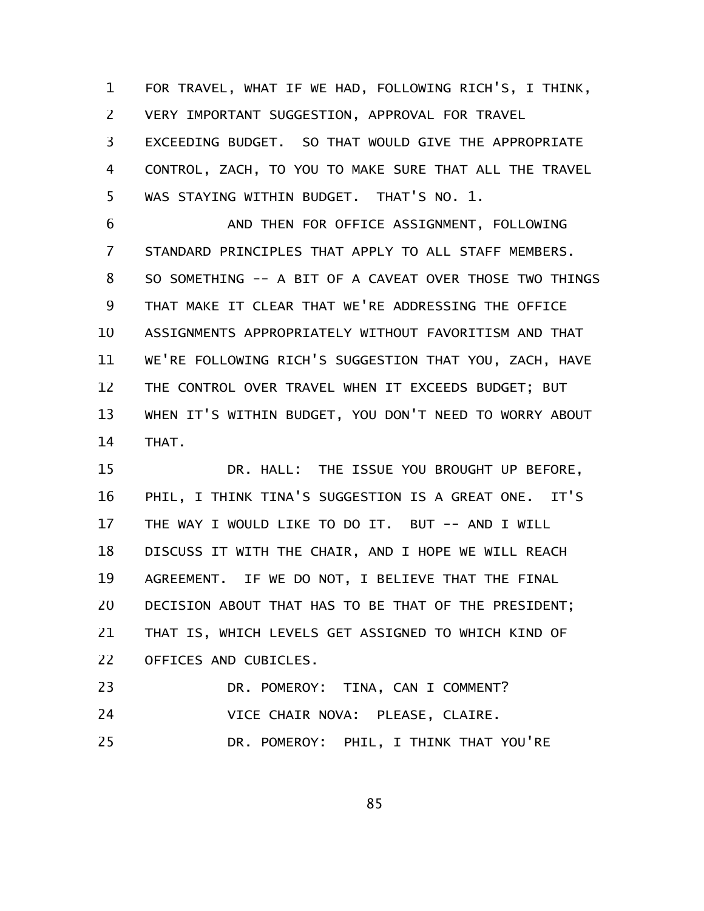FOR TRAVEL, WHAT IF WE HAD, FOLLOWING RICH'S, I THINK, VERY IMPORTANT SUGGESTION, APPROVAL FOR TRAVEL EXCEEDING BUDGET. SO THAT WOULD GIVE THE APPROPRIATE 1 2 3

CONTROL, ZACH, TO YOU TO MAKE SURE THAT ALL THE TRAVEL WAS STAYING WITHIN BUDGET. THAT'S NO. 1. 4 5

AND THEN FOR OFFICE ASSIGNMENT, FOLLOWING STANDARD PRINCIPLES THAT APPLY TO ALL STAFF MEMBERS. SO SOMETHING -- A BIT OF A CAVEAT OVER THOSE TWO THINGS THAT MAKE IT CLEAR THAT WE'RE ADDRESSING THE OFFICE ASSIGNMENTS APPROPRIATELY WITHOUT FAVORITISM AND THAT WE'RE FOLLOWING RICH'S SUGGESTION THAT YOU, ZACH, HAVE THE CONTROL OVER TRAVEL WHEN IT EXCEEDS BUDGET; BUT WHEN IT'S WITHIN BUDGET, YOU DON'T NEED TO WORRY ABOUT THAT. 6 7 8 9 10 11 12 13 14

DR. HALL: THE ISSUE YOU BROUGHT UP BEFORE, PHIL, I THINK TINA'S SUGGESTION IS A GREAT ONE. IT'S THE WAY I WOULD LIKE TO DO IT. BUT -- AND I WILL DISCUSS IT WITH THE CHAIR, AND I HOPE WE WILL REACH AGREEMENT. IF WE DO NOT, I BELIEVE THAT THE FINAL DECISION ABOUT THAT HAS TO BE THAT OF THE PRESIDENT; THAT IS, WHICH LEVELS GET ASSIGNED TO WHICH KIND OF OFFICES AND CUBICLES. 15 16 17 18 19 20 21 22

| 23 | DR. POMEROY: TINA, CAN I COMMENT?      |
|----|----------------------------------------|
| 24 | VICE CHAIR NOVA: PLEASE, CLAIRE.       |
| 25 | DR. POMEROY: PHIL, I THINK THAT YOU'RE |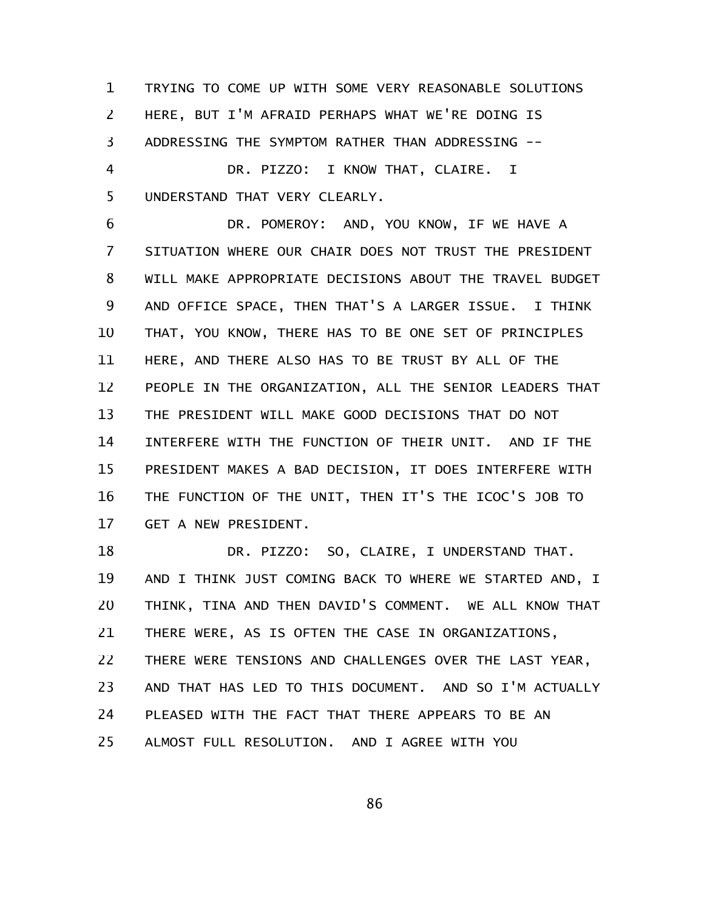TRYING TO COME UP WITH SOME VERY REASONABLE SOLUTIONS HERE, BUT I'M AFRAID PERHAPS WHAT WE'RE DOING IS ADDRESSING THE SYMPTOM RATHER THAN ADDRESSING -- DR. PIZZO: I KNOW THAT, CLAIRE. I UNDERSTAND THAT VERY CLEARLY. 1 2 3 4 5

DR. POMEROY: AND, YOU KNOW, IF WE HAVE A SITUATION WHERE OUR CHAIR DOES NOT TRUST THE PRESIDENT WILL MAKE APPROPRIATE DECISIONS ABOUT THE TRAVEL BUDGET AND OFFICE SPACE, THEN THAT'S A LARGER ISSUE. I THINK THAT, YOU KNOW, THERE HAS TO BE ONE SET OF PRINCIPLES HERE, AND THERE ALSO HAS TO BE TRUST BY ALL OF THE PEOPLE IN THE ORGANIZATION, ALL THE SENIOR LEADERS THAT THE PRESIDENT WILL MAKE GOOD DECISIONS THAT DO NOT INTERFERE WITH THE FUNCTION OF THEIR UNIT. AND IF THE PRESIDENT MAKES A BAD DECISION, IT DOES INTERFERE WITH THE FUNCTION OF THE UNIT, THEN IT'S THE ICOC'S JOB TO GET A NEW PRESIDENT. 6 7 8 9 10 11 12 13 14 15 16 17

DR. PIZZO: SO, CLAIRE, I UNDERSTAND THAT. AND I THINK JUST COMING BACK TO WHERE WE STARTED AND, I THINK, TINA AND THEN DAVID'S COMMENT. WE ALL KNOW THAT THERE WERE, AS IS OFTEN THE CASE IN ORGANIZATIONS, THERE WERE TENSIONS AND CHALLENGES OVER THE LAST YEAR, AND THAT HAS LED TO THIS DOCUMENT. AND SO I'M ACTUALLY PLEASED WITH THE FACT THAT THERE APPEARS TO BE AN ALMOST FULL RESOLUTION. AND I AGREE WITH YOU 18 19 20 21 22 23 24 25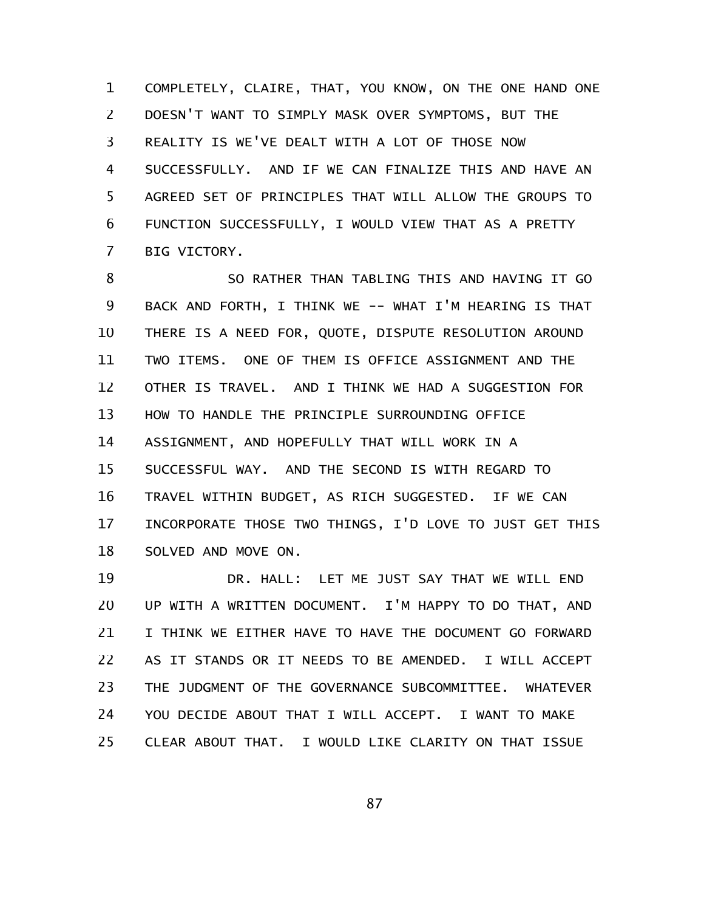COMPLETELY, CLAIRE, THAT, YOU KNOW, ON THE ONE HAND ONE DOESN'T WANT TO SIMPLY MASK OVER SYMPTOMS, BUT THE REALITY IS WE'VE DEALT WITH A LOT OF THOSE NOW SUCCESSFULLY. AND IF WE CAN FINALIZE THIS AND HAVE AN AGREED SET OF PRINCIPLES THAT WILL ALLOW THE GROUPS TO FUNCTION SUCCESSFULLY, I WOULD VIEW THAT AS A PRETTY BIG VICTORY. 1 2 3 4 5 6 7

SO RATHER THAN TABLING THIS AND HAVING IT GO BACK AND FORTH, I THINK WE -- WHAT I'M HEARING IS THAT THERE IS A NEED FOR, QUOTE, DISPUTE RESOLUTION AROUND TWO ITEMS. ONE OF THEM IS OFFICE ASSIGNMENT AND THE OTHER IS TRAVEL. AND I THINK WE HAD A SUGGESTION FOR HOW TO HANDLE THE PRINCIPLE SURROUNDING OFFICE ASSIGNMENT, AND HOPEFULLY THAT WILL WORK IN A SUCCESSFUL WAY. AND THE SECOND IS WITH REGARD TO TRAVEL WITHIN BUDGET, AS RICH SUGGESTED. IF WE CAN INCORPORATE THOSE TWO THINGS, I'D LOVE TO JUST GET THIS SOLVED AND MOVE ON. 8 9 10 11 12 13 14 15 16 17 18

DR. HALL: LET ME JUST SAY THAT WE WILL END UP WITH A WRITTEN DOCUMENT. I'M HAPPY TO DO THAT, AND I THINK WE EITHER HAVE TO HAVE THE DOCUMENT GO FORWARD AS IT STANDS OR IT NEEDS TO BE AMENDED. I WILL ACCEPT THE JUDGMENT OF THE GOVERNANCE SUBCOMMITTEE. WHATEVER YOU DECIDE ABOUT THAT I WILL ACCEPT. I WANT TO MAKE CLEAR ABOUT THAT. I WOULD LIKE CLARITY ON THAT ISSUE 19 20 21 22 23 24 25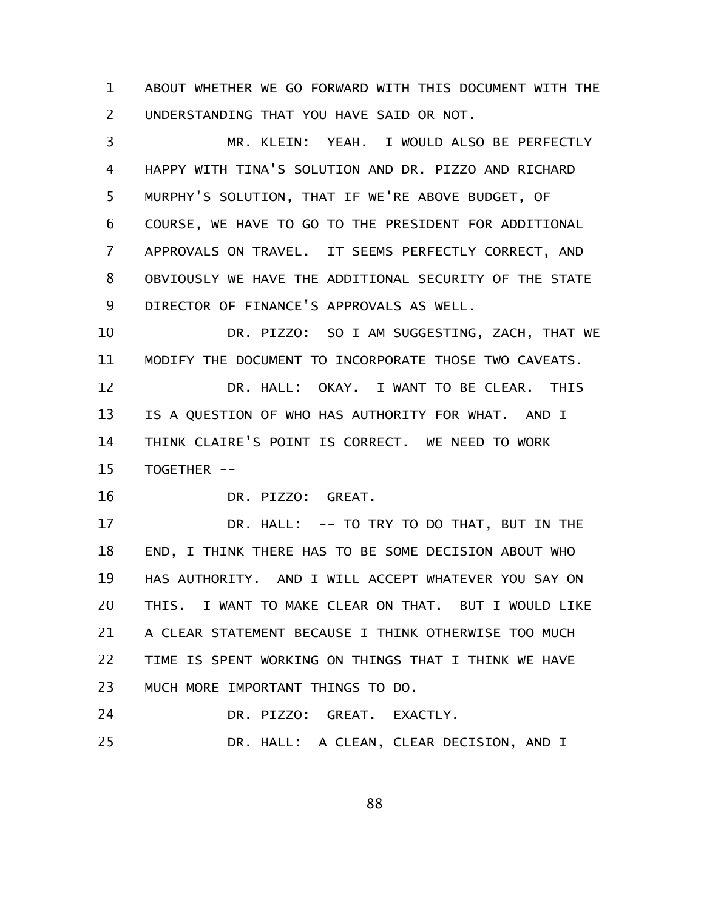ABOUT WHETHER WE GO FORWARD WITH THIS DOCUMENT WITH THE UNDERSTANDING THAT YOU HAVE SAID OR NOT. 1 2

MR. KLEIN: YEAH. I WOULD ALSO BE PERFECTLY HAPPY WITH TINA'S SOLUTION AND DR. PIZZO AND RICHARD MURPHY'S SOLUTION, THAT IF WE'RE ABOVE BUDGET, OF COURSE, WE HAVE TO GO TO THE PRESIDENT FOR ADDITIONAL APPROVALS ON TRAVEL. IT SEEMS PERFECTLY CORRECT, AND OBVIOUSLY WE HAVE THE ADDITIONAL SECURITY OF THE STATE DIRECTOR OF FINANCE'S APPROVALS AS WELL. 3 4 5 6 7 8 9

DR. PIZZO: SO I AM SUGGESTING, ZACH, THAT WE MODIFY THE DOCUMENT TO INCORPORATE THOSE TWO CAVEATS. 10 11

DR. HALL: OKAY. I WANT TO BE CLEAR. THIS IS A QUESTION OF WHO HAS AUTHORITY FOR WHAT. AND I THINK CLAIRE'S POINT IS CORRECT. WE NEED TO WORK TOGETHER -- 12 13 14 15

DR. PIZZO: GREAT. 16

DR. HALL: -- TO TRY TO DO THAT, BUT IN THE END, I THINK THERE HAS TO BE SOME DECISION ABOUT WHO HAS AUTHORITY. AND I WILL ACCEPT WHATEVER YOU SAY ON THIS. I WANT TO MAKE CLEAR ON THAT. BUT I WOULD LIKE A CLEAR STATEMENT BECAUSE I THINK OTHERWISE TOO MUCH TIME IS SPENT WORKING ON THINGS THAT I THINK WE HAVE MUCH MORE IMPORTANT THINGS TO DO. 17 18 19 20 21 22 23

DR. PIZZO: GREAT. EXACTLY. 24

DR. HALL: A CLEAN, CLEAR DECISION, AND I 25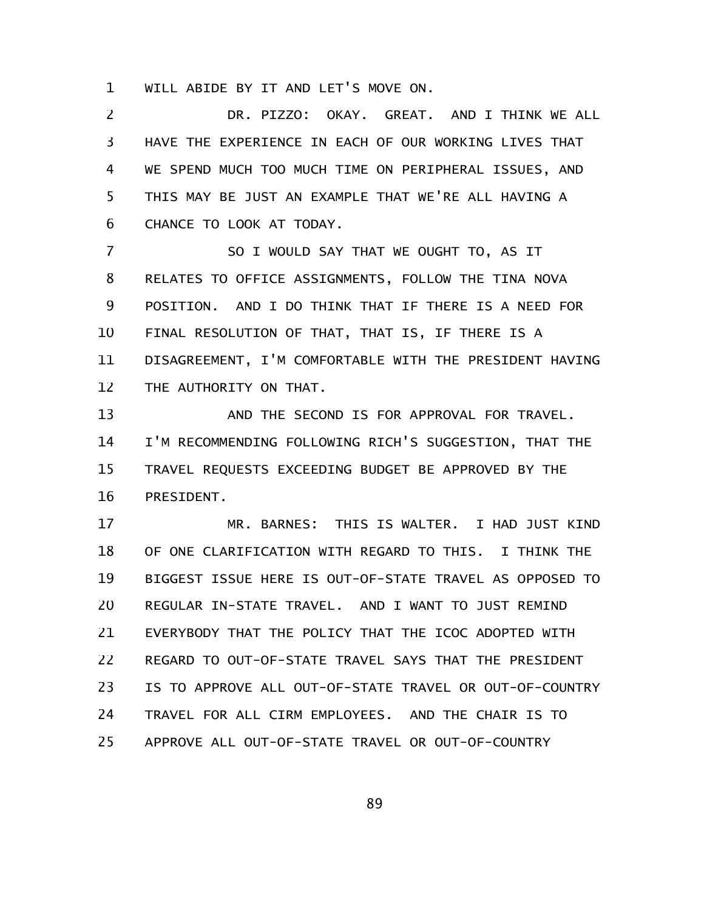WILL ABIDE BY IT AND LET'S MOVE ON. 1

DR. PIZZO: OKAY. GREAT. AND I THINK WE ALL HAVE THE EXPERIENCE IN EACH OF OUR WORKING LIVES THAT WE SPEND MUCH TOO MUCH TIME ON PERIPHERAL ISSUES, AND THIS MAY BE JUST AN EXAMPLE THAT WE'RE ALL HAVING A CHANCE TO LOOK AT TODAY. 2 3 4 5 6

SO I WOULD SAY THAT WE OUGHT TO, AS IT RELATES TO OFFICE ASSIGNMENTS, FOLLOW THE TINA NOVA POSITION. AND I DO THINK THAT IF THERE IS A NEED FOR FINAL RESOLUTION OF THAT, THAT IS, IF THERE IS A DISAGREEMENT, I'M COMFORTABLE WITH THE PRESIDENT HAVING THE AUTHORITY ON THAT. 7 8 9 10 11 12

AND THE SECOND IS FOR APPROVAL FOR TRAVEL. I'M RECOMMENDING FOLLOWING RICH'S SUGGESTION, THAT THE TRAVEL REQUESTS EXCEEDING BUDGET BE APPROVED BY THE PRESIDENT. 13 14 15 16

MR. BARNES: THIS IS WALTER. I HAD JUST KIND OF ONE CLARIFICATION WITH REGARD TO THIS. I THINK THE BIGGEST ISSUE HERE IS OUT-OF-STATE TRAVEL AS OPPOSED TO REGULAR IN-STATE TRAVEL. AND I WANT TO JUST REMIND EVERYBODY THAT THE POLICY THAT THE ICOC ADOPTED WITH REGARD TO OUT-OF-STATE TRAVEL SAYS THAT THE PRESIDENT IS TO APPROVE ALL OUT-OF-STATE TRAVEL OR OUT-OF-COUNTRY TRAVEL FOR ALL CIRM EMPLOYEES. AND THE CHAIR IS TO APPROVE ALL OUT-OF-STATE TRAVEL OR OUT-OF-COUNTRY 17 18 19 20 21 22 23 24 25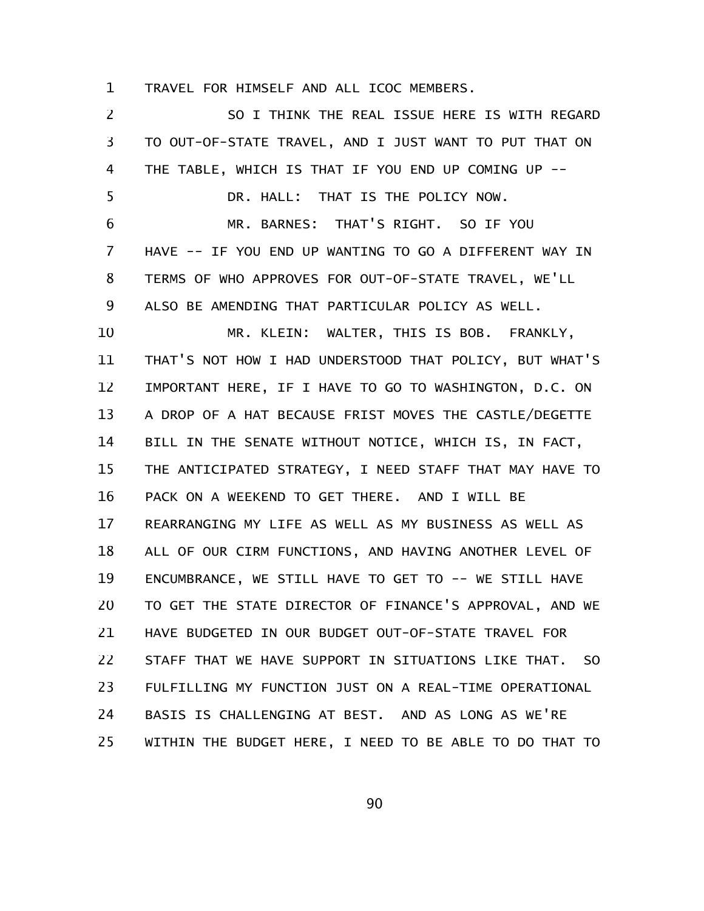TRAVEL FOR HIMSELF AND ALL ICOC MEMBERS. 1

SO I THINK THE REAL ISSUE HERE IS WITH REGARD TO OUT-OF-STATE TRAVEL, AND I JUST WANT TO PUT THAT ON THE TABLE, WHICH IS THAT IF YOU END UP COMING UP -- DR. HALL: THAT IS THE POLICY NOW. MR. BARNES: THAT'S RIGHT. SO IF YOU HAVE -- IF YOU END UP WANTING TO GO A DIFFERENT WAY IN TERMS OF WHO APPROVES FOR OUT-OF-STATE TRAVEL, WE'LL ALSO BE AMENDING THAT PARTICULAR POLICY AS WELL. MR. KLEIN: WALTER, THIS IS BOB. FRANKLY, THAT'S NOT HOW I HAD UNDERSTOOD THAT POLICY, BUT WHAT'S IMPORTANT HERE, IF I HAVE TO GO TO WASHINGTON, D.C. ON A DROP OF A HAT BECAUSE FRIST MOVES THE CASTLE/DEGETTE BILL IN THE SENATE WITHOUT NOTICE, WHICH IS, IN FACT, THE ANTICIPATED STRATEGY, I NEED STAFF THAT MAY HAVE TO PACK ON A WEEKEND TO GET THERE. AND I WILL BE REARRANGING MY LIFE AS WELL AS MY BUSINESS AS WELL AS ALL OF OUR CIRM FUNCTIONS, AND HAVING ANOTHER LEVEL OF ENCUMBRANCE, WE STILL HAVE TO GET TO -- WE STILL HAVE TO GET THE STATE DIRECTOR OF FINANCE'S APPROVAL, AND WE HAVE BUDGETED IN OUR BUDGET OUT-OF-STATE TRAVEL FOR STAFF THAT WE HAVE SUPPORT IN SITUATIONS LIKE THAT. SO FULFILLING MY FUNCTION JUST ON A REAL-TIME OPERATIONAL BASIS IS CHALLENGING AT BEST. AND AS LONG AS WE'RE WITHIN THE BUDGET HERE, I NEED TO BE ABLE TO DO THAT TO 2 3 4 5 6 7 8 9 10 11 12 13 14 15 16 17 18 19 20 21 22 23 24 25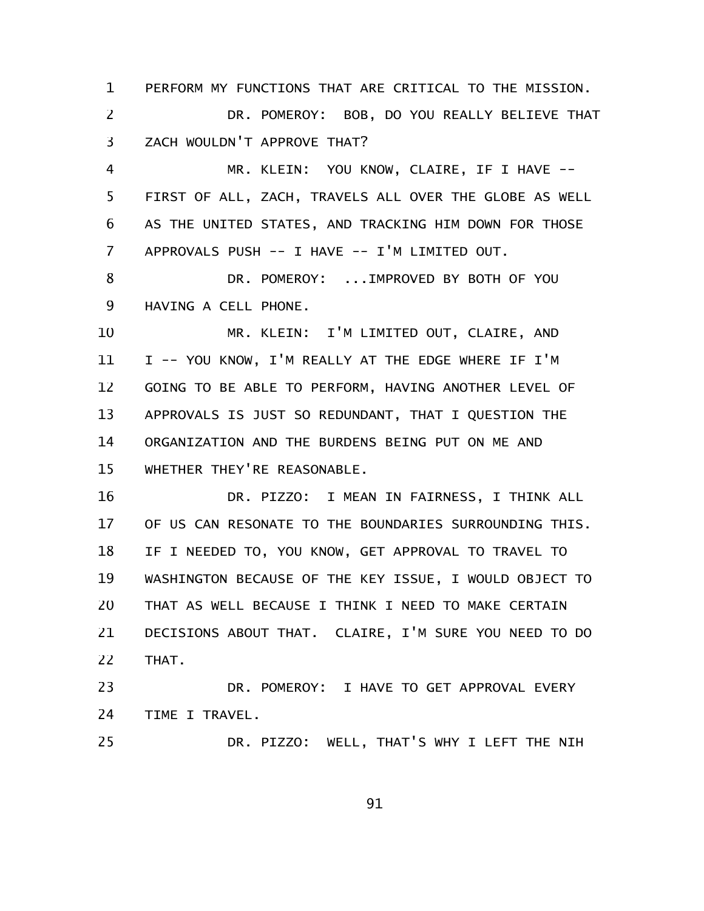PERFORM MY FUNCTIONS THAT ARE CRITICAL TO THE MISSION. DR. POMEROY: BOB, DO YOU REALLY BELIEVE THAT ZACH WOULDN'T APPROVE THAT? MR. KLEIN: YOU KNOW, CLAIRE, IF I HAVE -- FIRST OF ALL, ZACH, TRAVELS ALL OVER THE GLOBE AS WELL AS THE UNITED STATES, AND TRACKING HIM DOWN FOR THOSE APPROVALS PUSH -- I HAVE -- I'M LIMITED OUT. DR. POMEROY: ...IMPROVED BY BOTH OF YOU HAVING A CELL PHONE. MR. KLEIN: I'M LIMITED OUT, CLAIRE, AND I -- YOU KNOW, I'M REALLY AT THE EDGE WHERE IF I'M GOING TO BE ABLE TO PERFORM, HAVING ANOTHER LEVEL OF APPROVALS IS JUST SO REDUNDANT, THAT I QUESTION THE ORGANIZATION AND THE BURDENS BEING PUT ON ME AND WHETHER THEY'RE REASONABLE. 1 2 3 4 5 6 7 8 9 10 11 12 13 14 15

DR. PIZZO: I MEAN IN FAIRNESS, I THINK ALL OF US CAN RESONATE TO THE BOUNDARIES SURROUNDING THIS. IF I NEEDED TO, YOU KNOW, GET APPROVAL TO TRAVEL TO WASHINGTON BECAUSE OF THE KEY ISSUE, I WOULD OBJECT TO THAT AS WELL BECAUSE I THINK I NEED TO MAKE CERTAIN DECISIONS ABOUT THAT. CLAIRE, I'M SURE YOU NEED TO DO THAT. 16 17 18 19 20 21 22

DR. POMEROY: I HAVE TO GET APPROVAL EVERY TIME I TRAVEL. 23 24

DR. PIZZO: WELL, THAT'S WHY I LEFT THE NIH 25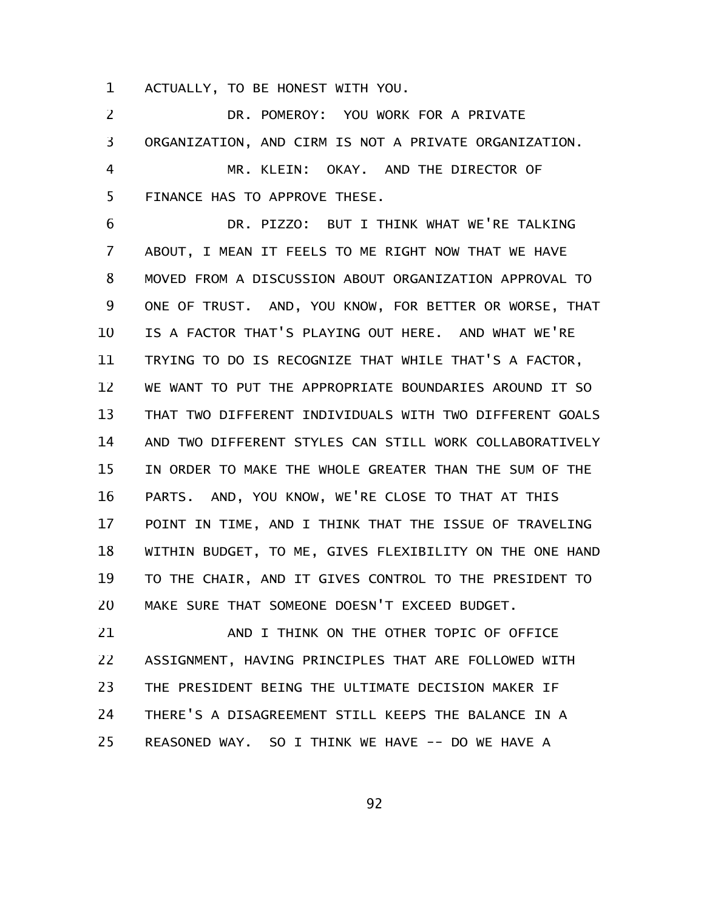ACTUALLY, TO BE HONEST WITH YOU. 1

DR. POMEROY: YOU WORK FOR A PRIVATE ORGANIZATION, AND CIRM IS NOT A PRIVATE ORGANIZATION. MR. KLEIN: OKAY. AND THE DIRECTOR OF FINANCE HAS TO APPROVE THESE. 2 3 4 5

DR. PIZZO: BUT I THINK WHAT WE'RE TALKING ABOUT, I MEAN IT FEELS TO ME RIGHT NOW THAT WE HAVE MOVED FROM A DISCUSSION ABOUT ORGANIZATION APPROVAL TO ONE OF TRUST. AND, YOU KNOW, FOR BETTER OR WORSE, THAT IS A FACTOR THAT'S PLAYING OUT HERE. AND WHAT WE'RE TRYING TO DO IS RECOGNIZE THAT WHILE THAT'S A FACTOR, WE WANT TO PUT THE APPROPRIATE BOUNDARIES AROUND IT SO THAT TWO DIFFERENT INDIVIDUALS WITH TWO DIFFERENT GOALS AND TWO DIFFERENT STYLES CAN STILL WORK COLLABORATIVELY IN ORDER TO MAKE THE WHOLE GREATER THAN THE SUM OF THE PARTS. AND, YOU KNOW, WE'RE CLOSE TO THAT AT THIS POINT IN TIME, AND I THINK THAT THE ISSUE OF TRAVELING WITHIN BUDGET, TO ME, GIVES FLEXIBILITY ON THE ONE HAND TO THE CHAIR, AND IT GIVES CONTROL TO THE PRESIDENT TO MAKE SURE THAT SOMEONE DOESN'T EXCEED BUDGET. 6 7 8 9 10 11 12 13 14 15 16 17 18 19 20

AND I THINK ON THE OTHER TOPIC OF OFFICE ASSIGNMENT, HAVING PRINCIPLES THAT ARE FOLLOWED WITH THE PRESIDENT BEING THE ULTIMATE DECISION MAKER IF THERE'S A DISAGREEMENT STILL KEEPS THE BALANCE IN A REASONED WAY. SO I THINK WE HAVE -- DO WE HAVE A 21 22 23 24 25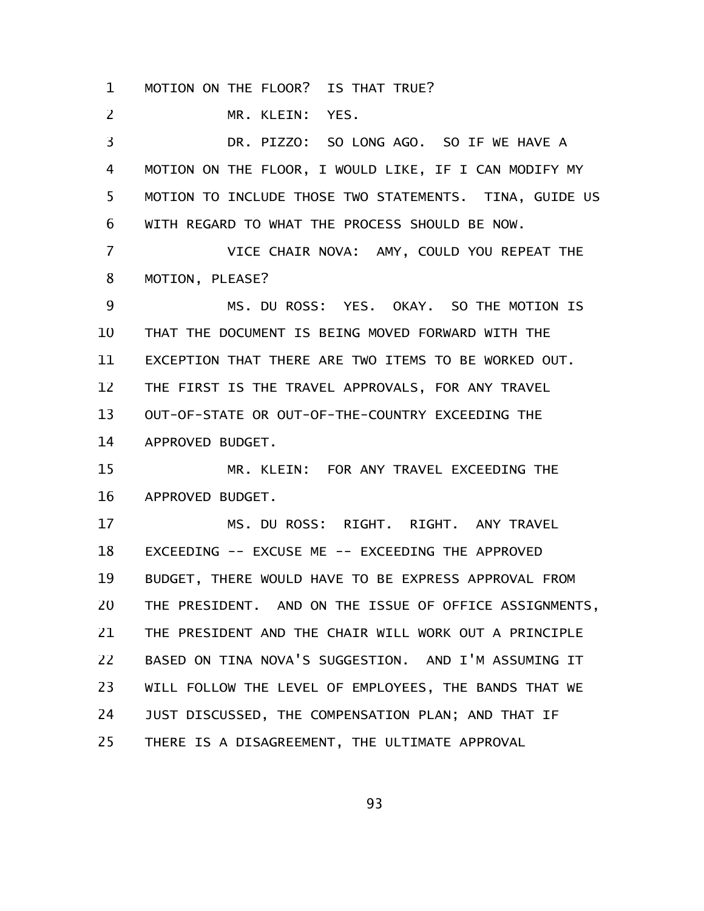MOTION ON THE FLOOR? IS THAT TRUE? 1

MR. KLEIN: YES. 2

DR. PIZZO: SO LONG AGO. SO IF WE HAVE A MOTION ON THE FLOOR, I WOULD LIKE, IF I CAN MODIFY MY MOTION TO INCLUDE THOSE TWO STATEMENTS. TINA, GUIDE US WITH REGARD TO WHAT THE PROCESS SHOULD BE NOW. 3 4 5 6

VICE CHAIR NOVA: AMY, COULD YOU REPEAT THE MOTION, PLEASE? 7 8

MS. DU ROSS: YES. OKAY. SO THE MOTION IS THAT THE DOCUMENT IS BEING MOVED FORWARD WITH THE EXCEPTION THAT THERE ARE TWO ITEMS TO BE WORKED OUT. THE FIRST IS THE TRAVEL APPROVALS, FOR ANY TRAVEL OUT-OF-STATE OR OUT-OF-THE-COUNTRY EXCEEDING THE APPROVED BUDGET. 9 10 11 12 13 14

MR. KLEIN: FOR ANY TRAVEL EXCEEDING THE APPROVED BUDGET. 15 16

MS. DU ROSS: RIGHT. RIGHT. ANY TRAVEL EXCEEDING -- EXCUSE ME -- EXCEEDING THE APPROVED BUDGET, THERE WOULD HAVE TO BE EXPRESS APPROVAL FROM THE PRESIDENT. AND ON THE ISSUE OF OFFICE ASSIGNMENTS, THE PRESIDENT AND THE CHAIR WILL WORK OUT A PRINCIPLE BASED ON TINA NOVA'S SUGGESTION. AND I'M ASSUMING IT WILL FOLLOW THE LEVEL OF EMPLOYEES, THE BANDS THAT WE JUST DISCUSSED, THE COMPENSATION PLAN; AND THAT IF THERE IS A DISAGREEMENT, THE ULTIMATE APPROVAL 17 18 19 20 21 22 23 24 25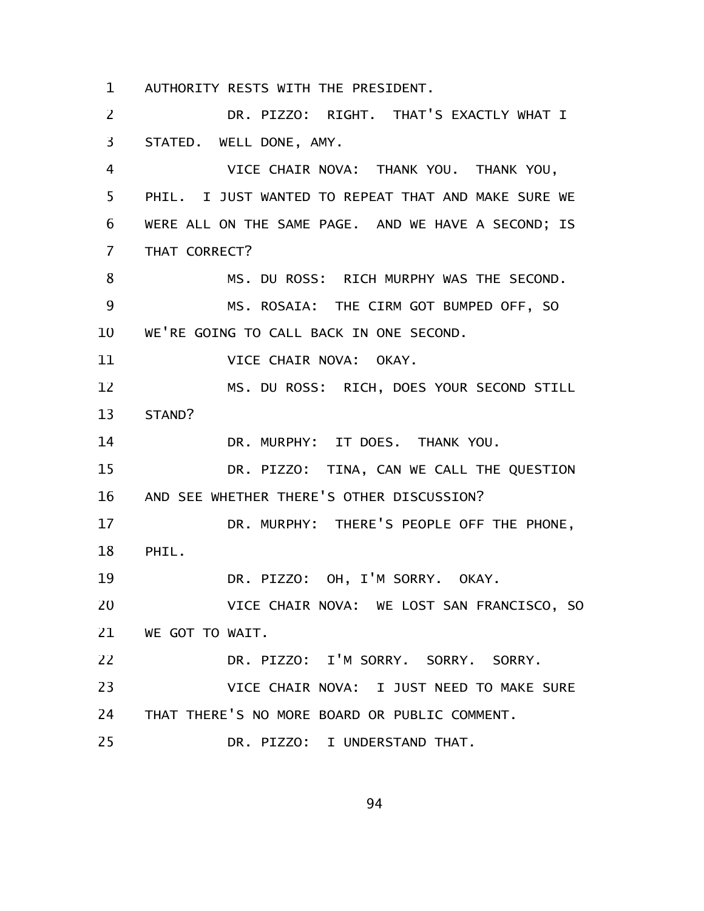AUTHORITY RESTS WITH THE PRESIDENT. 1

DR. PIZZO: RIGHT. THAT'S EXACTLY WHAT I STATED. WELL DONE, AMY. VICE CHAIR NOVA: THANK YOU. THANK YOU, PHIL. I JUST WANTED TO REPEAT THAT AND MAKE SURE WE WERE ALL ON THE SAME PAGE. AND WE HAVE A SECOND; IS THAT CORRECT? MS. DU ROSS: RICH MURPHY WAS THE SECOND. MS. ROSAIA: THE CIRM GOT BUMPED OFF, SO WE'RE GOING TO CALL BACK IN ONE SECOND. VICE CHAIR NOVA: OKAY. MS. DU ROSS: RICH, DOES YOUR SECOND STILL STAND? DR. MURPHY: IT DOES. THANK YOU. DR. PIZZO: TINA, CAN WE CALL THE QUESTION AND SEE WHETHER THERE'S OTHER DISCUSSION? DR. MURPHY: THERE'S PEOPLE OFF THE PHONE, PHIL. DR. PIZZO: OH, I'M SORRY. OKAY. VICE CHAIR NOVA: WE LOST SAN FRANCISCO, SO WE GOT TO WAIT. DR. PIZZO: I'M SORRY. SORRY. SORRY. VICE CHAIR NOVA: I JUST NEED TO MAKE SURE THAT THERE'S NO MORE BOARD OR PUBLIC COMMENT. DR. PIZZO: I UNDERSTAND THAT. 2 3 4 5 6 7 8 9 10 11 12 13 14 15 16 17 18 19 20 21 22 23 24 25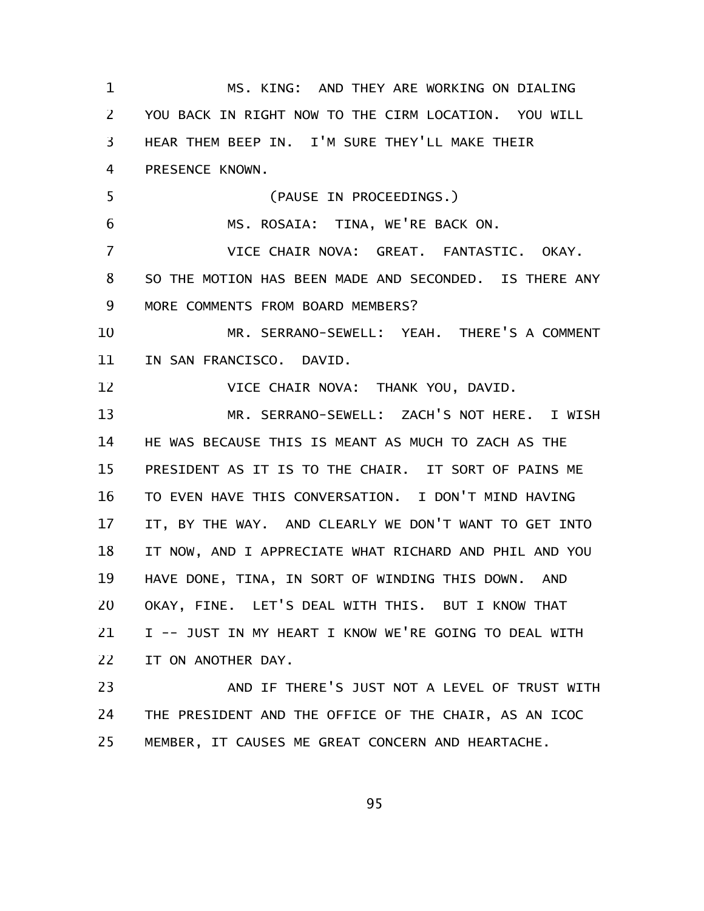| $\mathbf 1$ | MS. KING: AND THEY ARE WORKING ON DIALING                    |
|-------------|--------------------------------------------------------------|
| 2           | YOU BACK IN RIGHT NOW TO THE CIRM LOCATION. YOU WILL         |
| 3           | HEAR THEM BEEP IN. I'M SURE THEY'LL MAKE THEIR               |
| 4           | PRESENCE KNOWN.                                              |
| 5           | (PAUSE IN PROCEEDINGS.)                                      |
| 6           | MS. ROSAIA: TINA, WE'RE BACK ON.                             |
| 7           | VICE CHAIR NOVA: GREAT. FANTASTIC. OKAY.                     |
| 8           | SO THE MOTION HAS BEEN MADE AND SECONDED. IS THERE ANY       |
| 9           | MORE COMMENTS FROM BOARD MEMBERS?                            |
| 10          | MR. SERRANO-SEWELL: YEAH. THERE'S A COMMENT                  |
| 11          | IN SAN FRANCISCO. DAVID.                                     |
| 12          | VICE CHAIR NOVA: THANK YOU, DAVID.                           |
| 13          | MR. SERRANO-SEWELL: ZACH'S NOT HERE. I WISH                  |
| 14          | HE WAS BECAUSE THIS IS MEANT AS MUCH TO ZACH AS THE          |
| 15          | PRESIDENT AS IT IS TO THE CHAIR. IT SORT OF PAINS ME         |
| 16          | TO EVEN HAVE THIS CONVERSATION. I DON'T MIND HAVING          |
| 17          | IT, BY THE WAY. AND CLEARLY WE DON'T WANT TO GET INTO        |
| 18          | IT NOW, AND I APPRECIATE WHAT RICHARD AND PHIL AND YOU       |
| 19          | HAVE DONE, TINA, IN SORT OF WINDING THIS DOWN.<br><b>AND</b> |
| 20          | OKAY, FINE. LET'S DEAL WITH THIS. BUT I KNOW THAT            |
| 21          | I -- JUST IN MY HEART I KNOW WE'RE GOING TO DEAL WITH        |
| 22          | IT ON ANOTHER DAY.                                           |
| 23          | AND IF THERE'S JUST NOT A LEVEL OF TRUST WITH                |
| 24          | THE PRESIDENT AND THE OFFICE OF THE CHAIR, AS AN ICOC        |
|             |                                                              |

MEMBER, IT CAUSES ME GREAT CONCERN AND HEARTACHE. 25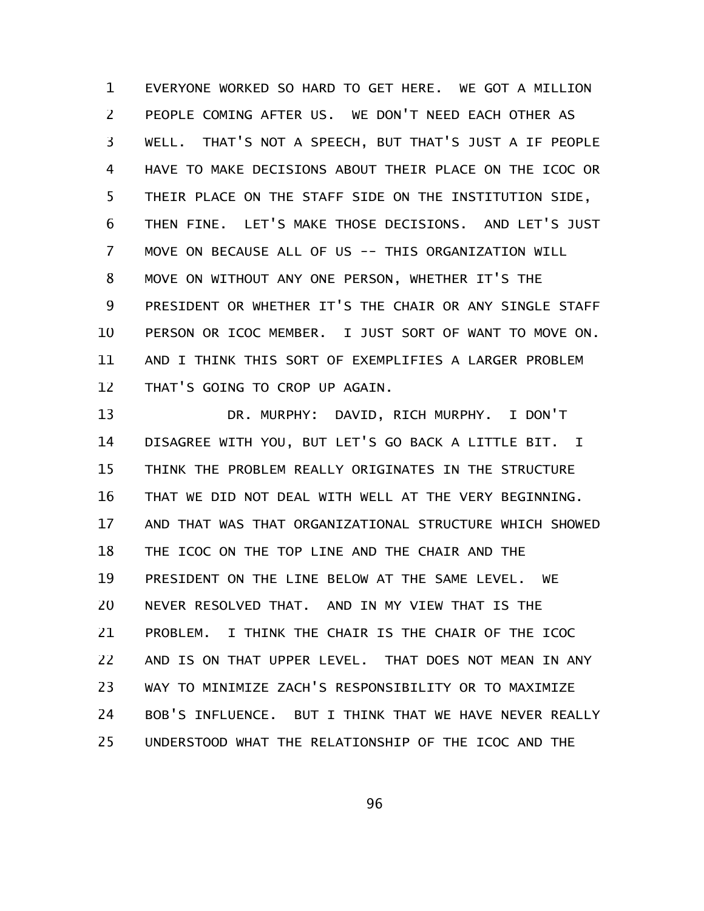EVERYONE WORKED SO HARD TO GET HERE. WE GOT A MILLION PEOPLE COMING AFTER US. WE DON'T NEED EACH OTHER AS WELL. THAT'S NOT A SPEECH, BUT THAT'S JUST A IF PEOPLE HAVE TO MAKE DECISIONS ABOUT THEIR PLACE ON THE ICOC OR THEIR PLACE ON THE STAFF SIDE ON THE INSTITUTION SIDE, THEN FINE. LET'S MAKE THOSE DECISIONS. AND LET'S JUST MOVE ON BECAUSE ALL OF US -- THIS ORGANIZATION WILL MOVE ON WITHOUT ANY ONE PERSON, WHETHER IT'S THE PRESIDENT OR WHETHER IT'S THE CHAIR OR ANY SINGLE STAFF PERSON OR ICOC MEMBER. I JUST SORT OF WANT TO MOVE ON. AND I THINK THIS SORT OF EXEMPLIFIES A LARGER PROBLEM THAT'S GOING TO CROP UP AGAIN. 1 2 3 4 5 6 7 8 9 10 11 12

DR. MURPHY: DAVID, RICH MURPHY. I DON'T DISAGREE WITH YOU, BUT LET'S GO BACK A LITTLE BIT. I THINK THE PROBLEM REALLY ORIGINATES IN THE STRUCTURE THAT WE DID NOT DEAL WITH WELL AT THE VERY BEGINNING. AND THAT WAS THAT ORGANIZATIONAL STRUCTURE WHICH SHOWED THE ICOC ON THE TOP LINE AND THE CHAIR AND THE PRESIDENT ON THE LINE BELOW AT THE SAME LEVEL. WE NEVER RESOLVED THAT. AND IN MY VIEW THAT IS THE PROBLEM. I THINK THE CHAIR IS THE CHAIR OF THE ICOC AND IS ON THAT UPPER LEVEL. THAT DOES NOT MEAN IN ANY WAY TO MINIMIZE ZACH'S RESPONSIBILITY OR TO MAXIMIZE BOB'S INFLUENCE. BUT I THINK THAT WE HAVE NEVER REALLY UNDERSTOOD WHAT THE RELATIONSHIP OF THE ICOC AND THE 13 14 15 16 17 18 19 20 21 22 23 24 25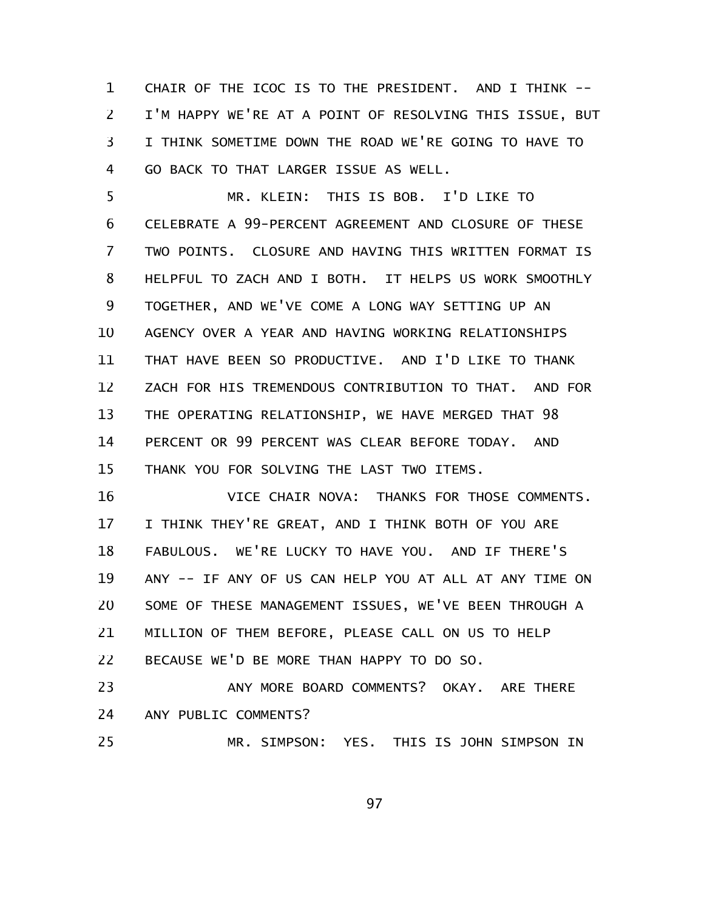CHAIR OF THE ICOC IS TO THE PRESIDENT. AND I THINK -- I'M HAPPY WE'RE AT A POINT OF RESOLVING THIS ISSUE, BUT I THINK SOMETIME DOWN THE ROAD WE'RE GOING TO HAVE TO GO BACK TO THAT LARGER ISSUE AS WELL. 1 2 3 4

MR. KLEIN: THIS IS BOB. I'D LIKE TO CELEBRATE A 99-PERCENT AGREEMENT AND CLOSURE OF THESE TWO POINTS. CLOSURE AND HAVING THIS WRITTEN FORMAT IS HELPFUL TO ZACH AND I BOTH. IT HELPS US WORK SMOOTHLY TOGETHER, AND WE'VE COME A LONG WAY SETTING UP AN AGENCY OVER A YEAR AND HAVING WORKING RELATIONSHIPS THAT HAVE BEEN SO PRODUCTIVE. AND I'D LIKE TO THANK ZACH FOR HIS TREMENDOUS CONTRIBUTION TO THAT. AND FOR THE OPERATING RELATIONSHIP, WE HAVE MERGED THAT 98 PERCENT OR 99 PERCENT WAS CLEAR BEFORE TODAY. AND THANK YOU FOR SOLVING THE LAST TWO ITEMS. 5 6 7 8 9 10 11 12 13 14 15

VICE CHAIR NOVA: THANKS FOR THOSE COMMENTS. I THINK THEY'RE GREAT, AND I THINK BOTH OF YOU ARE FABULOUS. WE'RE LUCKY TO HAVE YOU. AND IF THERE'S ANY -- IF ANY OF US CAN HELP YOU AT ALL AT ANY TIME ON SOME OF THESE MANAGEMENT ISSUES, WE'VE BEEN THROUGH A MILLION OF THEM BEFORE, PLEASE CALL ON US TO HELP BECAUSE WE'D BE MORE THAN HAPPY TO DO SO. 16 17 18 19 20 21 22

ANY MORE BOARD COMMENTS? OKAY. ARE THERE ANY PUBLIC COMMENTS? 23 24 25

MR. SIMPSON: YES. THIS IS JOHN SIMPSON IN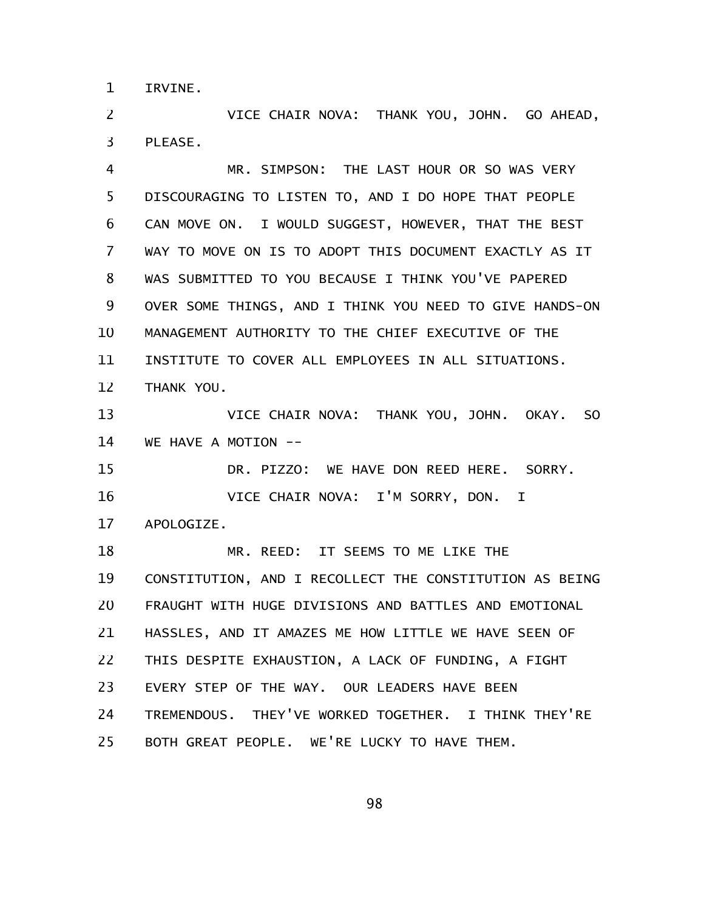IRVINE. 1

VICE CHAIR NOVA: THANK YOU, JOHN. GO AHEAD, PLEASE. 2 3

MR. SIMPSON: THE LAST HOUR OR SO WAS VERY DISCOURAGING TO LISTEN TO, AND I DO HOPE THAT PEOPLE CAN MOVE ON. I WOULD SUGGEST, HOWEVER, THAT THE BEST WAY TO MOVE ON IS TO ADOPT THIS DOCUMENT EXACTLY AS IT WAS SUBMITTED TO YOU BECAUSE I THINK YOU'VE PAPERED OVER SOME THINGS, AND I THINK YOU NEED TO GIVE HANDS-ON MANAGEMENT AUTHORITY TO THE CHIEF EXECUTIVE OF THE INSTITUTE TO COVER ALL EMPLOYEES IN ALL SITUATIONS. THANK YOU. 4 5 6 7 8 9 10 11 12

VICE CHAIR NOVA: THANK YOU, JOHN. OKAY. SO WE HAVE A MOTION --13 14

DR. PIZZO: WE HAVE DON REED HERE. SORRY. VICE CHAIR NOVA: I'M SORRY, DON. I 15 16

APOLOGIZE. 17

MR. REED: IT SEEMS TO ME LIKE THE CONSTITUTION, AND I RECOLLECT THE CONSTITUTION AS BEING FRAUGHT WITH HUGE DIVISIONS AND BATTLES AND EMOTIONAL HASSLES, AND IT AMAZES ME HOW LITTLE WE HAVE SEEN OF THIS DESPITE EXHAUSTION, A LACK OF FUNDING, A FIGHT EVERY STEP OF THE WAY. OUR LEADERS HAVE BEEN TREMENDOUS. THEY'VE WORKED TOGETHER. I THINK THEY'RE BOTH GREAT PEOPLE. WE'RE LUCKY TO HAVE THEM. 18 19 20 21 22 23 24 25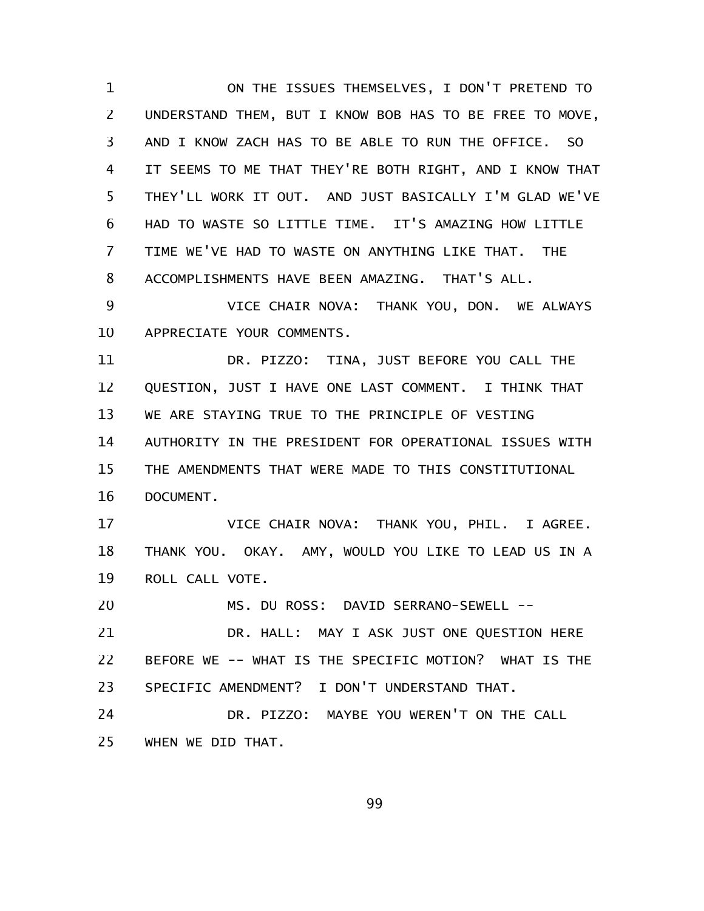ON THE ISSUES THEMSELVES, I DON'T PRETEND TO UNDERSTAND THEM, BUT I KNOW BOB HAS TO BE FREE TO MOVE, AND I KNOW ZACH HAS TO BE ABLE TO RUN THE OFFICE. SO IT SEEMS TO ME THAT THEY'RE BOTH RIGHT, AND I KNOW THAT THEY'LL WORK IT OUT. AND JUST BASICALLY I'M GLAD WE'VE HAD TO WASTE SO LITTLE TIME. IT'S AMAZING HOW LITTLE TIME WE'VE HAD TO WASTE ON ANYTHING LIKE THAT. THE ACCOMPLISHMENTS HAVE BEEN AMAZING. THAT'S ALL. 1 2 3 4 5 6 7 8

VICE CHAIR NOVA: THANK YOU, DON. WE ALWAYS APPRECIATE YOUR COMMENTS. 9 10

DR. PIZZO: TINA, JUST BEFORE YOU CALL THE QUESTION, JUST I HAVE ONE LAST COMMENT. I THINK THAT WE ARE STAYING TRUE TO THE PRINCIPLE OF VESTING AUTHORITY IN THE PRESIDENT FOR OPERATIONAL ISSUES WITH THE AMENDMENTS THAT WERE MADE TO THIS CONSTITUTIONAL DOCUMENT. 11 12 13 14 15 16

VICE CHAIR NOVA: THANK YOU, PHIL. I AGREE. THANK YOU. OKAY. AMY, WOULD YOU LIKE TO LEAD US IN A ROLL CALL VOTE. 17 18 19

MS. DU ROSS: DAVID SERRANO-SEWELL -- 20

DR. HALL: MAY I ASK JUST ONE QUESTION HERE BEFORE WE -- WHAT IS THE SPECIFIC MOTION? WHAT IS THE SPECIFIC AMENDMENT? I DON'T UNDERSTAND THAT. 21 22 23

DR. PIZZO: MAYBE YOU WEREN'T ON THE CALL WHEN WE DID THAT. 24 25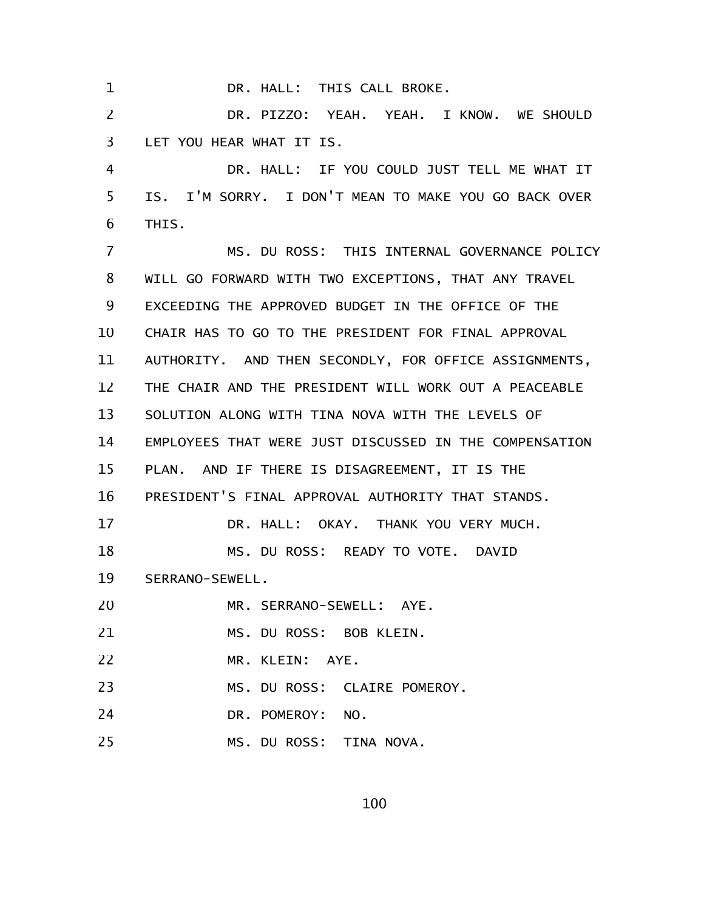DR. HALL: THIS CALL BROKE. 1

DR. PIZZO: YEAH. YEAH. I KNOW. WE SHOULD LET YOU HEAR WHAT IT IS. 2 3

DR. HALL: IF YOU COULD JUST TELL ME WHAT IT IS. I'M SORRY. I DON'T MEAN TO MAKE YOU GO BACK OVER THIS. 4 5 6

MS. DU ROSS: THIS INTERNAL GOVERNANCE POLICY WILL GO FORWARD WITH TWO EXCEPTIONS, THAT ANY TRAVEL EXCEEDING THE APPROVED BUDGET IN THE OFFICE OF THE CHAIR HAS TO GO TO THE PRESIDENT FOR FINAL APPROVAL AUTHORITY. AND THEN SECONDLY, FOR OFFICE ASSIGNMENTS, THE CHAIR AND THE PRESIDENT WILL WORK OUT A PEACEABLE SOLUTION ALONG WITH TINA NOVA WITH THE LEVELS OF EMPLOYEES THAT WERE JUST DISCUSSED IN THE COMPENSATION PLAN. AND IF THERE IS DISAGREEMENT, IT IS THE PRESIDENT'S FINAL APPROVAL AUTHORITY THAT STANDS. DR. HALL: OKAY. THANK YOU VERY MUCH. MS. DU ROSS: READY TO VOTE. DAVID SERRANO-SEWELL. MR. SERRANO-SEWELL: AYE. MS. DU ROSS: BOB KLEIN. MR. KLEIN: AYE. MS. DU ROSS: CLAIRE POMEROY. DR. POMEROY: NO. 7 8 9 10 11 12 13 14 15 16 17 18 19 20 21 22 23 24

MS. DU ROSS: TINA NOVA. 25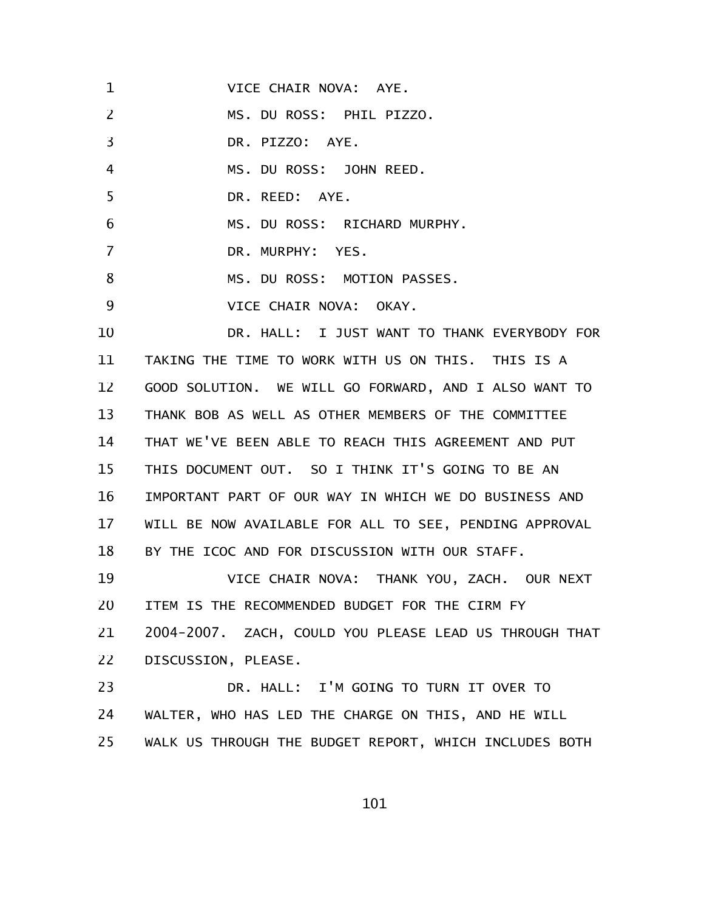| 1                 | VICE CHAIR NOVA: AYE.                                  |
|-------------------|--------------------------------------------------------|
| 2                 | MS. DU ROSS: PHIL PIZZO.                               |
| $\overline{3}$    | DR. PIZZO: AYE.                                        |
| $\overline{4}$    | MS. DU ROSS: JOHN REED.                                |
| 5                 | DR. REED: AYE.                                         |
| 6                 | MS. DU ROSS: RICHARD MURPHY.                           |
| 7                 | DR. MURPHY: YES.                                       |
| 8                 | MS. DU ROSS: MOTION PASSES.                            |
| 9                 | VICE CHAIR NOVA: OKAY.                                 |
| 10                | DR. HALL: I JUST WANT TO THANK EVERYBODY FOR           |
| 11                | TAKING THE TIME TO WORK WITH US ON THIS. THIS IS A     |
| $12 \overline{ }$ | GOOD SOLUTION. WE WILL GO FORWARD, AND I ALSO WANT TO  |
| 13                | THANK BOB AS WELL AS OTHER MEMBERS OF THE COMMITTEE    |
| 14                | THAT WE'VE BEEN ABLE TO REACH THIS AGREEMENT AND PUT   |
| 15                | THIS DOCUMENT OUT. SO I THINK IT'S GOING TO BE AN      |
| 16                | IMPORTANT PART OF OUR WAY IN WHICH WE DO BUSINESS AND  |
| 17                | WILL BE NOW AVAILABLE FOR ALL TO SEE, PENDING APPROVAL |
| 18                | BY THE ICOC AND FOR DISCUSSION WITH OUR STAFF.         |
| 19                | VICE CHAIR NOVA: THANK YOU, ZACH. OUR NEXT             |
| 20                | ITEM IS THE RECOMMENDED BUDGET FOR THE CIRM FY         |
| 21                | 2004-2007. ZACH, COULD YOU PLEASE LEAD US THROUGH THAT |
| 22                | DISCUSSION, PLEASE.                                    |
| 23                | DR. HALL: I'M GOING TO TURN IT OVER TO                 |
| 24                | WALTER, WHO HAS LED THE CHARGE ON THIS, AND HE WILL    |
| 25                | WALK US THROUGH THE BUDGET REPORT, WHICH INCLUDES BOTH |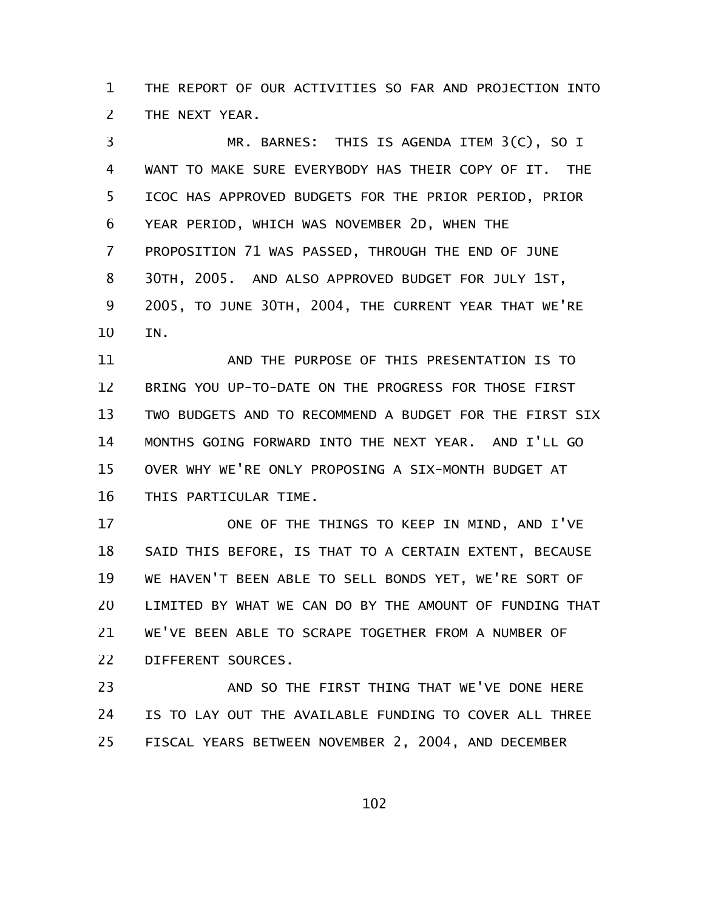THE REPORT OF OUR ACTIVITIES SO FAR AND PROJECTION INTO THE NEXT YEAR. 1 2

MR. BARNES: THIS IS AGENDA ITEM 3(C), SO I WANT TO MAKE SURE EVERYBODY HAS THEIR COPY OF IT. THE ICOC HAS APPROVED BUDGETS FOR THE PRIOR PERIOD, PRIOR YEAR PERIOD, WHICH WAS NOVEMBER 2D, WHEN THE PROPOSITION 71 WAS PASSED, THROUGH THE END OF JUNE 30TH, 2005. AND ALSO APPROVED BUDGET FOR JULY 1ST, 2005, TO JUNE 30TH, 2004, THE CURRENT YEAR THAT WE'RE IN. 3 4 5 6 7 8 9 10

AND THE PURPOSE OF THIS PRESENTATION IS TO BRING YOU UP-TO-DATE ON THE PROGRESS FOR THOSE FIRST TWO BUDGETS AND TO RECOMMEND A BUDGET FOR THE FIRST SIX MONTHS GOING FORWARD INTO THE NEXT YEAR. AND I'LL GO OVER WHY WE'RE ONLY PROPOSING A SIX-MONTH BUDGET AT THIS PARTICULAR TIME. 11 12 13 14 15 16

ONE OF THE THINGS TO KEEP IN MIND, AND I'VE SAID THIS BEFORE, IS THAT TO A CERTAIN EXTENT, BECAUSE WE HAVEN'T BEEN ABLE TO SELL BONDS YET, WE'RE SORT OF LIMITED BY WHAT WE CAN DO BY THE AMOUNT OF FUNDING THAT WE'VE BEEN ABLE TO SCRAPE TOGETHER FROM A NUMBER OF DIFFERENT SOURCES. 17 18 19 20 21 22

AND SO THE FIRST THING THAT WE'VE DONE HERE IS TO LAY OUT THE AVAILABLE FUNDING TO COVER ALL THREE FISCAL YEARS BETWEEN NOVEMBER 2, 2004, AND DECEMBER 23 24 25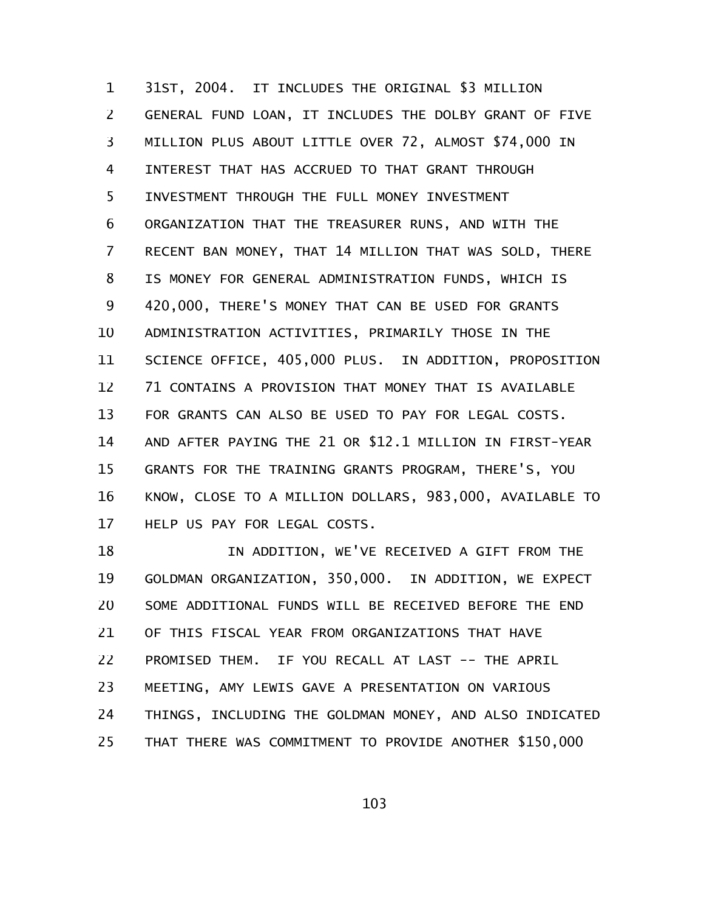31ST, 2004. IT INCLUDES THE ORIGINAL \$3 MILLION GENERAL FUND LOAN, IT INCLUDES THE DOLBY GRANT OF FIVE MILLION PLUS ABOUT LITTLE OVER 72, ALMOST \$74,000 IN INTEREST THAT HAS ACCRUED TO THAT GRANT THROUGH INVESTMENT THROUGH THE FULL MONEY INVESTMENT ORGANIZATION THAT THE TREASURER RUNS, AND WITH THE RECENT BAN MONEY, THAT 14 MILLION THAT WAS SOLD, THERE IS MONEY FOR GENERAL ADMINISTRATION FUNDS, WHICH IS 420,000, THERE'S MONEY THAT CAN BE USED FOR GRANTS ADMINISTRATION ACTIVITIES, PRIMARILY THOSE IN THE SCIENCE OFFICE, 405,000 PLUS. IN ADDITION, PROPOSITION 71 CONTAINS A PROVISION THAT MONEY THAT IS AVAILABLE FOR GRANTS CAN ALSO BE USED TO PAY FOR LEGAL COSTS. AND AFTER PAYING THE 21 OR \$12.1 MILLION IN FIRST-YEAR GRANTS FOR THE TRAINING GRANTS PROGRAM, THERE'S, YOU KNOW, CLOSE TO A MILLION DOLLARS, 983,000, AVAILABLE TO HELP US PAY FOR LEGAL COSTS. 1 2 3 4 5 6 7 8 9 10 11 12 13 14 15 16 17

IN ADDITION, WE'VE RECEIVED A GIFT FROM THE GOLDMAN ORGANIZATION, 350,000. IN ADDITION, WE EXPECT SOME ADDITIONAL FUNDS WILL BE RECEIVED BEFORE THE END OF THIS FISCAL YEAR FROM ORGANIZATIONS THAT HAVE PROMISED THEM. IF YOU RECALL AT LAST -- THE APRIL MEETING, AMY LEWIS GAVE A PRESENTATION ON VARIOUS THINGS, INCLUDING THE GOLDMAN MONEY, AND ALSO INDICATED THAT THERE WAS COMMITMENT TO PROVIDE ANOTHER \$150,000 18 19 20 21 22 23 24 25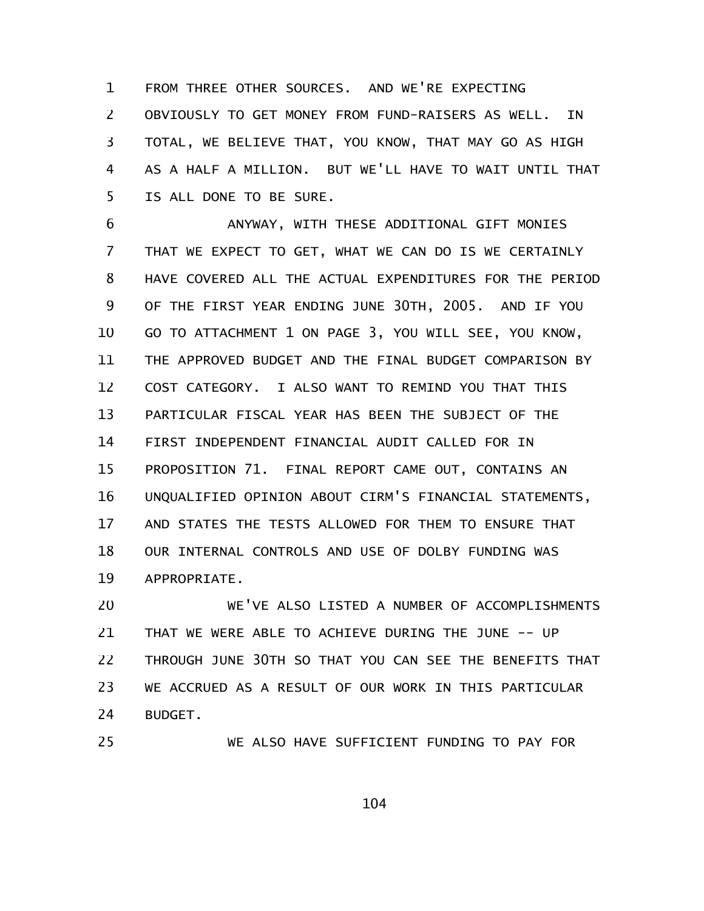FROM THREE OTHER SOURCES. AND WE'RE EXPECTING OBVIOUSLY TO GET MONEY FROM FUND-RAISERS AS WELL. IN TOTAL, WE BELIEVE THAT, YOU KNOW, THAT MAY GO AS HIGH AS A HALF A MILLION. BUT WE'LL HAVE TO WAIT UNTIL THAT IS ALL DONE TO BE SURE. 1 2 3 4 5

ANYWAY, WITH THESE ADDITIONAL GIFT MONIES THAT WE EXPECT TO GET, WHAT WE CAN DO IS WE CERTAINLY HAVE COVERED ALL THE ACTUAL EXPENDITURES FOR THE PERIOD OF THE FIRST YEAR ENDING JUNE 30TH, 2005. AND IF YOU GO TO ATTACHMENT 1 ON PAGE 3, YOU WILL SEE, YOU KNOW, THE APPROVED BUDGET AND THE FINAL BUDGET COMPARISON BY COST CATEGORY. I ALSO WANT TO REMIND YOU THAT THIS PARTICULAR FISCAL YEAR HAS BEEN THE SUBJECT OF THE FIRST INDEPENDENT FINANCIAL AUDIT CALLED FOR IN PROPOSITION 71. FINAL REPORT CAME OUT, CONTAINS AN UNQUALIFIED OPINION ABOUT CIRM'S FINANCIAL STATEMENTS, AND STATES THE TESTS ALLOWED FOR THEM TO ENSURE THAT OUR INTERNAL CONTROLS AND USE OF DOLBY FUNDING WAS APPROPRIATE. 6 7 8 9 10 11 12 13 14 15 16 17 18 19

WE'VE ALSO LISTED A NUMBER OF ACCOMPLISHMENTS THAT WE WERE ABLE TO ACHIEVE DURING THE JUNE -- UP THROUGH JUNE 30TH SO THAT YOU CAN SEE THE BENEFITS THAT WE ACCRUED AS A RESULT OF OUR WORK IN THIS PARTICULAR BUDGET. 20 21 22 23 24

25

WE ALSO HAVE SUFFICIENT FUNDING TO PAY FOR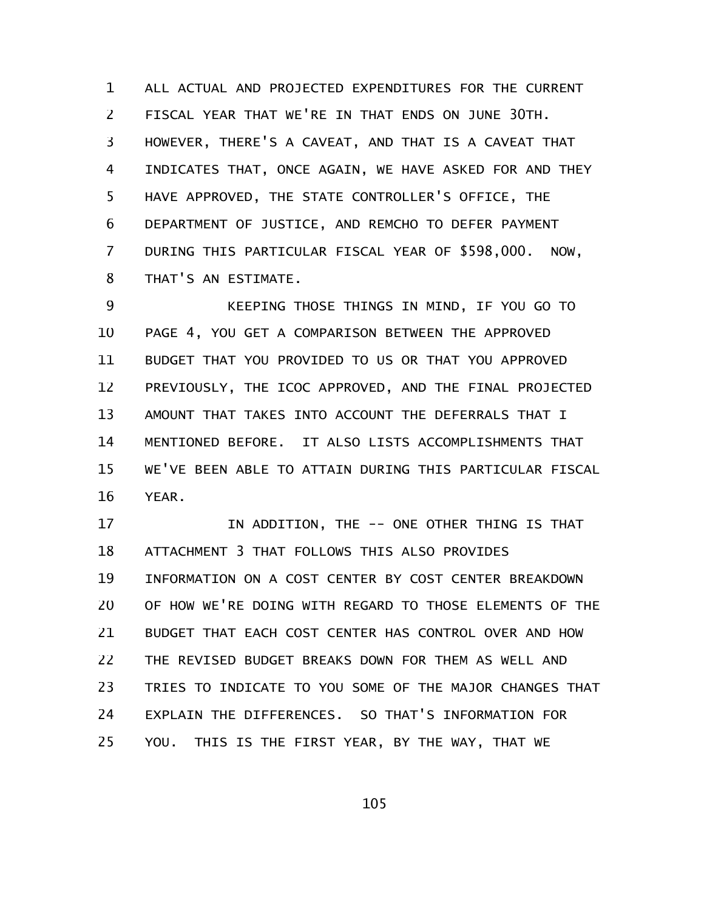ALL ACTUAL AND PROJECTED EXPENDITURES FOR THE CURRENT FISCAL YEAR THAT WE'RE IN THAT ENDS ON JUNE 30TH. HOWEVER, THERE'S A CAVEAT, AND THAT IS A CAVEAT THAT INDICATES THAT, ONCE AGAIN, WE HAVE ASKED FOR AND THEY HAVE APPROVED, THE STATE CONTROLLER'S OFFICE, THE DEPARTMENT OF JUSTICE, AND REMCHO TO DEFER PAYMENT DURING THIS PARTICULAR FISCAL YEAR OF \$598,000. NOW, THAT'S AN ESTIMATE. 1 2 3 4 5 6 7 8

KEEPING THOSE THINGS IN MIND, IF YOU GO TO PAGE 4, YOU GET A COMPARISON BETWEEN THE APPROVED BUDGET THAT YOU PROVIDED TO US OR THAT YOU APPROVED PREVIOUSLY, THE ICOC APPROVED, AND THE FINAL PROJECTED AMOUNT THAT TAKES INTO ACCOUNT THE DEFERRALS THAT I MENTIONED BEFORE. IT ALSO LISTS ACCOMPLISHMENTS THAT WE'VE BEEN ABLE TO ATTAIN DURING THIS PARTICULAR FISCAL YEAR. 9 10 11 12 13 14 15 16

IN ADDITION, THE -- ONE OTHER THING IS THAT ATTACHMENT 3 THAT FOLLOWS THIS ALSO PROVIDES INFORMATION ON A COST CENTER BY COST CENTER BREAKDOWN OF HOW WE'RE DOING WITH REGARD TO THOSE ELEMENTS OF THE BUDGET THAT EACH COST CENTER HAS CONTROL OVER AND HOW THE REVISED BUDGET BREAKS DOWN FOR THEM AS WELL AND TRIES TO INDICATE TO YOU SOME OF THE MAJOR CHANGES THAT EXPLAIN THE DIFFERENCES. SO THAT'S INFORMATION FOR YOU. THIS IS THE FIRST YEAR, BY THE WAY, THAT WE 17 18 19 20 21 22 23 24 25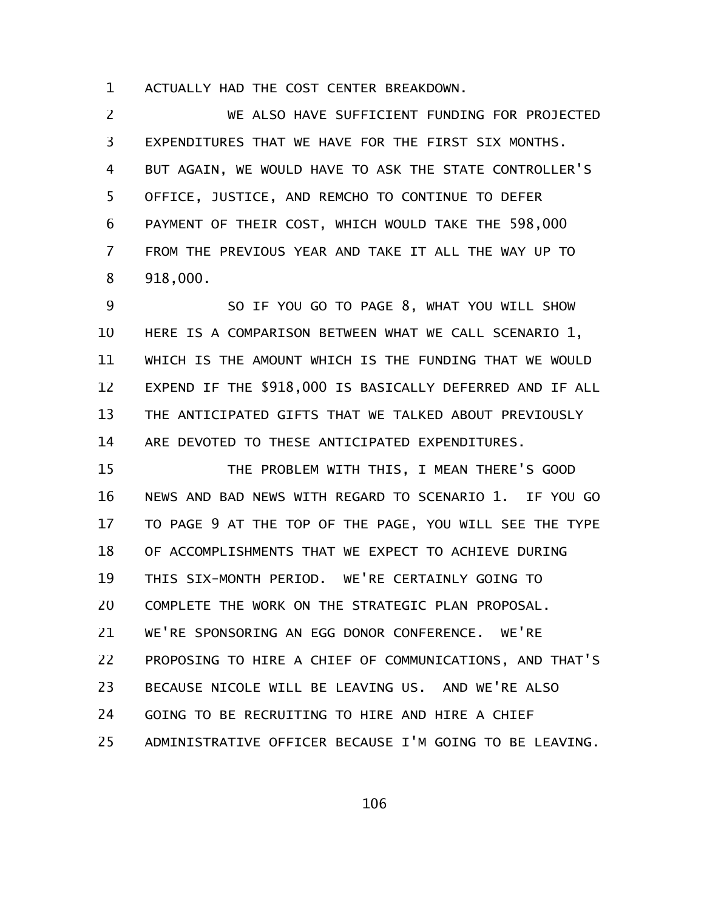ACTUALLY HAD THE COST CENTER BREAKDOWN. 1

WE ALSO HAVE SUFFICIENT FUNDING FOR PROJECTED EXPENDITURES THAT WE HAVE FOR THE FIRST SIX MONTHS. BUT AGAIN, WE WOULD HAVE TO ASK THE STATE CONTROLLER'S OFFICE, JUSTICE, AND REMCHO TO CONTINUE TO DEFER PAYMENT OF THEIR COST, WHICH WOULD TAKE THE 598,000 FROM THE PREVIOUS YEAR AND TAKE IT ALL THE WAY UP TO 918,000. 2 3 4 5 6 7 8

SO IF YOU GO TO PAGE 8, WHAT YOU WILL SHOW HERE IS A COMPARISON BETWEEN WHAT WE CALL SCENARIO 1, WHICH IS THE AMOUNT WHICH IS THE FUNDING THAT WE WOULD EXPEND IF THE \$918,000 IS BASICALLY DEFERRED AND IF ALL THE ANTICIPATED GIFTS THAT WE TALKED ABOUT PREVIOUSLY ARE DEVOTED TO THESE ANTICIPATED EXPENDITURES. 9 10 11 12 13 14

THE PROBLEM WITH THIS, I MEAN THERE'S GOOD NEWS AND BAD NEWS WITH REGARD TO SCENARIO 1. IF YOU GO TO PAGE 9 AT THE TOP OF THE PAGE, YOU WILL SEE THE TYPE OF ACCOMPLISHMENTS THAT WE EXPECT TO ACHIEVE DURING THIS SIX-MONTH PERIOD. WE'RE CERTAINLY GOING TO COMPLETE THE WORK ON THE STRATEGIC PLAN PROPOSAL. WE'RE SPONSORING AN EGG DONOR CONFERENCE. WE'RE PROPOSING TO HIRE A CHIEF OF COMMUNICATIONS, AND THAT'S BECAUSE NICOLE WILL BE LEAVING US. AND WE'RE ALSO GOING TO BE RECRUITING TO HIRE AND HIRE A CHIEF ADMINISTRATIVE OFFICER BECAUSE I'M GOING TO BE LEAVING. 15 16 17 18 19 20 21 22 23 24 25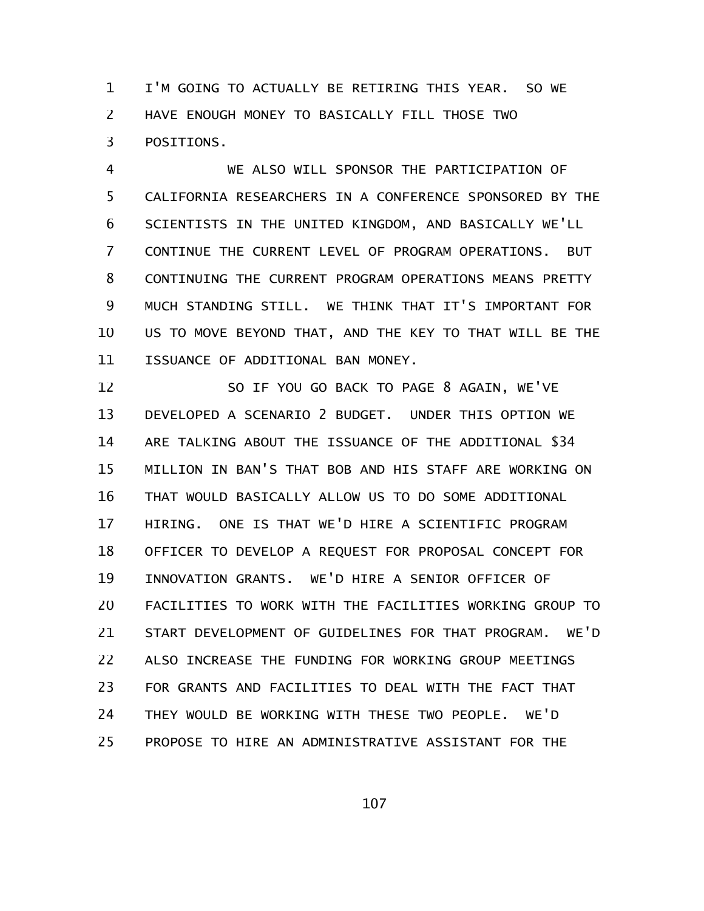I'M GOING TO ACTUALLY BE RETIRING THIS YEAR. SO WE HAVE ENOUGH MONEY TO BASICALLY FILL THOSE TWO POSITIONS. 1 2 3

WE ALSO WILL SPONSOR THE PARTICIPATION OF CALIFORNIA RESEARCHERS IN A CONFERENCE SPONSORED BY THE SCIENTISTS IN THE UNITED KINGDOM, AND BASICALLY WE'LL CONTINUE THE CURRENT LEVEL OF PROGRAM OPERATIONS. BUT CONTINUING THE CURRENT PROGRAM OPERATIONS MEANS PRETTY MUCH STANDING STILL. WE THINK THAT IT'S IMPORTANT FOR US TO MOVE BEYOND THAT, AND THE KEY TO THAT WILL BE THE ISSUANCE OF ADDITIONAL BAN MONEY. 4 5 6 7 8 9 10 11

SO IF YOU GO BACK TO PAGE 8 AGAIN, WE'VE DEVELOPED A SCENARIO 2 BUDGET. UNDER THIS OPTION WE ARE TALKING ABOUT THE ISSUANCE OF THE ADDITIONAL \$34 MILLION IN BAN'S THAT BOB AND HIS STAFF ARE WORKING ON THAT WOULD BASICALLY ALLOW US TO DO SOME ADDITIONAL HIRING. ONE IS THAT WE'D HIRE A SCIENTIFIC PROGRAM OFFICER TO DEVELOP A REQUEST FOR PROPOSAL CONCEPT FOR INNOVATION GRANTS. WE'D HIRE A SENIOR OFFICER OF FACILITIES TO WORK WITH THE FACILITIES WORKING GROUP TO START DEVELOPMENT OF GUIDELINES FOR THAT PROGRAM. WE'D ALSO INCREASE THE FUNDING FOR WORKING GROUP MEETINGS FOR GRANTS AND FACILITIES TO DEAL WITH THE FACT THAT THEY WOULD BE WORKING WITH THESE TWO PEOPLE. WE'D PROPOSE TO HIRE AN ADMINISTRATIVE ASSISTANT FOR THE 12 13 14 15 16 17 18 19 20 21 22 23 24 25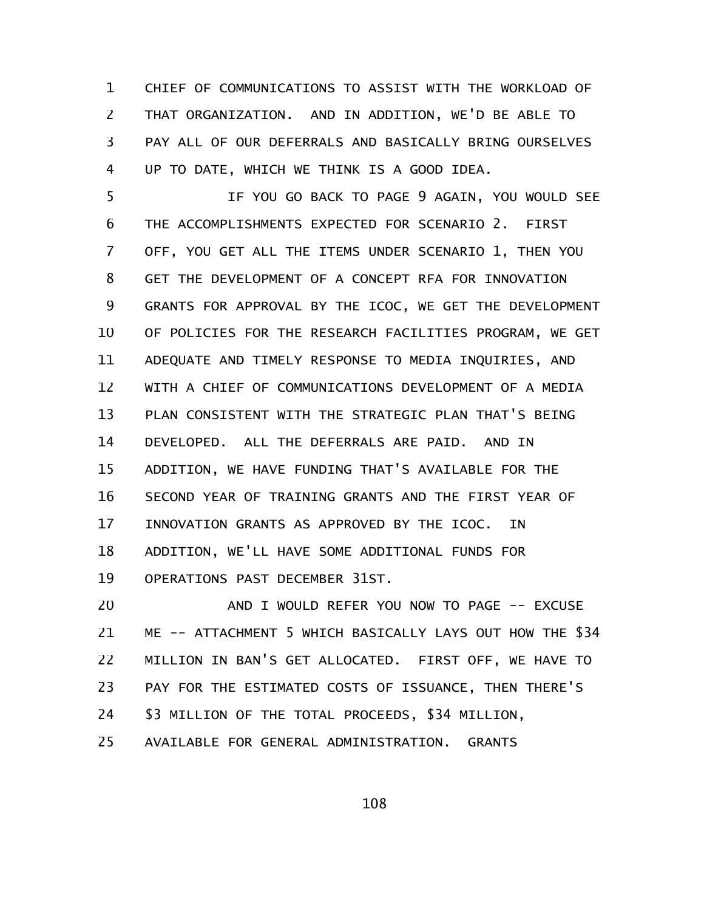CHIEF OF COMMUNICATIONS TO ASSIST WITH THE WORKLOAD OF THAT ORGANIZATION. AND IN ADDITION, WE'D BE ABLE TO PAY ALL OF OUR DEFERRALS AND BASICALLY BRING OURSELVES UP TO DATE, WHICH WE THINK IS A GOOD IDEA. 1 2 3 4

IF YOU GO BACK TO PAGE 9 AGAIN, YOU WOULD SEE THE ACCOMPLISHMENTS EXPECTED FOR SCENARIO 2. FIRST OFF, YOU GET ALL THE ITEMS UNDER SCENARIO 1, THEN YOU GET THE DEVELOPMENT OF A CONCEPT RFA FOR INNOVATION GRANTS FOR APPROVAL BY THE ICOC, WE GET THE DEVELOPMENT OF POLICIES FOR THE RESEARCH FACILITIES PROGRAM, WE GET ADEQUATE AND TIMELY RESPONSE TO MEDIA INQUIRIES, AND WITH A CHIEF OF COMMUNICATIONS DEVELOPMENT OF A MEDIA PLAN CONSISTENT WITH THE STRATEGIC PLAN THAT'S BEING DEVELOPED. ALL THE DEFERRALS ARE PAID. AND IN ADDITION, WE HAVE FUNDING THAT'S AVAILABLE FOR THE SECOND YEAR OF TRAINING GRANTS AND THE FIRST YEAR OF INNOVATION GRANTS AS APPROVED BY THE ICOC. IN ADDITION, WE'LL HAVE SOME ADDITIONAL FUNDS FOR OPERATIONS PAST DECEMBER 31ST. 5 6 7 8 9 10 11 12 13 14 15 16 17 18 19

AND I WOULD REFER YOU NOW TO PAGE -- EXCUSE ME -- ATTACHMENT 5 WHICH BASICALLY LAYS OUT HOW THE \$34 MILLION IN BAN'S GET ALLOCATED. FIRST OFF, WE HAVE TO PAY FOR THE ESTIMATED COSTS OF ISSUANCE, THEN THERE'S \$3 MILLION OF THE TOTAL PROCEEDS, \$34 MILLION, AVAILABLE FOR GENERAL ADMINISTRATION. GRANTS 20 21 22 23 24 25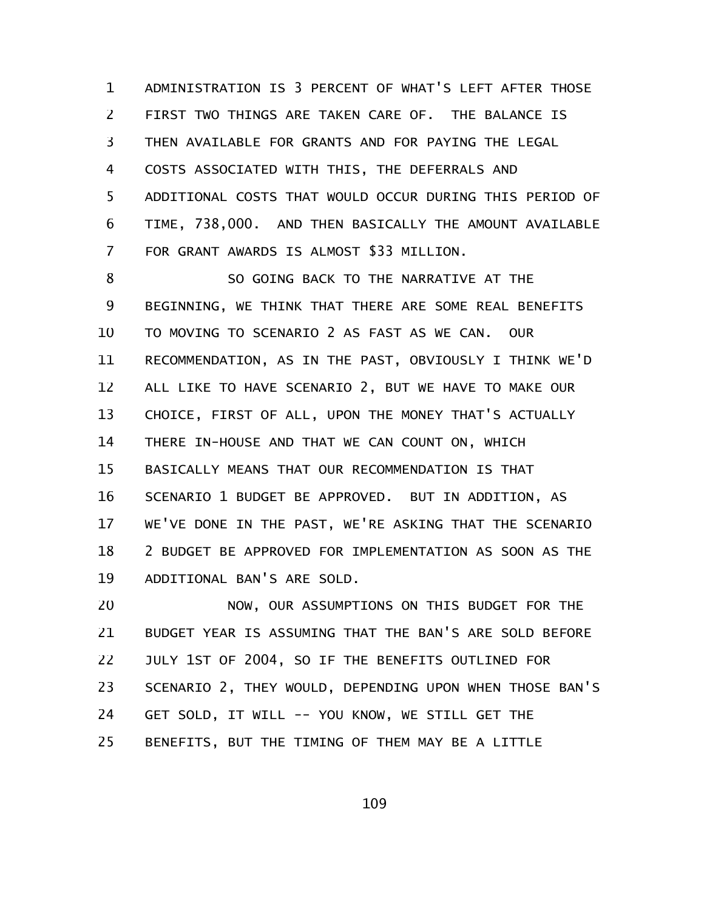ADMINISTRATION IS 3 PERCENT OF WHAT'S LEFT AFTER THOSE FIRST TWO THINGS ARE TAKEN CARE OF. THE BALANCE IS THEN AVAILABLE FOR GRANTS AND FOR PAYING THE LEGAL COSTS ASSOCIATED WITH THIS, THE DEFERRALS AND ADDITIONAL COSTS THAT WOULD OCCUR DURING THIS PERIOD OF TIME, 738,000. AND THEN BASICALLY THE AMOUNT AVAILABLE FOR GRANT AWARDS IS ALMOST \$33 MILLION. 1 2 3 4 5 6 7

SO GOING BACK TO THE NARRATIVE AT THE BEGINNING, WE THINK THAT THERE ARE SOME REAL BENEFITS TO MOVING TO SCENARIO 2 AS FAST AS WE CAN. OUR RECOMMENDATION, AS IN THE PAST, OBVIOUSLY I THINK WE'D ALL LIKE TO HAVE SCENARIO 2, BUT WE HAVE TO MAKE OUR CHOICE, FIRST OF ALL, UPON THE MONEY THAT'S ACTUALLY THERE IN-HOUSE AND THAT WE CAN COUNT ON, WHICH BASICALLY MEANS THAT OUR RECOMMENDATION IS THAT SCENARIO 1 BUDGET BE APPROVED. BUT IN ADDITION, AS WE'VE DONE IN THE PAST, WE'RE ASKING THAT THE SCENARIO 2 BUDGET BE APPROVED FOR IMPLEMENTATION AS SOON AS THE ADDITIONAL BAN'S ARE SOLD. 8 9 10 11 12 13 14 15 16 17 18 19

NOW, OUR ASSUMPTIONS ON THIS BUDGET FOR THE BUDGET YEAR IS ASSUMING THAT THE BAN'S ARE SOLD BEFORE JULY 1ST OF 2004, SO IF THE BENEFITS OUTLINED FOR SCENARIO 2, THEY WOULD, DEPENDING UPON WHEN THOSE BAN'S GET SOLD, IT WILL -- YOU KNOW, WE STILL GET THE BENEFITS, BUT THE TIMING OF THEM MAY BE A LITTLE 20 21 22 23 24 25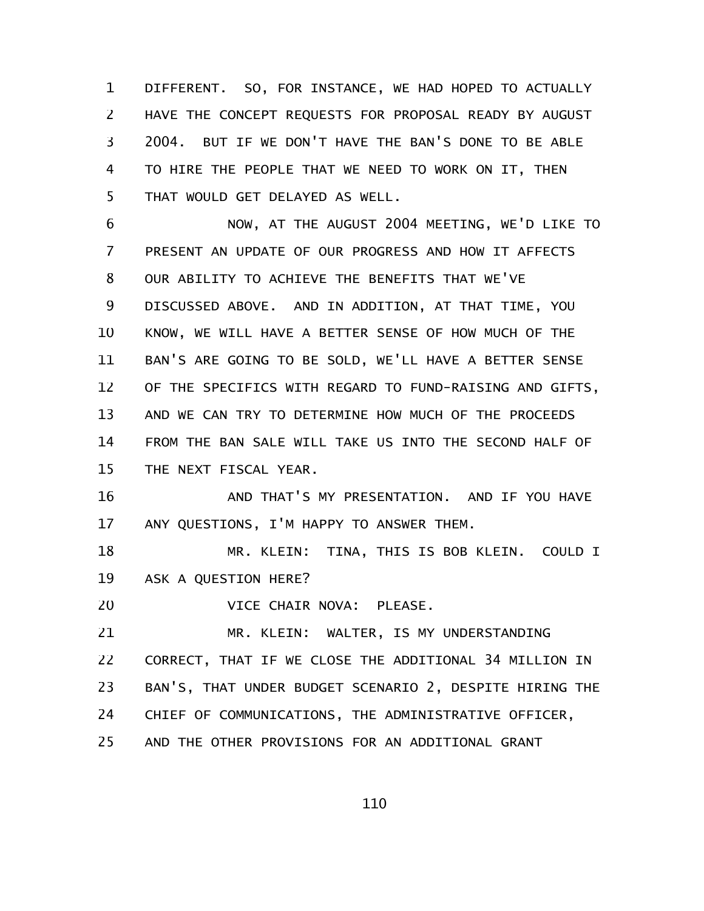DIFFERENT. SO, FOR INSTANCE, WE HAD HOPED TO ACTUALLY HAVE THE CONCEPT REQUESTS FOR PROPOSAL READY BY AUGUST 2004. BUT IF WE DON'T HAVE THE BAN'S DONE TO BE ABLE TO HIRE THE PEOPLE THAT WE NEED TO WORK ON IT, THEN THAT WOULD GET DELAYED AS WELL. 1 2 3 4 5

NOW, AT THE AUGUST 2004 MEETING, WE'D LIKE TO PRESENT AN UPDATE OF OUR PROGRESS AND HOW IT AFFECTS OUR ABILITY TO ACHIEVE THE BENEFITS THAT WE'VE DISCUSSED ABOVE. AND IN ADDITION, AT THAT TIME, YOU KNOW, WE WILL HAVE A BETTER SENSE OF HOW MUCH OF THE BAN'S ARE GOING TO BE SOLD, WE'LL HAVE A BETTER SENSE OF THE SPECIFICS WITH REGARD TO FUND-RAISING AND GIFTS, AND WE CAN TRY TO DETERMINE HOW MUCH OF THE PROCEEDS FROM THE BAN SALE WILL TAKE US INTO THE SECOND HALF OF THE NEXT FISCAL YEAR. 6 7 8 9 10 11 12 13 14 15

AND THAT'S MY PRESENTATION. AND IF YOU HAVE ANY QUESTIONS, I'M HAPPY TO ANSWER THEM. 16 17

MR. KLEIN: TINA, THIS IS BOB KLEIN. COULD I ASK A QUESTION HERE? 18 19

VICE CHAIR NOVA: PLEASE. 20

MR. KLEIN: WALTER, IS MY UNDERSTANDING CORRECT, THAT IF WE CLOSE THE ADDITIONAL 34 MILLION IN BAN'S, THAT UNDER BUDGET SCENARIO 2, DESPITE HIRING THE CHIEF OF COMMUNICATIONS, THE ADMINISTRATIVE OFFICER, AND THE OTHER PROVISIONS FOR AN ADDITIONAL GRANT 21 22 23 24 25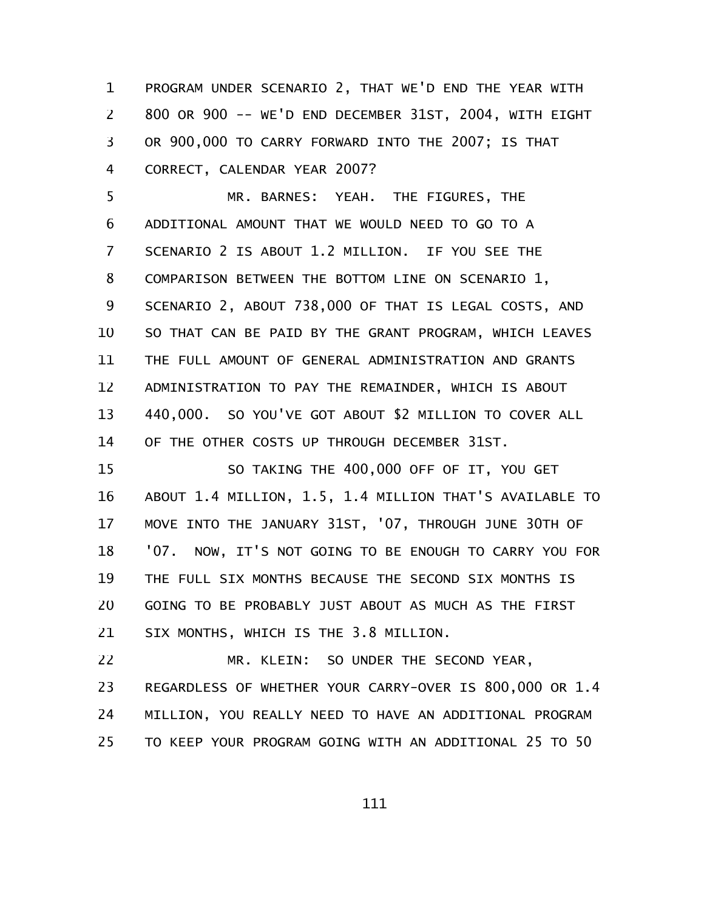PROGRAM UNDER SCENARIO 2, THAT WE'D END THE YEAR WITH 800 OR 900 -- WE'D END DECEMBER 31ST, 2004, WITH EIGHT OR 900,000 TO CARRY FORWARD INTO THE 2007; IS THAT CORRECT, CALENDAR YEAR 2007? 1 2 3 4

MR. BARNES: YEAH. THE FIGURES, THE ADDITIONAL AMOUNT THAT WE WOULD NEED TO GO TO A SCENARIO 2 IS ABOUT 1.2 MILLION. IF YOU SEE THE COMPARISON BETWEEN THE BOTTOM LINE ON SCENARIO 1, SCENARIO 2, ABOUT 738,000 OF THAT IS LEGAL COSTS, AND SO THAT CAN BE PAID BY THE GRANT PROGRAM, WHICH LEAVES THE FULL AMOUNT OF GENERAL ADMINISTRATION AND GRANTS ADMINISTRATION TO PAY THE REMAINDER, WHICH IS ABOUT 440,000. SO YOU'VE GOT ABOUT \$2 MILLION TO COVER ALL OF THE OTHER COSTS UP THROUGH DECEMBER 31ST. 5 6 7 8 9 10 11 12 13 14

SO TAKING THE 400,000 OFF OF IT, YOU GET ABOUT 1.4 MILLION, 1.5, 1.4 MILLION THAT'S AVAILABLE TO MOVE INTO THE JANUARY 31ST, '07, THROUGH JUNE 30TH OF '07. NOW, IT'S NOT GOING TO BE ENOUGH TO CARRY YOU FOR THE FULL SIX MONTHS BECAUSE THE SECOND SIX MONTHS IS GOING TO BE PROBABLY JUST ABOUT AS MUCH AS THE FIRST SIX MONTHS, WHICH IS THE 3.8 MILLION. 15 16 17 18 19 20 21

MR. KLEIN: SO UNDER THE SECOND YEAR, REGARDLESS OF WHETHER YOUR CARRY-OVER IS 800,000 OR 1.4 MILLION, YOU REALLY NEED TO HAVE AN ADDITIONAL PROGRAM TO KEEP YOUR PROGRAM GOING WITH AN ADDITIONAL 25 TO 50 22 23 24 25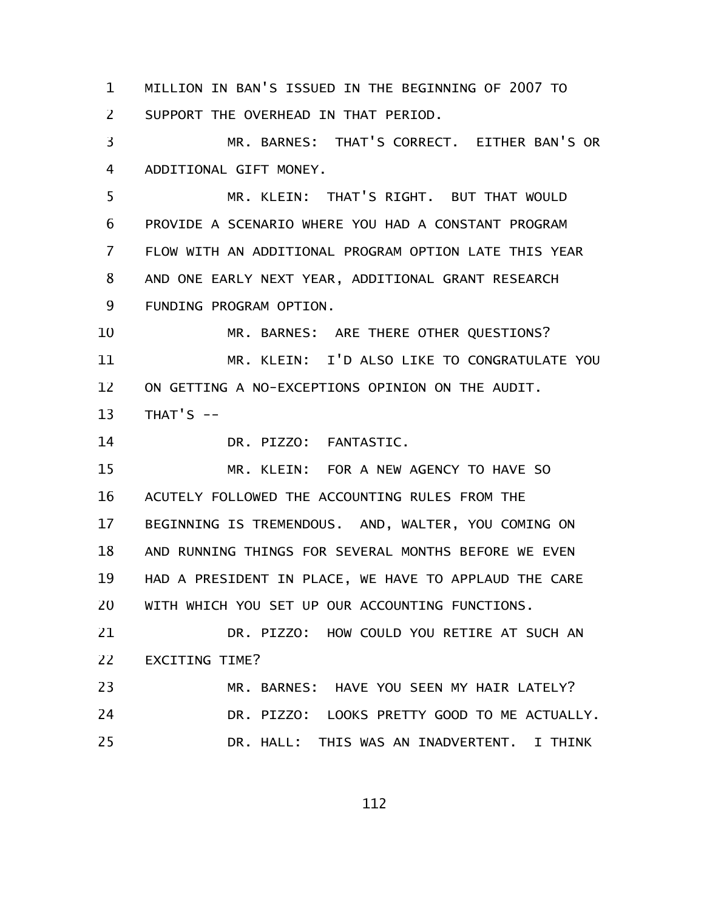MILLION IN BAN'S ISSUED IN THE BEGINNING OF 2007 TO SUPPORT THE OVERHEAD IN THAT PERIOD. 1 2

MR. BARNES: THAT'S CORRECT. EITHER BAN'S OR ADDITIONAL GIFT MONEY. 3 4

MR. KLEIN: THAT'S RIGHT. BUT THAT WOULD PROVIDE A SCENARIO WHERE YOU HAD A CONSTANT PROGRAM FLOW WITH AN ADDITIONAL PROGRAM OPTION LATE THIS YEAR AND ONE EARLY NEXT YEAR, ADDITIONAL GRANT RESEARCH FUNDING PROGRAM OPTION. 5 6 7 8 9

MR. BARNES: ARE THERE OTHER QUESTIONS? MR. KLEIN: I'D ALSO LIKE TO CONGRATULATE YOU ON GETTING A NO-EXCEPTIONS OPINION ON THE AUDIT. THAT'S  $--$ 10 11 12 13

DR. PIZZO: FANTASTIC. 14

MR. KLEIN: FOR A NEW AGENCY TO HAVE SO ACUTELY FOLLOWED THE ACCOUNTING RULES FROM THE BEGINNING IS TREMENDOUS. AND, WALTER, YOU COMING ON AND RUNNING THINGS FOR SEVERAL MONTHS BEFORE WE EVEN HAD A PRESIDENT IN PLACE, WE HAVE TO APPLAUD THE CARE WITH WHICH YOU SET UP OUR ACCOUNTING FUNCTIONS. 15 16 17 18 19 20

DR. PIZZO: HOW COULD YOU RETIRE AT SUCH AN EXCITING TIME? 21 22

MR. BARNES: HAVE YOU SEEN MY HAIR LATELY? DR. PIZZO: LOOKS PRETTY GOOD TO ME ACTUALLY. DR. HALL: THIS WAS AN INADVERTENT. I THINK 23 24 25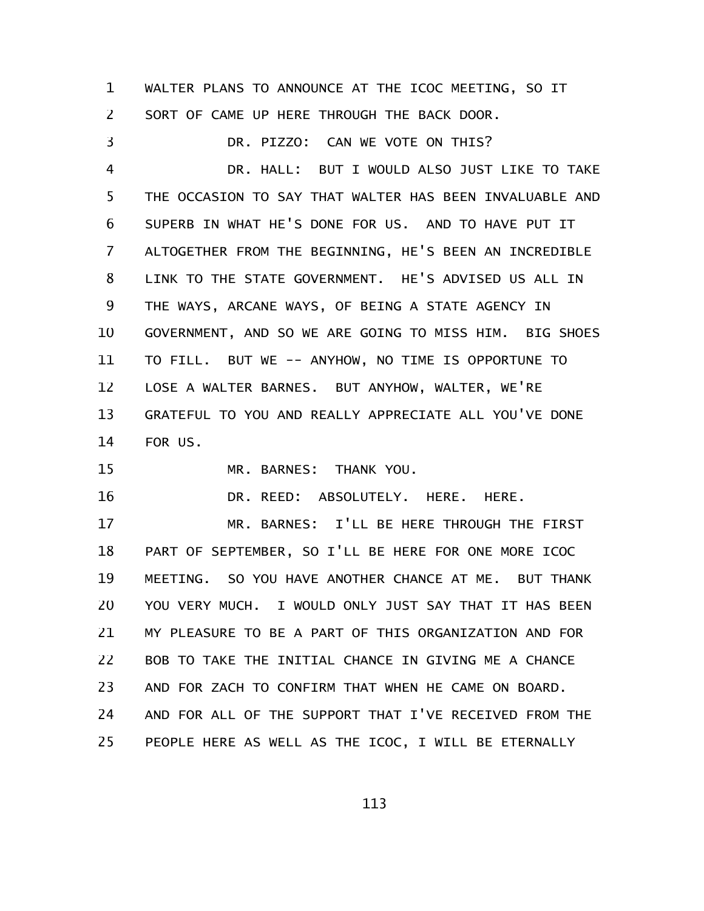WALTER PLANS TO ANNOUNCE AT THE ICOC MEETING, SO IT SORT OF CAME UP HERE THROUGH THE BACK DOOR. 1 2

DR. PIZZO: CAN WE VOTE ON THIS? DR. HALL: BUT I WOULD ALSO JUST LIKE TO TAKE THE OCCASION TO SAY THAT WALTER HAS BEEN INVALUABLE AND SUPERB IN WHAT HE'S DONE FOR US. AND TO HAVE PUT IT ALTOGETHER FROM THE BEGINNING, HE'S BEEN AN INCREDIBLE LINK TO THE STATE GOVERNMENT. HE'S ADVISED US ALL IN THE WAYS, ARCANE WAYS, OF BEING A STATE AGENCY IN GOVERNMENT, AND SO WE ARE GOING TO MISS HIM. BIG SHOES TO FILL. BUT WE -- ANYHOW, NO TIME IS OPPORTUNE TO LOSE A WALTER BARNES. BUT ANYHOW, WALTER, WE'RE GRATEFUL TO YOU AND REALLY APPRECIATE ALL YOU'VE DONE FOR US. 3 4 5 6 7 8 9 10 11 12 13 14

MR. BARNES: THANK YOU. 15

DR. REED: ABSOLUTELY. HERE. HERE. 16

MR. BARNES: I'LL BE HERE THROUGH THE FIRST PART OF SEPTEMBER, SO I'LL BE HERE FOR ONE MORE ICOC MEETING. SO YOU HAVE ANOTHER CHANCE AT ME. BUT THANK YOU VERY MUCH. I WOULD ONLY JUST SAY THAT IT HAS BEEN MY PLEASURE TO BE A PART OF THIS ORGANIZATION AND FOR BOB TO TAKE THE INITIAL CHANCE IN GIVING ME A CHANCE AND FOR ZACH TO CONFIRM THAT WHEN HE CAME ON BOARD. AND FOR ALL OF THE SUPPORT THAT I'VE RECEIVED FROM THE PEOPLE HERE AS WELL AS THE ICOC, I WILL BE ETERNALLY 17 18 19 20 21 22 23 24 25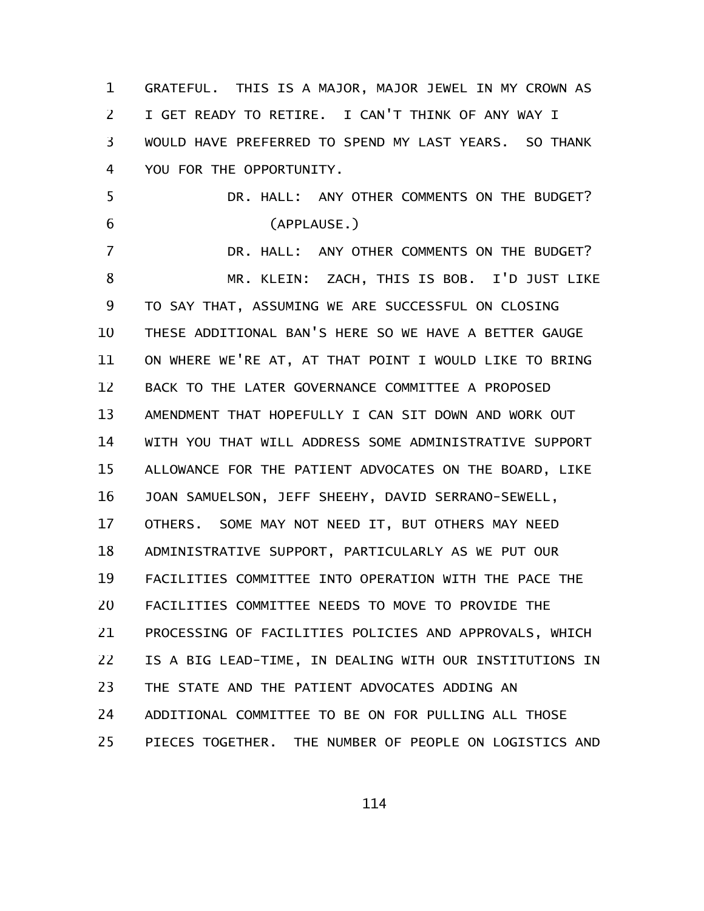GRATEFUL. THIS IS A MAJOR, MAJOR JEWEL IN MY CROWN AS I GET READY TO RETIRE. I CAN'T THINK OF ANY WAY I WOULD HAVE PREFERRED TO SPEND MY LAST YEARS. SO THANK YOU FOR THE OPPORTUNITY. DR. HALL: ANY OTHER COMMENTS ON THE BUDGET? (APPLAUSE.) DR. HALL: ANY OTHER COMMENTS ON THE BUDGET? MR. KLEIN: ZACH, THIS IS BOB. I'D JUST LIKE TO SAY THAT, ASSUMING WE ARE SUCCESSFUL ON CLOSING THESE ADDITIONAL BAN'S HERE SO WE HAVE A BETTER GAUGE ON WHERE WE'RE AT, AT THAT POINT I WOULD LIKE TO BRING BACK TO THE LATER GOVERNANCE COMMITTEE A PROPOSED AMENDMENT THAT HOPEFULLY I CAN SIT DOWN AND WORK OUT WITH YOU THAT WILL ADDRESS SOME ADMINISTRATIVE SUPPORT ALLOWANCE FOR THE PATIENT ADVOCATES ON THE BOARD, LIKE JOAN SAMUELSON, JEFF SHEEHY, DAVID SERRANO-SEWELL, OTHERS. SOME MAY NOT NEED IT, BUT OTHERS MAY NEED ADMINISTRATIVE SUPPORT, PARTICULARLY AS WE PUT OUR FACILITIES COMMITTEE INTO OPERATION WITH THE PACE THE FACILITIES COMMITTEE NEEDS TO MOVE TO PROVIDE THE PROCESSING OF FACILITIES POLICIES AND APPROVALS, WHICH IS A BIG LEAD-TIME, IN DEALING WITH OUR INSTITUTIONS IN THE STATE AND THE PATIENT ADVOCATES ADDING AN ADDITIONAL COMMITTEE TO BE ON FOR PULLING ALL THOSE PIECES TOGETHER. THE NUMBER OF PEOPLE ON LOGISTICS AND 1 2 3 4 5 6 7 8 9 10 11 12 13 14 15 16 17 18 19 20 21 22 23 24 25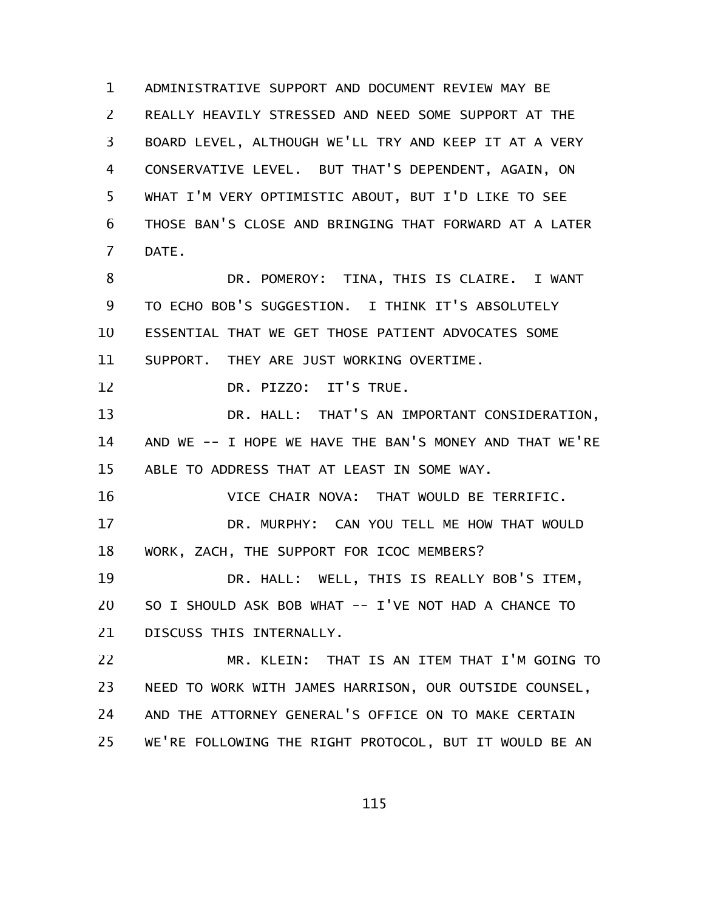ADMINISTRATIVE SUPPORT AND DOCUMENT REVIEW MAY BE REALLY HEAVILY STRESSED AND NEED SOME SUPPORT AT THE BOARD LEVEL, ALTHOUGH WE'LL TRY AND KEEP IT AT A VERY CONSERVATIVE LEVEL. BUT THAT'S DEPENDENT, AGAIN, ON WHAT I'M VERY OPTIMISTIC ABOUT, BUT I'D LIKE TO SEE THOSE BAN'S CLOSE AND BRINGING THAT FORWARD AT A LATER DATE. 1 2 3 4 5 6 7

DR. POMEROY: TINA, THIS IS CLAIRE. I WANT TO ECHO BOB'S SUGGESTION. I THINK IT'S ABSOLUTELY ESSENTIAL THAT WE GET THOSE PATIENT ADVOCATES SOME SUPPORT. THEY ARE JUST WORKING OVERTIME. 8 9 10 11

DR. PIZZO: IT'S TRUE. 12

DR. HALL: THAT'S AN IMPORTANT CONSIDERATION, AND WE -- I HOPE WE HAVE THE BAN'S MONEY AND THAT WE'RE ABLE TO ADDRESS THAT AT LEAST IN SOME WAY. 13 14 15

VICE CHAIR NOVA: THAT WOULD BE TERRIFIC. 16

DR. MURPHY: CAN YOU TELL ME HOW THAT WOULD WORK, ZACH, THE SUPPORT FOR ICOC MEMBERS? 17 18

DR. HALL: WELL, THIS IS REALLY BOB'S ITEM, SO I SHOULD ASK BOB WHAT -- I'VE NOT HAD A CHANCE TO DISCUSS THIS INTERNALLY. 19 20 21

MR. KLEIN: THAT IS AN ITEM THAT I'M GOING TO NEED TO WORK WITH JAMES HARRISON, OUR OUTSIDE COUNSEL, AND THE ATTORNEY GENERAL'S OFFICE ON TO MAKE CERTAIN WE'RE FOLLOWING THE RIGHT PROTOCOL, BUT IT WOULD BE AN 22 23 24 25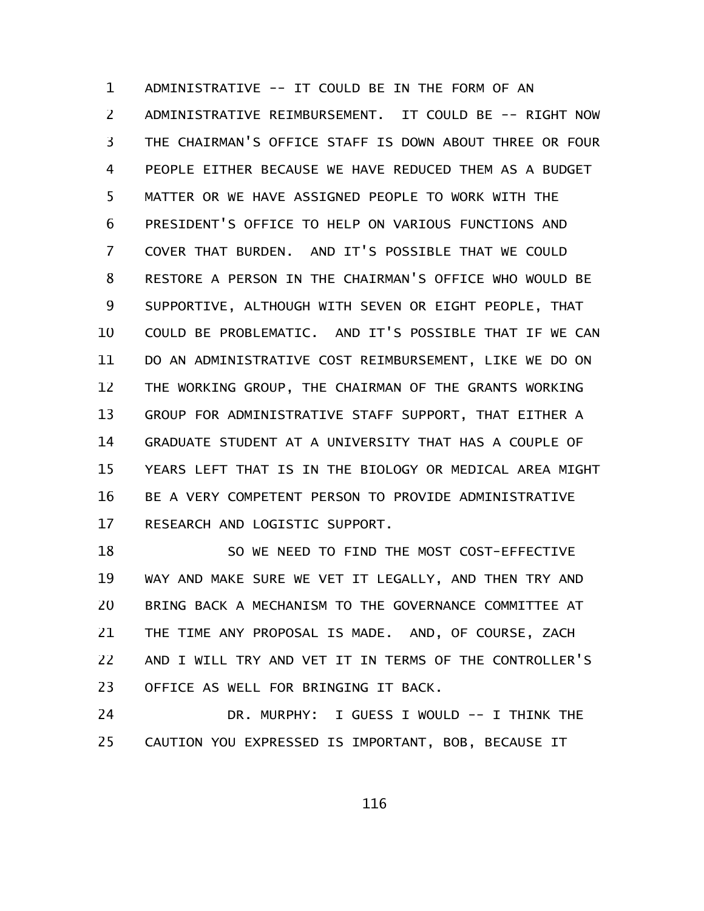ADMINISTRATIVE -- IT COULD BE IN THE FORM OF AN ADMINISTRATIVE REIMBURSEMENT. IT COULD BE -- RIGHT NOW THE CHAIRMAN'S OFFICE STAFF IS DOWN ABOUT THREE OR FOUR PEOPLE EITHER BECAUSE WE HAVE REDUCED THEM AS A BUDGET MATTER OR WE HAVE ASSIGNED PEOPLE TO WORK WITH THE PRESIDENT'S OFFICE TO HELP ON VARIOUS FUNCTIONS AND COVER THAT BURDEN. AND IT'S POSSIBLE THAT WE COULD RESTORE A PERSON IN THE CHAIRMAN'S OFFICE WHO WOULD BE SUPPORTIVE, ALTHOUGH WITH SEVEN OR EIGHT PEOPLE, THAT COULD BE PROBLEMATIC. AND IT'S POSSIBLE THAT IF WE CAN DO AN ADMINISTRATIVE COST REIMBURSEMENT, LIKE WE DO ON THE WORKING GROUP, THE CHAIRMAN OF THE GRANTS WORKING GROUP FOR ADMINISTRATIVE STAFF SUPPORT, THAT EITHER A GRADUATE STUDENT AT A UNIVERSITY THAT HAS A COUPLE OF YEARS LEFT THAT IS IN THE BIOLOGY OR MEDICAL AREA MIGHT BE A VERY COMPETENT PERSON TO PROVIDE ADMINISTRATIVE RESEARCH AND LOGISTIC SUPPORT. 1 2 3 4 5 6 7 8 9 10 11 12 13 14 15 16 17

SO WE NEED TO FIND THE MOST COST-EFFECTIVE WAY AND MAKE SURE WE VET IT LEGALLY, AND THEN TRY AND BRING BACK A MECHANISM TO THE GOVERNANCE COMMITTEE AT THE TIME ANY PROPOSAL IS MADE. AND, OF COURSE, ZACH AND I WILL TRY AND VET IT IN TERMS OF THE CONTROLLER'S OFFICE AS WELL FOR BRINGING IT BACK. 18 19 20 21 22 23

DR. MURPHY: I GUESS I WOULD -- I THINK THE CAUTION YOU EXPRESSED IS IMPORTANT, BOB, BECAUSE IT 24 25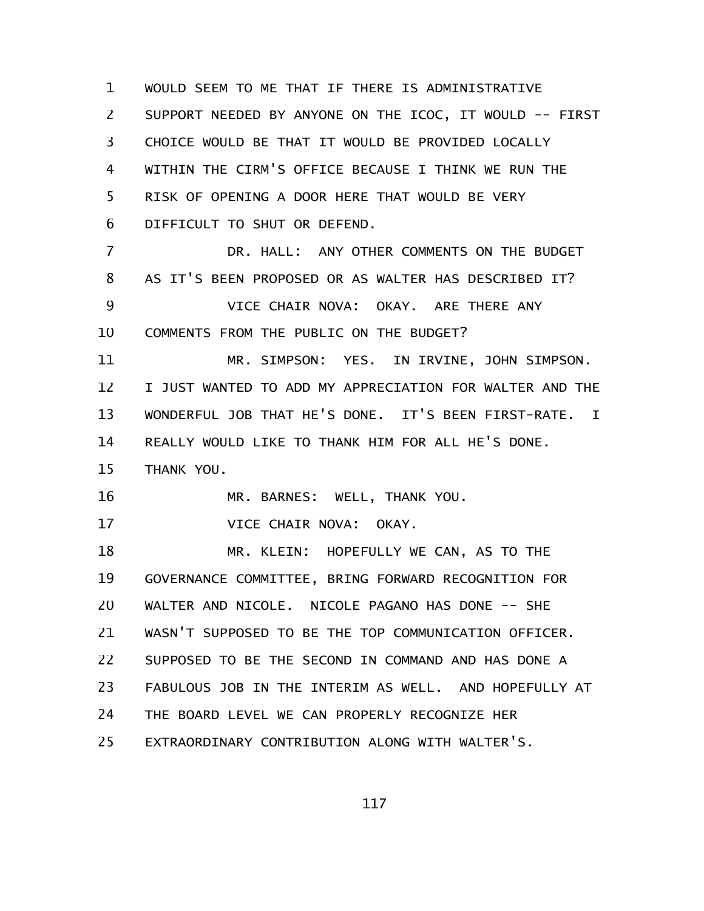WOULD SEEM TO ME THAT IF THERE IS ADMINISTRATIVE SUPPORT NEEDED BY ANYONE ON THE ICOC, IT WOULD -- FIRST CHOICE WOULD BE THAT IT WOULD BE PROVIDED LOCALLY WITHIN THE CIRM'S OFFICE BECAUSE I THINK WE RUN THE RISK OF OPENING A DOOR HERE THAT WOULD BE VERY DIFFICULT TO SHUT OR DEFEND. DR. HALL: ANY OTHER COMMENTS ON THE BUDGET AS IT'S BEEN PROPOSED OR AS WALTER HAS DESCRIBED IT? VICE CHAIR NOVA: OKAY. ARE THERE ANY COMMENTS FROM THE PUBLIC ON THE BUDGET? MR. SIMPSON: YES. IN IRVINE, JOHN SIMPSON. I JUST WANTED TO ADD MY APPRECIATION FOR WALTER AND THE WONDERFUL JOB THAT HE'S DONE. IT'S BEEN FIRST-RATE. I REALLY WOULD LIKE TO THANK HIM FOR ALL HE'S DONE. THANK YOU. MR. BARNES: WELL, THANK YOU. VICE CHAIR NOVA: OKAY. MR. KLEIN: HOPEFULLY WE CAN, AS TO THE GOVERNANCE COMMITTEE, BRING FORWARD RECOGNITION FOR WALTER AND NICOLE. NICOLE PAGANO HAS DONE -- SHE WASN'T SUPPOSED TO BE THE TOP COMMUNICATION OFFICER. SUPPOSED TO BE THE SECOND IN COMMAND AND HAS DONE A FABULOUS JOB IN THE INTERIM AS WELL. AND HOPEFULLY AT THE BOARD LEVEL WE CAN PROPERLY RECOGNIZE HER EXTRAORDINARY CONTRIBUTION ALONG WITH WALTER'S. 1 2 3 4 5 6 7 8 9 10 11 12 13 14 15 16 17 18 19 20 21 22 23 24 25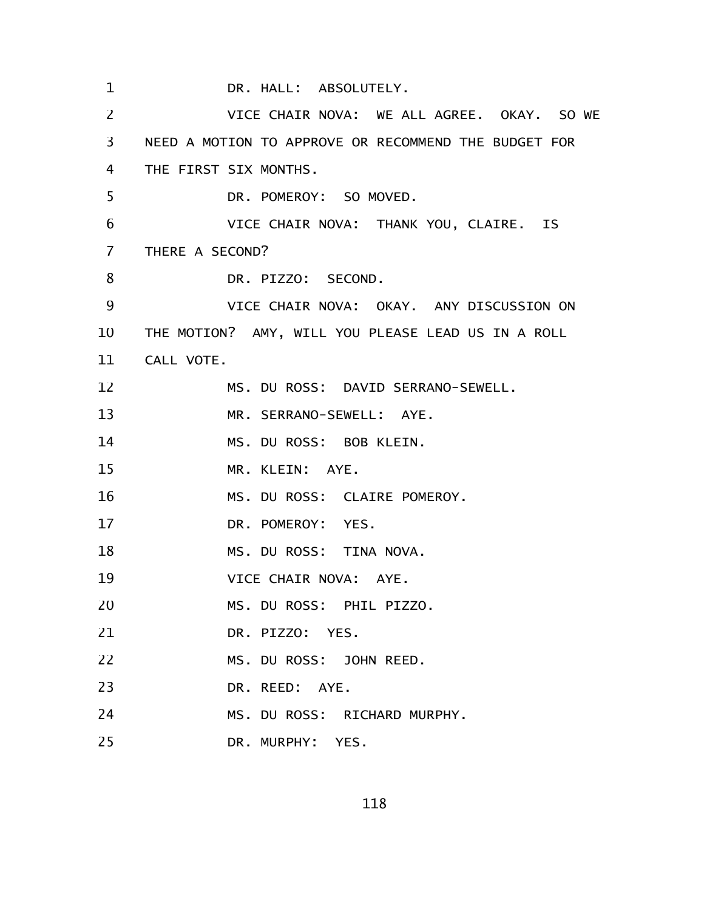DR. HALL: ABSOLUTELY. VICE CHAIR NOVA: WE ALL AGREE. OKAY. SO WE NEED A MOTION TO APPROVE OR RECOMMEND THE BUDGET FOR THE FIRST SIX MONTHS. DR. POMEROY: SO MOVED. VICE CHAIR NOVA: THANK YOU, CLAIRE. IS THERE A SECOND? DR. PIZZO: SECOND. VICE CHAIR NOVA: OKAY. ANY DISCUSSION ON THE MOTION? AMY, WILL YOU PLEASE LEAD US IN A ROLL CALL VOTE. 11 MS. DU ROSS: DAVID SERRANO-SEWELL. MR. SERRANO-SEWELL: AYE. MS. DU ROSS: BOB KLEIN. MR. KLEIN: AYE. MS. DU ROSS: CLAIRE POMEROY. DR. POMEROY: YES. MS. DU ROSS: TINA NOVA. VICE CHAIR NOVA: AYE. MS. DU ROSS: PHIL PIZZO. DR. PIZZO: YES. MS. DU ROSS: JOHN REED. DR. REED: AYE. MS. DU ROSS: RICHARD MURPHY. DR. MURPHY: YES. 1 2 3 4 5 6 7 8 9 10 12 13 14 15 16 17 18 19 20 21 22 23 24 25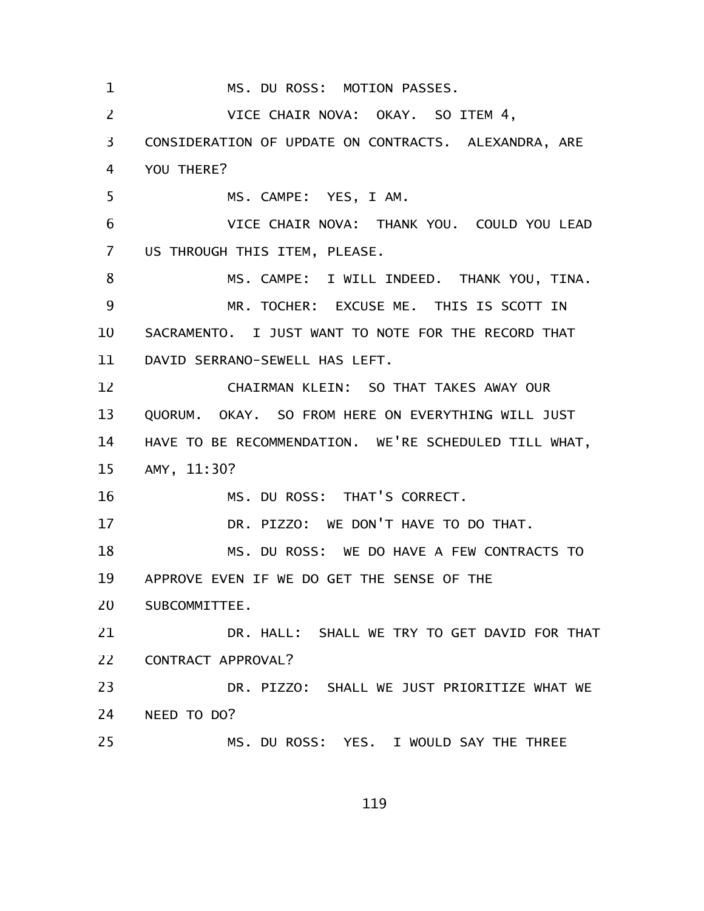MS. DU ROSS: MOTION PASSES. VICE CHAIR NOVA: OKAY. SO ITEM 4, CONSIDERATION OF UPDATE ON CONTRACTS. ALEXANDRA, ARE YOU THERE? MS. CAMPE: YES, I AM. VICE CHAIR NOVA: THANK YOU. COULD YOU LEAD US THROUGH THIS ITEM, PLEASE. MS. CAMPE: I WILL INDEED. THANK YOU, TINA. MR. TOCHER: EXCUSE ME. THIS IS SCOTT IN SACRAMENTO. I JUST WANT TO NOTE FOR THE RECORD THAT DAVID SERRANO-SEWELL HAS LEFT. CHAIRMAN KLEIN: SO THAT TAKES AWAY OUR QUORUM. OKAY. SO FROM HERE ON EVERYTHING WILL JUST HAVE TO BE RECOMMENDATION. WE'RE SCHEDULED TILL WHAT, AMY, 11:30? MS. DU ROSS: THAT'S CORRECT. DR. PIZZO: WE DON'T HAVE TO DO THAT. MS. DU ROSS: WE DO HAVE A FEW CONTRACTS TO APPROVE EVEN IF WE DO GET THE SENSE OF THE SUBCOMMITTEE. DR. HALL: SHALL WE TRY TO GET DAVID FOR THAT CONTRACT APPROVAL? DR. PIZZO: SHALL WE JUST PRIORITIZE WHAT WE NEED TO DO? MS. DU ROSS: YES. I WOULD SAY THE THREE 1 2 3 4 5 6 7 8 9 10 11 12 13 14 15 16 17 18 19 20 21 22 23 24 25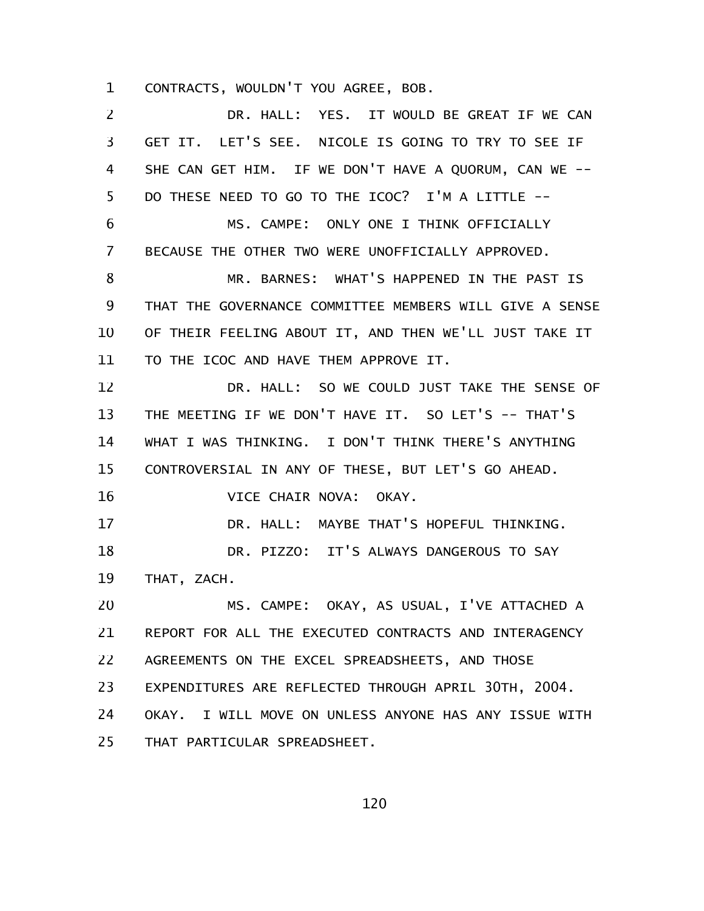CONTRACTS, WOULDN'T YOU AGREE, BOB. 1

DR. HALL: YES. IT WOULD BE GREAT IF WE CAN GET IT. LET'S SEE. NICOLE IS GOING TO TRY TO SEE IF SHE CAN GET HIM. IF WE DON'T HAVE A QUORUM, CAN WE -- DO THESE NEED TO GO TO THE ICOC? I'M A LITTLE -- MS. CAMPE: ONLY ONE I THINK OFFICIALLY BECAUSE THE OTHER TWO WERE UNOFFICIALLY APPROVED. MR. BARNES: WHAT'S HAPPENED IN THE PAST IS THAT THE GOVERNANCE COMMITTEE MEMBERS WILL GIVE A SENSE OF THEIR FEELING ABOUT IT, AND THEN WE'LL JUST TAKE IT TO THE ICOC AND HAVE THEM APPROVE IT. DR. HALL: SO WE COULD JUST TAKE THE SENSE OF THE MEETING IF WE DON'T HAVE IT. SO LET'S -- THAT'S WHAT I WAS THINKING. I DON'T THINK THERE'S ANYTHING CONTROVERSIAL IN ANY OF THESE, BUT LET'S GO AHEAD. VICE CHAIR NOVA: OKAY. DR. HALL: MAYBE THAT'S HOPEFUL THINKING. DR. PIZZO: IT'S ALWAYS DANGEROUS TO SAY THAT, ZACH. MS. CAMPE: OKAY, AS USUAL, I'VE ATTACHED A REPORT FOR ALL THE EXECUTED CONTRACTS AND INTERAGENCY AGREEMENTS ON THE EXCEL SPREADSHEETS, AND THOSE EXPENDITURES ARE REFLECTED THROUGH APRIL 30TH, 2004. OKAY. I WILL MOVE ON UNLESS ANYONE HAS ANY ISSUE WITH THAT PARTICULAR SPREADSHEET. 2 3 4 5 6 7 8 9 10 11 12 13 14 15 16 17 18 19 20 21 22 23 24 25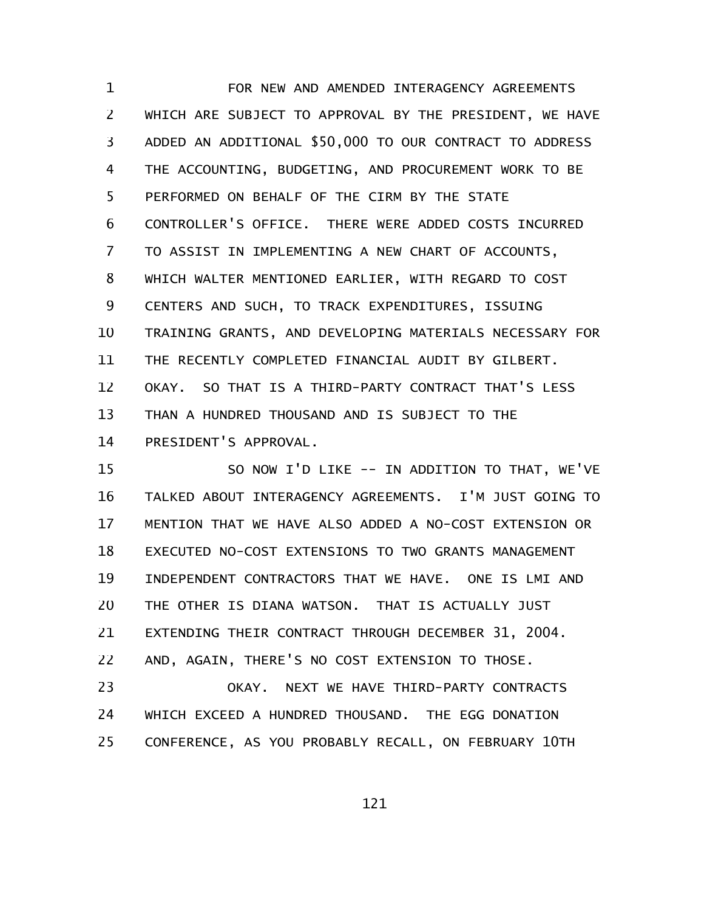FOR NEW AND AMENDED INTERAGENCY AGREEMENTS WHICH ARE SUBJECT TO APPROVAL BY THE PRESIDENT, WE HAVE ADDED AN ADDITIONAL \$50,000 TO OUR CONTRACT TO ADDRESS THE ACCOUNTING, BUDGETING, AND PROCUREMENT WORK TO BE PERFORMED ON BEHALF OF THE CIRM BY THE STATE CONTROLLER'S OFFICE. THERE WERE ADDED COSTS INCURRED TO ASSIST IN IMPLEMENTING A NEW CHART OF ACCOUNTS, WHICH WALTER MENTIONED EARLIER, WITH REGARD TO COST CENTERS AND SUCH, TO TRACK EXPENDITURES, ISSUING TRAINING GRANTS, AND DEVELOPING MATERIALS NECESSARY FOR THE RECENTLY COMPLETED FINANCIAL AUDIT BY GILBERT. OKAY. SO THAT IS A THIRD-PARTY CONTRACT THAT'S LESS THAN A HUNDRED THOUSAND AND IS SUBJECT TO THE PRESIDENT'S APPROVAL. 1 2 3 4 5 6 7 8 9 10 11 12 13 14

SO NOW I'D LIKE -- IN ADDITION TO THAT, WE'VE TALKED ABOUT INTERAGENCY AGREEMENTS. I'M JUST GOING TO MENTION THAT WE HAVE ALSO ADDED A NO-COST EXTENSION OR EXECUTED NO-COST EXTENSIONS TO TWO GRANTS MANAGEMENT INDEPENDENT CONTRACTORS THAT WE HAVE. ONE IS LMI AND THE OTHER IS DIANA WATSON. THAT IS ACTUALLY JUST EXTENDING THEIR CONTRACT THROUGH DECEMBER 31, 2004. AND, AGAIN, THERE'S NO COST EXTENSION TO THOSE. OKAY. NEXT WE HAVE THIRD-PARTY CONTRACTS 15 16 17 18 19 20 21 22 23

WHICH EXCEED A HUNDRED THOUSAND. THE EGG DONATION CONFERENCE, AS YOU PROBABLY RECALL, ON FEBRUARY 10TH 24 25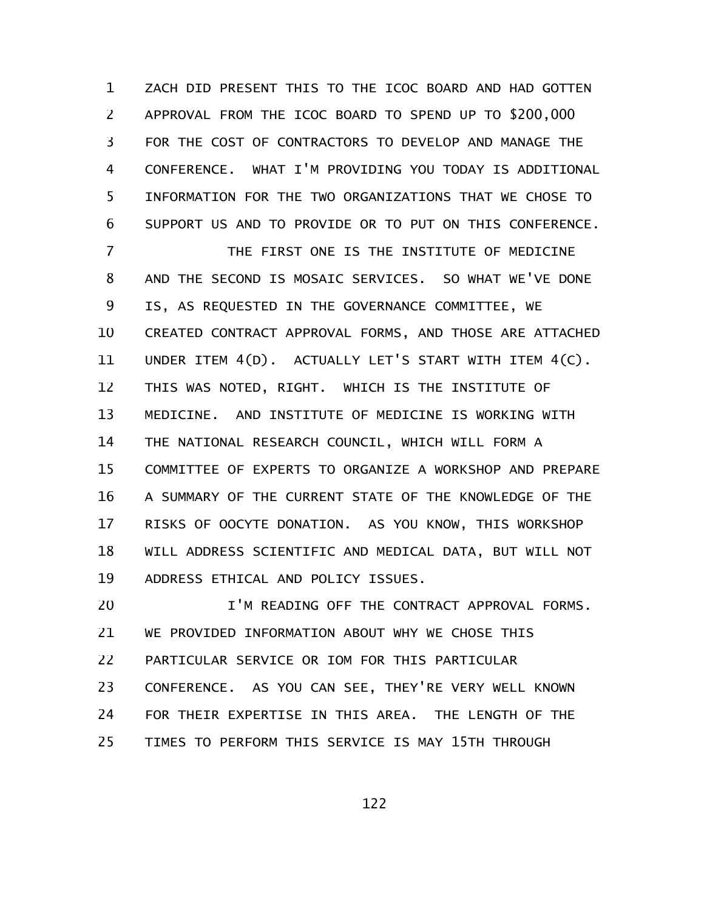ZACH DID PRESENT THIS TO THE ICOC BOARD AND HAD GOTTEN APPROVAL FROM THE ICOC BOARD TO SPEND UP TO \$200,000 FOR THE COST OF CONTRACTORS TO DEVELOP AND MANAGE THE CONFERENCE. WHAT I'M PROVIDING YOU TODAY IS ADDITIONAL INFORMATION FOR THE TWO ORGANIZATIONS THAT WE CHOSE TO SUPPORT US AND TO PROVIDE OR TO PUT ON THIS CONFERENCE. 1 2 3 4 5 6

THE FIRST ONE IS THE INSTITUTE OF MEDICINE AND THE SECOND IS MOSAIC SERVICES. SO WHAT WE'VE DONE IS, AS REQUESTED IN THE GOVERNANCE COMMITTEE, WE CREATED CONTRACT APPROVAL FORMS, AND THOSE ARE ATTACHED UNDER ITEM 4(D). ACTUALLY LET'S START WITH ITEM 4(C). THIS WAS NOTED, RIGHT. WHICH IS THE INSTITUTE OF MEDICINE. AND INSTITUTE OF MEDICINE IS WORKING WITH THE NATIONAL RESEARCH COUNCIL, WHICH WILL FORM A COMMITTEE OF EXPERTS TO ORGANIZE A WORKSHOP AND PREPARE A SUMMARY OF THE CURRENT STATE OF THE KNOWLEDGE OF THE RISKS OF OOCYTE DONATION. AS YOU KNOW, THIS WORKSHOP WILL ADDRESS SCIENTIFIC AND MEDICAL DATA, BUT WILL NOT ADDRESS ETHICAL AND POLICY ISSUES. 7 8 9 10 11 12 13 14 15 16 17 18 19

I'M READING OFF THE CONTRACT APPROVAL FORMS. WE PROVIDED INFORMATION ABOUT WHY WE CHOSE THIS PARTICULAR SERVICE OR IOM FOR THIS PARTICULAR CONFERENCE. AS YOU CAN SEE, THEY'RE VERY WELL KNOWN FOR THEIR EXPERTISE IN THIS AREA. THE LENGTH OF THE TIMES TO PERFORM THIS SERVICE IS MAY 15TH THROUGH 20 21 22 23 24 25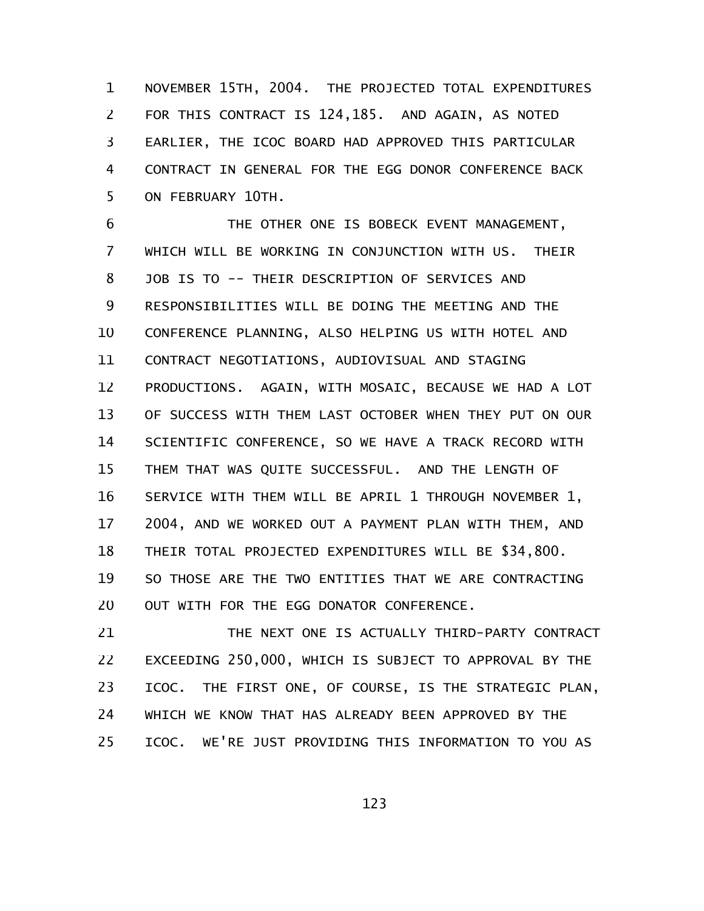NOVEMBER 15TH, 2004. THE PROJECTED TOTAL EXPENDITURES FOR THIS CONTRACT IS 124,185. AND AGAIN, AS NOTED EARLIER, THE ICOC BOARD HAD APPROVED THIS PARTICULAR CONTRACT IN GENERAL FOR THE EGG DONOR CONFERENCE BACK ON FEBRUARY 10TH. 1 2 3 4 5

THE OTHER ONE IS BOBECK EVENT MANAGEMENT, WHICH WILL BE WORKING IN CONJUNCTION WITH US. THEIR JOB IS TO -- THEIR DESCRIPTION OF SERVICES AND RESPONSIBILITIES WILL BE DOING THE MEETING AND THE CONFERENCE PLANNING, ALSO HELPING US WITH HOTEL AND CONTRACT NEGOTIATIONS, AUDIOVISUAL AND STAGING PRODUCTIONS. AGAIN, WITH MOSAIC, BECAUSE WE HAD A LOT OF SUCCESS WITH THEM LAST OCTOBER WHEN THEY PUT ON OUR SCIENTIFIC CONFERENCE, SO WE HAVE A TRACK RECORD WITH THEM THAT WAS QUITE SUCCESSFUL. AND THE LENGTH OF SERVICE WITH THEM WILL BE APRIL 1 THROUGH NOVEMBER 1, 2004, AND WE WORKED OUT A PAYMENT PLAN WITH THEM, AND THEIR TOTAL PROJECTED EXPENDITURES WILL BE \$34,800. SO THOSE ARE THE TWO ENTITIES THAT WE ARE CONTRACTING OUT WITH FOR THE EGG DONATOR CONFERENCE. 6 7 8 9 10 11 12 13 14 15 16 17 18 19 20

THE NEXT ONE IS ACTUALLY THIRD-PARTY CONTRACT EXCEEDING 250,000, WHICH IS SUBJECT TO APPROVAL BY THE ICOC. THE FIRST ONE, OF COURSE, IS THE STRATEGIC PLAN, WHICH WE KNOW THAT HAS ALREADY BEEN APPROVED BY THE ICOC. WE'RE JUST PROVIDING THIS INFORMATION TO YOU AS 21 22 23 24 25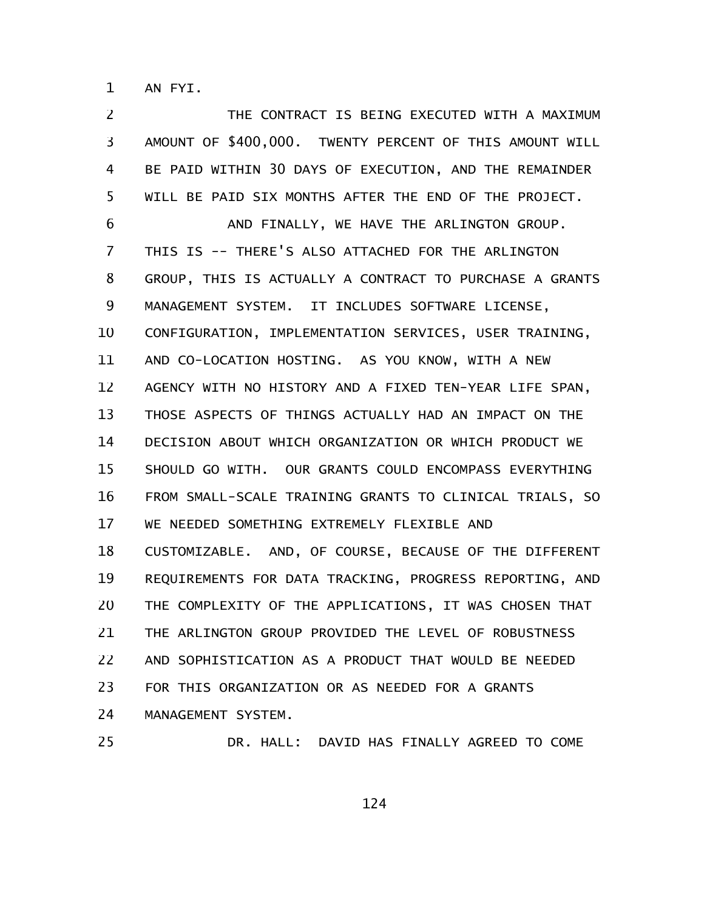AN FYI. 1

THE CONTRACT IS BEING EXECUTED WITH A MAXIMUM AMOUNT OF \$400,000. TWENTY PERCENT OF THIS AMOUNT WILL BE PAID WITHIN 30 DAYS OF EXECUTION, AND THE REMAINDER WILL BE PAID SIX MONTHS AFTER THE END OF THE PROJECT. AND FINALLY, WE HAVE THE ARLINGTON GROUP. THIS IS -- THERE'S ALSO ATTACHED FOR THE ARLINGTON GROUP, THIS IS ACTUALLY A CONTRACT TO PURCHASE A GRANTS MANAGEMENT SYSTEM. IT INCLUDES SOFTWARE LICENSE, CONFIGURATION, IMPLEMENTATION SERVICES, USER TRAINING, AND CO-LOCATION HOSTING. AS YOU KNOW, WITH A NEW AGENCY WITH NO HISTORY AND A FIXED TEN-YEAR LIFE SPAN, THOSE ASPECTS OF THINGS ACTUALLY HAD AN IMPACT ON THE DECISION ABOUT WHICH ORGANIZATION OR WHICH PRODUCT WE SHOULD GO WITH. OUR GRANTS COULD ENCOMPASS EVERYTHING FROM SMALL-SCALE TRAINING GRANTS TO CLINICAL TRIALS, SO WE NEEDED SOMETHING EXTREMELY FLEXIBLE AND CUSTOMIZABLE. AND, OF COURSE, BECAUSE OF THE DIFFERENT REQUIREMENTS FOR DATA TRACKING, PROGRESS REPORTING, AND THE COMPLEXITY OF THE APPLICATIONS, IT WAS CHOSEN THAT THE ARLINGTON GROUP PROVIDED THE LEVEL OF ROBUSTNESS AND SOPHISTICATION AS A PRODUCT THAT WOULD BE NEEDED FOR THIS ORGANIZATION OR AS NEEDED FOR A GRANTS MANAGEMENT SYSTEM. 2 3 4 5 6 7 8 9 10 11 12 13 14 15 16 17 18 19 20 21 22 23 24

25

DR. HALL: DAVID HAS FINALLY AGREED TO COME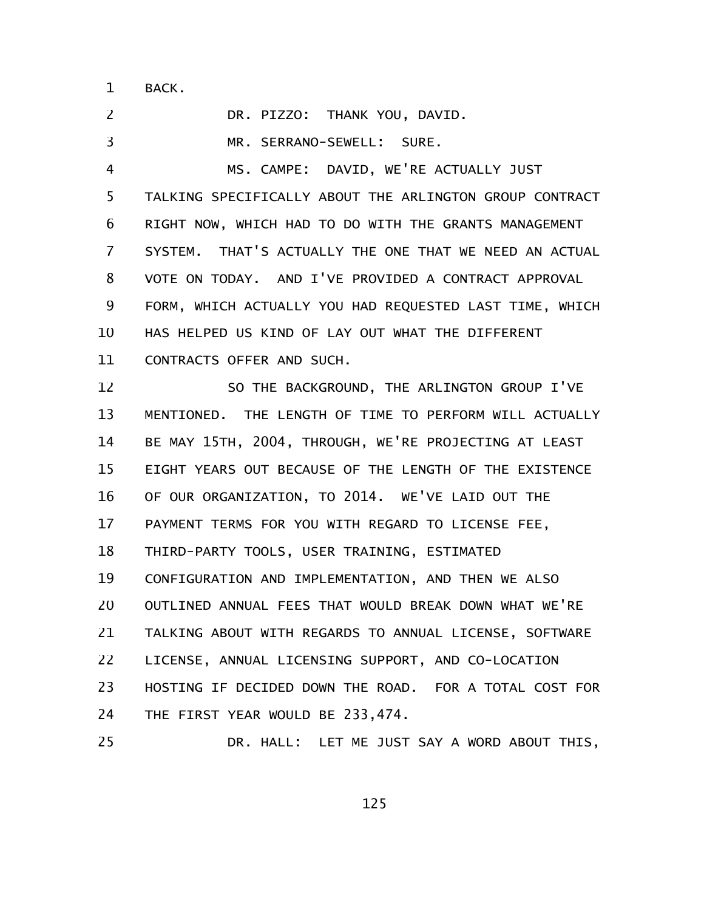BACK. 1

DR. PIZZO: THANK YOU, DAVID. MR. SERRANO-SEWELL: SURE. MS. CAMPE: DAVID, WE'RE ACTUALLY JUST TALKING SPECIFICALLY ABOUT THE ARLINGTON GROUP CONTRACT RIGHT NOW, WHICH HAD TO DO WITH THE GRANTS MANAGEMENT SYSTEM. THAT'S ACTUALLY THE ONE THAT WE NEED AN ACTUAL VOTE ON TODAY. AND I'VE PROVIDED A CONTRACT APPROVAL FORM, WHICH ACTUALLY YOU HAD REQUESTED LAST TIME, WHICH HAS HELPED US KIND OF LAY OUT WHAT THE DIFFERENT CONTRACTS OFFER AND SUCH. SO THE BACKGROUND, THE ARLINGTON GROUP I'VE MENTIONED. THE LENGTH OF TIME TO PERFORM WILL ACTUALLY BE MAY 15TH, 2004, THROUGH, WE'RE PROJECTING AT LEAST EIGHT YEARS OUT BECAUSE OF THE LENGTH OF THE EXISTENCE OF OUR ORGANIZATION, TO 2014. WE'VE LAID OUT THE PAYMENT TERMS FOR YOU WITH REGARD TO LICENSE FEE, THIRD-PARTY TOOLS, USER TRAINING, ESTIMATED CONFIGURATION AND IMPLEMENTATION, AND THEN WE ALSO OUTLINED ANNUAL FEES THAT WOULD BREAK DOWN WHAT WE'RE TALKING ABOUT WITH REGARDS TO ANNUAL LICENSE, SOFTWARE LICENSE, ANNUAL LICENSING SUPPORT, AND CO-LOCATION HOSTING IF DECIDED DOWN THE ROAD. FOR A TOTAL COST FOR THE FIRST YEAR WOULD BE 233,474. DR. HALL: LET ME JUST SAY A WORD ABOUT THIS, 2 3 4 5 6 7 8 9 10 11 12 13 14 15 16 17 18 19 20 21 22 23 24 25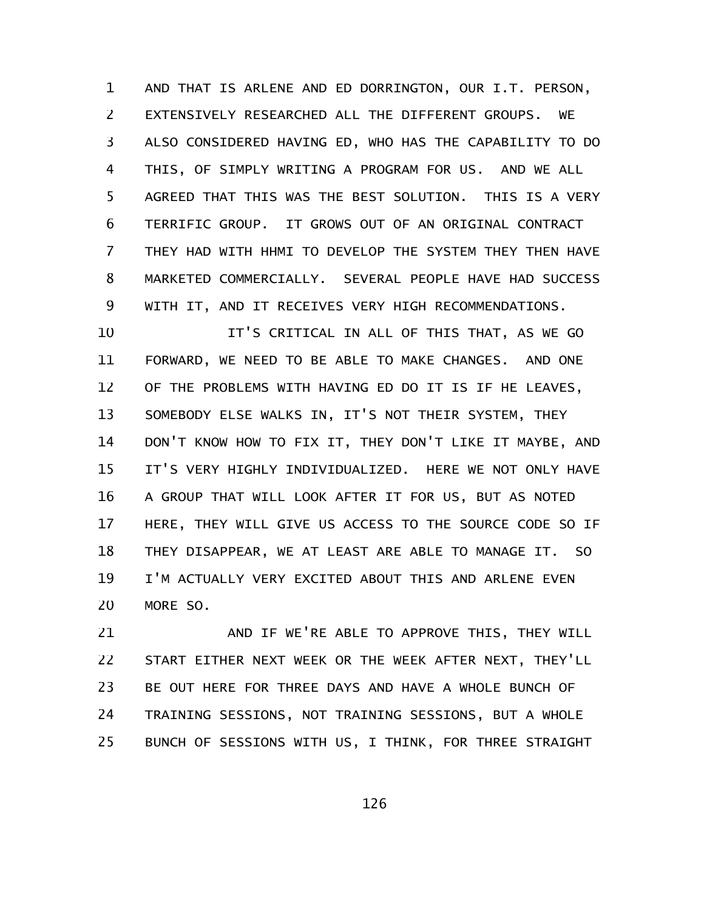AND THAT IS ARLENE AND ED DORRINGTON, OUR I.T. PERSON, EXTENSIVELY RESEARCHED ALL THE DIFFERENT GROUPS. WE ALSO CONSIDERED HAVING ED, WHO HAS THE CAPABILITY TO DO THIS, OF SIMPLY WRITING A PROGRAM FOR US. AND WE ALL AGREED THAT THIS WAS THE BEST SOLUTION. THIS IS A VERY TERRIFIC GROUP. IT GROWS OUT OF AN ORIGINAL CONTRACT THEY HAD WITH HHMI TO DEVELOP THE SYSTEM THEY THEN HAVE MARKETED COMMERCIALLY. SEVERAL PEOPLE HAVE HAD SUCCESS WITH IT, AND IT RECEIVES VERY HIGH RECOMMENDATIONS. 1 2 3 4 5 6 7 8 9

IT'S CRITICAL IN ALL OF THIS THAT, AS WE GO FORWARD, WE NEED TO BE ABLE TO MAKE CHANGES. AND ONE OF THE PROBLEMS WITH HAVING ED DO IT IS IF HE LEAVES, SOMEBODY ELSE WALKS IN, IT'S NOT THEIR SYSTEM, THEY DON'T KNOW HOW TO FIX IT, THEY DON'T LIKE IT MAYBE, AND IT'S VERY HIGHLY INDIVIDUALIZED. HERE WE NOT ONLY HAVE A GROUP THAT WILL LOOK AFTER IT FOR US, BUT AS NOTED HERE, THEY WILL GIVE US ACCESS TO THE SOURCE CODE SO IF THEY DISAPPEAR, WE AT LEAST ARE ABLE TO MANAGE IT. SO I'M ACTUALLY VERY EXCITED ABOUT THIS AND ARLENE EVEN MORE SO. 10 11 12 13 14 15 16 17 18 19 20

AND IF WE'RE ABLE TO APPROVE THIS, THEY WILL START EITHER NEXT WEEK OR THE WEEK AFTER NEXT, THEY'LL BE OUT HERE FOR THREE DAYS AND HAVE A WHOLE BUNCH OF TRAINING SESSIONS, NOT TRAINING SESSIONS, BUT A WHOLE BUNCH OF SESSIONS WITH US, I THINK, FOR THREE STRAIGHT 21 22 23 24 25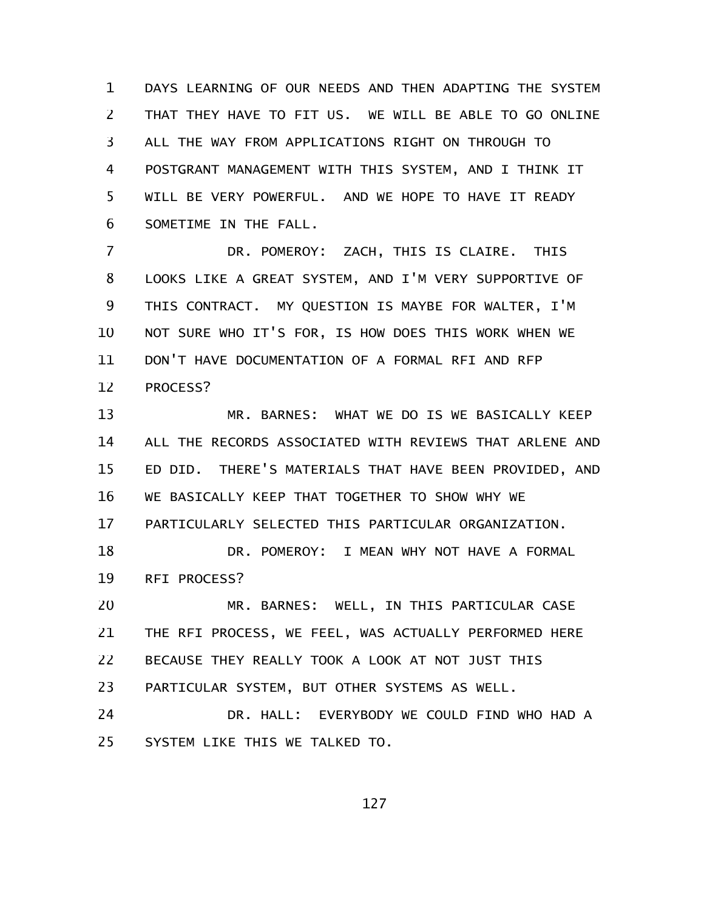DAYS LEARNING OF OUR NEEDS AND THEN ADAPTING THE SYSTEM THAT THEY HAVE TO FIT US. WE WILL BE ABLE TO GO ONLINE ALL THE WAY FROM APPLICATIONS RIGHT ON THROUGH TO POSTGRANT MANAGEMENT WITH THIS SYSTEM, AND I THINK IT WILL BE VERY POWERFUL. AND WE HOPE TO HAVE IT READY SOMETIME IN THE FALL. 1 2 3 4 5 6

DR. POMEROY: ZACH, THIS IS CLAIRE. THIS LOOKS LIKE A GREAT SYSTEM, AND I'M VERY SUPPORTIVE OF THIS CONTRACT. MY QUESTION IS MAYBE FOR WALTER, I'M NOT SURE WHO IT'S FOR, IS HOW DOES THIS WORK WHEN WE DON'T HAVE DOCUMENTATION OF A FORMAL RFI AND RFP PROCESS? 7 8 9 10 11 12

MR. BARNES: WHAT WE DO IS WE BASICALLY KEEP ALL THE RECORDS ASSOCIATED WITH REVIEWS THAT ARLENE AND ED DID. THERE'S MATERIALS THAT HAVE BEEN PROVIDED, AND WE BASICALLY KEEP THAT TOGETHER TO SHOW WHY WE PARTICULARLY SELECTED THIS PARTICULAR ORGANIZATION. 13 14 15 16 17

DR. POMEROY: I MEAN WHY NOT HAVE A FORMAL RFI PROCESS? 18 19

MR. BARNES: WELL, IN THIS PARTICULAR CASE THE RFI PROCESS, WE FEEL, WAS ACTUALLY PERFORMED HERE BECAUSE THEY REALLY TOOK A LOOK AT NOT JUST THIS PARTICULAR SYSTEM, BUT OTHER SYSTEMS AS WELL. 20 21 22 23

DR. HALL: EVERYBODY WE COULD FIND WHO HAD A SYSTEM LIKE THIS WE TALKED TO. 24 25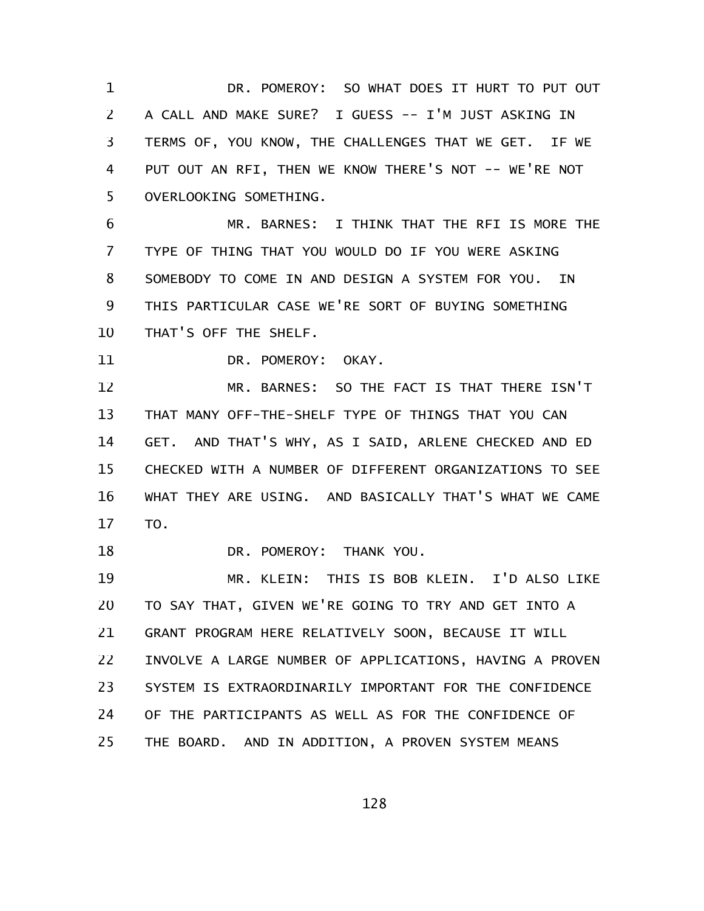DR. POMEROY: SO WHAT DOES IT HURT TO PUT OUT A CALL AND MAKE SURE? I GUESS -- I'M JUST ASKING IN TERMS OF, YOU KNOW, THE CHALLENGES THAT WE GET. IF WE PUT OUT AN RFI, THEN WE KNOW THERE'S NOT -- WE'RE NOT OVERLOOKING SOMETHING. 1 2 3 4 5

MR. BARNES: I THINK THAT THE RFI IS MORE THE TYPE OF THING THAT YOU WOULD DO IF YOU WERE ASKING SOMEBODY TO COME IN AND DESIGN A SYSTEM FOR YOU. IN THIS PARTICULAR CASE WE'RE SORT OF BUYING SOMETHING THAT'S OFF THE SHELF. 6 7 8 9 10

DR. POMEROY: OKAY. 11

MR. BARNES: SO THE FACT IS THAT THERE ISN'T THAT MANY OFF-THE-SHELF TYPE OF THINGS THAT YOU CAN GET. AND THAT'S WHY, AS I SAID, ARLENE CHECKED AND ED CHECKED WITH A NUMBER OF DIFFERENT ORGANIZATIONS TO SEE WHAT THEY ARE USING. AND BASICALLY THAT'S WHAT WE CAME TO. 12 13 14 15 16 17

DR. POMEROY: THANK YOU. 18

MR. KLEIN: THIS IS BOB KLEIN. I'D ALSO LIKE TO SAY THAT, GIVEN WE'RE GOING TO TRY AND GET INTO A GRANT PROGRAM HERE RELATIVELY SOON, BECAUSE IT WILL INVOLVE A LARGE NUMBER OF APPLICATIONS, HAVING A PROVEN SYSTEM IS EXTRAORDINARILY IMPORTANT FOR THE CONFIDENCE OF THE PARTICIPANTS AS WELL AS FOR THE CONFIDENCE OF THE BOARD. AND IN ADDITION, A PROVEN SYSTEM MEANS 19 20 21 22 23 24 25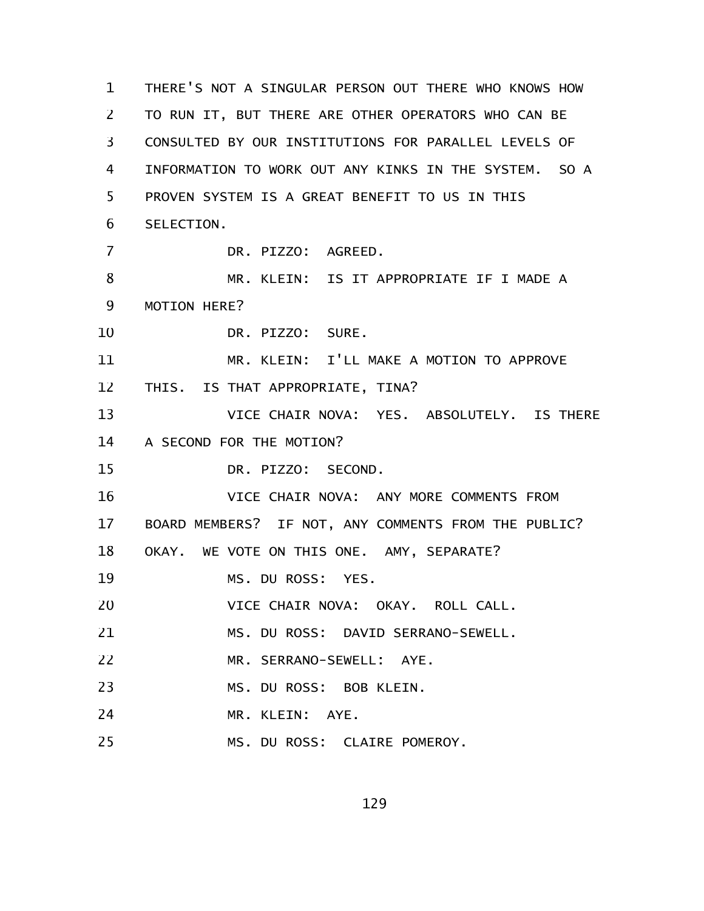THERE'S NOT A SINGULAR PERSON OUT THERE WHO KNOWS HOW TO RUN IT, BUT THERE ARE OTHER OPERATORS WHO CAN BE CONSULTED BY OUR INSTITUTIONS FOR PARALLEL LEVELS OF INFORMATION TO WORK OUT ANY KINKS IN THE SYSTEM. SO A PROVEN SYSTEM IS A GREAT BENEFIT TO US IN THIS SELECTION. DR. PIZZO: AGREED. MR. KLEIN: IS IT APPROPRIATE IF I MADE A MOTION HERE? DR. PIZZO: SURE. MR. KLEIN: I'LL MAKE A MOTION TO APPROVE THIS. IS THAT APPROPRIATE, TINA? VICE CHAIR NOVA: YES. ABSOLUTELY. IS THERE A SECOND FOR THE MOTION? DR. PIZZO: SECOND. VICE CHAIR NOVA: ANY MORE COMMENTS FROM BOARD MEMBERS? IF NOT, ANY COMMENTS FROM THE PUBLIC? OKAY. WE VOTE ON THIS ONE. AMY, SEPARATE? MS. DU ROSS: YES. VICE CHAIR NOVA: OKAY. ROLL CALL. MS. DU ROSS: DAVID SERRANO-SEWELL. MR. SERRANO-SEWELL: AYE. MS. DU ROSS: BOB KLEIN. MR. KLEIN: AYE. MS. DU ROSS: CLAIRE POMEROY. 1 2 3 4 5 6 7 8 9 10 11 12 13 14 15 16 17 18 19 20 21 22 23 24 25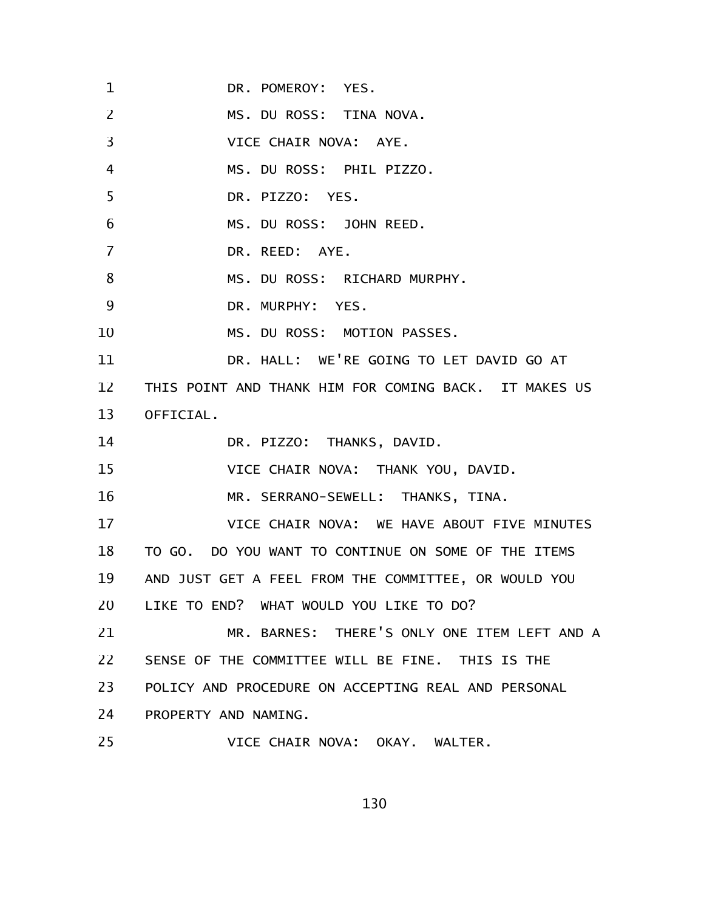DR. POMEROY: YES. MS. DU ROSS: TINA NOVA. VICE CHAIR NOVA: AYE. MS. DU ROSS: PHIL PIZZO. DR. PIZZO: YES. MS. DU ROSS: JOHN REED. DR. REED: AYE. MS. DU ROSS: RICHARD MURPHY. DR. MURPHY: YES. MS. DU ROSS: MOTION PASSES. DR. HALL: WE'RE GOING TO LET DAVID GO AT THIS POINT AND THANK HIM FOR COMING BACK. IT MAKES US OFFICIAL. DR. PIZZO: THANKS, DAVID. VICE CHAIR NOVA: THANK YOU, DAVID. MR. SERRANO-SEWELL: THANKS, TINA. VICE CHAIR NOVA: WE HAVE ABOUT FIVE MINUTES TO GO. DO YOU WANT TO CONTINUE ON SOME OF THE ITEMS AND JUST GET A FEEL FROM THE COMMITTEE, OR WOULD YOU LIKE TO END? WHAT WOULD YOU LIKE TO DO? MR. BARNES: THERE'S ONLY ONE ITEM LEFT AND A SENSE OF THE COMMITTEE WILL BE FINE. THIS IS THE POLICY AND PROCEDURE ON ACCEPTING REAL AND PERSONAL PROPERTY AND NAMING. VICE CHAIR NOVA: OKAY. WALTER. 1 2 3 4 5 6 7 8 9 10 11 12 13 14 15 16 17 18 19 20 21 22 23 24 25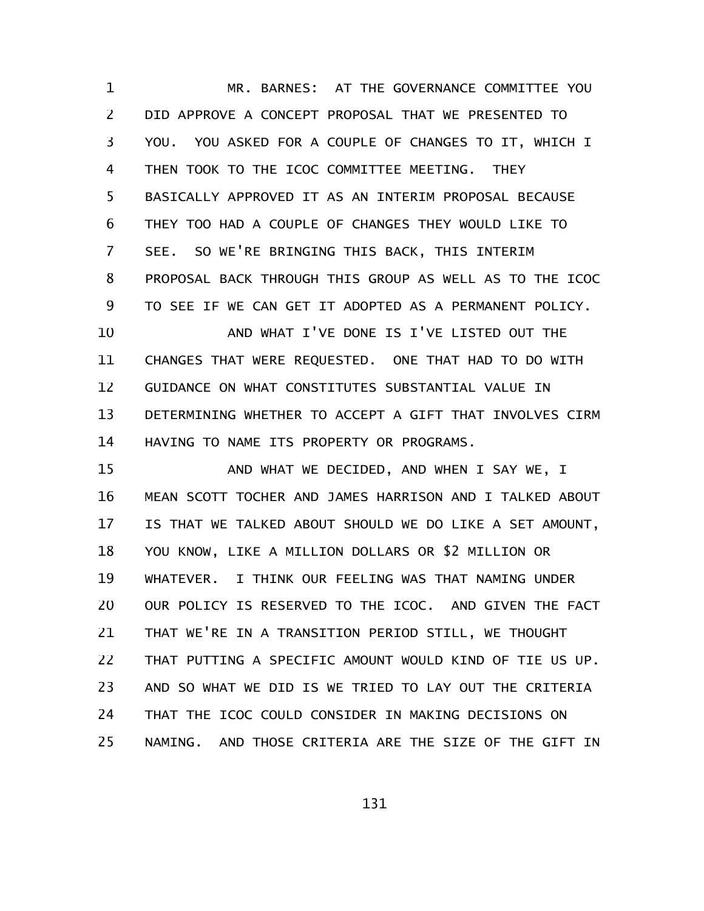MR. BARNES: AT THE GOVERNANCE COMMITTEE YOU DID APPROVE A CONCEPT PROPOSAL THAT WE PRESENTED TO YOU. YOU ASKED FOR A COUPLE OF CHANGES TO IT, WHICH I THEN TOOK TO THE ICOC COMMITTEE MEETING. THEY BASICALLY APPROVED IT AS AN INTERIM PROPOSAL BECAUSE THEY TOO HAD A COUPLE OF CHANGES THEY WOULD LIKE TO SEE. SO WE'RE BRINGING THIS BACK, THIS INTERIM PROPOSAL BACK THROUGH THIS GROUP AS WELL AS TO THE ICOC TO SEE IF WE CAN GET IT ADOPTED AS A PERMANENT POLICY. AND WHAT I'VE DONE IS I'VE LISTED OUT THE CHANGES THAT WERE REQUESTED. ONE THAT HAD TO DO WITH GUIDANCE ON WHAT CONSTITUTES SUBSTANTIAL VALUE IN DETERMINING WHETHER TO ACCEPT A GIFT THAT INVOLVES CIRM HAVING TO NAME ITS PROPERTY OR PROGRAMS. AND WHAT WE DECIDED, AND WHEN I SAY WE, I MEAN SCOTT TOCHER AND JAMES HARRISON AND I TALKED ABOUT IS THAT WE TALKED ABOUT SHOULD WE DO LIKE A SET AMOUNT, YOU KNOW, LIKE A MILLION DOLLARS OR \$2 MILLION OR WHATEVER. I THINK OUR FEELING WAS THAT NAMING UNDER OUR POLICY IS RESERVED TO THE ICOC. AND GIVEN THE FACT THAT WE'RE IN A TRANSITION PERIOD STILL, WE THOUGHT THAT PUTTING A SPECIFIC AMOUNT WOULD KIND OF TIE US UP. AND SO WHAT WE DID IS WE TRIED TO LAY OUT THE CRITERIA THAT THE ICOC COULD CONSIDER IN MAKING DECISIONS ON NAMING. AND THOSE CRITERIA ARE THE SIZE OF THE GIFT IN 1 2 3 4 5 6 7 8 9 10 11 12 13 14 15 16 17 18 19 20 21 22 23 24 25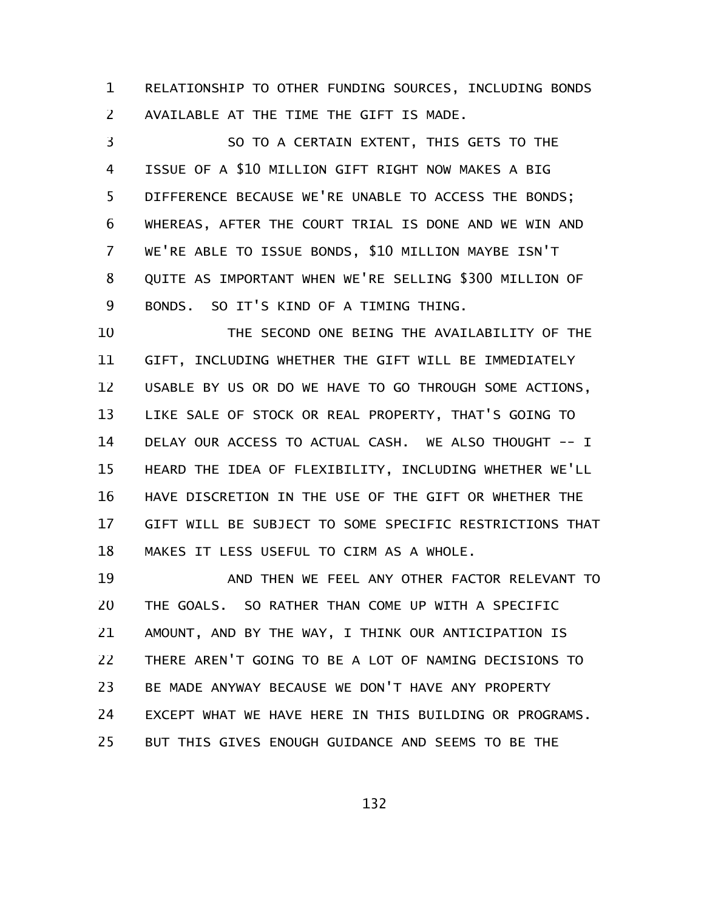RELATIONSHIP TO OTHER FUNDING SOURCES, INCLUDING BONDS AVAILABLE AT THE TIME THE GIFT IS MADE. 1 2

SO TO A CERTAIN EXTENT, THIS GETS TO THE ISSUE OF A \$10 MILLION GIFT RIGHT NOW MAKES A BIG DIFFERENCE BECAUSE WE'RE UNABLE TO ACCESS THE BONDS; WHEREAS, AFTER THE COURT TRIAL IS DONE AND WE WIN AND WE'RE ABLE TO ISSUE BONDS, \$10 MILLION MAYBE ISN'T QUITE AS IMPORTANT WHEN WE'RE SELLING \$300 MILLION OF BONDS. SO IT'S KIND OF A TIMING THING. 3 4 5 6 7 8 9

THE SECOND ONE BEING THE AVAILABILITY OF THE GIFT, INCLUDING WHETHER THE GIFT WILL BE IMMEDIATELY USABLE BY US OR DO WE HAVE TO GO THROUGH SOME ACTIONS, LIKE SALE OF STOCK OR REAL PROPERTY, THAT'S GOING TO DELAY OUR ACCESS TO ACTUAL CASH. WE ALSO THOUGHT -- I HEARD THE IDEA OF FLEXIBILITY, INCLUDING WHETHER WE'LL HAVE DISCRETION IN THE USE OF THE GIFT OR WHETHER THE GIFT WILL BE SUBJECT TO SOME SPECIFIC RESTRICTIONS THAT MAKES IT LESS USEFUL TO CIRM AS A WHOLE. 10 11 12 13 14 15 16 17 18

AND THEN WE FEEL ANY OTHER FACTOR RELEVANT TO THE GOALS. SO RATHER THAN COME UP WITH A SPECIFIC AMOUNT, AND BY THE WAY, I THINK OUR ANTICIPATION IS THERE AREN'T GOING TO BE A LOT OF NAMING DECISIONS TO BE MADE ANYWAY BECAUSE WE DON'T HAVE ANY PROPERTY EXCEPT WHAT WE HAVE HERE IN THIS BUILDING OR PROGRAMS. BUT THIS GIVES ENOUGH GUIDANCE AND SEEMS TO BE THE 19 20 21 22 23 24 25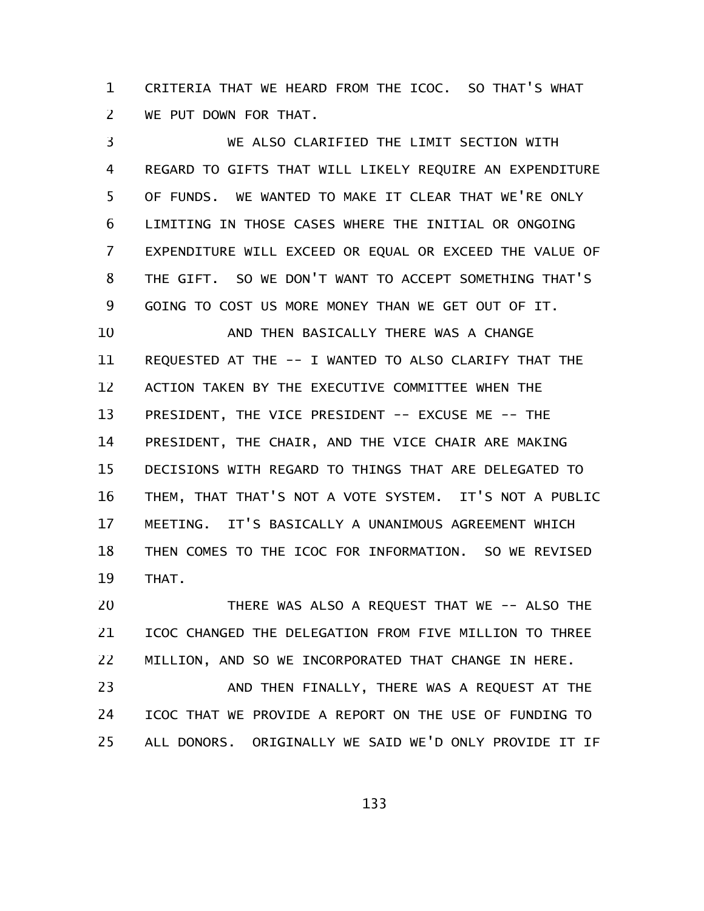CRITERIA THAT WE HEARD FROM THE ICOC. SO THAT'S WHAT WE PUT DOWN FOR THAT. 1 2

WE ALSO CLARIFIED THE LIMIT SECTION WITH REGARD TO GIFTS THAT WILL LIKELY REQUIRE AN EXPENDITURE OF FUNDS. WE WANTED TO MAKE IT CLEAR THAT WE'RE ONLY LIMITING IN THOSE CASES WHERE THE INITIAL OR ONGOING EXPENDITURE WILL EXCEED OR EQUAL OR EXCEED THE VALUE OF THE GIFT. SO WE DON'T WANT TO ACCEPT SOMETHING THAT'S GOING TO COST US MORE MONEY THAN WE GET OUT OF IT. AND THEN BASICALLY THERE WAS A CHANGE REQUESTED AT THE -- I WANTED TO ALSO CLARIFY THAT THE ACTION TAKEN BY THE EXECUTIVE COMMITTEE WHEN THE PRESIDENT, THE VICE PRESIDENT -- EXCUSE ME -- THE PRESIDENT, THE CHAIR, AND THE VICE CHAIR ARE MAKING DECISIONS WITH REGARD TO THINGS THAT ARE DELEGATED TO THEM, THAT THAT'S NOT A VOTE SYSTEM. IT'S NOT A PUBLIC MEETING. IT'S BASICALLY A UNANIMOUS AGREEMENT WHICH THEN COMES TO THE ICOC FOR INFORMATION. SO WE REVISED THAT. 3 4 5 6 7 8 9 10 11 12 13 14 15 16 17 18 19

THERE WAS ALSO A REQUEST THAT WE -- ALSO THE ICOC CHANGED THE DELEGATION FROM FIVE MILLION TO THREE MILLION, AND SO WE INCORPORATED THAT CHANGE IN HERE. 20 21 22

AND THEN FINALLY, THERE WAS A REQUEST AT THE ICOC THAT WE PROVIDE A REPORT ON THE USE OF FUNDING TO ALL DONORS. ORIGINALLY WE SAID WE'D ONLY PROVIDE IT IF 23 24 25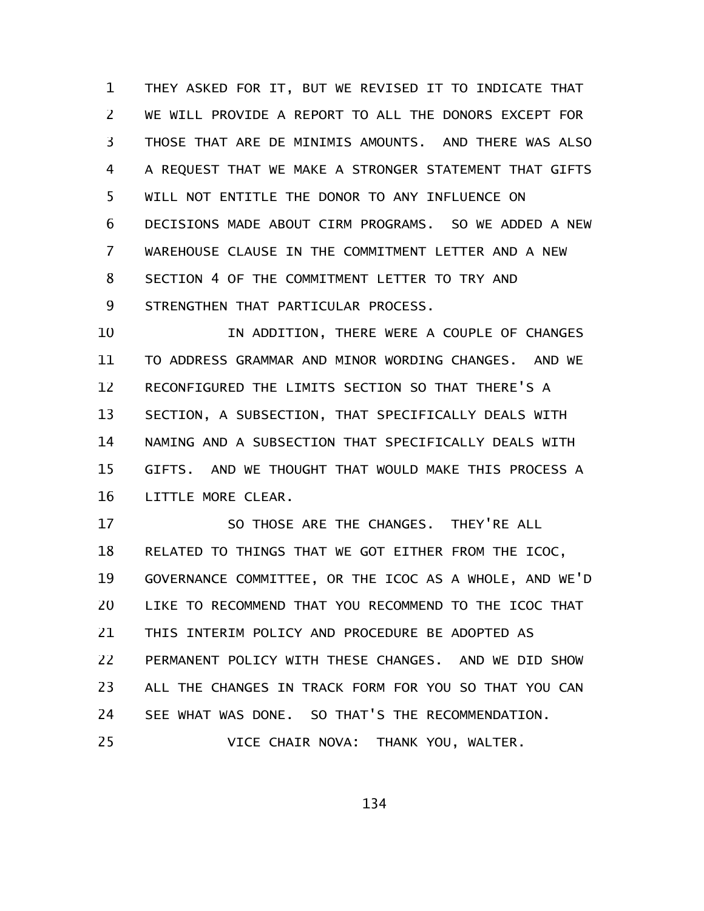THEY ASKED FOR IT, BUT WE REVISED IT TO INDICATE THAT WE WILL PROVIDE A REPORT TO ALL THE DONORS EXCEPT FOR THOSE THAT ARE DE MINIMIS AMOUNTS. AND THERE WAS ALSO A REQUEST THAT WE MAKE A STRONGER STATEMENT THAT GIFTS WILL NOT ENTITLE THE DONOR TO ANY INFLUENCE ON DECISIONS MADE ABOUT CIRM PROGRAMS. SO WE ADDED A NEW WAREHOUSE CLAUSE IN THE COMMITMENT LETTER AND A NEW SECTION 4 OF THE COMMITMENT LETTER TO TRY AND STRENGTHEN THAT PARTICULAR PROCESS. 1 2 3 4 5 6 7 8 9

IN ADDITION, THERE WERE A COUPLE OF CHANGES TO ADDRESS GRAMMAR AND MINOR WORDING CHANGES. AND WE RECONFIGURED THE LIMITS SECTION SO THAT THERE'S A SECTION, A SUBSECTION, THAT SPECIFICALLY DEALS WITH NAMING AND A SUBSECTION THAT SPECIFICALLY DEALS WITH GIFTS. AND WE THOUGHT THAT WOULD MAKE THIS PROCESS A LITTLE MORE CLEAR. 10 11 12 13 14 15 16

SO THOSE ARE THE CHANGES. THEY'RE ALL RELATED TO THINGS THAT WE GOT EITHER FROM THE ICOC, GOVERNANCE COMMITTEE, OR THE ICOC AS A WHOLE, AND WE'D LIKE TO RECOMMEND THAT YOU RECOMMEND TO THE ICOC THAT THIS INTERIM POLICY AND PROCEDURE BE ADOPTED AS PERMANENT POLICY WITH THESE CHANGES. AND WE DID SHOW ALL THE CHANGES IN TRACK FORM FOR YOU SO THAT YOU CAN SEE WHAT WAS DONE. SO THAT'S THE RECOMMENDATION. VICE CHAIR NOVA: THANK YOU, WALTER. 17 18 19 20 21 22 23 24 25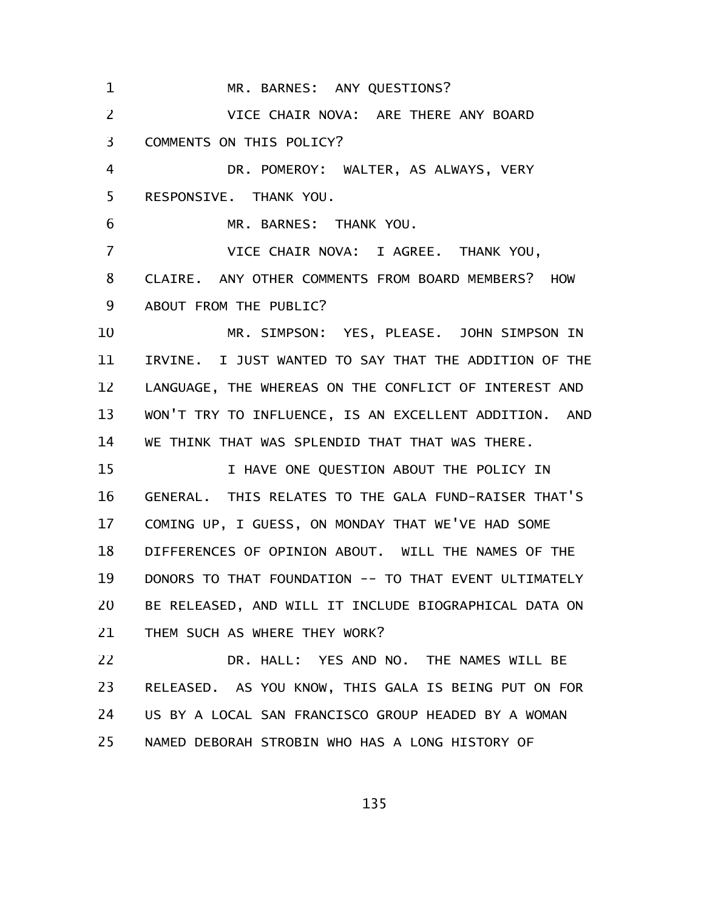MR. BARNES: ANY QUESTIONS? VICE CHAIR NOVA: ARE THERE ANY BOARD COMMENTS ON THIS POLICY? DR. POMEROY: WALTER, AS ALWAYS, VERY RESPONSIVE. THANK YOU. MR. BARNES: THANK YOU. VICE CHAIR NOVA: I AGREE. THANK YOU, CLAIRE. ANY OTHER COMMENTS FROM BOARD MEMBERS? HOW ABOUT FROM THE PUBLIC? MR. SIMPSON: YES, PLEASE. JOHN SIMPSON IN IRVINE. I JUST WANTED TO SAY THAT THE ADDITION OF THE LANGUAGE, THE WHEREAS ON THE CONFLICT OF INTEREST AND WON'T TRY TO INFLUENCE, IS AN EXCELLENT ADDITION. AND WE THINK THAT WAS SPLENDID THAT THAT WAS THERE. I HAVE ONE QUESTION ABOUT THE POLICY IN GENERAL. THIS RELATES TO THE GALA FUND-RAISER THAT'S COMING UP, I GUESS, ON MONDAY THAT WE'VE HAD SOME DIFFERENCES OF OPINION ABOUT. WILL THE NAMES OF THE DONORS TO THAT FOUNDATION -- TO THAT EVENT ULTIMATELY BE RELEASED, AND WILL IT INCLUDE BIOGRAPHICAL DATA ON THEM SUCH AS WHERE THEY WORK? DR. HALL: YES AND NO. THE NAMES WILL BE RELEASED. AS YOU KNOW, THIS GALA IS BEING PUT ON FOR US BY A LOCAL SAN FRANCISCO GROUP HEADED BY A WOMAN NAMED DEBORAH STROBIN WHO HAS A LONG HISTORY OF 1 2 3 4 5 6 7 8 9 10 11 12 13 14 15 16 17 18 19 20 21 22 23 24 25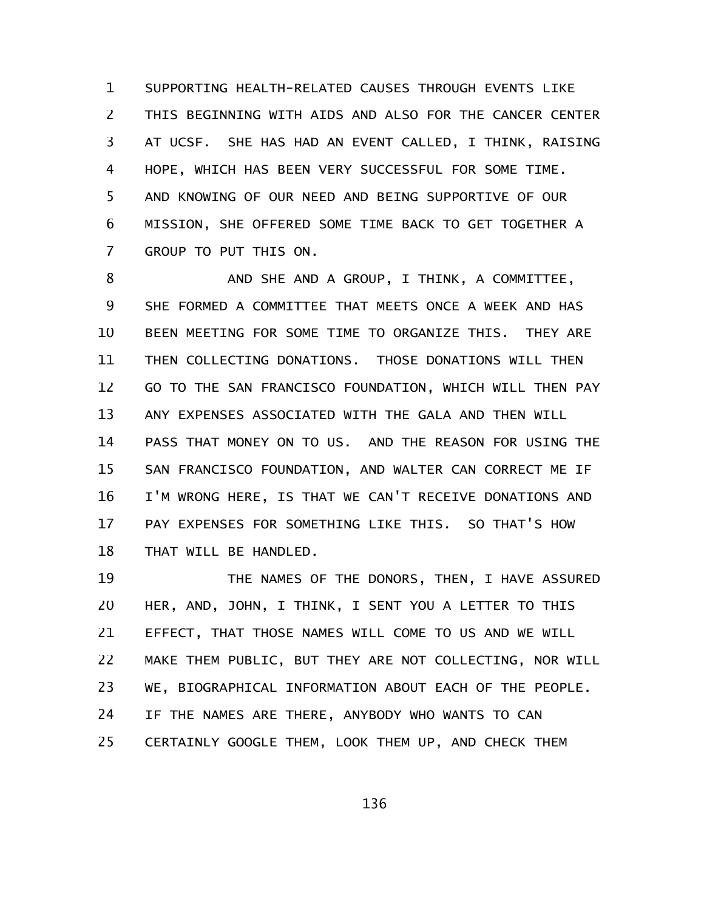SUPPORTING HEALTH-RELATED CAUSES THROUGH EVENTS LIKE THIS BEGINNING WITH AIDS AND ALSO FOR THE CANCER CENTER AT UCSF. SHE HAS HAD AN EVENT CALLED, I THINK, RAISING HOPE, WHICH HAS BEEN VERY SUCCESSFUL FOR SOME TIME. AND KNOWING OF OUR NEED AND BEING SUPPORTIVE OF OUR MISSION, SHE OFFERED SOME TIME BACK TO GET TOGETHER A GROUP TO PUT THIS ON. 1 2 3 4 5 6 7

AND SHE AND A GROUP, I THINK, A COMMITTEE, SHE FORMED A COMMITTEE THAT MEETS ONCE A WEEK AND HAS BEEN MEETING FOR SOME TIME TO ORGANIZE THIS. THEY ARE THEN COLLECTING DONATIONS. THOSE DONATIONS WILL THEN GO TO THE SAN FRANCISCO FOUNDATION, WHICH WILL THEN PAY ANY EXPENSES ASSOCIATED WITH THE GALA AND THEN WILL PASS THAT MONEY ON TO US. AND THE REASON FOR USING THE SAN FRANCISCO FOUNDATION, AND WALTER CAN CORRECT ME IF I'M WRONG HERE, IS THAT WE CAN'T RECEIVE DONATIONS AND PAY EXPENSES FOR SOMETHING LIKE THIS. SO THAT'S HOW THAT WILL BE HANDLED. 8 9 10 11 12 13 14 15 16 17 18

THE NAMES OF THE DONORS, THEN, I HAVE ASSURED HER, AND, JOHN, I THINK, I SENT YOU A LETTER TO THIS EFFECT, THAT THOSE NAMES WILL COME TO US AND WE WILL MAKE THEM PUBLIC, BUT THEY ARE NOT COLLECTING, NOR WILL WE, BIOGRAPHICAL INFORMATION ABOUT EACH OF THE PEOPLE. IF THE NAMES ARE THERE, ANYBODY WHO WANTS TO CAN CERTAINLY GOOGLE THEM, LOOK THEM UP, AND CHECK THEM 19 20 21 22 23 24 25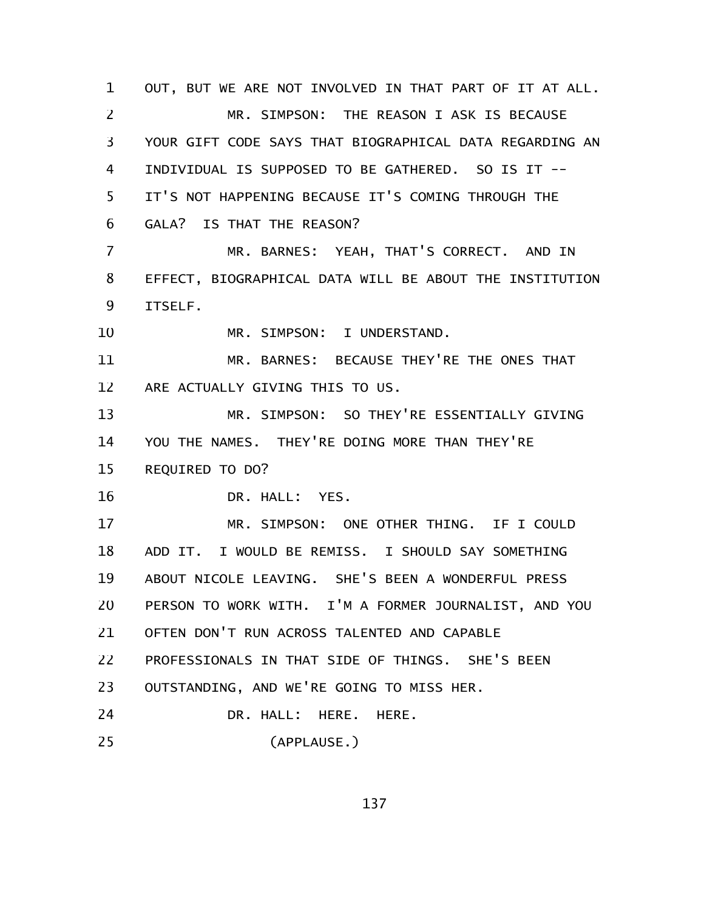OUT, BUT WE ARE NOT INVOLVED IN THAT PART OF IT AT ALL. MR. SIMPSON: THE REASON I ASK IS BECAUSE YOUR GIFT CODE SAYS THAT BIOGRAPHICAL DATA REGARDING AN INDIVIDUAL IS SUPPOSED TO BE GATHERED. SO IS IT -- IT'S NOT HAPPENING BECAUSE IT'S COMING THROUGH THE GALA? IS THAT THE REASON? MR. BARNES: YEAH, THAT'S CORRECT. AND IN EFFECT, BIOGRAPHICAL DATA WILL BE ABOUT THE INSTITUTION ITSELF. MR. SIMPSON: I UNDERSTAND. MR. BARNES: BECAUSE THEY'RE THE ONES THAT ARE ACTUALLY GIVING THIS TO US. MR. SIMPSON: SO THEY'RE ESSENTIALLY GIVING YOU THE NAMES. THEY'RE DOING MORE THAN THEY'RE REQUIRED TO DO? DR. HALL: YES. MR. SIMPSON: ONE OTHER THING. IF I COULD ADD IT. I WOULD BE REMISS. I SHOULD SAY SOMETHING ABOUT NICOLE LEAVING. SHE'S BEEN A WONDERFUL PRESS PERSON TO WORK WITH. I'M A FORMER JOURNALIST, AND YOU OFTEN DON'T RUN ACROSS TALENTED AND CAPABLE PROFESSIONALS IN THAT SIDE OF THINGS. SHE'S BEEN OUTSTANDING, AND WE'RE GOING TO MISS HER. DR. HALL: HERE. HERE. (APPLAUSE.) 1 2 3 4 5 6 7 8 9 10 11 12 13 14 15 16 17 18 19 20 21 22 23 24 25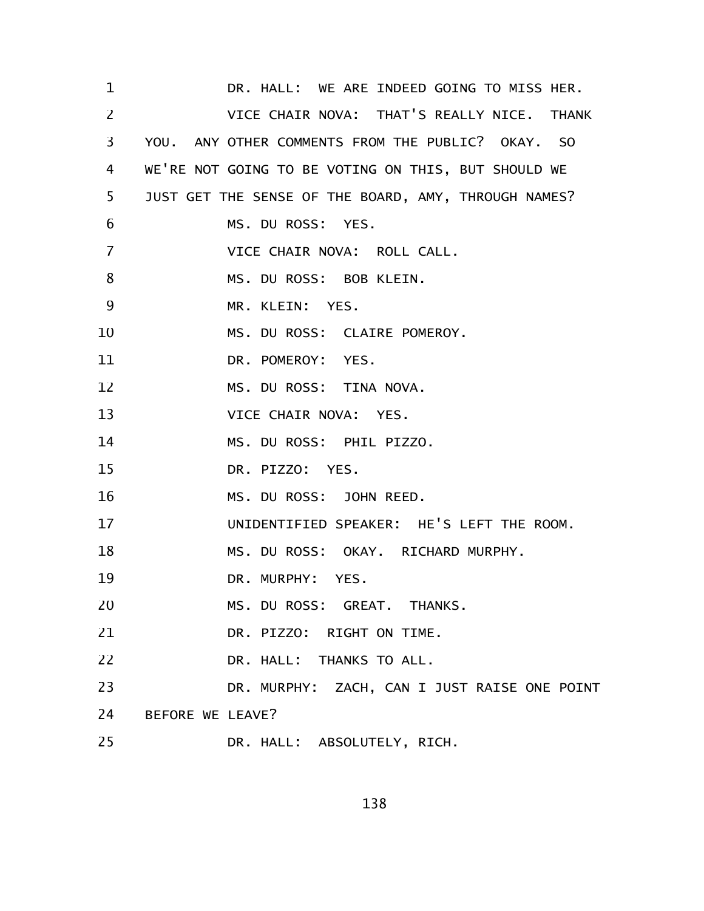DR. HALL: WE ARE INDEED GOING TO MISS HER. VICE CHAIR NOVA: THAT'S REALLY NICE. THANK YOU. ANY OTHER COMMENTS FROM THE PUBLIC? OKAY. SO WE'RE NOT GOING TO BE VOTING ON THIS, BUT SHOULD WE JUST GET THE SENSE OF THE BOARD, AMY, THROUGH NAMES? MS. DU ROSS: YES. VICE CHAIR NOVA: ROLL CALL. MS. DU ROSS: BOB KLEIN. MR. KLEIN: YES. MS. DU ROSS: CLAIRE POMEROY. DR. POMEROY: YES. MS. DU ROSS: TINA NOVA. VICE CHAIR NOVA: YES. MS. DU ROSS: PHIL PIZZO. DR. PIZZO: YES. MS. DU ROSS: JOHN REED. UNIDENTIFIED SPEAKER: HE'S LEFT THE ROOM. MS. DU ROSS: OKAY. RICHARD MURPHY. DR. MURPHY: YES. MS. DU ROSS: GREAT. THANKS. DR. PIZZO: RIGHT ON TIME. DR. HALL: THANKS TO ALL. DR. MURPHY: ZACH, CAN I JUST RAISE ONE POINT BEFORE WE LEAVE? DR. HALL: ABSOLUTELY, RICH. 1 2 3 4 5 6 7 8 9 10 11 12 13 14 15 16 17 18 19 20 21 22 23 24 25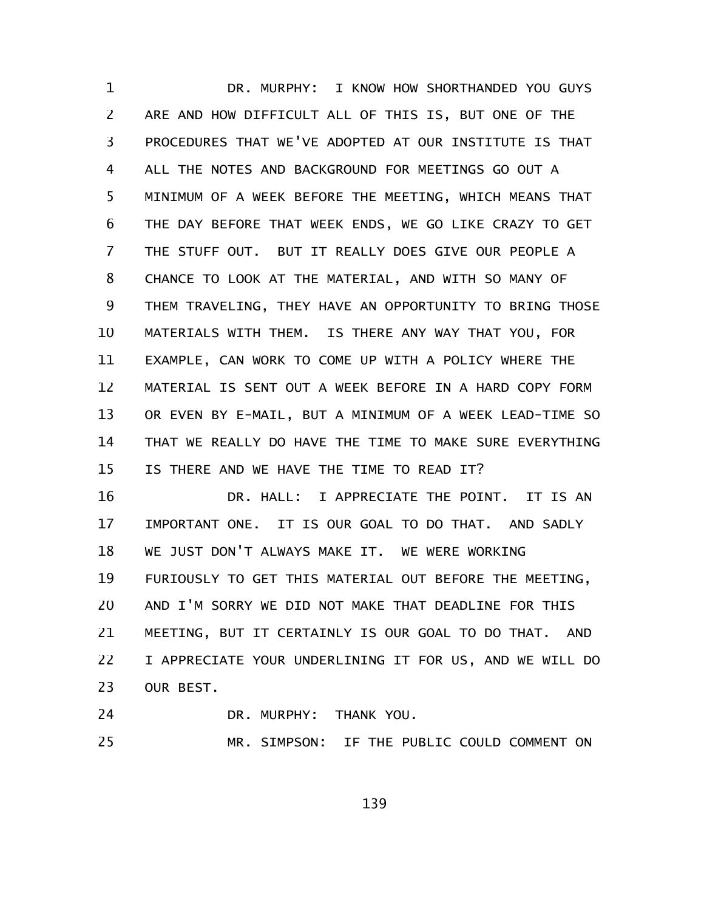DR. MURPHY: I KNOW HOW SHORTHANDED YOU GUYS ARE AND HOW DIFFICULT ALL OF THIS IS, BUT ONE OF THE PROCEDURES THAT WE'VE ADOPTED AT OUR INSTITUTE IS THAT ALL THE NOTES AND BACKGROUND FOR MEETINGS GO OUT A MINIMUM OF A WEEK BEFORE THE MEETING, WHICH MEANS THAT THE DAY BEFORE THAT WEEK ENDS, WE GO LIKE CRAZY TO GET THE STUFF OUT. BUT IT REALLY DOES GIVE OUR PEOPLE A CHANCE TO LOOK AT THE MATERIAL, AND WITH SO MANY OF THEM TRAVELING, THEY HAVE AN OPPORTUNITY TO BRING THOSE MATERIALS WITH THEM. IS THERE ANY WAY THAT YOU, FOR EXAMPLE, CAN WORK TO COME UP WITH A POLICY WHERE THE MATERIAL IS SENT OUT A WEEK BEFORE IN A HARD COPY FORM OR EVEN BY E-MAIL, BUT A MINIMUM OF A WEEK LEAD-TIME SO THAT WE REALLY DO HAVE THE TIME TO MAKE SURE EVERYTHING IS THERE AND WE HAVE THE TIME TO READ IT? 1 2 3 4 5 6 7 8 9 10 11 12 13 14 15

DR. HALL: I APPRECIATE THE POINT. IT IS AN IMPORTANT ONE. IT IS OUR GOAL TO DO THAT. AND SADLY WE JUST DON'T ALWAYS MAKE IT. WE WERE WORKING FURIOUSLY TO GET THIS MATERIAL OUT BEFORE THE MEETING, AND I'M SORRY WE DID NOT MAKE THAT DEADLINE FOR THIS MEETING, BUT IT CERTAINLY IS OUR GOAL TO DO THAT. AND I APPRECIATE YOUR UNDERLINING IT FOR US, AND WE WILL DO OUR BEST. 16 17 18 19 20 21 22 23

- DR. MURPHY: THANK YOU. 24
- MR. SIMPSON: IF THE PUBLIC COULD COMMENT ON 25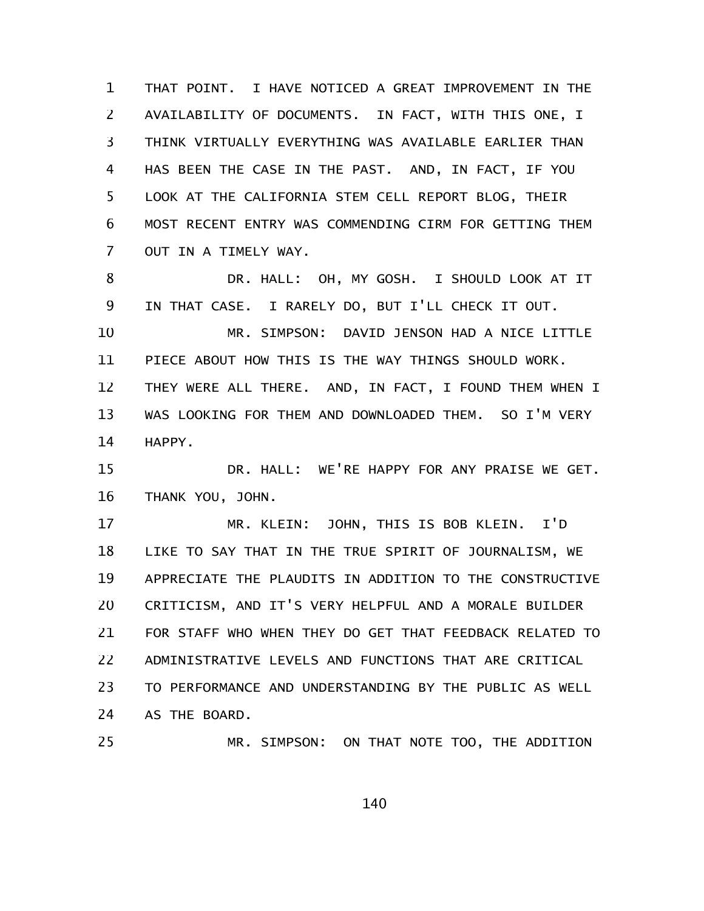THAT POINT. I HAVE NOTICED A GREAT IMPROVEMENT IN THE AVAILABILITY OF DOCUMENTS. IN FACT, WITH THIS ONE, I THINK VIRTUALLY EVERYTHING WAS AVAILABLE EARLIER THAN HAS BEEN THE CASE IN THE PAST. AND, IN FACT, IF YOU LOOK AT THE CALIFORNIA STEM CELL REPORT BLOG, THEIR MOST RECENT ENTRY WAS COMMENDING CIRM FOR GETTING THEM OUT IN A TIMELY WAY. 1 2 3 4 5 6 7

DR. HALL: OH, MY GOSH. I SHOULD LOOK AT IT IN THAT CASE. I RARELY DO, BUT I'LL CHECK IT OUT. MR. SIMPSON: DAVID JENSON HAD A NICE LITTLE PIECE ABOUT HOW THIS IS THE WAY THINGS SHOULD WORK. THEY WERE ALL THERE. AND, IN FACT, I FOUND THEM WHEN I WAS LOOKING FOR THEM AND DOWNLOADED THEM. SO I'M VERY HAPPY. 8 9 10 11 12 13 14

DR. HALL: WE'RE HAPPY FOR ANY PRAISE WE GET. THANK YOU, JOHN. 15 16

MR. KLEIN: JOHN, THIS IS BOB KLEIN. I'D LIKE TO SAY THAT IN THE TRUE SPIRIT OF JOURNALISM, WE APPRECIATE THE PLAUDITS IN ADDITION TO THE CONSTRUCTIVE CRITICISM, AND IT'S VERY HELPFUL AND A MORALE BUILDER FOR STAFF WHO WHEN THEY DO GET THAT FEEDBACK RELATED TO ADMINISTRATIVE LEVELS AND FUNCTIONS THAT ARE CRITICAL TO PERFORMANCE AND UNDERSTANDING BY THE PUBLIC AS WELL AS THE BOARD. 17 18 19 20 21 22 23 24

MR. SIMPSON: ON THAT NOTE TOO, THE ADDITION 25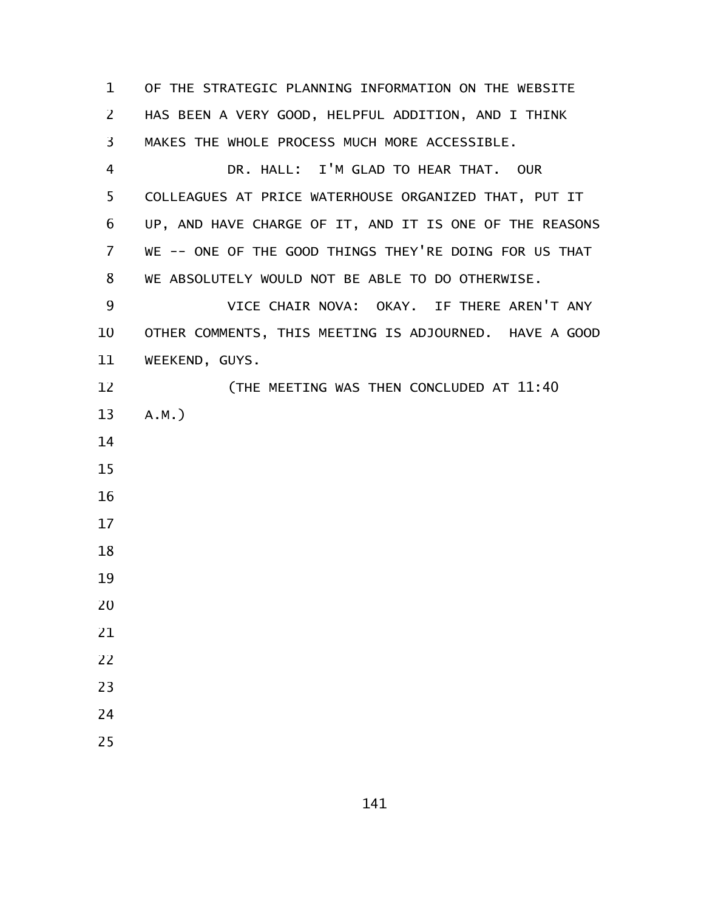OF THE STRATEGIC PLANNING INFORMATION ON THE WEBSITE HAS BEEN A VERY GOOD, HELPFUL ADDITION, AND I THINK MAKES THE WHOLE PROCESS MUCH MORE ACCESSIBLE. DR. HALL: I'M GLAD TO HEAR THAT. OUR COLLEAGUES AT PRICE WATERHOUSE ORGANIZED THAT, PUT IT UP, AND HAVE CHARGE OF IT, AND IT IS ONE OF THE REASONS WE -- ONE OF THE GOOD THINGS THEY'RE DOING FOR US THAT WE ABSOLUTELY WOULD NOT BE ABLE TO DO OTHERWISE. VICE CHAIR NOVA: OKAY. IF THERE AREN'T ANY OTHER COMMENTS, THIS MEETING IS ADJOURNED. HAVE A GOOD WEEKEND, GUYS. (THE MEETING WAS THEN CONCLUDED AT 11:40 A.M.)